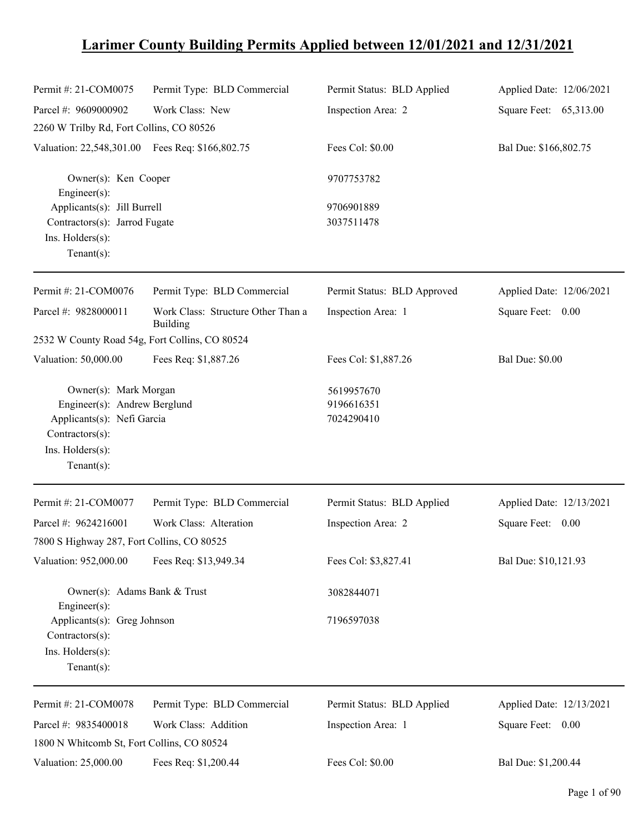# **Larimer County Building Permits Applied between 12/01/2021 and 12/31/2021**

| Permit #: 21-COM0075                                                                                                                        | Permit Type: BLD Commercial                    | Permit Status: BLD Applied             | Applied Date: 12/06/2021 |
|---------------------------------------------------------------------------------------------------------------------------------------------|------------------------------------------------|----------------------------------------|--------------------------|
| Parcel #: 9609000902                                                                                                                        | Work Class: New                                | Inspection Area: 2                     | Square Feet: 65,313.00   |
| 2260 W Trilby Rd, Fort Collins, CO 80526                                                                                                    |                                                |                                        |                          |
| Valuation: 22,548,301.00 Fees Req: \$166,802.75                                                                                             |                                                | Fees Col: \$0.00                       | Bal Due: \$166,802.75    |
| Owner(s): Ken Cooper<br>Engineer $(s)$ :                                                                                                    |                                                | 9707753782                             |                          |
| Applicants(s): Jill Burrell<br>Contractors(s): Jarrod Fugate<br>Ins. Holders(s):<br>$Tenant(s)$ :                                           |                                                | 9706901889<br>3037511478               |                          |
| Permit #: 21-COM0076                                                                                                                        | Permit Type: BLD Commercial                    | Permit Status: BLD Approved            | Applied Date: 12/06/2021 |
| Parcel #: 9828000011                                                                                                                        | Work Class: Structure Other Than a<br>Building | Inspection Area: 1                     | Square Feet: 0.00        |
| 2532 W County Road 54g, Fort Collins, CO 80524                                                                                              |                                                |                                        |                          |
| Valuation: 50,000.00                                                                                                                        | Fees Req: \$1,887.26                           | Fees Col: \$1,887.26                   | <b>Bal Due: \$0.00</b>   |
| Owner(s): Mark Morgan<br>Engineer(s): Andrew Berglund<br>Applicants(s): Nefi Garcia<br>Contractors(s):<br>Ins. Holders(s):<br>$Tenant(s)$ : |                                                | 5619957670<br>9196616351<br>7024290410 |                          |
| Permit #: 21-COM0077                                                                                                                        | Permit Type: BLD Commercial                    | Permit Status: BLD Applied             | Applied Date: 12/13/2021 |
| Parcel #: 9624216001<br>7800 S Highway 287, Fort Collins, CO 80525                                                                          | Work Class: Alteration                         | Inspection Area: 2                     | Square Feet: 0.00        |
| Valuation: 952,000.00                                                                                                                       | Fees Req: \$13,949.34                          | Fees Col: \$3,827.41                   | Bal Due: \$10,121.93     |
| Owner(s): Adams Bank & Trust<br>Engineer(s):                                                                                                |                                                | 3082844071                             |                          |
| Applicants(s): Greg Johnson<br>Contractors(s):<br>Ins. Holders(s):<br>$Tenant(s)$ :                                                         |                                                | 7196597038                             |                          |
| Permit #: 21-COM0078                                                                                                                        | Permit Type: BLD Commercial                    | Permit Status: BLD Applied             | Applied Date: 12/13/2021 |
| Parcel #: 9835400018<br>1800 N Whitcomb St, Fort Collins, CO 80524                                                                          | Work Class: Addition                           | Inspection Area: 1                     | Square Feet: 0.00        |
| Valuation: 25,000.00                                                                                                                        | Fees Req: \$1,200.44                           | Fees Col: \$0.00                       | Bal Due: \$1,200.44      |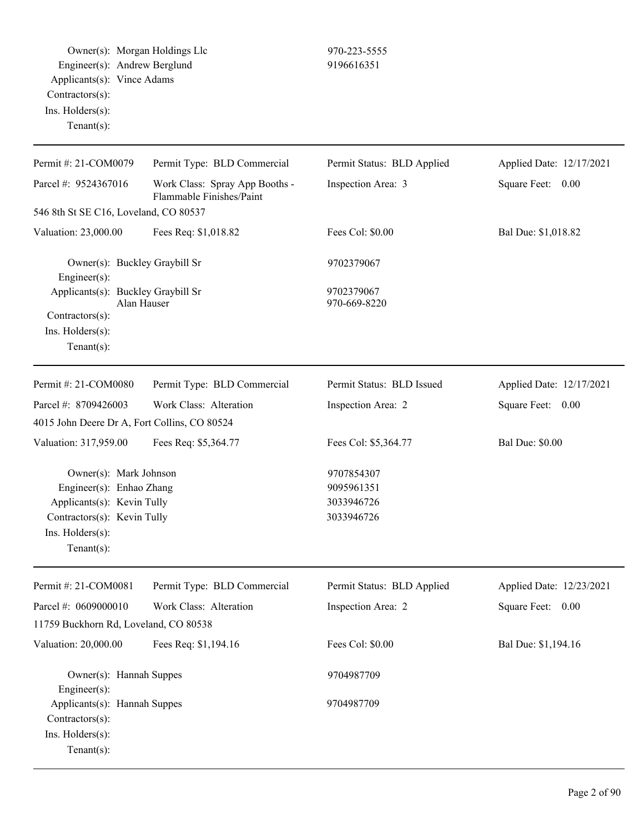Owner(s): Morgan Holdings Llc 970-223-5555 Engineer(s): Andrew Berglund 9196616351 Applicants(s): Vince Adams Contractors(s): Ins. Holders(s): Tenant(s):

| Permit #: 21-COM0079                                                                                                                                 | Permit Type: BLD Commercial                                | Permit Status: BLD Applied                           | Applied Date: 12/17/2021 |
|------------------------------------------------------------------------------------------------------------------------------------------------------|------------------------------------------------------------|------------------------------------------------------|--------------------------|
| Parcel #: 9524367016                                                                                                                                 | Work Class: Spray App Booths -<br>Flammable Finishes/Paint | Inspection Area: 3                                   | Square Feet: 0.00        |
| 546 8th St SE C16, Loveland, CO 80537                                                                                                                |                                                            |                                                      |                          |
| Valuation: 23,000.00                                                                                                                                 | Fees Req: \$1,018.82                                       | Fees Col: \$0.00                                     | Bal Due: \$1,018.82      |
| Owner(s): Buckley Graybill Sr<br>Engineer(s):                                                                                                        |                                                            | 9702379067                                           |                          |
| Applicants(s): Buckley Graybill Sr                                                                                                                   | Alan Hauser                                                | 9702379067<br>970-669-8220                           |                          |
| Contractors(s):                                                                                                                                      |                                                            |                                                      |                          |
| Ins. Holders(s):                                                                                                                                     |                                                            |                                                      |                          |
| Tenant $(s)$ :                                                                                                                                       |                                                            |                                                      |                          |
| Permit #: 21-COM0080                                                                                                                                 | Permit Type: BLD Commercial                                | Permit Status: BLD Issued                            | Applied Date: 12/17/2021 |
| Parcel #: 8709426003                                                                                                                                 | Work Class: Alteration                                     | Inspection Area: 2                                   | Square Feet: 0.00        |
| 4015 John Deere Dr A, Fort Collins, CO 80524                                                                                                         |                                                            |                                                      |                          |
| Valuation: 317,959.00                                                                                                                                | Fees Req: \$5,364.77                                       | Fees Col: \$5,364.77                                 | <b>Bal Due: \$0.00</b>   |
| Owner(s): Mark Johnson<br>Engineer(s): Enhao Zhang<br>Applicants(s): Kevin Tully<br>Contractors(s): Kevin Tully<br>Ins. Holders(s):<br>$Tenant(s)$ : |                                                            | 9707854307<br>9095961351<br>3033946726<br>3033946726 |                          |
| Permit #: 21-COM0081                                                                                                                                 | Permit Type: BLD Commercial                                | Permit Status: BLD Applied                           | Applied Date: 12/23/2021 |
| Parcel #: $0609000010$                                                                                                                               | Work Class: Alteration                                     | Inspection Area: 2                                   | Square Feet: 0.00        |
| 11759 Buckhorn Rd, Loveland, CO 80538                                                                                                                |                                                            |                                                      |                          |
| Valuation: 20,000.00                                                                                                                                 | Fees Req: \$1,194.16                                       | Fees Col: \$0.00                                     | Bal Due: \$1,194.16      |
| Owner(s): Hannah Suppes<br>Engineer(s):                                                                                                              |                                                            | 9704987709                                           |                          |
| Applicants(s): Hannah Suppes<br>Contractors(s):<br>Ins. Holders(s):<br>$Tenant(s)$ :                                                                 |                                                            | 9704987709                                           |                          |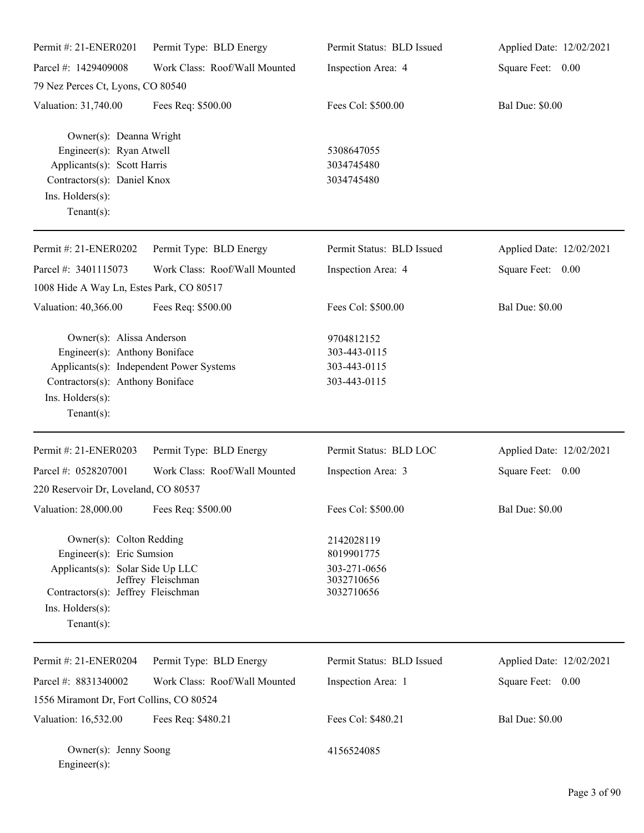| Permit #: 21-ENER0201                                                                                                                                                            | Permit Type: BLD Energy       | Permit Status: BLD Issued                                            | Applied Date: 12/02/2021 |
|----------------------------------------------------------------------------------------------------------------------------------------------------------------------------------|-------------------------------|----------------------------------------------------------------------|--------------------------|
| Parcel #: 1429409008                                                                                                                                                             | Work Class: Roof/Wall Mounted | Inspection Area: 4                                                   | Square Feet: 0.00        |
| 79 Nez Perces Ct, Lyons, CO 80540                                                                                                                                                |                               |                                                                      |                          |
| Valuation: 31,740.00                                                                                                                                                             | Fees Req: \$500.00            | Fees Col: \$500.00                                                   | <b>Bal Due: \$0.00</b>   |
| Owner(s): Deanna Wright<br>Engineer(s): Ryan Atwell<br>Applicants(s): Scott Harris<br>Contractors(s): Daniel Knox<br>Ins. Holders(s):<br>Tenant $(s)$ :                          |                               | 5308647055<br>3034745480<br>3034745480                               |                          |
| Permit #: 21-ENER0202                                                                                                                                                            | Permit Type: BLD Energy       | Permit Status: BLD Issued                                            | Applied Date: 12/02/2021 |
| Parcel #: 3401115073<br>1008 Hide A Way Ln, Estes Park, CO 80517                                                                                                                 | Work Class: Roof/Wall Mounted | Inspection Area: 4                                                   | Square Feet: 0.00        |
| Valuation: 40,366.00                                                                                                                                                             | Fees Req: \$500.00            | Fees Col: \$500.00                                                   | <b>Bal Due: \$0.00</b>   |
| Owner(s): Alissa Anderson<br>Engineer(s): Anthony Boniface<br>Applicants(s): Independent Power Systems<br>Contractors(s): Anthony Boniface<br>Ins. Holders(s):<br>Tenant $(s)$ : |                               | 9704812152<br>303-443-0115<br>303-443-0115<br>303-443-0115           |                          |
| Permit #: 21-ENER0203                                                                                                                                                            | Permit Type: BLD Energy       | Permit Status: BLD LOC                                               | Applied Date: 12/02/2021 |
| Parcel #: 0528207001                                                                                                                                                             | Work Class: Roof/Wall Mounted | Inspection Area: 3                                                   | Square Feet: 0.00        |
| 220 Reservoir Dr, Loveland, CO 80537                                                                                                                                             |                               |                                                                      |                          |
| Valuation: 28,000.00 Fees Req: \$500.00                                                                                                                                          |                               | Fees Col: \$500.00                                                   | <b>Bal Due: \$0.00</b>   |
| Owner(s): Colton Redding<br>Engineer(s): Eric Sumsion<br>Applicants(s): Solar Side Up LLC<br>Contractors(s): Jeffrey Fleischman<br>Ins. Holders(s):<br>Tenant $(s)$ :            | Jeffrey Fleischman            | 2142028119<br>8019901775<br>303-271-0656<br>3032710656<br>3032710656 |                          |
| Permit #: 21-ENER0204                                                                                                                                                            | Permit Type: BLD Energy       | Permit Status: BLD Issued                                            | Applied Date: 12/02/2021 |
| Parcel #: 8831340002                                                                                                                                                             | Work Class: Roof/Wall Mounted | Inspection Area: 1                                                   | Square Feet: 0.00        |
| 1556 Miramont Dr, Fort Collins, CO 80524                                                                                                                                         |                               |                                                                      |                          |
| Valuation: 16,532.00                                                                                                                                                             | Fees Req: \$480.21            | Fees Col: \$480.21                                                   | <b>Bal Due: \$0.00</b>   |
| Owner(s): Jenny Soong<br>$Engineering(s)$ :                                                                                                                                      |                               | 4156524085                                                           |                          |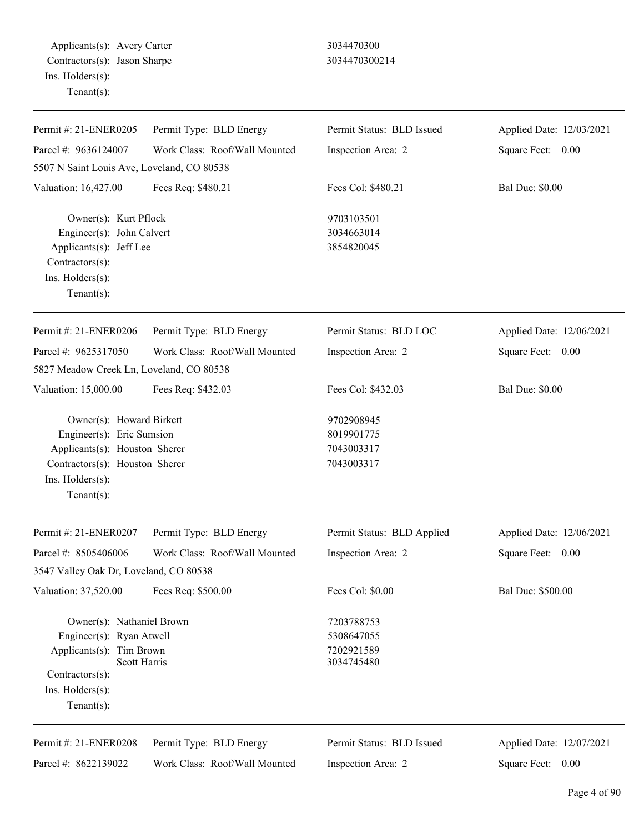| Permit #: 21-ENER0205                                                                                                                                                 | Permit Type: BLD Energy                                  | Permit Status: BLD Issued                            | Applied Date: 12/03/2021                      |
|-----------------------------------------------------------------------------------------------------------------------------------------------------------------------|----------------------------------------------------------|------------------------------------------------------|-----------------------------------------------|
| Parcel #: 9636124007                                                                                                                                                  | Work Class: Roof/Wall Mounted                            | Inspection Area: 2                                   | Square Feet: 0.00                             |
| 5507 N Saint Louis Ave, Loveland, CO 80538                                                                                                                            |                                                          |                                                      |                                               |
| Valuation: 16,427.00                                                                                                                                                  | Fees Req: \$480.21                                       | Fees Col: \$480.21                                   | <b>Bal Due: \$0.00</b>                        |
| Owner(s): Kurt Pflock<br>Engineer(s): John Calvert<br>Applicants(s): Jeff Lee<br>Contractors(s):<br>Ins. Holders(s):<br>Tenant $(s)$ :                                |                                                          | 9703103501<br>3034663014<br>3854820045               |                                               |
| Permit #: 21-ENER0206                                                                                                                                                 | Permit Type: BLD Energy                                  | Permit Status: BLD LOC                               | Applied Date: 12/06/2021                      |
| Parcel #: 9625317050                                                                                                                                                  | Work Class: Roof/Wall Mounted                            | Inspection Area: 2                                   | Square Feet: 0.00                             |
| 5827 Meadow Creek Ln, Loveland, CO 80538                                                                                                                              |                                                          |                                                      |                                               |
| Valuation: 15,000.00                                                                                                                                                  | Fees Req: \$432.03                                       | Fees Col: \$432.03                                   | <b>Bal Due: \$0.00</b>                        |
| Owner(s): Howard Birkett<br>Engineer(s): Eric Sumsion<br>Applicants(s): Houston Sherer<br>Contractors(s): Houston Sherer<br>Ins. $H$ olders $(s)$ :<br>Tenant $(s)$ : |                                                          | 9702908945<br>8019901775<br>7043003317<br>7043003317 |                                               |
| Permit #: 21-ENER0207                                                                                                                                                 | Permit Type: BLD Energy                                  | Permit Status: BLD Applied                           | Applied Date: 12/06/2021                      |
| Parcel #: 8505406006<br>3547 Valley Oak Dr, Loveland, CO 80538                                                                                                        | Work Class: Roof/Wall Mounted                            | Inspection Area: 2                                   | Square Feet: 0.00                             |
| Valuation: 37,520.00                                                                                                                                                  | Fees Req: \$500.00                                       | Fees Col: \$0.00                                     | Bal Due: \$500.00                             |
| Owner(s): Nathaniel Brown<br>Engineer(s): Ryan Atwell<br>Applicants(s): Tim Brown<br>Scott Harris<br>Contractors(s):<br>Ins. $H$ olders $(s)$ :<br>Tenant $(s)$ :     |                                                          | 7203788753<br>5308647055<br>7202921589<br>3034745480 |                                               |
| Permit #: 21-ENER0208<br>Parcel #: 8622139022                                                                                                                         | Permit Type: BLD Energy<br>Work Class: Roof/Wall Mounted | Permit Status: BLD Issued<br>Inspection Area: 2      | Applied Date: 12/07/2021<br>Square Feet: 0.00 |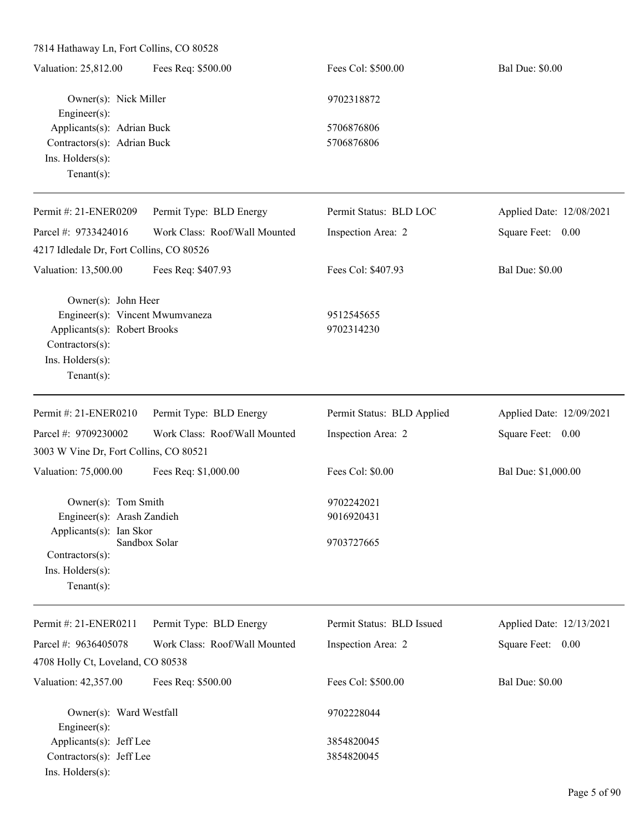| 7814 Hathaway Ln, Fort Collins, CO 80528        |                               |                            |                          |
|-------------------------------------------------|-------------------------------|----------------------------|--------------------------|
| Valuation: 25,812.00                            | Fees Req: \$500.00            | Fees Col: \$500.00         | <b>Bal Due: \$0.00</b>   |
| Owner(s): Nick Miller<br>Engineer(s):           |                               | 9702318872                 |                          |
| Applicants(s): Adrian Buck                      |                               | 5706876806                 |                          |
| Contractors(s): Adrian Buck                     |                               | 5706876806                 |                          |
| Ins. Holders(s):                                |                               |                            |                          |
| Tenant $(s)$ :                                  |                               |                            |                          |
| Permit #: 21-ENER0209                           | Permit Type: BLD Energy       | Permit Status: BLD LOC     | Applied Date: 12/08/2021 |
| Parcel #: 9733424016                            | Work Class: Roof/Wall Mounted | Inspection Area: 2         | Square Feet: 0.00        |
| 4217 Idledale Dr, Fort Collins, CO 80526        |                               |                            |                          |
| Valuation: 13,500.00                            | Fees Req: \$407.93            | Fees Col: \$407.93         | <b>Bal Due: \$0.00</b>   |
| Owner(s): John Heer                             |                               |                            |                          |
| Engineer(s): Vincent Mwumvaneza                 |                               | 9512545655                 |                          |
| Applicants(s): Robert Brooks<br>Contractors(s): |                               | 9702314230                 |                          |
| Ins. Holders(s):                                |                               |                            |                          |
| Tenant $(s)$ :                                  |                               |                            |                          |
|                                                 |                               |                            |                          |
| Permit #: 21-ENER0210                           | Permit Type: BLD Energy       | Permit Status: BLD Applied | Applied Date: 12/09/2021 |
| Parcel #: 9709230002                            | Work Class: Roof/Wall Mounted | Inspection Area: 2         | Square Feet: 0.00        |
| 3003 W Vine Dr, Fort Collins, CO 80521          |                               |                            |                          |
| Valuation: 75,000.00                            | Fees Req: \$1,000.00          | Fees Col: \$0.00           | Bal Due: \$1,000.00      |
| Owner(s): Tom Smith                             |                               | 9702242021                 |                          |
| Engineer(s): Arash Zandieh                      |                               | 9016920431                 |                          |
| Applicants(s): Ian Skor                         |                               |                            |                          |
| Contractors(s):                                 | Sandbox Solar                 | 9703727665                 |                          |
| Ins. Holders(s):                                |                               |                            |                          |
| Tenant $(s)$ :                                  |                               |                            |                          |
| Permit #: 21-ENER0211                           | Permit Type: BLD Energy       | Permit Status: BLD Issued  | Applied Date: 12/13/2021 |
| Parcel #: 9636405078                            | Work Class: Roof/Wall Mounted | Inspection Area: 2         | Square Feet: 0.00        |
| 4708 Holly Ct, Loveland, CO 80538               |                               |                            |                          |
| Valuation: 42,357.00                            | Fees Req: \$500.00            | Fees Col: \$500.00         | <b>Bal Due: \$0.00</b>   |
| Owner(s): Ward Westfall                         |                               | 9702228044                 |                          |
| Engineer $(s)$ :                                |                               |                            |                          |
| Applicants(s): Jeff Lee                         |                               | 3854820045                 |                          |
| Contractors(s): Jeff Lee                        |                               | 3854820045                 |                          |
| Ins. Holders(s):                                |                               |                            |                          |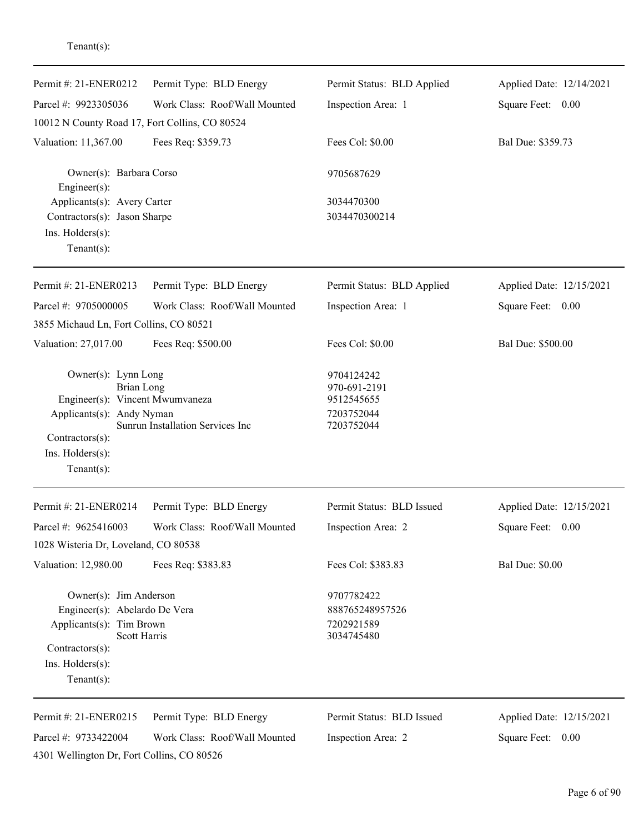| Permit #: 21-ENER0212                                                                                                                                             | Permit Type: BLD Energy          | Permit Status: BLD Applied                                           | Applied Date: 12/14/2021 |
|-------------------------------------------------------------------------------------------------------------------------------------------------------------------|----------------------------------|----------------------------------------------------------------------|--------------------------|
| Parcel #: 9923305036                                                                                                                                              | Work Class: Roof/Wall Mounted    | Inspection Area: 1                                                   | Square Feet: 0.00        |
| 10012 N County Road 17, Fort Collins, CO 80524                                                                                                                    |                                  |                                                                      |                          |
| Valuation: 11,367.00                                                                                                                                              | Fees Req: \$359.73               | Fees Col: \$0.00                                                     | Bal Due: \$359.73        |
| Owner(s): Barbara Corso<br>Engineer $(s)$ :                                                                                                                       |                                  | 9705687629                                                           |                          |
| Applicants(s): Avery Carter<br>Contractors(s): Jason Sharpe<br>Ins. Holders(s):<br>Tenant $(s)$ :                                                                 |                                  | 3034470300<br>3034470300214                                          |                          |
| Permit #: 21-ENER0213                                                                                                                                             | Permit Type: BLD Energy          | Permit Status: BLD Applied                                           | Applied Date: 12/15/2021 |
| Parcel #: 9705000005                                                                                                                                              | Work Class: Roof/Wall Mounted    | Inspection Area: 1                                                   | Square Feet: 0.00        |
| 3855 Michaud Ln, Fort Collins, CO 80521                                                                                                                           |                                  |                                                                      |                          |
| Valuation: 27,017.00                                                                                                                                              | Fees Req: \$500.00               | Fees Col: \$0.00                                                     | Bal Due: \$500.00        |
| Owner(s): Lynn Long<br><b>Brian Long</b><br>Engineer(s): Vincent Mwumvaneza<br>Applicants(s): Andy Nyman<br>Contractors(s):<br>Ins. Holders(s):<br>Tenant $(s)$ : | Sunrun Installation Services Inc | 9704124242<br>970-691-2191<br>9512545655<br>7203752044<br>7203752044 |                          |
| Permit #: 21-ENER0214                                                                                                                                             | Permit Type: BLD Energy          | Permit Status: BLD Issued                                            | Applied Date: 12/15/2021 |
| Parcel #: 9625416003                                                                                                                                              | Work Class: Roof/Wall Mounted    | Inspection Area: 2                                                   | Square Feet: 0.00        |
| 1028 Wisteria Dr, Loveland, CO 80538                                                                                                                              |                                  |                                                                      |                          |
| Valuation: 12,980.00                                                                                                                                              | Fees Req: \$383.83               | Fees Col: \$383.83                                                   | <b>Bal Due: \$0.00</b>   |
| Owner(s): Jim Anderson<br>Engineer(s): Abelardo De Vera<br>Applicants(s): Tim Brown<br>Scott Harris<br>Contractors(s):<br>Ins. Holders(s):<br>Tenant $(s)$ :      |                                  | 9707782422<br>888765248957526<br>7202921589<br>3034745480            |                          |
| Permit #: 21-ENER0215                                                                                                                                             | Permit Type: BLD Energy          | Permit Status: BLD Issued                                            | Applied Date: 12/15/2021 |
| Parcel #: 9733422004<br>4301 Wellington Dr, Fort Collins, CO 80526                                                                                                | Work Class: Roof/Wall Mounted    | Inspection Area: 2                                                   | Square Feet: 0.00        |

Tenant(s):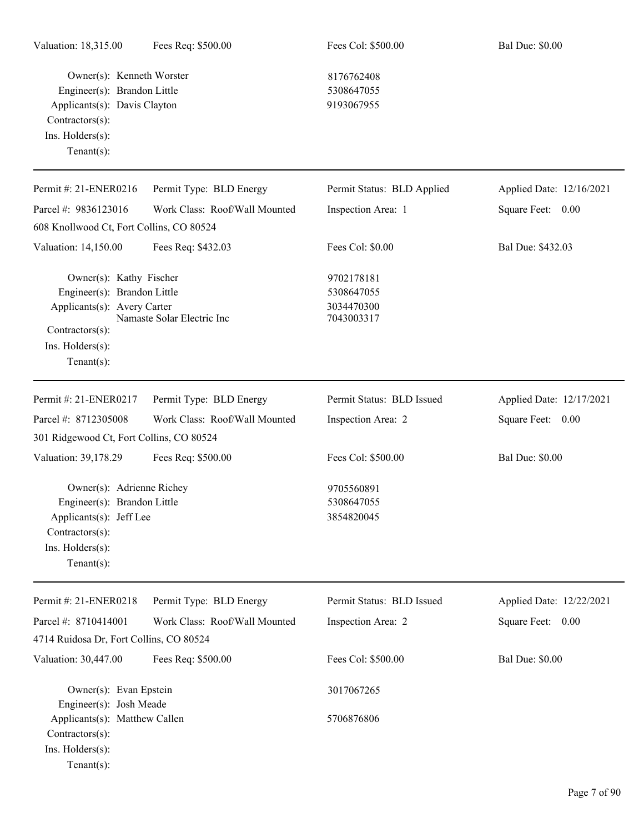Owner(s): Kenneth Worster 8176762408 Engineer(s): Brandon Little 5308647055 Applicants(s): Davis Clayton 9193067955 Contractors(s): Ins. Holders(s): Tenant(s):

Engineer(s): Josh Meade

Contractors(s): Ins. Holders(s): Tenant(s):

Applicants(s): Matthew Callen 5706876806

| Permit #: 21-ENER0216                                                                                                                        | Permit Type: BLD Energy       | Permit Status: BLD Applied                           | Applied Date: 12/16/2021 |
|----------------------------------------------------------------------------------------------------------------------------------------------|-------------------------------|------------------------------------------------------|--------------------------|
| Parcel #: 9836123016                                                                                                                         | Work Class: Roof/Wall Mounted | Inspection Area: 1                                   | Square Feet: 0.00        |
| 608 Knollwood Ct, Fort Collins, CO 80524                                                                                                     |                               |                                                      |                          |
| Valuation: 14,150.00                                                                                                                         | Fees Req: \$432.03            | Fees Col: \$0.00                                     | Bal Due: \$432.03        |
| Owner(s): Kathy Fischer<br>Engineer(s): Brandon Little<br>Applicants(s): Avery Carter<br>Contractors(s):<br>Ins. Holders(s):                 | Namaste Solar Electric Inc    | 9702178181<br>5308647055<br>3034470300<br>7043003317 |                          |
| $Tenant(s)$ :                                                                                                                                |                               |                                                      |                          |
| Permit #: 21-ENER0217                                                                                                                        | Permit Type: BLD Energy       | Permit Status: BLD Issued                            | Applied Date: 12/17/2021 |
| Parcel #: 8712305008                                                                                                                         | Work Class: Roof/Wall Mounted | Inspection Area: 2                                   | Square Feet: 0.00        |
| 301 Ridgewood Ct, Fort Collins, CO 80524                                                                                                     |                               |                                                      |                          |
| Valuation: 39,178.29                                                                                                                         | Fees Req: \$500.00            | Fees Col: \$500.00                                   | <b>Bal Due: \$0.00</b>   |
| Owner(s): Adrienne Richey<br>Engineer(s): Brandon Little<br>Applicants(s): Jeff Lee<br>Contractors(s):<br>Ins. Holders(s):<br>Tenant $(s)$ : |                               | 9705560891<br>5308647055<br>3854820045               |                          |
| Permit #: 21-ENER0218                                                                                                                        | Permit Type: BLD Energy       | Permit Status: BLD Issued                            | Applied Date: 12/22/2021 |
| Parcel #: 8710414001                                                                                                                         | Work Class: Roof/Wall Mounted | Inspection Area: 2                                   | Square Feet: 0.00        |
| 4714 Ruidosa Dr, Fort Collins, CO 80524                                                                                                      |                               |                                                      |                          |
| Valuation: 30,447.00                                                                                                                         | Fees Req: \$500.00            | Fees Col: \$500.00                                   | <b>Bal Due: \$0.00</b>   |
| Owner(s): Evan Epstein                                                                                                                       |                               | 3017067265                                           |                          |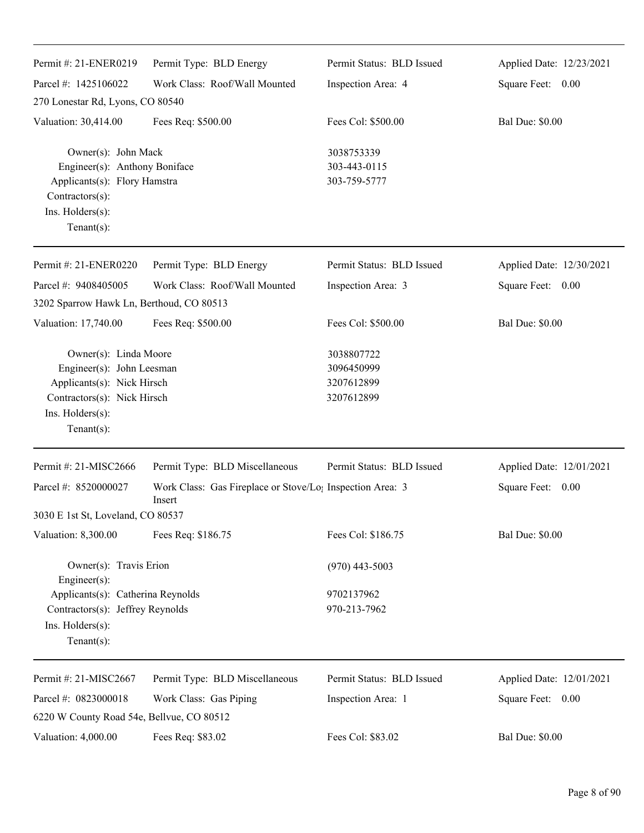| Permit #: 21-ENER0219                                                                                                                                 | Permit Type: BLD Energy                                                         | Permit Status: BLD Issued                            | Applied Date: 12/23/2021 |
|-------------------------------------------------------------------------------------------------------------------------------------------------------|---------------------------------------------------------------------------------|------------------------------------------------------|--------------------------|
| Parcel #: 1425106022                                                                                                                                  | Work Class: Roof/Wall Mounted                                                   | Inspection Area: 4                                   | Square Feet: 0.00        |
| 270 Lonestar Rd, Lyons, CO 80540                                                                                                                      |                                                                                 |                                                      |                          |
| Valuation: 30,414.00                                                                                                                                  | Fees Req: \$500.00                                                              | Fees Col: \$500.00                                   | <b>Bal Due: \$0.00</b>   |
| Owner(s): John Mack<br>Engineer(s): Anthony Boniface<br>Applicants(s): Flory Hamstra<br>Contractors(s):<br>Ins. Holders(s):<br>Tenant $(s)$ :         |                                                                                 | 3038753339<br>303-443-0115<br>303-759-5777           |                          |
| Permit #: 21-ENER0220                                                                                                                                 | Permit Type: BLD Energy                                                         | Permit Status: BLD Issued                            | Applied Date: 12/30/2021 |
| Parcel #: 9408405005                                                                                                                                  | Work Class: Roof/Wall Mounted                                                   | Inspection Area: 3                                   | Square Feet: 0.00        |
| 3202 Sparrow Hawk Ln, Berthoud, CO 80513                                                                                                              |                                                                                 |                                                      |                          |
| Valuation: 17,740.00                                                                                                                                  | Fees Req: \$500.00                                                              | Fees Col: \$500.00                                   | <b>Bal Due: \$0.00</b>   |
| Owner(s): Linda Moore<br>Engineer(s): John Leesman<br>Applicants(s): Nick Hirsch<br>Contractors(s): Nick Hirsch<br>Ins. Holders(s):<br>Tenant $(s)$ : |                                                                                 | 3038807722<br>3096450999<br>3207612899<br>3207612899 |                          |
| Permit #: 21-MISC2666                                                                                                                                 | Permit Type: BLD Miscellaneous                                                  | Permit Status: BLD Issued                            | Applied Date: 12/01/2021 |
| Parcel #: 8520000027                                                                                                                                  | Work Class: Gas Fireplace or Stove/Lo <sub>1</sub> Inspection Area: 3<br>Insert |                                                      | Square Feet: 0.00        |
| 3030 E 1st St, Loveland, CO 80537                                                                                                                     |                                                                                 |                                                      |                          |
| Valuation: 8,300.00                                                                                                                                   | Fees Req: \$186.75                                                              | Fees Col: \$186.75                                   | <b>Bal Due: \$0.00</b>   |
| Owner(s): Travis Erion<br>Engineer(s):                                                                                                                |                                                                                 | $(970)$ 443-5003                                     |                          |
| Applicants(s): Catherina Reynolds<br>Contractors(s): Jeffrey Reynolds<br>Ins. Holders(s):<br>Tenant $(s)$ :                                           |                                                                                 | 9702137962<br>970-213-7962                           |                          |
| Permit #: 21-MISC2667                                                                                                                                 | Permit Type: BLD Miscellaneous                                                  | Permit Status: BLD Issued                            | Applied Date: 12/01/2021 |
| Parcel #: 0823000018                                                                                                                                  | Work Class: Gas Piping                                                          | Inspection Area: 1                                   | Square Feet: 0.00        |
| 6220 W County Road 54e, Bellvue, CO 80512                                                                                                             |                                                                                 |                                                      |                          |
| Valuation: 4,000.00                                                                                                                                   | Fees Req: \$83.02                                                               | Fees Col: \$83.02                                    | <b>Bal Due: \$0.00</b>   |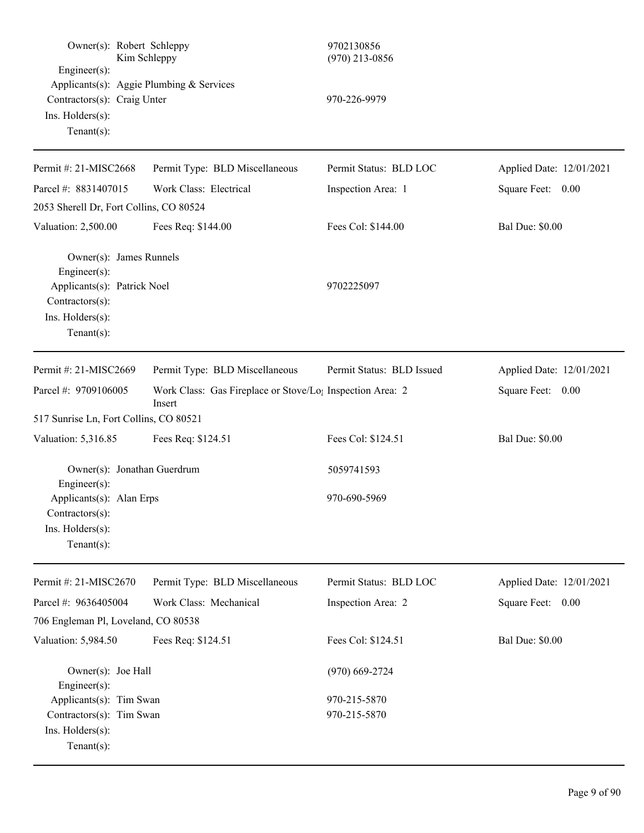| Engineer(s):                                                                              | Owner(s): Robert Schleppy<br>Kim Schleppy                                       | 9702130856<br>$(970)$ 213-0856 |                          |
|-------------------------------------------------------------------------------------------|---------------------------------------------------------------------------------|--------------------------------|--------------------------|
| Contractors(s): Craig Unter<br>Ins. Holders(s):<br>Tenant $(s)$ :                         | Applicants(s): Aggie Plumbing & Services                                        | 970-226-9979                   |                          |
| Permit #: 21-MISC2668                                                                     | Permit Type: BLD Miscellaneous                                                  | Permit Status: BLD LOC         | Applied Date: 12/01/2021 |
| Parcel #: 8831407015                                                                      | Work Class: Electrical                                                          | Inspection Area: 1             | Square Feet: 0.00        |
| 2053 Sherell Dr, Fort Collins, CO 80524                                                   |                                                                                 |                                |                          |
| Valuation: 2,500.00                                                                       | Fees Req: \$144.00                                                              | Fees Col: \$144.00             | <b>Bal Due: \$0.00</b>   |
| Owner(s): James Runnels<br>Engineer(s):<br>Applicants(s): Patrick Noel                    |                                                                                 | 9702225097                     |                          |
| Contractors(s):<br>Ins. Holders(s):<br>Tenant $(s)$ :                                     |                                                                                 |                                |                          |
| Permit #: 21-MISC2669                                                                     | Permit Type: BLD Miscellaneous                                                  | Permit Status: BLD Issued      | Applied Date: 12/01/2021 |
| Parcel #: 9709106005                                                                      | Work Class: Gas Fireplace or Stove/Lo <sub>1</sub> Inspection Area: 2<br>Insert |                                | 0.00<br>Square Feet:     |
| 517 Sunrise Ln, Fort Collins, CO 80521                                                    |                                                                                 |                                |                          |
| Valuation: 5,316.85                                                                       | Fees Req: \$124.51                                                              | Fees Col: \$124.51             | <b>Bal Due: \$0.00</b>   |
| Engineer(s):                                                                              | Owner(s): Jonathan Guerdrum                                                     | 5059741593                     |                          |
| Applicants(s): Alan Erps<br>Contractors(s):<br>Ins. Holders(s):<br>Tenant $(s)$ :         |                                                                                 | 970-690-5969                   |                          |
| Permit #: 21-MISC2670                                                                     | Permit Type: BLD Miscellaneous                                                  | Permit Status: BLD LOC         | Applied Date: 12/01/2021 |
| Parcel #: 9636405004                                                                      | Work Class: Mechanical                                                          | Inspection Area: 2             | Square Feet: 0.00        |
| 706 Engleman Pl, Loveland, CO 80538                                                       |                                                                                 |                                |                          |
| Valuation: 5,984.50                                                                       | Fees Req: \$124.51                                                              | Fees Col: \$124.51             | <b>Bal Due: \$0.00</b>   |
| Owner(s): Joe Hall<br>Engineer(s):                                                        |                                                                                 | $(970)$ 669-2724               |                          |
| Applicants(s): Tim Swan<br>Contractors(s): Tim Swan<br>Ins. Holders(s):<br>Tenant $(s)$ : |                                                                                 | 970-215-5870<br>970-215-5870   |                          |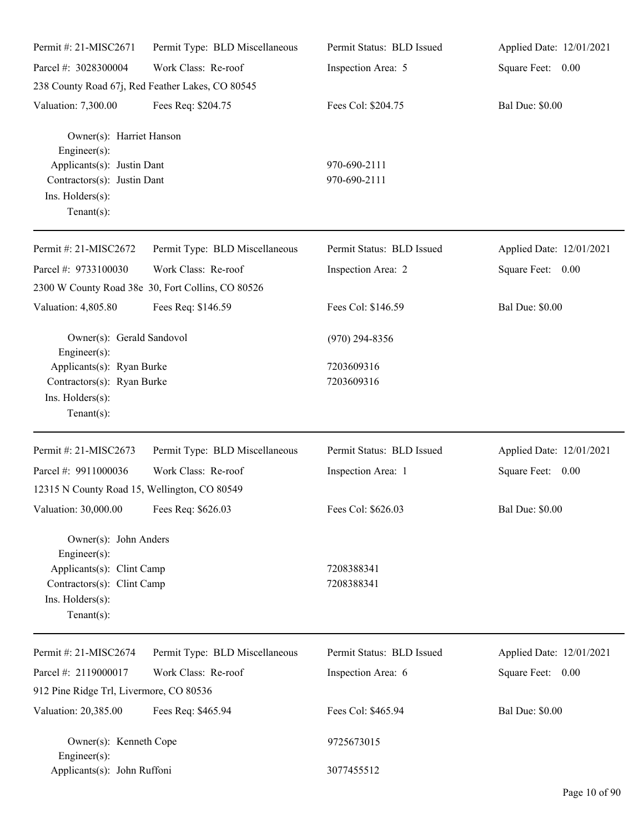| Permit #: 21-MISC2671                                                                                                                      | Permit Type: BLD Miscellaneous                                           | Permit Status: BLD Issued    | Applied Date: 12/01/2021 |
|--------------------------------------------------------------------------------------------------------------------------------------------|--------------------------------------------------------------------------|------------------------------|--------------------------|
| Parcel #: 3028300004                                                                                                                       | Work Class: Re-roof                                                      | Inspection Area: 5           | Square Feet: 0.00        |
|                                                                                                                                            | 238 County Road 67j, Red Feather Lakes, CO 80545                         |                              |                          |
| Valuation: 7,300.00                                                                                                                        | Fees Req: \$204.75                                                       | Fees Col: \$204.75           | <b>Bal Due: \$0.00</b>   |
| Owner(s): Harriet Hanson<br>Engineer(s):<br>Applicants(s): Justin Dant<br>Contractors(s): Justin Dant<br>Ins. Holders(s):<br>$Tenant(s)$ : |                                                                          | 970-690-2111<br>970-690-2111 |                          |
| Permit #: 21-MISC2672                                                                                                                      | Permit Type: BLD Miscellaneous                                           | Permit Status: BLD Issued    | Applied Date: 12/01/2021 |
| Parcel #: 9733100030                                                                                                                       | Work Class: Re-roof<br>2300 W County Road 38e 30, Fort Collins, CO 80526 | Inspection Area: 2           | Square Feet: 0.00        |
| Valuation: 4,805.80                                                                                                                        | Fees Req: \$146.59                                                       | Fees Col: \$146.59           | <b>Bal Due: \$0.00</b>   |
| Owner(s): Gerald Sandovol<br>Engineer(s):                                                                                                  |                                                                          | $(970)$ 294-8356             |                          |
| Applicants(s): Ryan Burke<br>Contractors(s): Ryan Burke<br>Ins. Holders(s):<br>$Tenant(s)$ :                                               |                                                                          | 7203609316<br>7203609316     |                          |
| Permit #: 21-MISC2673                                                                                                                      | Permit Type: BLD Miscellaneous                                           | Permit Status: BLD Issued    | Applied Date: 12/01/2021 |
| Parcel #: 9911000036                                                                                                                       | Work Class: Re-roof                                                      | Inspection Area: 1           | Square Feet: 0.00        |
| 12315 N County Road 15, Wellington, CO 80549                                                                                               |                                                                          |                              |                          |
| Valuation: 30,000.00 Fees Req: \$626.03                                                                                                    |                                                                          | Fees Col: \$626.03           | <b>Bal Due: \$0.00</b>   |
| Owner(s): John Anders<br>Engineer(s):<br>Applicants(s): Clint Camp<br>Contractors(s): Clint Camp<br>Ins. Holders(s):<br>$Tenant(s)$ :      |                                                                          | 7208388341<br>7208388341     |                          |
| Permit #: 21-MISC2674                                                                                                                      | Permit Type: BLD Miscellaneous                                           | Permit Status: BLD Issued    | Applied Date: 12/01/2021 |
| Parcel #: 2119000017                                                                                                                       | Work Class: Re-roof                                                      | Inspection Area: 6           | Square Feet: 0.00        |
| 912 Pine Ridge Trl, Livermore, CO 80536                                                                                                    |                                                                          |                              |                          |
| Valuation: 20,385.00                                                                                                                       | Fees Req: \$465.94                                                       | Fees Col: \$465.94           | <b>Bal Due: \$0.00</b>   |
| Owner(s): Kenneth Cope<br>Engineer(s):                                                                                                     |                                                                          | 9725673015                   |                          |
| Applicants(s): John Ruffoni                                                                                                                |                                                                          | 3077455512                   |                          |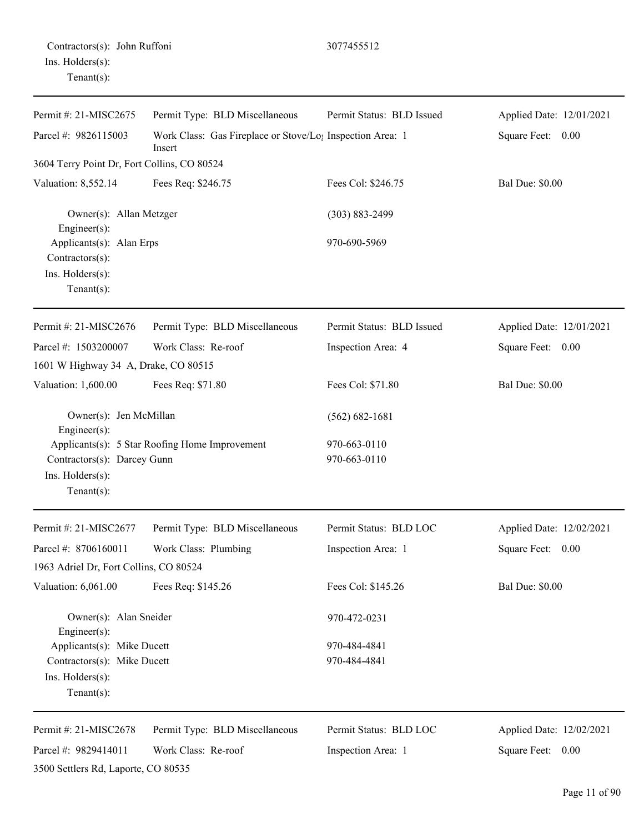## Contractors(s): John Ruffoni 3077455512 Ins. Holders(s): Tenant(s):

3500 Settlers Rd, Laporte, CO 80535

Permit #: 21-MISC2675 Parcel #: 9826115003 Permit Type: BLD Miscellaneous Work Class: Gas Fireplace or Stove/Log Inspection Area: 1 Insert Permit Status: BLD Issued Applied Date: 12/01/2021 Square Feet: 0.00 3604 Terry Point Dr, Fort Collins, CO 80524 Valuation: 8,552.14 Fees Req: \$246.75 Fees Col: \$246.75 Bal Due: \$0.00 Owner(s): Allan Metzger (303) 883-2499 Engineer(s): Applicants(s): Alan Erps 970-690-5969 Contractors(s): Ins. Holders(s): Tenant(s): Permit #: 21-MISC2676 Parcel #: 1503200007 Permit Type: BLD Miscellaneous Work Class: Re-roof Permit Status: BLD Issued Inspection Area: 4 Applied Date: 12/01/2021 Square Feet: 0.00 1601 W Highway 34 A, Drake, CO 80515 Valuation: 1,600.00 Fees Req: \$71.80 Fees Col: \$71.80 Bal Due: \$0.00 Owner(s): Jen McMillan (562) 682-1681 Engineer(s): Applicants(s): 5 Star Roofing Home Improvement 970-663-0110 Contractors(s): Darcey Gunn 970-663-0110 Ins. Holders(s): Tenant(s): Permit #: 21-MISC2677 Parcel #: 8706160011 Permit Type: BLD Miscellaneous Work Class: Plumbing Permit Status: BLD LOC Inspection Area: 1 Applied Date: 12/02/2021 Square Feet: 0.00 1963 Adriel Dr, Fort Collins, CO 80524 Valuation: 6,061.00 Fees Req: \$145.26 Fees Col: \$145.26 Bal Due: \$0.00 Owner(s): Alan Sneider 970-472-0231 Engineer(s): Applicants(s): Mike Ducett 970-484-4841 Contractors(s): Mike Ducett 970-484-4841 Ins. Holders(s): Tenant(s): Permit #: 21-MISC2678 Parcel #: 9829414011 Permit Type: BLD Miscellaneous Work Class: Re-roof Permit Status: BLD LOC Inspection Area: 1 Applied Date: 12/02/2021 Square Feet: 0.00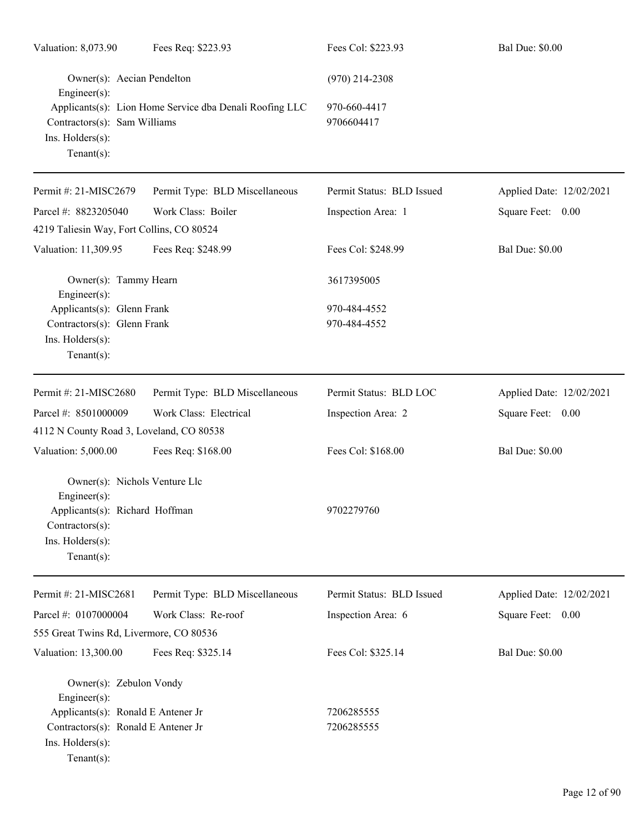| Valuation: 8,073.90                                                                                                  | Fees Req: \$223.93                                      | Fees Col: \$223.93         | <b>Bal Due: \$0.00</b>   |
|----------------------------------------------------------------------------------------------------------------------|---------------------------------------------------------|----------------------------|--------------------------|
| Owner(s): Aecian Pendelton<br>Engineer(s):                                                                           |                                                         | $(970)$ 214-2308           |                          |
| Contractors(s): Sam Williams<br>Ins. Holders(s):<br>$Tenant(s)$ :                                                    | Applicants(s): Lion Home Service dba Denali Roofing LLC | 970-660-4417<br>9706604417 |                          |
| Permit #: 21-MISC2679                                                                                                | Permit Type: BLD Miscellaneous                          | Permit Status: BLD Issued  | Applied Date: 12/02/2021 |
| Parcel #: 8823205040                                                                                                 | Work Class: Boiler                                      | Inspection Area: 1         | Square Feet: 0.00        |
| 4219 Taliesin Way, Fort Collins, CO 80524                                                                            |                                                         |                            |                          |
| Valuation: 11,309.95                                                                                                 | Fees Req: \$248.99                                      | Fees Col: \$248.99         | <b>Bal Due: \$0.00</b>   |
| Owner(s): Tammy Hearn<br>Engineer(s):                                                                                |                                                         | 3617395005                 |                          |
| Applicants(s): Glenn Frank                                                                                           |                                                         | 970-484-4552               |                          |
| Contractors(s): Glenn Frank<br>Ins. Holders(s):<br>$Tenant(s)$ :                                                     |                                                         | 970-484-4552               |                          |
| Permit #: 21-MISC2680                                                                                                | Permit Type: BLD Miscellaneous                          | Permit Status: BLD LOC     | Applied Date: 12/02/2021 |
| Parcel #: 8501000009                                                                                                 | Work Class: Electrical                                  | Inspection Area: 2         | Square Feet: 0.00        |
| 4112 N County Road 3, Loveland, CO 80538                                                                             |                                                         |                            |                          |
| Valuation: 5,000.00                                                                                                  | Fees Req: \$168.00                                      | Fees Col: \$168.00         | <b>Bal Due: \$0.00</b>   |
| Owner(s): Nichols Venture Llc                                                                                        |                                                         |                            |                          |
| $Engineering(s)$ :<br>Applicants(s): Richard Hoffman<br>Contractors(s):<br>Ins. Holders(s):<br>Tenant $(s)$ :        |                                                         | 9702279760                 |                          |
| Permit #: 21-MISC2681                                                                                                | Permit Type: BLD Miscellaneous                          | Permit Status: BLD Issued  | Applied Date: 12/02/2021 |
| Parcel #: 0107000004                                                                                                 | Work Class: Re-roof                                     | Inspection Area: 6         | Square Feet:<br>0.00     |
| 555 Great Twins Rd, Livermore, CO 80536                                                                              |                                                         |                            |                          |
| Valuation: 13,300.00                                                                                                 | Fees Req: \$325.14                                      | Fees Col: \$325.14         | <b>Bal Due: \$0.00</b>   |
| Owner(s): Zebulon Vondy<br>Engineer(s):<br>Applicants(s): Ronald E Antener Jr<br>Contractors(s): Ronald E Antener Jr |                                                         | 7206285555<br>7206285555   |                          |
| Ins. Holders(s):<br>$Tenant(s)$ :                                                                                    |                                                         |                            |                          |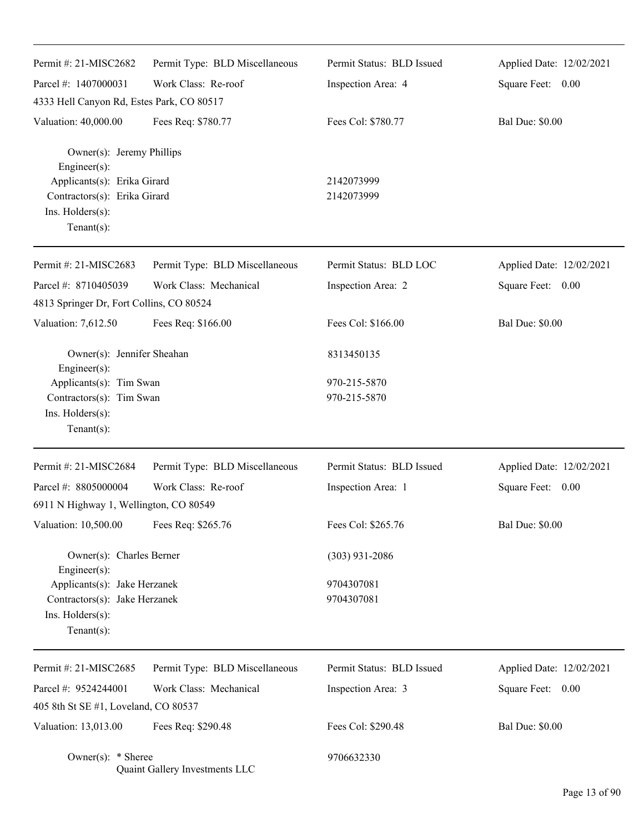| Permit #: 21-MISC2682                                                                                                                                | Permit Type: BLD Miscellaneous | Permit Status: BLD Issued    | Applied Date: 12/02/2021 |
|------------------------------------------------------------------------------------------------------------------------------------------------------|--------------------------------|------------------------------|--------------------------|
| Parcel #: 1407000031                                                                                                                                 | Work Class: Re-roof            | Inspection Area: 4           | Square Feet: 0.00        |
| 4333 Hell Canyon Rd, Estes Park, CO 80517                                                                                                            |                                |                              |                          |
| Valuation: 40,000.00                                                                                                                                 | Fees Req: \$780.77             | Fees Col: \$780.77           | <b>Bal Due: \$0.00</b>   |
| Owner(s): Jeremy Phillips<br>Engineer(s):<br>Applicants(s): Erika Girard<br>Contractors(s): Erika Girard<br>Ins. $H$ olders $(s)$ :<br>$Tenant(s)$ : |                                | 2142073999<br>2142073999     |                          |
| Permit #: 21-MISC2683                                                                                                                                | Permit Type: BLD Miscellaneous | Permit Status: BLD LOC       | Applied Date: 12/02/2021 |
| Parcel #: 8710405039<br>4813 Springer Dr, Fort Collins, CO 80524                                                                                     | Work Class: Mechanical         | Inspection Area: 2           | Square Feet: 0.00        |
| Valuation: 7,612.50                                                                                                                                  | Fees Req: \$166.00             | Fees Col: \$166.00           | <b>Bal Due: \$0.00</b>   |
| Owner(s): Jennifer Sheahan<br>Engineer(s):                                                                                                           |                                | 8313450135                   |                          |
| Applicants(s): Tim Swan<br>Contractors(s): Tim Swan<br>Ins. Holders(s):<br>$Tenant(s)$ :                                                             |                                | 970-215-5870<br>970-215-5870 |                          |
| Permit #: 21-MISC2684                                                                                                                                | Permit Type: BLD Miscellaneous | Permit Status: BLD Issued    | Applied Date: 12/02/2021 |
| Parcel #: 8805000004                                                                                                                                 | Work Class: Re-roof            | Inspection Area: 1           | Square Feet: 0.00        |
| 6911 N Highway 1, Wellington, CO 80549                                                                                                               |                                |                              |                          |
| Valuation: 10,500.00                                                                                                                                 | Fees Req: \$265.76             | Fees Col: \$265.76           | <b>Bal Due: \$0.00</b>   |
| Owner(s): Charles Berner                                                                                                                             |                                | $(303)$ 931-2086             |                          |
| Engineer(s):<br>Applicants(s): Jake Herzanek<br>Contractors(s): Jake Herzanek<br>Ins. Holders(s):<br>Tenant $(s)$ :                                  |                                | 9704307081<br>9704307081     |                          |
| Permit #: 21-MISC2685                                                                                                                                | Permit Type: BLD Miscellaneous | Permit Status: BLD Issued    | Applied Date: 12/02/2021 |
| Parcel #: 9524244001                                                                                                                                 | Work Class: Mechanical         | Inspection Area: 3           | Square Feet: 0.00        |
| 405 8th St SE #1, Loveland, CO 80537                                                                                                                 |                                |                              |                          |
| Valuation: 13,013.00                                                                                                                                 | Fees Req: \$290.48             | Fees Col: \$290.48           | <b>Bal Due: \$0.00</b>   |
| Owner(s): $*$ Sheree                                                                                                                                 | Quaint Gallery Investments LLC | 9706632330                   |                          |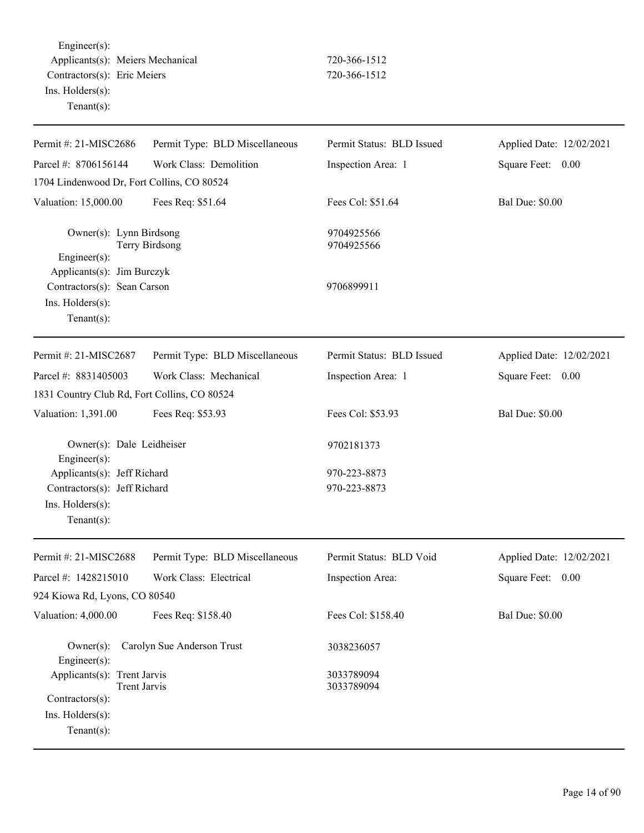Engineer(s): Applicants(s): Meiers Mechanical 720-366-1512 Contractors(s): Eric Meiers 720-366-1512 Ins. Holders(s): Tenant(s):

| Permit #: 21-MISC2686                                                                                       | Permit Type: BLD Miscellaneous | Permit Status: BLD Issued    | Applied Date: 12/02/2021 |
|-------------------------------------------------------------------------------------------------------------|--------------------------------|------------------------------|--------------------------|
| Parcel #: 8706156144                                                                                        | Work Class: Demolition         | Inspection Area: 1           | Square Feet: 0.00        |
| 1704 Lindenwood Dr, Fort Collins, CO 80524                                                                  |                                |                              |                          |
| Valuation: 15,000.00                                                                                        | Fees Req: \$51.64              | Fees Col: \$51.64            | <b>Bal Due: \$0.00</b>   |
| Owner(s): Lynn Birdsong<br>Engineer(s):<br>Applicants(s): Jim Burczyk                                       | Terry Birdsong                 | 9704925566<br>9704925566     |                          |
| Contractors(s): Sean Carson<br>Ins. Holders(s):<br>Tenant $(s)$ :                                           |                                | 9706899911                   |                          |
| Permit #: 21-MISC2687                                                                                       | Permit Type: BLD Miscellaneous | Permit Status: BLD Issued    | Applied Date: 12/02/2021 |
| Parcel #: 8831405003                                                                                        | Work Class: Mechanical         | Inspection Area: 1           | Square Feet: 0.00        |
| 1831 Country Club Rd, Fort Collins, CO 80524                                                                |                                |                              |                          |
| Valuation: 1,391.00                                                                                         | Fees Req: \$53.93              | Fees Col: \$53.93            | <b>Bal Due: \$0.00</b>   |
| Owner(s): Dale Leidheiser<br>Engineer $(s)$ :                                                               |                                | 9702181373                   |                          |
| Applicants(s): Jeff Richard<br>Contractors(s): Jeff Richard<br>Ins. Holders(s):<br>Tenant $(s)$ :           |                                | 970-223-8873<br>970-223-8873 |                          |
| Permit #: 21-MISC2688                                                                                       | Permit Type: BLD Miscellaneous | Permit Status: BLD Void      | Applied Date: 12/02/2021 |
| Parcel #: 1428215010                                                                                        | Work Class: Electrical         | Inspection Area:             | Square Feet:<br>0.00     |
| 924 Kiowa Rd, Lyons, CO 80540                                                                               |                                |                              |                          |
| Valuation: 4,000.00                                                                                         | Fees Req: \$158.40             | Fees Col: \$158.40           | <b>Bal Due: \$0.00</b>   |
| $Owner(s)$ :<br>Engineer $(s)$ :                                                                            | Carolyn Sue Anderson Trust     | 3038236057                   |                          |
| Applicants(s): Trent Jarvis<br><b>Trent Jarvis</b><br>Contractors(s):<br>Ins. Holders(s):<br>Tenant $(s)$ : |                                | 3033789094<br>3033789094     |                          |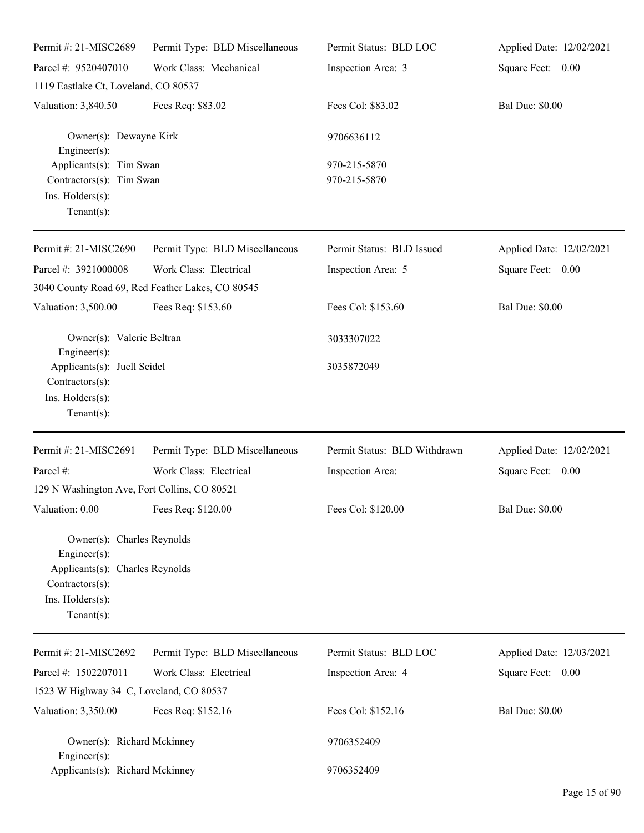| Permit #: 21-MISC2689                                                                                                                  | Permit Type: BLD Miscellaneous                                             | Permit Status: BLD LOC       | Applied Date: 12/02/2021 |
|----------------------------------------------------------------------------------------------------------------------------------------|----------------------------------------------------------------------------|------------------------------|--------------------------|
| Parcel #: 9520407010                                                                                                                   | Work Class: Mechanical                                                     | Inspection Area: 3           | Square Feet: 0.00        |
| 1119 Eastlake Ct, Loveland, CO 80537                                                                                                   |                                                                            |                              |                          |
| Valuation: 3,840.50                                                                                                                    | Fees Req: \$83.02                                                          | Fees Col: \$83.02            | <b>Bal Due: \$0.00</b>   |
| Owner(s): Dewayne Kirk<br>Engineer(s):                                                                                                 |                                                                            | 9706636112                   |                          |
| Applicants(s): Tim Swan<br>Contractors(s): Tim Swan<br>Ins. Holders(s):<br>Tenant $(s)$ :                                              |                                                                            | 970-215-5870<br>970-215-5870 |                          |
| Permit #: 21-MISC2690                                                                                                                  | Permit Type: BLD Miscellaneous                                             | Permit Status: BLD Issued    | Applied Date: 12/02/2021 |
| Parcel #: 3921000008                                                                                                                   | Work Class: Electrical<br>3040 County Road 69, Red Feather Lakes, CO 80545 | Inspection Area: 5           | Square Feet: 0.00        |
| Valuation: 3,500.00                                                                                                                    | Fees Req: \$153.60                                                         | Fees Col: \$153.60           | <b>Bal Due: \$0.00</b>   |
| Owner(s): Valerie Beltran<br>Engineer $(s)$ :                                                                                          |                                                                            | 3033307022                   |                          |
| Applicants(s): Juell Seidel<br>Contractors(s):<br>Ins. Holders(s):<br>Tenant $(s)$ :                                                   |                                                                            | 3035872049                   |                          |
| Permit #: 21-MISC2691                                                                                                                  | Permit Type: BLD Miscellaneous                                             | Permit Status: BLD Withdrawn | Applied Date: 12/02/2021 |
| Parcel #:                                                                                                                              | Work Class: Electrical                                                     | Inspection Area:             | Square Feet: 0.00        |
| 129 N Washington Ave, Fort Collins, CO 80521                                                                                           |                                                                            |                              |                          |
| Valuation: 0.00                                                                                                                        | Fees Req: \$120.00                                                         | Fees Col: \$120.00           | <b>Bal Due: \$0.00</b>   |
| Owner(s): Charles Reynolds<br>Engineer(s):<br>Applicants(s): Charles Reynolds<br>Contractors(s):<br>Ins. Holders(s):<br>Tenant $(s)$ : |                                                                            |                              |                          |
| Permit #: 21-MISC2692                                                                                                                  | Permit Type: BLD Miscellaneous                                             | Permit Status: BLD LOC       | Applied Date: 12/03/2021 |
| Parcel #: 1502207011                                                                                                                   | Work Class: Electrical                                                     | Inspection Area: 4           | Square Feet: 0.00        |
| 1523 W Highway 34 C, Loveland, CO 80537                                                                                                |                                                                            |                              |                          |
| Valuation: 3,350.00                                                                                                                    | Fees Req: \$152.16                                                         | Fees Col: \$152.16           | <b>Bal Due: \$0.00</b>   |
| Owner(s): Richard Mckinney<br>Engineer $(s)$ :                                                                                         |                                                                            | 9706352409                   |                          |
| Applicants(s): Richard Mckinney                                                                                                        |                                                                            | 9706352409                   |                          |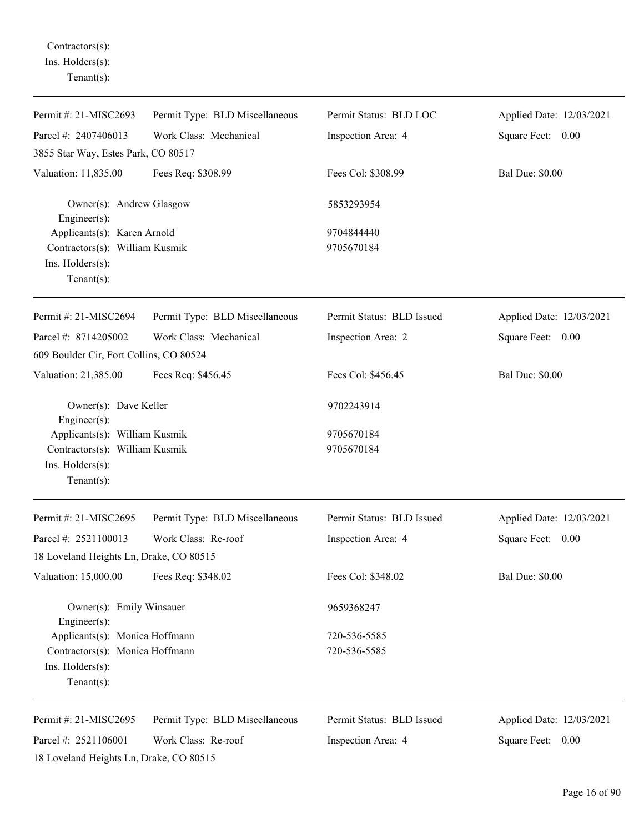Contractors(s): Ins. Holders(s): Tenant(s):

| Permit #: 21-MISC2693                                           | Permit Type: BLD Miscellaneous | Permit Status: BLD LOC    | Applied Date: 12/03/2021 |
|-----------------------------------------------------------------|--------------------------------|---------------------------|--------------------------|
| Parcel #: 2407406013                                            | Work Class: Mechanical         | Inspection Area: 4        | Square Feet: 0.00        |
| 3855 Star Way, Estes Park, CO 80517                             |                                |                           |                          |
| Valuation: 11,835.00                                            | Fees Req: \$308.99             | Fees Col: \$308.99        | <b>Bal Due: \$0.00</b>   |
| Owner(s): Andrew Glasgow<br>Engineer(s):                        |                                | 5853293954                |                          |
| Applicants(s): Karen Arnold                                     |                                | 9704844440                |                          |
| Contractors(s): William Kusmik                                  |                                | 9705670184                |                          |
| Ins. Holders(s):<br>Tenant $(s)$ :                              |                                |                           |                          |
| Permit #: 21-MISC2694                                           | Permit Type: BLD Miscellaneous | Permit Status: BLD Issued | Applied Date: 12/03/2021 |
| Parcel #: 8714205002                                            | Work Class: Mechanical         | Inspection Area: 2        | Square Feet: 0.00        |
| 609 Boulder Cir, Fort Collins, CO 80524                         |                                |                           |                          |
| Valuation: 21,385.00                                            | Fees Req: \$456.45             | Fees Col: \$456.45        | <b>Bal Due: \$0.00</b>   |
| Owner(s): Dave Keller                                           |                                | 9702243914                |                          |
| Engineer(s):                                                    |                                | 9705670184                |                          |
| Applicants(s): William Kusmik<br>Contractors(s): William Kusmik |                                | 9705670184                |                          |
| Ins. Holders(s):                                                |                                |                           |                          |
| Tenant $(s)$ :                                                  |                                |                           |                          |
| Permit #: 21-MISC2695                                           | Permit Type: BLD Miscellaneous | Permit Status: BLD Issued | Applied Date: 12/03/2021 |
| Parcel #: 2521100013                                            | Work Class: Re-roof            | Inspection Area: 4        | Square Feet: 0.00        |
| 18 Loveland Heights Ln, Drake, CO 80515                         |                                |                           |                          |
| Valuation: 15,000.00                                            | Fees Req: \$348.02             | Fees Col: \$348.02        | <b>Bal Due: \$0.00</b>   |
| Owner(s): Emily Winsauer<br>Engineer(s):                        |                                | 9659368247                |                          |
| Applicants(s): Monica Hoffmann                                  |                                | 720-536-5585              |                          |
| Contractors(s): Monica Hoffmann                                 |                                | 720-536-5585              |                          |
| Ins. Holders(s):<br>Tenant $(s)$ :                              |                                |                           |                          |
| Permit #: 21-MISC2695                                           | Permit Type: BLD Miscellaneous | Permit Status: BLD Issued | Applied Date: 12/03/2021 |
| Parcel #: 2521106001                                            | Work Class: Re-roof            | Inspection Area: 4        | Square Feet:<br>0.00     |
| 18 Loveland Heights Ln, Drake, CO 80515                         |                                |                           |                          |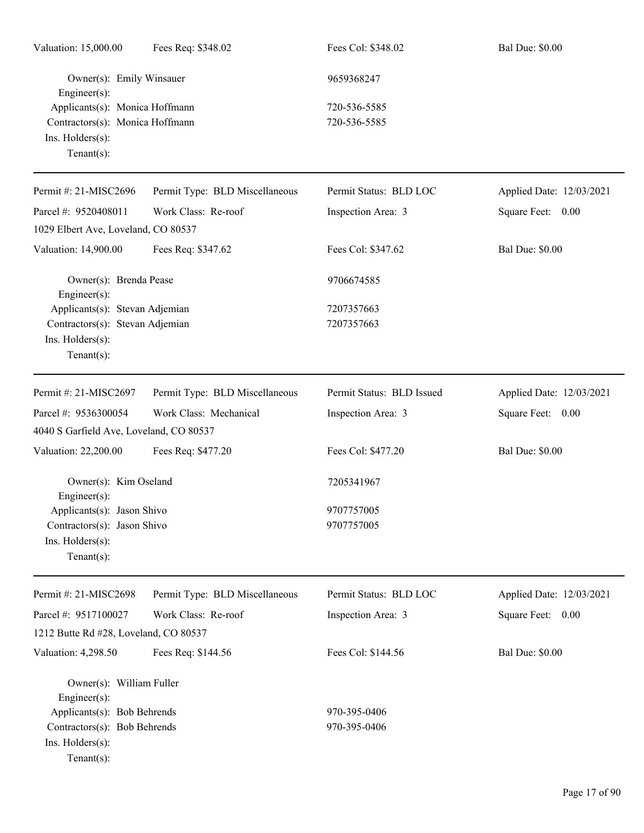| Valuation: 15,000.00                        | Fees Req: \$348.02             | Fees Col: \$348.02        | <b>Bal Due: \$0.00</b>   |
|---------------------------------------------|--------------------------------|---------------------------|--------------------------|
| Owner(s): Emily Winsauer<br>Engineer(s):    |                                | 9659368247                |                          |
| Applicants(s): Monica Hoffmann              |                                | 720-536-5585              |                          |
| Contractors(s): Monica Hoffmann             |                                | 720-536-5585              |                          |
| Ins. Holders(s):                            |                                |                           |                          |
| $Tenant(s)$ :                               |                                |                           |                          |
| Permit #: 21-MISC2696                       | Permit Type: BLD Miscellaneous | Permit Status: BLD LOC    | Applied Date: 12/03/2021 |
| Parcel #: 9520408011                        | Work Class: Re-roof            | Inspection Area: 3        | Square Feet: 0.00        |
| 1029 Elbert Ave, Loveland, CO 80537         |                                |                           |                          |
| Valuation: 14,900.00                        | Fees Req: \$347.62             | Fees Col: \$347.62        | <b>Bal Due: \$0.00</b>   |
| Owner(s): Brenda Pease<br>Engineer(s):      |                                | 9706674585                |                          |
| Applicants(s): Stevan Adjemian              |                                | 7207357663                |                          |
| Contractors(s): Stevan Adjemian             |                                | 7207357663                |                          |
| Ins. Holders(s):                            |                                |                           |                          |
| $Tenant(s)$ :                               |                                |                           |                          |
| Permit #: 21-MISC2697                       | Permit Type: BLD Miscellaneous | Permit Status: BLD Issued | Applied Date: 12/03/2021 |
| Parcel #: 9536300054                        | Work Class: Mechanical         | Inspection Area: 3        | Square Feet: 0.00        |
| 4040 S Garfield Ave, Loveland, CO 80537     |                                |                           |                          |
| Valuation: 22,200.00                        | Fees Req: \$477.20             | Fees Col: \$477.20        | <b>Bal Due: \$0.00</b>   |
| Owner(s): Kim Oseland<br>Engineer(s):       |                                | 7205341967                |                          |
| Applicants(s): Jason Shivo                  |                                | 9707757005                |                          |
| Contractors(s): Jason Shivo                 |                                | 9707757005                |                          |
| Ins. Holders(s):                            |                                |                           |                          |
| $Tenant(s)$ :                               |                                |                           |                          |
| Permit #: 21-MISC2698                       | Permit Type: BLD Miscellaneous | Permit Status: BLD LOC    | Applied Date: 12/03/2021 |
| Parcel #: 9517100027                        | Work Class: Re-roof            | Inspection Area: 3        | Square Feet: 0.00        |
| 1212 Butte Rd #28, Loveland, CO 80537       |                                |                           |                          |
|                                             |                                |                           |                          |
|                                             |                                |                           |                          |
| Valuation: 4,298.50                         | Fees Req: \$144.56             | Fees Col: \$144.56        | <b>Bal Due: \$0.00</b>   |
| Owner(s): William Fuller                    |                                |                           |                          |
| Engineer(s):<br>Applicants(s): Bob Behrends |                                | 970-395-0406              |                          |
| Contractors(s): Bob Behrends                |                                | 970-395-0406              |                          |
| Ins. Holders(s):                            |                                |                           |                          |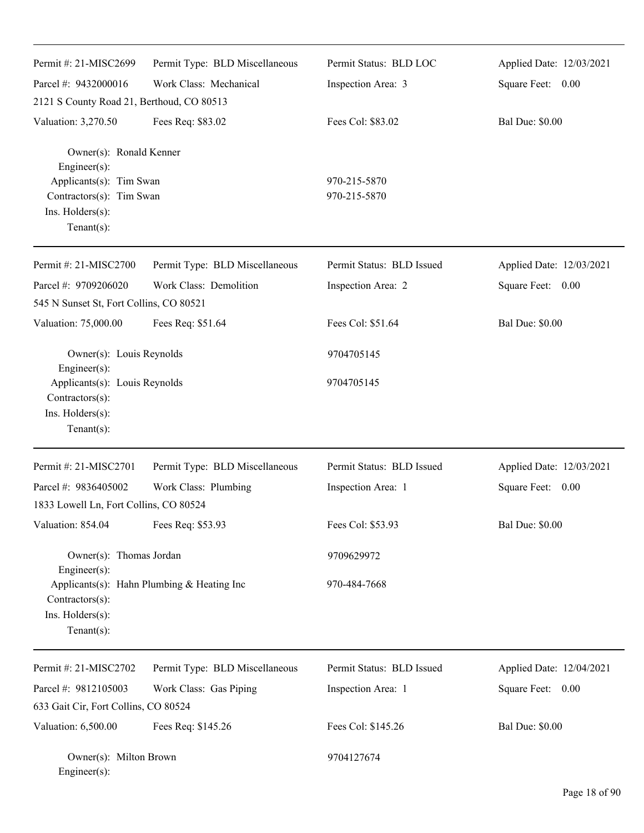| Permit #: 21-MISC2699                               | Permit Type: BLD Miscellaneous             | Permit Status: BLD LOC       | Applied Date: 12/03/2021 |
|-----------------------------------------------------|--------------------------------------------|------------------------------|--------------------------|
| Parcel #: 9432000016                                | Work Class: Mechanical                     | Inspection Area: 3           | Square Feet: 0.00        |
| 2121 S County Road 21, Berthoud, CO 80513           |                                            |                              |                          |
| Valuation: 3,270.50                                 | Fees Req: \$83.02                          | Fees Col: \$83.02            | <b>Bal Due: \$0.00</b>   |
| Owner(s): Ronald Kenner<br>Engineer(s):             |                                            |                              |                          |
| Applicants(s): Tim Swan<br>Contractors(s): Tim Swan |                                            | 970-215-5870<br>970-215-5870 |                          |
| Ins. Holders(s):                                    |                                            |                              |                          |
| Tenant $(s)$ :                                      |                                            |                              |                          |
| Permit #: 21-MISC2700                               | Permit Type: BLD Miscellaneous             | Permit Status: BLD Issued    | Applied Date: 12/03/2021 |
| Parcel #: 9709206020                                | Work Class: Demolition                     | Inspection Area: 2           | Square Feet: 0.00        |
| 545 N Sunset St, Fort Collins, CO 80521             |                                            |                              |                          |
| Valuation: 75,000.00                                | Fees Req: \$51.64                          | Fees Col: \$51.64            | <b>Bal Due: \$0.00</b>   |
| Owner(s): Louis Reynolds<br>Engineer(s):            |                                            | 9704705145                   |                          |
| Applicants(s): Louis Reynolds<br>Contractors(s):    |                                            | 9704705145                   |                          |
| Ins. Holders(s):<br>Tenant $(s)$ :                  |                                            |                              |                          |
| Permit #: 21-MISC2701                               | Permit Type: BLD Miscellaneous             | Permit Status: BLD Issued    | Applied Date: 12/03/2021 |
| Parcel #: 9836405002                                | Work Class: Plumbing                       | Inspection Area: 1           | Square Feet: 0.00        |
| 1833 Lowell Ln, Fort Collins, CO 80524              |                                            |                              |                          |
| Valuation: 854.04                                   | Fees Req: \$53.93                          | Fees Col: \$53.93            | <b>Bal Due: \$0.00</b>   |
| Owner(s): Thomas Jordan<br>Engineer(s):             |                                            | 9709629972                   |                          |
| Contractors(s):<br>Ins. Holders(s):                 | Applicants(s): Hahn Plumbing & Heating Inc | 970-484-7668                 |                          |
| Tenant $(s)$ :                                      |                                            |                              |                          |
| Permit #: 21-MISC2702                               | Permit Type: BLD Miscellaneous             | Permit Status: BLD Issued    | Applied Date: 12/04/2021 |
| Parcel #: 9812105003                                | Work Class: Gas Piping                     | Inspection Area: 1           | Square Feet: 0.00        |
| 633 Gait Cir, Fort Collins, CO 80524                |                                            |                              |                          |
| Valuation: 6,500.00                                 | Fees Req: \$145.26                         | Fees Col: \$145.26           | <b>Bal Due: \$0.00</b>   |
| Owner(s): Milton Brown<br>Engineer(s):              |                                            | 9704127674                   |                          |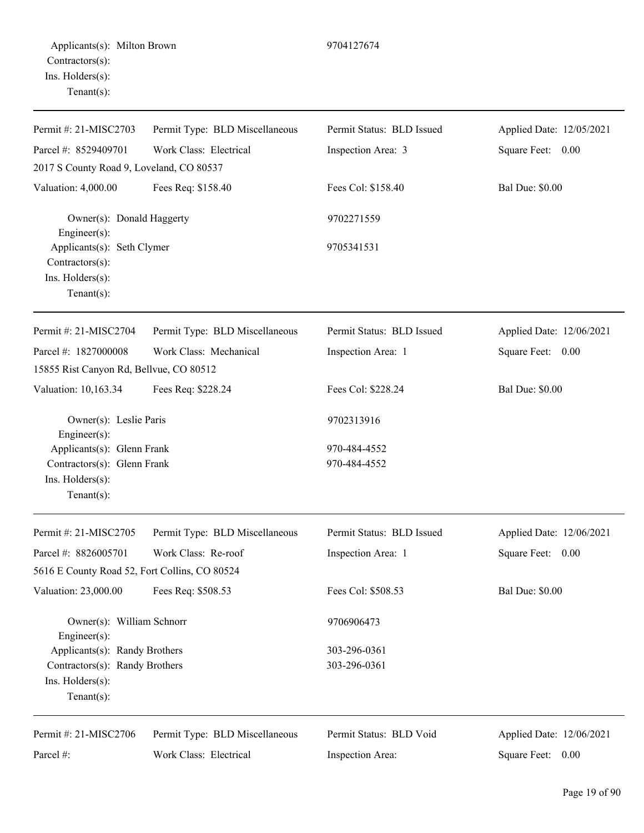| Permit #: 21-MISC2703                                                                             | Permit Type: BLD Miscellaneous | Permit Status: BLD Issued    | Applied Date: 12/05/2021 |
|---------------------------------------------------------------------------------------------------|--------------------------------|------------------------------|--------------------------|
| Parcel #: 8529409701                                                                              | Work Class: Electrical         | Inspection Area: 3           | Square Feet: 0.00        |
| 2017 S County Road 9, Loveland, CO 80537                                                          |                                |                              |                          |
| Valuation: 4,000.00                                                                               | Fees Req: \$158.40             | Fees Col: \$158.40           | <b>Bal Due: \$0.00</b>   |
| Owner(s): Donald Haggerty<br>Engineer $(s)$ :                                                     |                                | 9702271559                   |                          |
| Applicants(s): Seth Clymer<br>Contractors(s):<br>Ins. Holders(s):<br>Tenant $(s)$ :               |                                | 9705341531                   |                          |
| Permit #: 21-MISC2704                                                                             | Permit Type: BLD Miscellaneous | Permit Status: BLD Issued    | Applied Date: 12/06/2021 |
| Parcel #: 1827000008                                                                              | Work Class: Mechanical         | Inspection Area: 1           | Square Feet: 0.00        |
| 15855 Rist Canyon Rd, Bellvue, CO 80512                                                           |                                |                              |                          |
| Valuation: 10,163.34                                                                              | Fees Req: \$228.24             | Fees Col: \$228.24           | <b>Bal Due: \$0.00</b>   |
| Owner(s): Leslie Paris<br>Engineer(s):                                                            |                                | 9702313916                   |                          |
| Applicants(s): Glenn Frank<br>Contractors(s): Glenn Frank<br>Ins. Holders(s):<br>Tenant $(s)$ :   |                                | 970-484-4552<br>970-484-4552 |                          |
| Permit #: 21-MISC2705                                                                             | Permit Type: BLD Miscellaneous | Permit Status: BLD Issued    | Applied Date: 12/06/2021 |
| Parcel #: 8826005701<br>5616 E County Road 52, Fort Collins, CO 80524                             | Work Class: Re-roof            | Inspection Area: 1           | Square Feet: 0.00        |
| Valuation: 23,000.00                                                                              | Fees Req: \$508.53             | Fees Col: \$508.53           | <b>Bal Due: \$0.00</b>   |
| Owner(s): William Schnorr<br>Engineer(s):                                                         |                                | 9706906473                   |                          |
| Applicants(s): Randy Brothers<br>Contractors(s): Randy Brothers<br>Ins. Holders(s):<br>Tenant(s): |                                | 303-296-0361<br>303-296-0361 |                          |
| Permit #: 21-MISC2706                                                                             | Permit Type: BLD Miscellaneous | Permit Status: BLD Void      | Applied Date: 12/06/2021 |
| Parcel #:                                                                                         | Work Class: Electrical         | Inspection Area:             | Square Feet:<br>0.00     |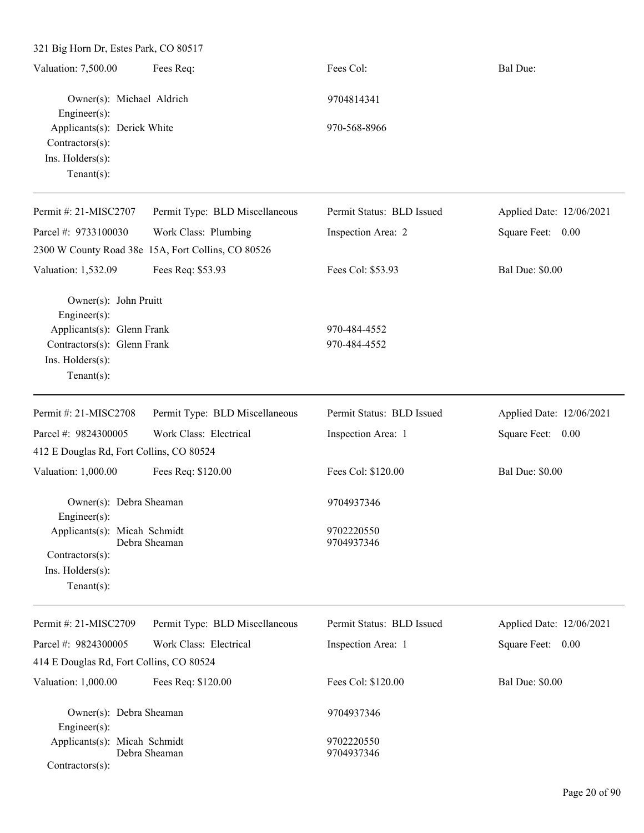321 Big Horn Dr, Estes Park, CO 80517 Valuation: 7,500.00 Fees Req: Fees Col: Fees Col: Bal Due: Owner(s): Michael Aldrich 9704814341 Engineer(s): Applicants(s): Derick White 970-568-8966 Contractors(s): Ins. Holders(s): Tenant(s): Permit #: 21-MISC2707 Parcel #: 9733100030 Permit Type: BLD Miscellaneous Work Class: Plumbing Permit Status: BLD Issued Inspection Area: 2 Applied Date: 12/06/2021 Square Feet: 0.00 2300 W County Road 38e 15A, Fort Collins, CO 80526 Valuation: 1,532.09 Fees Req: \$53.93 Fees Col: \$53.93 Bal Due: \$0.00 Owner(s): John Pruitt Engineer(s): Applicants(s): Glenn Frank 970-484-4552 Contractors(s): Glenn Frank 970-484-4552 Ins. Holders(s): Tenant(s): Permit #: 21-MISC2708 Parcel #: 9824300005 Permit Type: BLD Miscellaneous Work Class: Electrical Permit Status: BLD Issued Inspection Area: 1 Applied Date: 12/06/2021 Square Feet: 0.00 412 E Douglas Rd, Fort Collins, CO 80524 Valuation: 1,000.00 Fees Req: \$120.00 Fees Col: \$120.00 Bal Due: \$0.00 Owner(s): Debra Sheaman 9704937346 Engineer(s): Applicants(s): Micah Schmidt 9702220550 Debra Sheaman 9704937346 Contractors(s): Ins. Holders(s): Tenant(s): Permit #: 21-MISC2709 Parcel #: 9824300005 Permit Type: BLD Miscellaneous Work Class: Electrical Permit Status: BLD Issued Inspection Area: 1 Applied Date: 12/06/2021 Square Feet: 0.00 414 E Douglas Rd, Fort Collins, CO 80524 Valuation: 1,000.00 Fees Req: \$120.00 Fees Col: \$120.00 Bal Due: \$0.00 Owner(s): Debra Sheaman 9704937346 Engineer(s): Applicants(s): Micah Schmidt 9702220550 Debra Sheaman 9704937346

Contractors(s):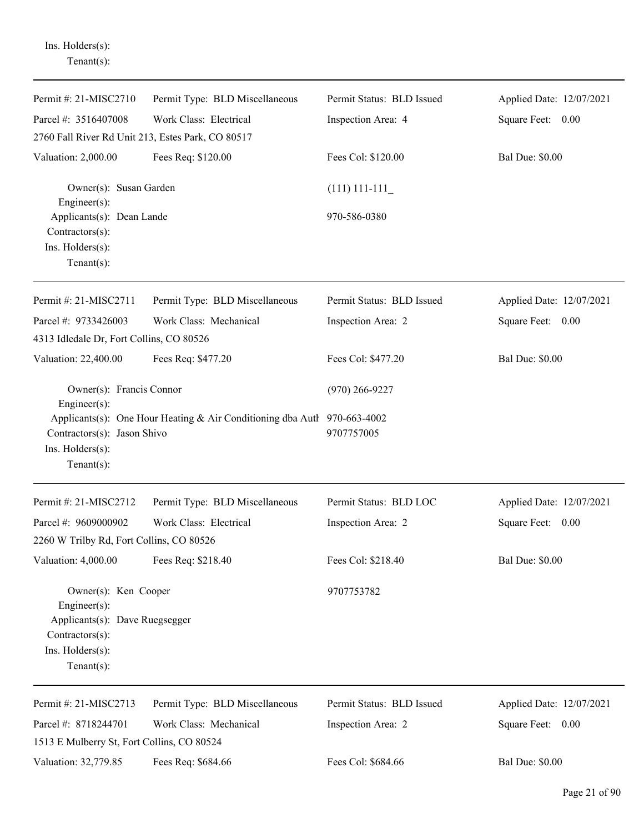Ins. Holders(s): Tenant(s):

| Permit #: 21-MISC2710                                                                                                          | Permit Type: BLD Miscellaneous                                           | Permit Status: BLD Issued | Applied Date: 12/07/2021 |
|--------------------------------------------------------------------------------------------------------------------------------|--------------------------------------------------------------------------|---------------------------|--------------------------|
| Parcel #: 3516407008                                                                                                           | Work Class: Electrical                                                   | Inspection Area: 4        | Square Feet: 0.00        |
| 2760 Fall River Rd Unit 213, Estes Park, CO 80517                                                                              |                                                                          |                           |                          |
| Valuation: 2,000.00                                                                                                            | Fees Req: \$120.00                                                       | Fees Col: \$120.00        | <b>Bal Due: \$0.00</b>   |
| Owner(s): Susan Garden<br>Engineer(s):                                                                                         |                                                                          | $(111)$ 111-111           |                          |
| Applicants(s): Dean Lande<br>Contractors(s):<br>Ins. Holders(s):<br>$Tenant(s)$ :                                              |                                                                          | 970-586-0380              |                          |
| Permit #: 21-MISC2711                                                                                                          | Permit Type: BLD Miscellaneous                                           | Permit Status: BLD Issued | Applied Date: 12/07/2021 |
| Parcel #: 9733426003                                                                                                           | Work Class: Mechanical                                                   | Inspection Area: 2        | Square Feet: 0.00        |
| 4313 Idledale Dr, Fort Collins, CO 80526                                                                                       |                                                                          |                           |                          |
| Valuation: 22,400.00                                                                                                           | Fees Req: \$477.20                                                       | Fees Col: \$477.20        | <b>Bal Due: \$0.00</b>   |
| Owner(s): Francis Connor<br>Engineer(s):                                                                                       |                                                                          | $(970)$ 266-9227          |                          |
| Contractors(s): Jason Shivo<br>Ins. Holders(s):<br>$Tenant(s)$ :                                                               | Applicants(s): One Hour Heating & Air Conditioning dba Autl 970-663-4002 | 9707757005                |                          |
| Permit #: 21-MISC2712                                                                                                          | Permit Type: BLD Miscellaneous                                           | Permit Status: BLD LOC    | Applied Date: 12/07/2021 |
| Parcel #: 9609000902                                                                                                           | Work Class: Electrical                                                   | Inspection Area: 2        | Square Feet: 0.00        |
| 2260 W Trilby Rd, Fort Collins, CO 80526                                                                                       |                                                                          |                           |                          |
| Valuation: 4,000.00                                                                                                            | Fees Req: \$218.40                                                       | Fees Col: \$218.40        | <b>Bal Due: \$0.00</b>   |
| Owner(s): Ken Cooper<br>Engineer(s):<br>Applicants(s): Dave Ruegsegger<br>Contractors(s):<br>Ins. Holders(s):<br>$Tenant(s)$ : |                                                                          | 9707753782                |                          |
| Permit #: 21-MISC2713                                                                                                          | Permit Type: BLD Miscellaneous                                           | Permit Status: BLD Issued | Applied Date: 12/07/2021 |
| Parcel #: 8718244701                                                                                                           | Work Class: Mechanical                                                   | Inspection Area: 2        | Square Feet: 0.00        |
| 1513 E Mulberry St, Fort Collins, CO 80524                                                                                     |                                                                          |                           |                          |
| Valuation: 32,779.85                                                                                                           | Fees Req: \$684.66                                                       | Fees Col: \$684.66        | <b>Bal Due: \$0.00</b>   |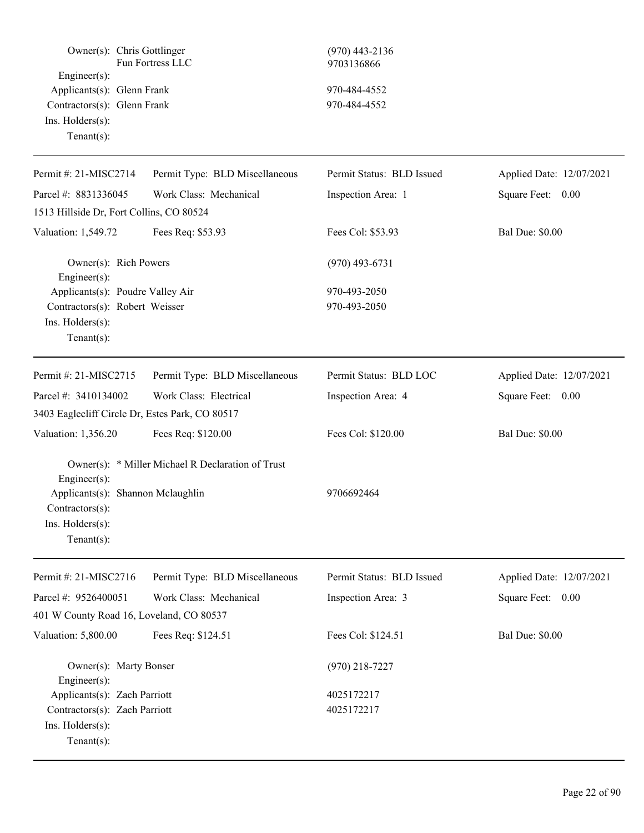| Owner(s): Chris Gottlinger<br>Engineer(s):<br>Applicants(s): Glenn Frank<br>Contractors(s): Glenn Frank<br>Ins. Holders(s):<br>Tenant $(s)$ : | Fun Fortress LLC                                  | $(970)$ 443-2136<br>9703136866<br>970-484-4552<br>970-484-4552 |                          |
|-----------------------------------------------------------------------------------------------------------------------------------------------|---------------------------------------------------|----------------------------------------------------------------|--------------------------|
| Permit #: 21-MISC2714                                                                                                                         | Permit Type: BLD Miscellaneous                    | Permit Status: BLD Issued                                      | Applied Date: 12/07/2021 |
| Parcel #: 8831336045                                                                                                                          | Work Class: Mechanical                            | Inspection Area: 1                                             | Square Feet: 0.00        |
| 1513 Hillside Dr, Fort Collins, CO 80524                                                                                                      |                                                   |                                                                |                          |
| Valuation: 1,549.72                                                                                                                           | Fees Req: \$53.93                                 | Fees Col: \$53.93                                              | <b>Bal Due: \$0.00</b>   |
| Owner(s): Rich Powers<br>Engineer(s):                                                                                                         |                                                   | $(970)$ 493-6731                                               |                          |
| Applicants(s): Poudre Valley Air<br>Contractors(s): Robert Weisser<br>Ins. Holders(s):<br>$Tenant(s)$ :                                       |                                                   | 970-493-2050<br>970-493-2050                                   |                          |
| Permit #: 21-MISC2715                                                                                                                         | Permit Type: BLD Miscellaneous                    | Permit Status: BLD LOC                                         | Applied Date: 12/07/2021 |
| Parcel #: 3410134002                                                                                                                          | Work Class: Electrical                            | Inspection Area: 4                                             | Square Feet: 0.00        |
| 3403 Eaglecliff Circle Dr, Estes Park, CO 80517                                                                                               |                                                   |                                                                |                          |
| Valuation: 1,356.20                                                                                                                           | Fees Req: \$120.00                                | Fees Col: \$120.00                                             | <b>Bal Due: \$0.00</b>   |
| Engineer(s):<br>Applicants(s): Shannon Mclaughlin<br>$Contractors(s)$ :<br>$Ins.$ Holders $(s)$ :<br>Tenant $(s)$ :                           | Owner(s): * Miller Michael R Declaration of Trust | 9706692464                                                     |                          |
| Permit #: 21-MISC2716                                                                                                                         | Permit Type: BLD Miscellaneous                    | Permit Status: BLD Issued                                      | Applied Date: 12/07/2021 |
| Parcel #: 9526400051                                                                                                                          | Work Class: Mechanical                            | Inspection Area: 3                                             | Square Feet: 0.00        |
| 401 W County Road 16, Loveland, CO 80537                                                                                                      |                                                   |                                                                |                          |
| Valuation: 5,800.00                                                                                                                           | Fees Req: \$124.51                                | Fees Col: \$124.51                                             | <b>Bal Due: \$0.00</b>   |
| Owner(s): Marty Bonser<br>Engineer(s):<br>Applicants(s): Zach Parriott                                                                        |                                                   | $(970)$ 218-7227<br>4025172217                                 |                          |
| Contractors(s): Zach Parriott<br>Ins. Holders(s):<br>$Tenant(s)$ :                                                                            |                                                   | 4025172217                                                     |                          |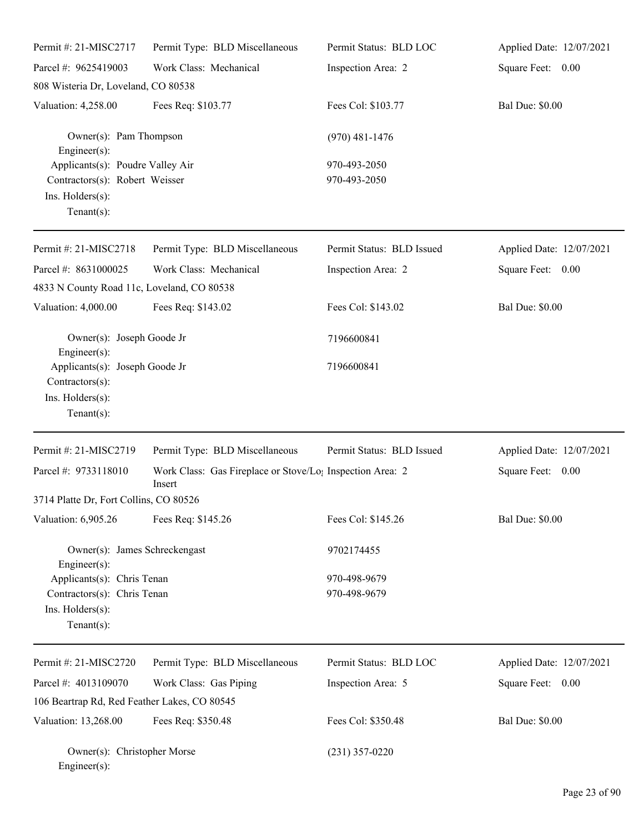| Permit #: 21-MISC2717                                                                                    | Permit Type: BLD Miscellaneous                                      | Permit Status: BLD LOC       | Applied Date: 12/07/2021 |
|----------------------------------------------------------------------------------------------------------|---------------------------------------------------------------------|------------------------------|--------------------------|
| Parcel #: 9625419003                                                                                     | Work Class: Mechanical                                              | Inspection Area: 2           | Square Feet: 0.00        |
| 808 Wisteria Dr, Loveland, CO 80538                                                                      |                                                                     |                              |                          |
| Valuation: 4,258.00                                                                                      | Fees Req: \$103.77                                                  | Fees Col: \$103.77           | <b>Bal Due: \$0.00</b>   |
| Owner(s): Pam Thompson<br>$Engineering(s)$ :                                                             |                                                                     | $(970)$ 481-1476             |                          |
| Applicants(s): Poudre Valley Air<br>Contractors(s): Robert Weisser<br>Ins. Holders(s):<br>Tenant $(s)$ : |                                                                     | 970-493-2050<br>970-493-2050 |                          |
| Permit #: 21-MISC2718                                                                                    | Permit Type: BLD Miscellaneous                                      | Permit Status: BLD Issued    | Applied Date: 12/07/2021 |
| Parcel #: 8631000025<br>4833 N County Road 11c, Loveland, CO 80538                                       | Work Class: Mechanical                                              | Inspection Area: 2           | Square Feet: 0.00        |
| Valuation: 4,000.00                                                                                      | Fees Req: \$143.02                                                  | Fees Col: \$143.02           | <b>Bal Due: \$0.00</b>   |
| Owner(s): Joseph Goode Jr<br>$Engineering(s)$ :                                                          |                                                                     | 7196600841                   |                          |
| Applicants(s): Joseph Goode Jr<br>Contractors(s):<br>Ins. Holders(s):<br>Tenant $(s)$ :                  |                                                                     | 7196600841                   |                          |
| Permit #: 21-MISC2719                                                                                    | Permit Type: BLD Miscellaneous                                      | Permit Status: BLD Issued    | Applied Date: 12/07/2021 |
| Parcel #: 9733118010                                                                                     | Work Class: Gas Fireplace or Stove/Lo; Inspection Area: 2<br>Insert |                              | Square Feet: 0.00        |
| 3714 Platte Dr, Fort Collins, CO 80526                                                                   |                                                                     |                              |                          |
| Valuation: 6,905.26                                                                                      | Fees Req: \$145.26                                                  | Fees Col: \$145.26           | <b>Bal Due: \$0.00</b>   |
| Owner(s): James Schreckengast<br>Engineer $(s)$ :                                                        |                                                                     | 9702174455                   |                          |
| Applicants(s): Chris Tenan<br>Contractors(s): Chris Tenan<br>Ins. Holders(s):<br>Tenant $(s)$ :          |                                                                     | 970-498-9679<br>970-498-9679 |                          |
| Permit #: 21-MISC2720                                                                                    | Permit Type: BLD Miscellaneous                                      | Permit Status: BLD LOC       | Applied Date: 12/07/2021 |
| Parcel #: 4013109070                                                                                     | Work Class: Gas Piping                                              | Inspection Area: 5           | Square Feet: 0.00        |
| 106 Beartrap Rd, Red Feather Lakes, CO 80545                                                             |                                                                     |                              |                          |
| Valuation: 13,268.00                                                                                     | Fees Req: \$350.48                                                  | Fees Col: \$350.48           | <b>Bal Due: \$0.00</b>   |
| Owner(s): Christopher Morse<br>Engineer(s):                                                              |                                                                     | $(231)$ 357-0220             |                          |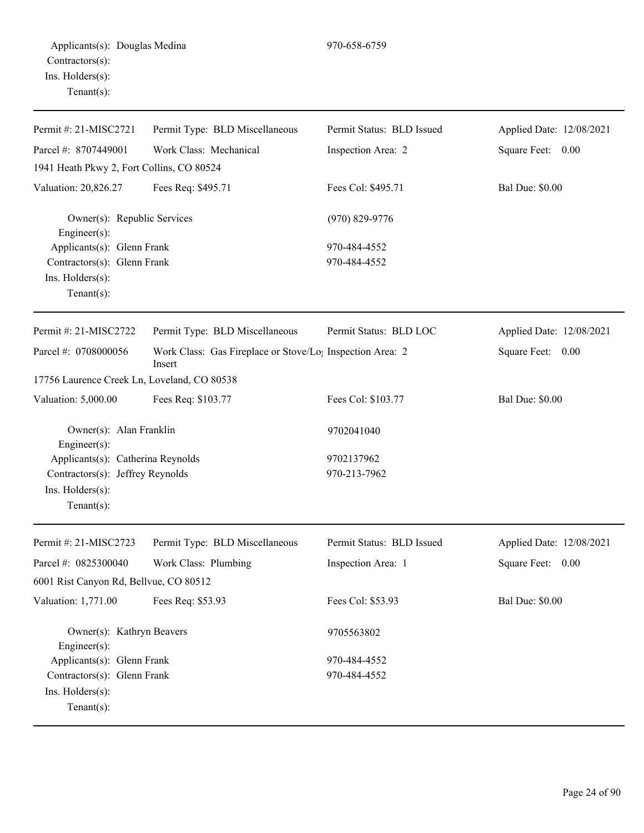| Permit #: 21-MISC2721                                                                                      | Permit Type: BLD Miscellaneous                                      | Permit Status: BLD Issued  | Applied Date: 12/08/2021 |
|------------------------------------------------------------------------------------------------------------|---------------------------------------------------------------------|----------------------------|--------------------------|
| Parcel #: 8707449001                                                                                       | Work Class: Mechanical                                              | Inspection Area: 2         | Square Feet: 0.00        |
| 1941 Heath Pkwy 2, Fort Collins, CO 80524                                                                  |                                                                     |                            |                          |
| Valuation: 20,826.27                                                                                       | Fees Req: \$495.71                                                  | Fees Col: \$495.71         | <b>Bal Due: \$0.00</b>   |
| Owner(s): Republic Services<br>Engineer(s):                                                                |                                                                     | $(970)$ 829-9776           |                          |
| Applicants(s): Glenn Frank                                                                                 |                                                                     | 970-484-4552               |                          |
| Contractors(s): Glenn Frank                                                                                |                                                                     | 970-484-4552               |                          |
| Ins. Holders(s):                                                                                           |                                                                     |                            |                          |
| Tenant $(s)$ :                                                                                             |                                                                     |                            |                          |
| Permit #: 21-MISC2722                                                                                      | Permit Type: BLD Miscellaneous                                      | Permit Status: BLD LOC     | Applied Date: 12/08/2021 |
| Parcel #: 0708000056                                                                                       | Work Class: Gas Fireplace or Stove/Lo; Inspection Area: 2<br>Insert |                            | Square Feet: 0.00        |
| 17756 Laurence Creek Ln, Loveland, CO 80538                                                                |                                                                     |                            |                          |
| Valuation: 5,000.00                                                                                        | Fees Req: \$103.77                                                  | Fees Col: \$103.77         | <b>Bal Due: \$0.00</b>   |
| Owner(s): Alan Franklin<br>Engineer(s):                                                                    |                                                                     | 9702041040                 |                          |
| Applicants(s): Catherina Reynolds<br>Contractors(s): Jeffrey Reynolds<br>Ins. Holders(s):<br>$Tenant(s)$ : |                                                                     | 9702137962<br>970-213-7962 |                          |
| Permit #: 21-MISC2723                                                                                      | Permit Type: BLD Miscellaneous                                      | Permit Status: BLD Issued  | Applied Date: 12/08/2021 |
| Parcel #: 0825300040                                                                                       | Work Class: Plumbing                                                | Inspection Area: 1         | Square Feet: 0.00        |
| 6001 Rist Canyon Rd, Bellvue, CO 80512                                                                     |                                                                     |                            |                          |
| Valuation: 1,771.00                                                                                        | Fees Req: \$53.93                                                   | Fees Col: \$53.93          | <b>Bal Due: \$0.00</b>   |
| Owner(s): Kathryn Beavers<br>Engineer(s):                                                                  |                                                                     | 9705563802                 |                          |
| Applicants(s): Glenn Frank                                                                                 |                                                                     | 970-484-4552               |                          |
| Contractors(s): Glenn Frank<br>Ins. Holders(s):<br>Tenant $(s)$ :                                          |                                                                     | 970-484-4552               |                          |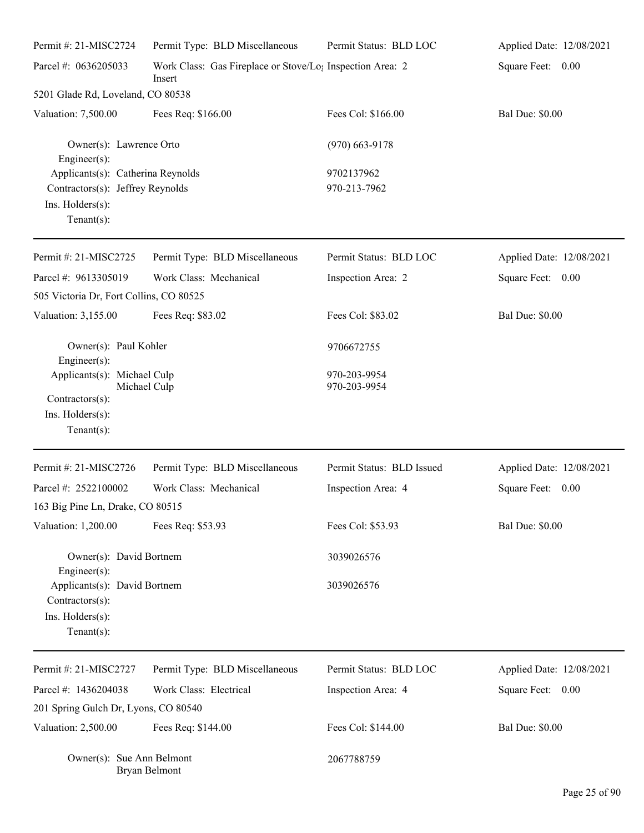| Permit #: 21-MISC2724                                                                                       | Permit Type: BLD Miscellaneous                                      | Permit Status: BLD LOC       | Applied Date: 12/08/2021 |
|-------------------------------------------------------------------------------------------------------------|---------------------------------------------------------------------|------------------------------|--------------------------|
| Parcel #: 0636205033                                                                                        | Work Class: Gas Fireplace or Stove/Lo; Inspection Area: 2<br>Insert |                              | Square Feet: 0.00        |
| 5201 Glade Rd, Loveland, CO 80538                                                                           |                                                                     |                              |                          |
| Valuation: 7,500.00                                                                                         | Fees Req: \$166.00                                                  | Fees Col: \$166.00           | <b>Bal Due: \$0.00</b>   |
| Owner(s): Lawrence Orto<br>$Enginer(s)$ :                                                                   |                                                                     | $(970)$ 663-9178             |                          |
| Applicants(s): Catherina Reynolds<br>Contractors(s): Jeffrey Reynolds<br>Ins. Holders(s):<br>Tenant $(s)$ : |                                                                     | 9702137962<br>970-213-7962   |                          |
| Permit #: 21-MISC2725                                                                                       | Permit Type: BLD Miscellaneous                                      | Permit Status: BLD LOC       | Applied Date: 12/08/2021 |
| Parcel #: 9613305019                                                                                        | Work Class: Mechanical                                              | Inspection Area: 2           | Square Feet: 0.00        |
| 505 Victoria Dr, Fort Collins, CO 80525                                                                     |                                                                     |                              |                          |
| Valuation: 3,155.00                                                                                         | Fees Req: \$83.02                                                   | Fees Col: \$83.02            | <b>Bal Due: \$0.00</b>   |
| Owner(s): Paul Kohler<br>Engineer(s):                                                                       |                                                                     | 9706672755                   |                          |
| Applicants(s): Michael Culp<br>Michael Culp<br>$Contractors(s)$ :<br>Ins. Holders(s):<br>Tenant $(s)$ :     |                                                                     | 970-203-9954<br>970-203-9954 |                          |
| Permit #: 21-MISC2726                                                                                       | Permit Type: BLD Miscellaneous                                      | Permit Status: BLD Issued    | Applied Date: 12/08/2021 |
| Parcel #: 2522100002<br>163 Big Pine Ln, Drake, CO 80515                                                    | Work Class: Mechanical                                              | Inspection Area: 4           | Square Feet:<br>0.00     |
| Valuation: 1,200.00                                                                                         | Fees Req: \$53.93                                                   | Fees Col: \$53.93            | <b>Bal Due: \$0.00</b>   |
| Owner(s): David Bortnem<br>$Engineer(s)$ :                                                                  |                                                                     | 3039026576                   |                          |
| Applicants(s): David Bortnem<br>$Contractors(s)$ :<br>Ins. Holders(s):<br>Tenant $(s)$ :                    |                                                                     | 3039026576                   |                          |
| Permit #: 21-MISC2727                                                                                       | Permit Type: BLD Miscellaneous                                      | Permit Status: BLD LOC       | Applied Date: 12/08/2021 |
| Parcel #: 1436204038                                                                                        | Work Class: Electrical                                              | Inspection Area: 4           | Square Feet: 0.00        |
| 201 Spring Gulch Dr, Lyons, CO 80540                                                                        |                                                                     |                              |                          |
| Valuation: 2,500.00                                                                                         | Fees Req: \$144.00                                                  | Fees Col: \$144.00           | <b>Bal Due: \$0.00</b>   |
| Owner(s): Sue Ann Belmont                                                                                   | Bryan Belmont                                                       | 2067788759                   |                          |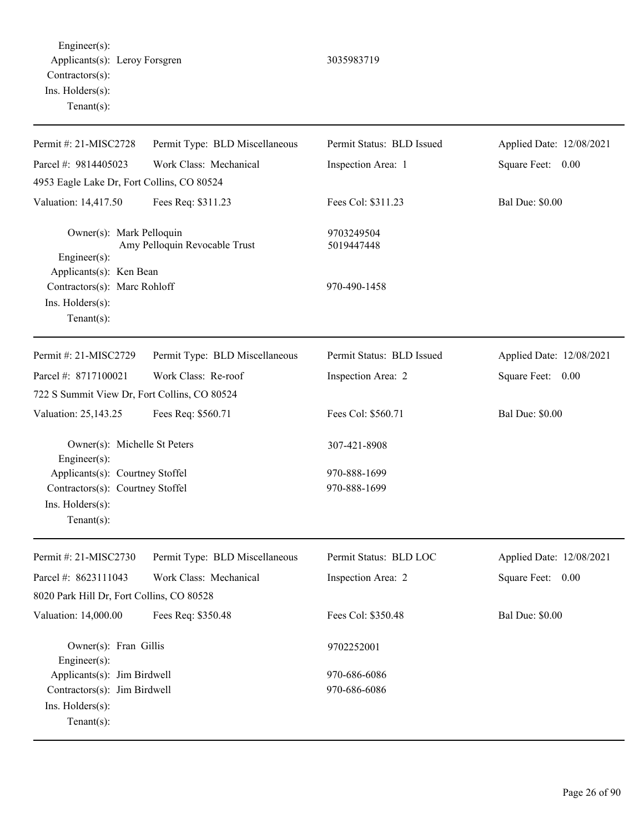Engineer(s): Applicants(s): Leroy Forsgren 3035983719 Contractors(s): Ins. Holders(s): Tenant(s):

| Permit #: 21-MISC2728                                                 | Permit Type: BLD Miscellaneous | Permit Status: BLD Issued | Applied Date: 12/08/2021 |
|-----------------------------------------------------------------------|--------------------------------|---------------------------|--------------------------|
| Parcel #: 9814405023                                                  | Work Class: Mechanical         | Inspection Area: 1        | Square Feet: 0.00        |
| 4953 Eagle Lake Dr, Fort Collins, CO 80524                            |                                |                           |                          |
| Valuation: 14,417.50                                                  | Fees Req: \$311.23             | Fees Col: \$311.23        | <b>Bal Due: \$0.00</b>   |
| Owner(s): Mark Pelloquin<br>Engineer(s):<br>Applicants(s): Ken Bean   | Amy Pelloquin Revocable Trust  | 9703249504<br>5019447448  |                          |
| Contractors(s): Marc Rohloff<br>Ins. Holders(s):<br>$Tenant(s)$ :     |                                | 970-490-1458              |                          |
| Permit #: 21-MISC2729                                                 | Permit Type: BLD Miscellaneous | Permit Status: BLD Issued | Applied Date: 12/08/2021 |
| Parcel #: 8717100021                                                  | Work Class: Re-roof            | Inspection Area: 2        | Square Feet: 0.00        |
| 722 S Summit View Dr, Fort Collins, CO 80524                          |                                |                           |                          |
| Valuation: 25,143.25                                                  | Fees Req: \$560.71             | Fees Col: \$560.71        | <b>Bal Due: \$0.00</b>   |
| Owner(s): Michelle St Peters<br>Engineer $(s)$ :                      |                                | 307-421-8908              |                          |
| Applicants(s): Courtney Stoffel                                       |                                | 970-888-1699              |                          |
| Contractors(s): Courtney Stoffel<br>Ins. Holders(s):<br>$Tenant(s)$ : |                                | 970-888-1699              |                          |
| Permit #: 21-MISC2730                                                 | Permit Type: BLD Miscellaneous | Permit Status: BLD LOC    | Applied Date: 12/08/2021 |
| Parcel #: 8623111043                                                  | Work Class: Mechanical         | Inspection Area: 2        | Square Feet:<br>0.00     |
| 8020 Park Hill Dr, Fort Collins, CO 80528                             |                                |                           |                          |
| Valuation: 14,000.00                                                  | Fees Req: \$350.48             | Fees Col: \$350.48        | <b>Bal Due: \$0.00</b>   |
| Owner(s): Fran Gillis<br>Engineer $(s)$ :                             |                                | 9702252001                |                          |
| Applicants(s): Jim Birdwell                                           |                                | 970-686-6086              |                          |
| Contractors(s): Jim Birdwell                                          |                                | 970-686-6086              |                          |

Ins. Holders(s):

Tenant(s):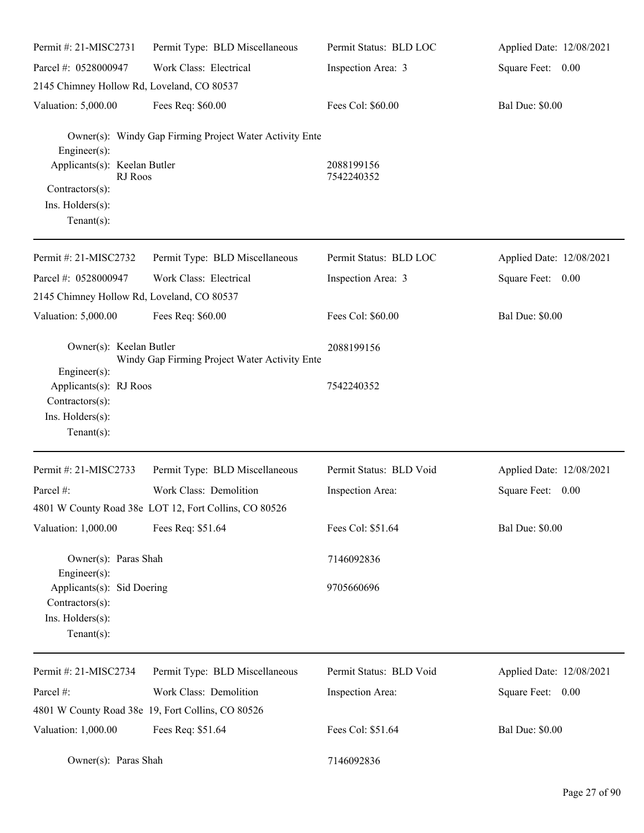| Permit #: 21-MISC2731                                                               | Permit Type: BLD Miscellaneous                          | Permit Status: BLD LOC  | Applied Date: 12/08/2021 |
|-------------------------------------------------------------------------------------|---------------------------------------------------------|-------------------------|--------------------------|
| Parcel #: 0528000947                                                                | Work Class: Electrical                                  | Inspection Area: 3      | Square Feet: 0.00        |
| 2145 Chimney Hollow Rd, Loveland, CO 80537                                          |                                                         |                         |                          |
| Valuation: 5,000.00                                                                 | Fees Req: \$60.00                                       | Fees Col: \$60.00       | <b>Bal Due: \$0.00</b>   |
| $Engineering(s)$ :<br>Applicants(s): Keelan Butler                                  | Owner(s): Windy Gap Firming Project Water Activity Ente | 2088199156              |                          |
| RJ Roos                                                                             |                                                         | 7542240352              |                          |
| Contractors(s):<br>Ins. Holders(s):<br>Tenant $(s)$ :                               |                                                         |                         |                          |
| Permit #: 21-MISC2732                                                               | Permit Type: BLD Miscellaneous                          | Permit Status: BLD LOC  | Applied Date: 12/08/2021 |
| Parcel #: 0528000947                                                                | Work Class: Electrical                                  | Inspection Area: 3      | Square Feet: 0.00        |
| 2145 Chimney Hollow Rd, Loveland, CO 80537                                          |                                                         |                         |                          |
| Valuation: 5,000.00                                                                 | Fees Req: \$60.00                                       | Fees Col: \$60.00       | <b>Bal Due: \$0.00</b>   |
| Owner(s): Keelan Butler<br>$Engineering(s)$ :                                       | Windy Gap Firming Project Water Activity Ente           | 2088199156              |                          |
| Applicants(s): RJ Roos<br>Contractors(s):<br>Ins. Holders(s):<br>Tenant $(s)$ :     |                                                         | 7542240352              |                          |
| Permit #: 21-MISC2733                                                               | Permit Type: BLD Miscellaneous                          | Permit Status: BLD Void | Applied Date: 12/08/2021 |
| Parcel #:                                                                           | Work Class: Demolition                                  | Inspection Area:        | Square Feet:<br>0.00     |
|                                                                                     | 4801 W County Road 38e LOT 12, Fort Collins, CO 80526   |                         |                          |
| Valuation: 1,000.00                                                                 | Fees Req: \$51.64                                       | Fees Col: \$51.64       | <b>Bal Due: \$0.00</b>   |
| Owner(s): Paras Shah<br>$Engineering(s)$ :                                          |                                                         | 7146092836              |                          |
| Applicants(s): Sid Doering<br>Contractors(s):<br>Ins. Holders(s):<br>Tenant $(s)$ : |                                                         | 9705660696              |                          |
| Permit #: 21-MISC2734                                                               | Permit Type: BLD Miscellaneous                          | Permit Status: BLD Void | Applied Date: 12/08/2021 |
| Parcel #:                                                                           | Work Class: Demolition                                  | Inspection Area:        | Square Feet: 0.00        |
|                                                                                     | 4801 W County Road 38e 19, Fort Collins, CO 80526       |                         |                          |
| Valuation: 1,000.00                                                                 | Fees Req: \$51.64                                       | Fees Col: \$51.64       | <b>Bal Due: \$0.00</b>   |
| Owner(s): Paras Shah                                                                |                                                         | 7146092836              |                          |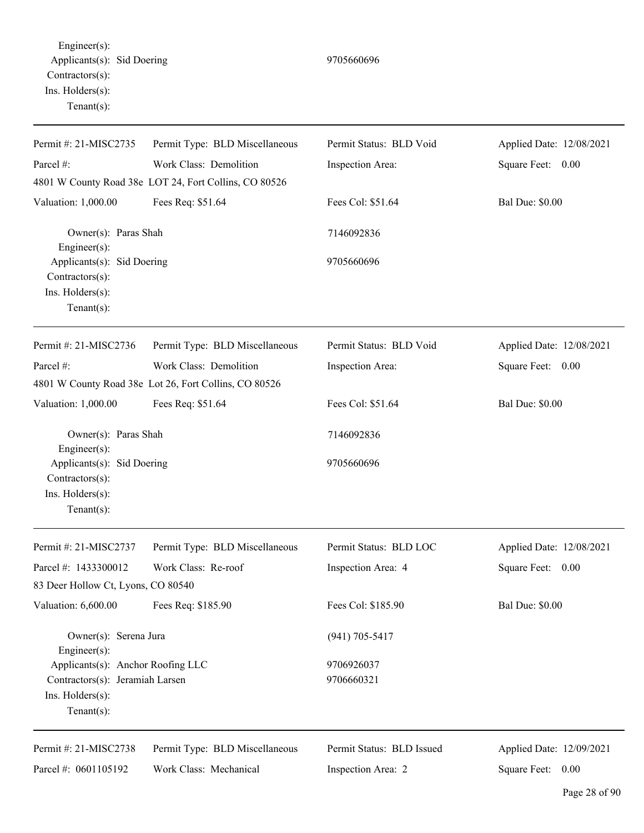Engineer(s): Applicants(s): Sid Doering 9705660696 Contractors(s): Ins. Holders(s): Tenant(s):

| Permit #: 21-MISC2735                                                               | Permit Type: BLD Miscellaneous                        | Permit Status: BLD Void   | Applied Date: 12/08/2021 |
|-------------------------------------------------------------------------------------|-------------------------------------------------------|---------------------------|--------------------------|
| Parcel #:                                                                           | Work Class: Demolition                                | Inspection Area:          | Square Feet: 0.00        |
|                                                                                     | 4801 W County Road 38e LOT 24, Fort Collins, CO 80526 |                           |                          |
| Valuation: 1,000.00                                                                 | Fees Req: \$51.64                                     | Fees Col: \$51.64         | <b>Bal Due: \$0.00</b>   |
| Owner(s): Paras Shah<br>Engineer $(s)$ :                                            |                                                       | 7146092836                |                          |
| Applicants(s): Sid Doering<br>Contractors(s):                                       |                                                       | 9705660696                |                          |
| Ins. Holders(s):<br>Tenant $(s)$ :                                                  |                                                       |                           |                          |
| Permit #: 21-MISC2736                                                               | Permit Type: BLD Miscellaneous                        | Permit Status: BLD Void   | Applied Date: 12/08/2021 |
| Parcel #:                                                                           | Work Class: Demolition                                | Inspection Area:          | Square Feet: 0.00        |
|                                                                                     | 4801 W County Road 38e Lot 26, Fort Collins, CO 80526 |                           |                          |
| Valuation: 1,000.00                                                                 | Fees Req: \$51.64                                     | Fees Col: \$51.64         | <b>Bal Due: \$0.00</b>   |
| Owner(s): Paras Shah<br>$Engineering(s)$ :                                          |                                                       | 7146092836                |                          |
| Applicants(s): Sid Doering<br>Contractors(s):<br>Ins. Holders(s):<br>Tenant $(s)$ : |                                                       | 9705660696                |                          |
| Permit #: 21-MISC2737                                                               | Permit Type: BLD Miscellaneous                        | Permit Status: BLD LOC    | Applied Date: 12/08/2021 |
| Parcel #: 1433300012                                                                | Work Class: Re-roof                                   | Inspection Area: 4        | Square Feet:<br>0.00     |
| 83 Deer Hollow Ct, Lyons, CO 80540                                                  |                                                       |                           |                          |
| Valuation: 6,600.00                                                                 | Fees Req: \$185.90                                    | Fees Col: \$185.90        | <b>Bal Due: \$0.00</b>   |
| Owner(s): Serena Jura<br>$Engineering(s)$ :                                         |                                                       | $(941)$ 705-5417          |                          |
| Applicants(s): Anchor Roofing LLC                                                   |                                                       | 9706926037                |                          |
| Contractors(s): Jeramiah Larsen<br>Ins. Holders(s):<br>Tenant $(s)$ :               |                                                       | 9706660321                |                          |
| Permit #: 21-MISC2738                                                               | Permit Type: BLD Miscellaneous                        | Permit Status: BLD Issued | Applied Date: 12/09/2021 |
| Parcel #: 0601105192                                                                | Work Class: Mechanical                                | Inspection Area: 2        | Square Feet: 0.00        |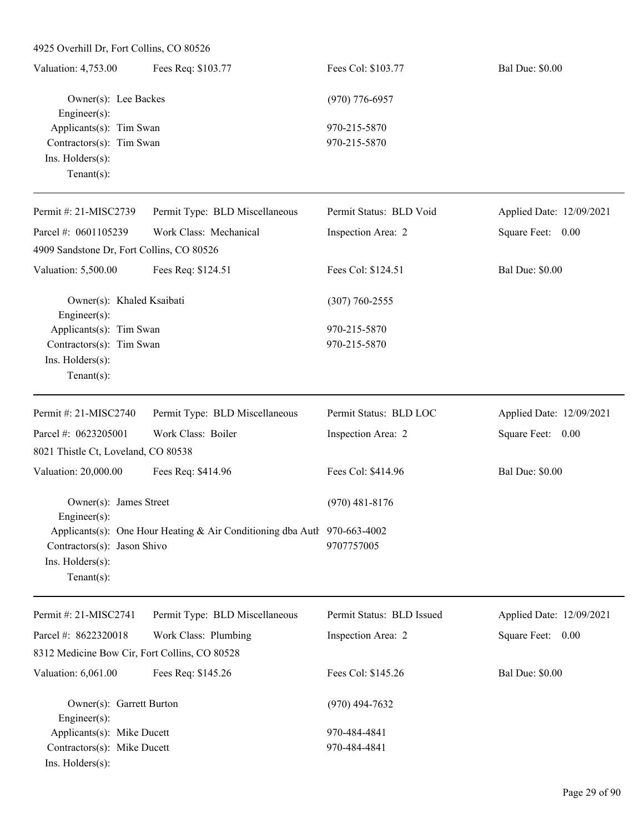| Valuation: 4,753.00          | Fees Req: \$103.77   | Fees Col: \$103.77 | <b>Bal Due: \$0.00</b> |
|------------------------------|----------------------|--------------------|------------------------|
|                              | Owner(s): Lee Backes | $(970)$ 776-6957   |                        |
| Engineer $(s)$ :             |                      |                    |                        |
| Applicants(s): Tim Swan      |                      | 970-215-5870       |                        |
| Contractors $(s)$ : Tim Swan |                      | 970-215-5870       |                        |
| $Ins.$ Holders $(s)$ :       |                      |                    |                        |
| Tenant $(s)$ :               |                      |                    |                        |

| Permit #: $21-MISC2739$                     | Permit Type: BLD Miscellaneous | Permit Status: BLD Void | Applied Date: 12/09/2021 |
|---------------------------------------------|--------------------------------|-------------------------|--------------------------|
| Parcel #: $0601105239$                      | Work Class: Mechanical         | Inspection Area: 2      | Square Feet:<br>0.00     |
| 4909 Sandstone Dr, Fort Collins, CO 80526   |                                |                         |                          |
| Valuation: 5,500.00                         | Fees Req: \$124.51             | Fees Col: \$124.51      | <b>Bal Due: \$0.00</b>   |
| Owner(s): Khaled Ksaibati                   |                                | $(307) 760 - 2555$      |                          |
| Engineer $(s)$ :<br>Applicants(s): Tim Swan |                                | 970-215-5870            |                          |
| Contractors(s): Tim Swan                    |                                | 970-215-5870            |                          |
| $Ins.$ Holders $(s)$ :                      |                                |                         |                          |
| $Tenant(s)$ :                               |                                |                         |                          |
| Permit #: $21-MISC2740$                     | Permit Type: BLD Miscellaneous | Permit Status: BLD LOC  | Applied Date: 12/09/2021 |
| Parcel #: $0623205001$                      | Work Class: Boiler             | Inspection Area: 2      | Square Feet:<br>0.00     |

| $1$ and $\pi$ . $00\angle 3\angle 03001$ | WUIN CIASS. DUIITI                                                         | IIBPQUIOII AIGA. 2 | $\mathcal{Q}$ qualte Fect. $\mathcal{Q}$ . $\mathcal{Q}$ |
|------------------------------------------|----------------------------------------------------------------------------|--------------------|----------------------------------------------------------|
| 8021 Thistle Ct, Loveland, CO 80538      |                                                                            |                    |                                                          |
| Valuation: 20,000.00                     | Fees Req: \$414.96                                                         | Fees Col: \$414.96 | <b>Bal Due: \$0.00</b>                                   |
|                                          | Owner(s): James Street                                                     | $(970)$ 481-8176   |                                                          |
| $Engineering(s)$ :                       |                                                                            |                    |                                                          |
|                                          | Applicants(s): One Hour Heating & Air Conditioning dba Autl $970-663-4002$ |                    |                                                          |
| Contractors $(s)$ : Jason Shivo          |                                                                            | 9707757005         |                                                          |
| $Ins.$ Holders $(s)$ :                   |                                                                            |                    |                                                          |
| Tenant(s):                               |                                                                            |                    |                                                          |
|                                          |                                                                            |                    |                                                          |

| Permit #: $21-MISC2741$                       | Permit Type: BLD Miscellaneous | Permit Status: BLD Issued | Applied Date: 12/09/2021 |
|-----------------------------------------------|--------------------------------|---------------------------|--------------------------|
| Parcel #: $8622320018$                        | Work Class: Plumbing           | Inspection Area: 2        | Square Feet:<br>0.00     |
| 8312 Medicine Bow Cir, Fort Collins, CO 80528 |                                |                           |                          |
| Valuation: 6,061.00                           | Fees Req: \$145.26             | Fees Col: \$145.26        | <b>Bal Due: \$0.00</b>   |
| Owner(s): Garrett Burton                      |                                | $(970)$ 494-7632          |                          |
| Engineer $(s)$ :                              |                                |                           |                          |
| Applicants(s): Mike Ducett                    |                                | 970-484-4841              |                          |
| Contractors(s): Mike Ducett                   |                                | 970-484-4841              |                          |
| $Ins.$ Holders $(s)$ :                        |                                |                           |                          |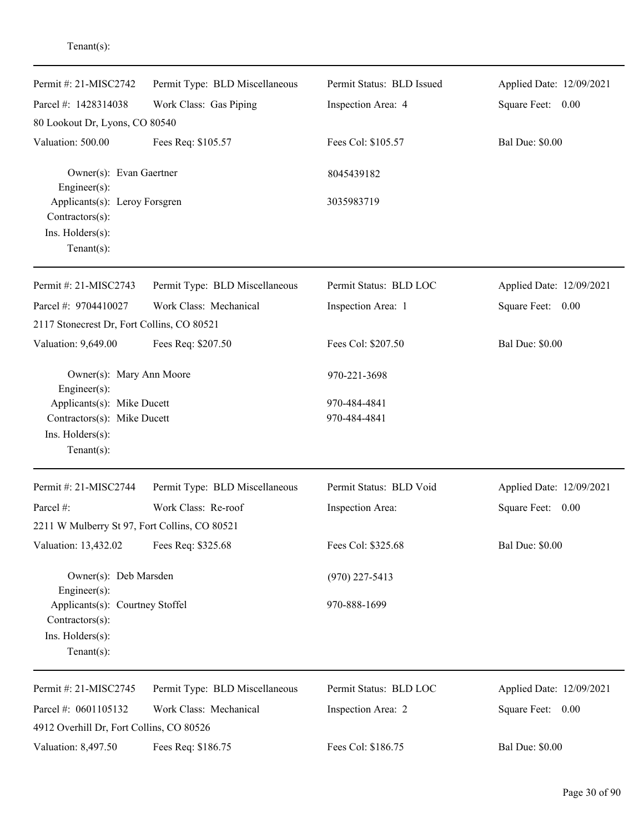| Permit #: 21-MISC2742                                                                    | Permit Type: BLD Miscellaneous | Permit Status: BLD Issued | Applied Date: 12/09/2021 |
|------------------------------------------------------------------------------------------|--------------------------------|---------------------------|--------------------------|
| Parcel #: 1428314038                                                                     | Work Class: Gas Piping         | Inspection Area: 4        | Square Feet: 0.00        |
| 80 Lookout Dr, Lyons, CO 80540                                                           |                                |                           |                          |
| Valuation: 500.00                                                                        | Fees Req: \$105.57             | Fees Col: \$105.57        | <b>Bal Due: \$0.00</b>   |
| Owner(s): Evan Gaertner<br>Engineer $(s)$ :                                              |                                | 8045439182                |                          |
| Applicants(s): Leroy Forsgren<br>Contractors(s):<br>Ins. Holders(s):<br>Tenant $(s)$ :   |                                | 3035983719                |                          |
| Permit #: 21-MISC2743                                                                    | Permit Type: BLD Miscellaneous | Permit Status: BLD LOC    | Applied Date: 12/09/2021 |
| Parcel #: 9704410027                                                                     | Work Class: Mechanical         | Inspection Area: 1        | Square Feet: 0.00        |
| 2117 Stonecrest Dr, Fort Collins, CO 80521                                               |                                |                           |                          |
| Valuation: 9,649.00                                                                      | Fees Req: \$207.50             | Fees Col: \$207.50        | <b>Bal Due: \$0.00</b>   |
| Owner(s): Mary Ann Moore<br>Engineer $(s)$ :                                             |                                | 970-221-3698              |                          |
| Applicants(s): Mike Ducett                                                               |                                | 970-484-4841              |                          |
| Contractors(s): Mike Ducett                                                              |                                | 970-484-4841              |                          |
| Ins. Holders(s):<br>$Tenant(s)$ :                                                        |                                |                           |                          |
| Permit #: 21-MISC2744                                                                    | Permit Type: BLD Miscellaneous | Permit Status: BLD Void   | Applied Date: 12/09/2021 |
| Parcel #:                                                                                | Work Class: Re-roof            | Inspection Area:          | Square Feet:<br>0.00     |
| 2211 W Mulberry St 97, Fort Collins, CO 80521                                            |                                |                           |                          |
| Valuation: 13,432.02                                                                     | Fees Req: \$325.68             | Fees Col: \$325.68        | <b>Bal Due: \$0.00</b>   |
| Owner(s): Deb Marsden<br>$Engineering(s)$ :                                              |                                | $(970)$ 227-5413          |                          |
| Applicants(s): Courtney Stoffel<br>Contractors(s):<br>Ins. Holders(s):<br>Tenant $(s)$ : |                                | 970-888-1699              |                          |
| Permit #: 21-MISC2745                                                                    | Permit Type: BLD Miscellaneous | Permit Status: BLD LOC    | Applied Date: 12/09/2021 |
| Parcel #: 0601105132                                                                     | Work Class: Mechanical         | Inspection Area: 2        | Square Feet: 0.00        |
| 4912 Overhill Dr, Fort Collins, CO 80526                                                 |                                |                           |                          |
| Valuation: 8,497.50                                                                      | Fees Req: \$186.75             | Fees Col: \$186.75        | <b>Bal Due: \$0.00</b>   |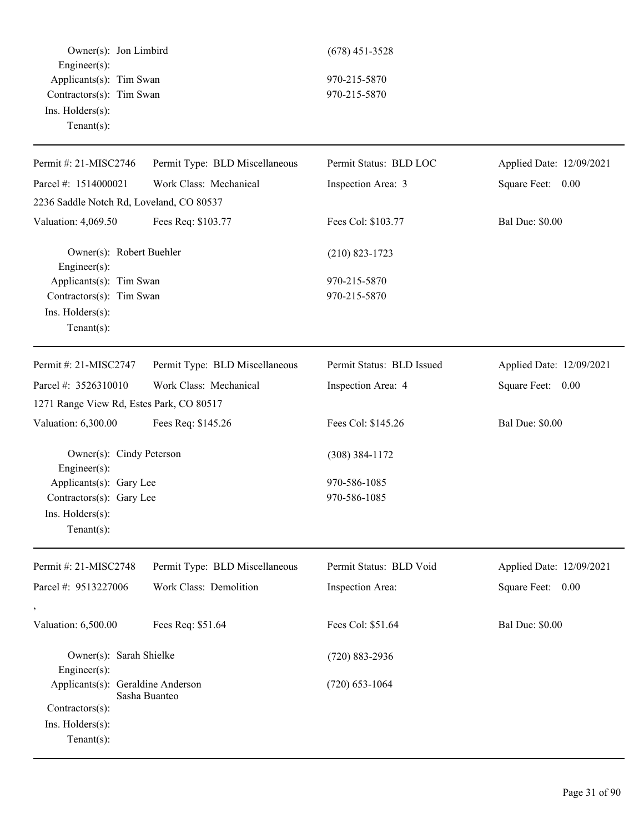Owner(s): Jon Limbird (678) 451-3528 Engineer(s): Applicants(s): Tim Swan 970-215-5870 Contractors(s): Tim Swan 970-215-5870 Ins. Holders(s): Tenant(s):

| Permit Type: BLD Miscellaneous                      | Permit Status: BLD LOC       | Applied Date: 12/09/2021 |
|-----------------------------------------------------|------------------------------|--------------------------|
|                                                     |                              |                          |
| Work Class: Mechanical                              | Inspection Area: 3           | Square Feet: 0.00        |
| 2236 Saddle Notch Rd, Loveland, CO 80537            |                              |                          |
| Fees Req: \$103.77                                  | Fees Col: \$103.77           | <b>Bal Due: \$0.00</b>   |
| Owner(s): Robert Buehler                            | $(210)$ 823-1723             |                          |
| Applicants(s): Tim Swan<br>Contractors(s): Tim Swan | 970-215-5870<br>970-215-5870 |                          |
| Permit Type: BLD Miscellaneous                      | Permit Status: BLD Issued    | Applied Date: 12/09/2021 |
| Work Class: Mechanical                              | Inspection Area: 4           | Square Feet: 0.00        |
| 1271 Range View Rd, Estes Park, CO 80517            |                              |                          |
| Fees Req: \$145.26                                  | Fees Col: \$145.26           | <b>Bal Due: \$0.00</b>   |
| Owner(s): Cindy Peterson                            | $(308)$ 384-1172             |                          |
| Applicants(s): Gary Lee<br>Contractors(s): Gary Lee | 970-586-1085<br>970-586-1085 |                          |
| Permit Type: BLD Miscellaneous                      | Permit Status: BLD Void      | Applied Date: 12/09/2021 |
| Work Class: Demolition                              | Inspection Area:             | Square Feet: 0.00        |
| Fees Req: \$51.64                                   | Fees Col: \$51.64            | <b>Bal Due: \$0.00</b>   |
| Owner(s): Sarah Shielke                             | $(720) 883 - 2936$           |                          |
| Applicants(s): Geraldine Anderson<br>Sasha Buanteo  | $(720)$ 653-1064             |                          |
|                                                     |                              |                          |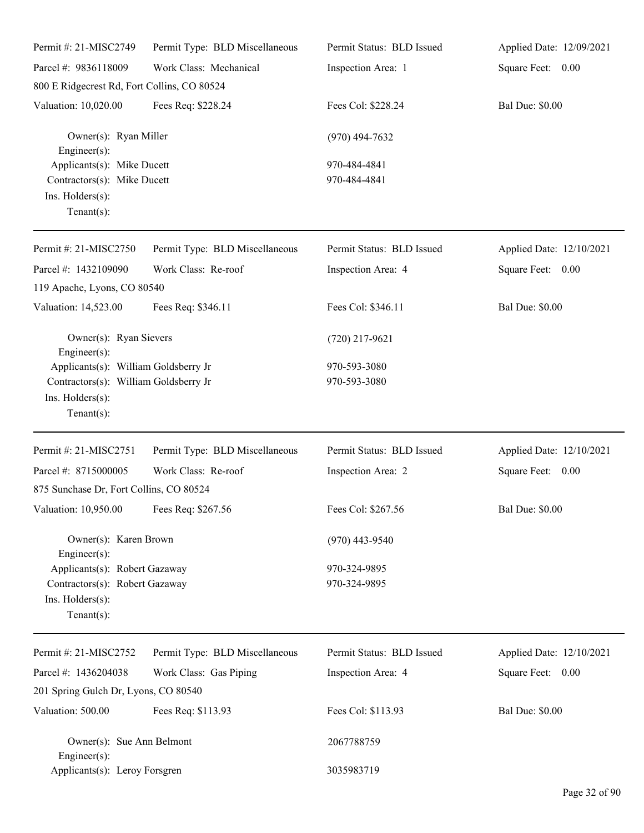| Permit #: 21-MISC2749                                                                                               | Permit Type: BLD Miscellaneous | Permit Status: BLD Issued    | Applied Date: 12/09/2021 |
|---------------------------------------------------------------------------------------------------------------------|--------------------------------|------------------------------|--------------------------|
| Parcel #: 9836118009                                                                                                | Work Class: Mechanical         | Inspection Area: 1           | Square Feet: 0.00        |
| 800 E Ridgecrest Rd, Fort Collins, CO 80524                                                                         |                                |                              |                          |
| Valuation: 10,020.00                                                                                                | Fees Req: \$228.24             | Fees Col: \$228.24           | <b>Bal Due: \$0.00</b>   |
| Owner(s): Ryan Miller<br>$Engineering(s)$ :                                                                         |                                | $(970)$ 494-7632             |                          |
| Applicants(s): Mike Ducett<br>Contractors(s): Mike Ducett<br>Ins. Holders(s):<br>Tenant $(s)$ :                     |                                | 970-484-4841<br>970-484-4841 |                          |
| Permit #: 21-MISC2750                                                                                               | Permit Type: BLD Miscellaneous | Permit Status: BLD Issued    | Applied Date: 12/10/2021 |
| Parcel #: 1432109090<br>119 Apache, Lyons, CO 80540                                                                 | Work Class: Re-roof            | Inspection Area: 4           | Square Feet: 0.00        |
| Valuation: 14,523.00                                                                                                | Fees Req: \$346.11             | Fees Col: \$346.11           | <b>Bal Due: \$0.00</b>   |
| Owner(s): Ryan Sievers<br>$Engineering(s)$ :                                                                        |                                | $(720)$ 217-9621             |                          |
| Applicants(s): William Goldsberry Jr<br>Contractors(s): William Goldsberry Jr<br>Ins. Holders(s):<br>Tenant $(s)$ : |                                | 970-593-3080<br>970-593-3080 |                          |
| Permit #: 21-MISC2751                                                                                               | Permit Type: BLD Miscellaneous | Permit Status: BLD Issued    | Applied Date: 12/10/2021 |
| Parcel #: 8715000005                                                                                                | Work Class: Re-roof            | Inspection Area: 2           | Square Feet: 0.00        |
| 875 Sunchase Dr, Fort Collins, CO 80524                                                                             |                                |                              |                          |
| Valuation: 10,950.00 Fees Req: \$267.56                                                                             |                                | Fees Col: \$267.56           | <b>Bal Due: \$0.00</b>   |
| Owner(s): Karen Brown<br>$Engineering(s)$ :                                                                         |                                | $(970)$ 443-9540             |                          |
| Applicants(s): Robert Gazaway<br>Contractors(s): Robert Gazaway<br>Ins. Holders(s):<br>Tenant $(s)$ :               |                                | 970-324-9895<br>970-324-9895 |                          |
| Permit #: 21-MISC2752                                                                                               | Permit Type: BLD Miscellaneous | Permit Status: BLD Issued    | Applied Date: 12/10/2021 |
| Parcel #: 1436204038                                                                                                | Work Class: Gas Piping         | Inspection Area: 4           | Square Feet: 0.00        |
| 201 Spring Gulch Dr, Lyons, CO 80540                                                                                |                                |                              |                          |
| Valuation: 500.00                                                                                                   | Fees Req: \$113.93             | Fees Col: \$113.93           | <b>Bal Due: \$0.00</b>   |
| Owner(s): Sue Ann Belmont<br>$Engineering(s)$ :                                                                     |                                | 2067788759                   |                          |
| Applicants(s): Leroy Forsgren                                                                                       |                                | 3035983719                   |                          |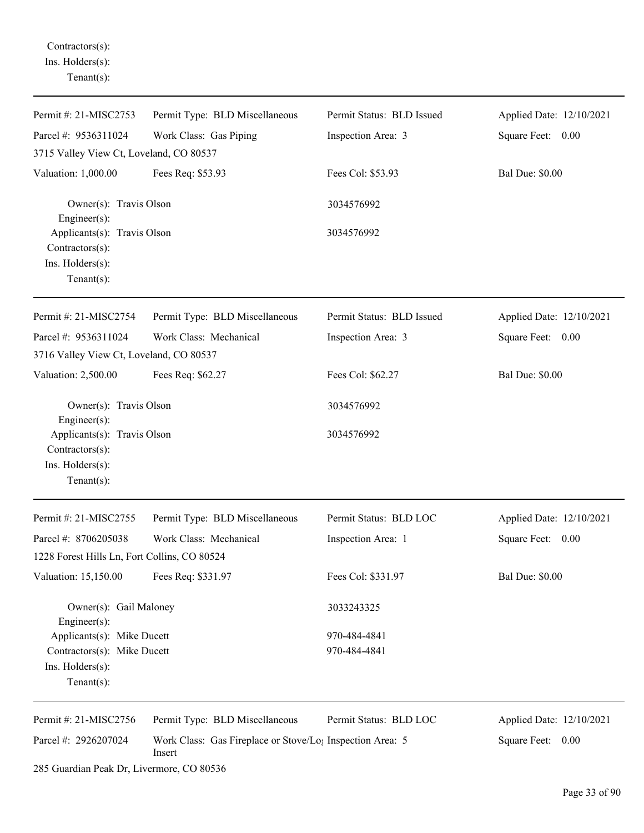Contractors(s): Ins. Holders(s): Tenant(s):

| Permit #: 21-MISC2753                                                                           | Permit Type: BLD Miscellaneous                                                  | Permit Status: BLD Issued    | Applied Date: 12/10/2021 |
|-------------------------------------------------------------------------------------------------|---------------------------------------------------------------------------------|------------------------------|--------------------------|
| Parcel #: 9536311024                                                                            | Work Class: Gas Piping                                                          | Inspection Area: 3           | Square Feet: 0.00        |
| 3715 Valley View Ct, Loveland, CO 80537                                                         |                                                                                 |                              |                          |
| Valuation: 1,000.00                                                                             | Fees Req: \$53.93                                                               | Fees Col: \$53.93            | <b>Bal Due: \$0.00</b>   |
| Owner(s): Travis Olson<br>Engineer(s):                                                          |                                                                                 | 3034576992                   |                          |
| Applicants(s): Travis Olson<br>Contractors(s):<br>Ins. Holders(s):<br>$Tenant(s)$ :             |                                                                                 | 3034576992                   |                          |
| Permit #: 21-MISC2754                                                                           | Permit Type: BLD Miscellaneous                                                  | Permit Status: BLD Issued    | Applied Date: 12/10/2021 |
| Parcel #: 9536311024<br>3716 Valley View Ct, Loveland, CO 80537                                 | Work Class: Mechanical                                                          | Inspection Area: 3           | Square Feet: 0.00        |
| Valuation: 2,500.00                                                                             | Fees Req: \$62.27                                                               | Fees Col: \$62.27            | <b>Bal Due: \$0.00</b>   |
| Owner(s): Travis Olson<br>Engineer(s):                                                          |                                                                                 | 3034576992                   |                          |
| Applicants(s): Travis Olson<br>Contractors(s):<br>Ins. Holders(s):<br>$Tenant(s)$ :             |                                                                                 | 3034576992                   |                          |
| Permit #: 21-MISC2755                                                                           | Permit Type: BLD Miscellaneous                                                  | Permit Status: BLD LOC       | Applied Date: 12/10/2021 |
| Parcel #: 8706205038<br>1228 Forest Hills Ln, Fort Collins, CO 80524                            | Work Class: Mechanical                                                          | Inspection Area: 1           | Square Feet: 0.00        |
| Valuation: 15,150.00                                                                            | Fees Req: \$331.97                                                              | Fees Col: \$331.97           | <b>Bal Due: \$0.00</b>   |
| Owner(s): Gail Maloney<br>$Engineering(s)$ :                                                    |                                                                                 | 3033243325                   |                          |
| Applicants(s): Mike Ducett<br>Contractors(s): Mike Ducett<br>Ins. Holders(s):<br>Tenant $(s)$ : |                                                                                 | 970-484-4841<br>970-484-4841 |                          |
| Permit #: 21-MISC2756                                                                           | Permit Type: BLD Miscellaneous                                                  | Permit Status: BLD LOC       | Applied Date: 12/10/2021 |
| Parcel #: 2926207024                                                                            | Work Class: Gas Fireplace or Stove/Lo <sub>1</sub> Inspection Area: 5<br>Insert |                              | Square Feet: 0.00        |
| 285 Guardian Peak Dr, Livermore, CO 80536                                                       |                                                                                 |                              |                          |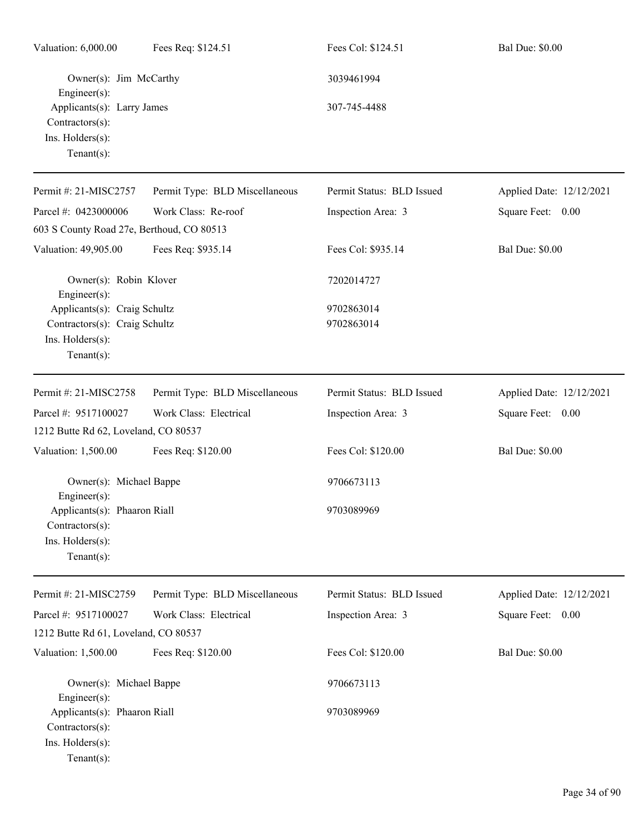| Valuation: 6,000.00                                                                                 | Fees Req: \$124.51             | Fees Col: \$124.51        | <b>Bal Due: \$0.00</b>   |
|-----------------------------------------------------------------------------------------------------|--------------------------------|---------------------------|--------------------------|
| Owner(s): Jim McCarthy<br>$Engineering(s)$ :                                                        |                                | 3039461994                |                          |
| Applicants(s): Larry James<br>Contractors(s):<br>Ins. Holders(s):<br>Tenant $(s)$ :                 |                                | 307-745-4488              |                          |
| Permit #: 21-MISC2757                                                                               | Permit Type: BLD Miscellaneous | Permit Status: BLD Issued | Applied Date: 12/12/2021 |
| Parcel #: 0423000006                                                                                | Work Class: Re-roof            | Inspection Area: 3        | Square Feet: 0.00        |
| 603 S County Road 27e, Berthoud, CO 80513                                                           |                                |                           |                          |
| Valuation: 49,905.00                                                                                | Fees Req: \$935.14             | Fees Col: \$935.14        | <b>Bal Due: \$0.00</b>   |
| Owner(s): Robin Klover<br>$Engineering(s)$ :                                                        |                                | 7202014727                |                          |
| Applicants(s): Craig Schultz<br>Contractors(s): Craig Schultz<br>Ins. Holders(s):<br>Tenant $(s)$ : |                                | 9702863014<br>9702863014  |                          |
| Permit #: 21-MISC2758                                                                               | Permit Type: BLD Miscellaneous | Permit Status: BLD Issued | Applied Date: 12/12/2021 |
| Parcel #: 9517100027                                                                                | Work Class: Electrical         | Inspection Area: 3        | Square Feet: 0.00        |
| 1212 Butte Rd 62, Loveland, CO 80537                                                                |                                |                           |                          |
| Valuation: 1,500.00                                                                                 | Fees Req: \$120.00             | Fees Col: \$120.00        | <b>Bal Due: \$0.00</b>   |
| Owner(s): Michael Bappe<br>$Enginer(s)$ :                                                           |                                | 9706673113                |                          |
| Applicants(s): Phaaron Riall<br>Contractors(s):<br>Ins. Holders(s):<br>Tenant $(s)$ :               |                                | 9703089969                |                          |
| Permit #: 21-MISC2759                                                                               | Permit Type: BLD Miscellaneous | Permit Status: BLD Issued | Applied Date: 12/12/2021 |
| Parcel #: 9517100027                                                                                | Work Class: Electrical         | Inspection Area: 3        | Square Feet: 0.00        |
| 1212 Butte Rd 61, Loveland, CO 80537                                                                |                                |                           |                          |
| Valuation: 1,500.00                                                                                 | Fees Req: \$120.00             | Fees Col: \$120.00        | <b>Bal Due: \$0.00</b>   |
| Owner(s): Michael Bappe<br>$Engineering(s)$ :<br>Applicants(s): Phaaron Riall                       |                                | 9706673113<br>9703089969  |                          |
| Contractors(s):<br>Ins. Holders(s):<br>Tenant $(s)$ :                                               |                                |                           |                          |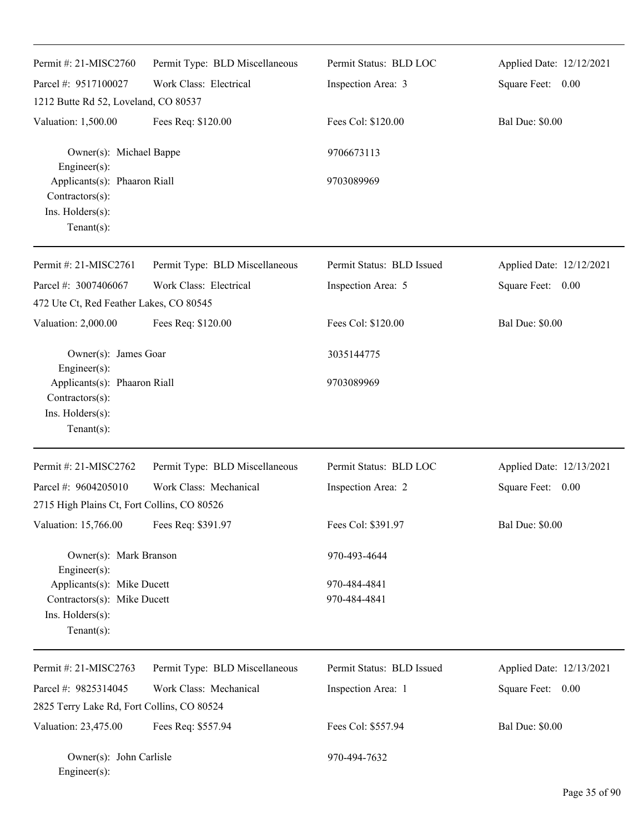| Permit #: 21-MISC2760                                                                                | Permit Type: BLD Miscellaneous | Permit Status: BLD LOC       | Applied Date: 12/12/2021 |
|------------------------------------------------------------------------------------------------------|--------------------------------|------------------------------|--------------------------|
| Parcel #: 9517100027                                                                                 | Work Class: Electrical         | Inspection Area: 3           | Square Feet: 0.00        |
| 1212 Butte Rd 52, Loveland, CO 80537                                                                 |                                |                              |                          |
| Valuation: 1,500.00                                                                                  | Fees Req: \$120.00             | Fees Col: \$120.00           | <b>Bal Due: \$0.00</b>   |
| Owner(s): Michael Bappe<br>Engineer(s):                                                              |                                | 9706673113                   |                          |
| Applicants(s): Phaaron Riall<br>Contractors(s):<br>Ins. Holders(s):<br>Tenant $(s)$ :                |                                | 9703089969                   |                          |
|                                                                                                      |                                |                              |                          |
| Permit #: 21-MISC2761                                                                                | Permit Type: BLD Miscellaneous | Permit Status: BLD Issued    | Applied Date: 12/12/2021 |
| Parcel #: 3007406067                                                                                 | Work Class: Electrical         | Inspection Area: 5           | Square Feet: 0.00        |
| 472 Ute Ct, Red Feather Lakes, CO 80545                                                              |                                |                              |                          |
| Valuation: 2,000.00                                                                                  | Fees Req: \$120.00             | Fees Col: \$120.00           | <b>Bal Due: \$0.00</b>   |
| Owner(s): James Goar                                                                                 |                                | 3035144775                   |                          |
| Engineer(s):<br>Applicants(s): Phaaron Riall<br>Contractors(s):<br>Ins. Holders(s):<br>$Tenant(s)$ : |                                | 9703089969                   |                          |
| Permit #: 21-MISC2762                                                                                | Permit Type: BLD Miscellaneous | Permit Status: BLD LOC       | Applied Date: 12/13/2021 |
| Parcel #: 9604205010                                                                                 | Work Class: Mechanical         | Inspection Area: 2           | Square Feet: 0.00        |
| 2715 High Plains Ct, Fort Collins, CO 80526                                                          |                                |                              |                          |
| Valuation: 15,766.00                                                                                 | Fees Req: \$391.97             | Fees Col: \$391.97           | <b>Bal Due: \$0.00</b>   |
| Owner(s): Mark Branson<br>Engineer(s):                                                               |                                | 970-493-4644                 |                          |
| Applicants(s): Mike Ducett<br>Contractors(s): Mike Ducett<br>Ins. Holders(s):<br>Tenant $(s)$ :      |                                | 970-484-4841<br>970-484-4841 |                          |
| Permit #: 21-MISC2763                                                                                | Permit Type: BLD Miscellaneous | Permit Status: BLD Issued    | Applied Date: 12/13/2021 |
| Parcel #: 9825314045                                                                                 | Work Class: Mechanical         | Inspection Area: 1           | Square Feet: 0.00        |
| 2825 Terry Lake Rd, Fort Collins, CO 80524                                                           |                                |                              |                          |
| Valuation: 23,475.00                                                                                 | Fees Req: \$557.94             | Fees Col: \$557.94           | <b>Bal Due: \$0.00</b>   |
| Owner(s): John Carlisle<br>Engineer(s):                                                              |                                | 970-494-7632                 |                          |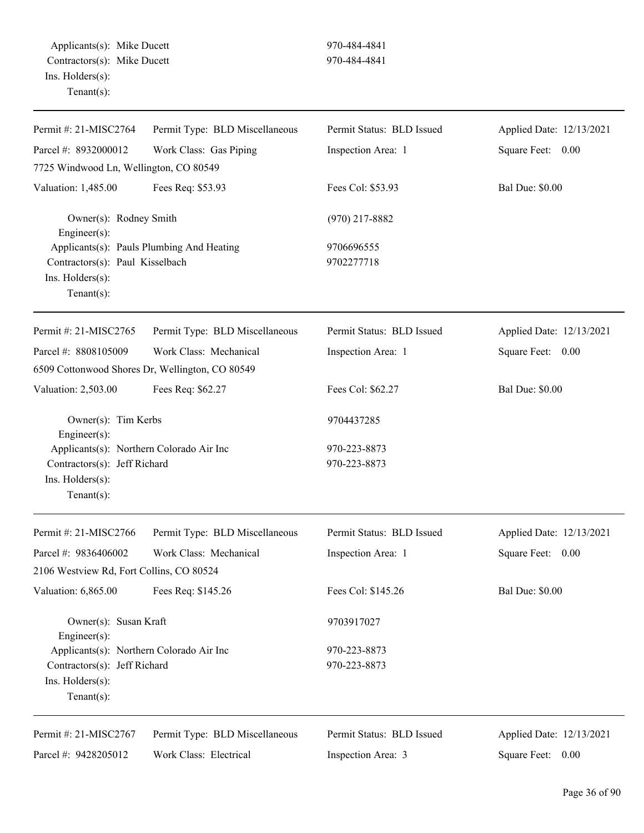| Permit #: 21-MISC2764                                                                                             | Permit Type: BLD Miscellaneous                  | Permit Status: BLD Issued    | Applied Date: 12/13/2021 |
|-------------------------------------------------------------------------------------------------------------------|-------------------------------------------------|------------------------------|--------------------------|
| Parcel #: 8932000012                                                                                              | Work Class: Gas Piping                          | Inspection Area: 1           | Square Feet: 0.00        |
| 7725 Windwood Ln, Wellington, CO 80549                                                                            |                                                 |                              |                          |
| Valuation: 1,485.00                                                                                               | Fees Req: \$53.93                               | Fees Col: \$53.93            | <b>Bal Due: \$0.00</b>   |
| Owner(s): Rodney Smith<br>Engineer(s):                                                                            |                                                 | $(970)$ 217-8882             |                          |
| Applicants(s): Pauls Plumbing And Heating<br>Contractors(s): Paul Kisselbach<br>Ins. Holders(s):<br>$Tenant(s)$ : |                                                 | 9706696555<br>9702277718     |                          |
| Permit #: 21-MISC2765                                                                                             | Permit Type: BLD Miscellaneous                  | Permit Status: BLD Issued    | Applied Date: 12/13/2021 |
| Parcel #: 8808105009                                                                                              | Work Class: Mechanical                          | Inspection Area: 1           | Square Feet: 0.00        |
|                                                                                                                   | 6509 Cottonwood Shores Dr, Wellington, CO 80549 |                              |                          |
| Valuation: 2,503.00                                                                                               | Fees Req: \$62.27                               | Fees Col: \$62.27            | <b>Bal Due: \$0.00</b>   |
| Owner(s): Tim Kerbs<br>Engineer(s):                                                                               |                                                 | 9704437285                   |                          |
| Applicants(s): Northern Colorado Air Inc<br>Contractors(s): Jeff Richard<br>Ins. Holders(s):<br>$Tenant(s)$ :     |                                                 | 970-223-8873<br>970-223-8873 |                          |
| Permit #: 21-MISC2766                                                                                             | Permit Type: BLD Miscellaneous                  | Permit Status: BLD Issued    | Applied Date: 12/13/2021 |
| Parcel #: 9836406002                                                                                              | Work Class: Mechanical                          | Inspection Area: 1           | Square Feet: 0.00        |
| 2106 Westview Rd, Fort Collins, CO 80524                                                                          |                                                 |                              |                          |
| Valuation: 6,865.00                                                                                               | Fees Req: \$145.26                              | Fees Col: \$145.26           | <b>Bal Due: \$0.00</b>   |
| Owner(s): Susan Kraft<br>Engineer(s):                                                                             |                                                 | 9703917027                   |                          |
| Applicants(s): Northern Colorado Air Inc<br>Contractors(s): Jeff Richard<br>Ins. Holders(s):<br>$Tenant(s)$ :     |                                                 | 970-223-8873<br>970-223-8873 |                          |
| Permit #: 21-MISC2767                                                                                             | Permit Type: BLD Miscellaneous                  | Permit Status: BLD Issued    | Applied Date: 12/13/2021 |
| Parcel #: 9428205012                                                                                              | Work Class: Electrical                          | Inspection Area: 3           | Square Feet: 0.00        |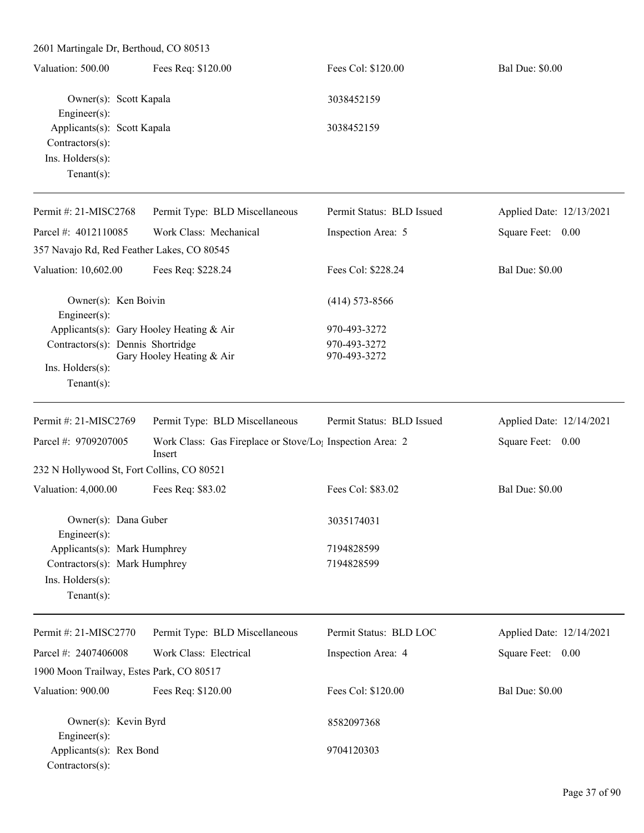| 2601 Martingale Dr, Berthoud, CO 80513                                                    |                                                                     |                              |                          |
|-------------------------------------------------------------------------------------------|---------------------------------------------------------------------|------------------------------|--------------------------|
| Valuation: 500.00                                                                         | Fees Req: \$120.00                                                  | Fees Col: \$120.00           | <b>Bal Due: \$0.00</b>   |
| Owner(s): Scott Kapala                                                                    |                                                                     | 3038452159                   |                          |
| Engineer(s):<br>Applicants(s): Scott Kapala<br>Contractors(s):<br>Ins. $H$ olders $(s)$ : |                                                                     | 3038452159                   |                          |
| $Tenant(s)$ :                                                                             |                                                                     |                              |                          |
| Permit #: 21-MISC2768                                                                     | Permit Type: BLD Miscellaneous                                      | Permit Status: BLD Issued    | Applied Date: 12/13/2021 |
| Parcel #: 4012110085                                                                      | Work Class: Mechanical                                              | Inspection Area: 5           | Square Feet: 0.00        |
| 357 Navajo Rd, Red Feather Lakes, CO 80545                                                |                                                                     |                              |                          |
| Valuation: 10,602.00                                                                      | Fees Req: \$228.24                                                  | Fees Col: \$228.24           | <b>Bal Due: \$0.00</b>   |
| Owner(s): Ken Boivin<br>Engineer(s):                                                      |                                                                     | $(414)$ 573-8566             |                          |
| Applicants(s): Gary Hooley Heating & Air                                                  |                                                                     | 970-493-3272                 |                          |
| Contractors(s): Dennis Shortridge                                                         | Gary Hooley Heating & Air                                           | 970-493-3272<br>970-493-3272 |                          |
| Ins. Holders(s):                                                                          |                                                                     |                              |                          |
| $Tenant(s)$ :                                                                             |                                                                     |                              |                          |
| Permit #: 21-MISC2769                                                                     | Permit Type: BLD Miscellaneous                                      | Permit Status: BLD Issued    | Applied Date: 12/14/2021 |
| Parcel #: 9709207005                                                                      | Work Class: Gas Fireplace or Stove/Lo; Inspection Area: 2<br>Insert |                              | Square Feet: 0.00        |
| 232 N Hollywood St, Fort Collins, CO 80521                                                |                                                                     |                              |                          |
| Valuation: 4,000.00                                                                       | Fees Req: \$83.02                                                   | Fees Col: \$83.02            | <b>Bal Due: \$0.00</b>   |
| Owner(s): Dana Guber<br>Engineer(s):                                                      |                                                                     | 3035174031                   |                          |
| Applicants(s): Mark Humphrey                                                              |                                                                     | 7194828599                   |                          |
| Contractors(s): Mark Humphrey                                                             |                                                                     | 7194828599                   |                          |
| Ins. Holders(s):                                                                          |                                                                     |                              |                          |
| Tenant(s):                                                                                |                                                                     |                              |                          |

| Permit #: $21-MISC2770$ | Permit Type: BLD Miscellaneous           | Permit Status: BLD LOC | Applied Date: 12/14/2021 |
|-------------------------|------------------------------------------|------------------------|--------------------------|
| Parcel #: $2407406008$  | Work Class: Electrical                   | Inspection Area: 4     | Square Feet:<br>0.00     |
|                         | 1900 Moon Trailway, Estes Park, CO 80517 |                        |                          |
| Valuation: 900.00       | Fees Req: \$120.00                       | Fees Col: \$120.00     | <b>Bal Due: \$0.00</b>   |
| Owner(s): Kevin Byrd    |                                          | 8582097368             |                          |
| Engineer $(s)$ :        |                                          |                        |                          |
| Applicants(s): Rex Bond |                                          | 9704120303             |                          |
| $Contractors(s)$ :      |                                          |                        |                          |

L.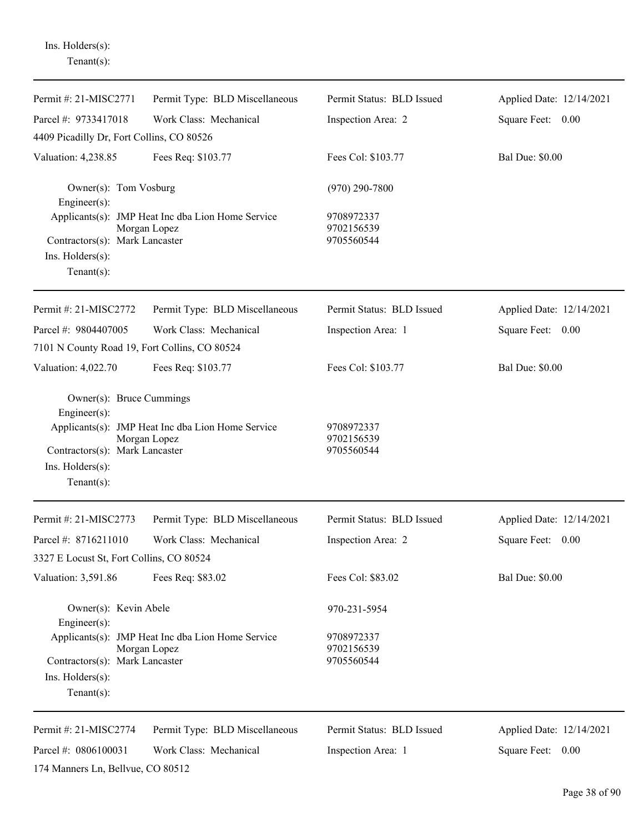| Permit #: 21-MISC2771                                                      | Permit Type: BLD Miscellaneous                                    | Permit Status: BLD Issued              | Applied Date: 12/14/2021 |
|----------------------------------------------------------------------------|-------------------------------------------------------------------|----------------------------------------|--------------------------|
| Parcel #: 9733417018                                                       | Work Class: Mechanical                                            | Inspection Area: 2                     | Square Feet: 0.00        |
| 4409 Picadilly Dr, Fort Collins, CO 80526                                  |                                                                   |                                        |                          |
| Valuation: 4,238.85                                                        | Fees Req: \$103.77                                                | Fees Col: \$103.77                     | <b>Bal Due: \$0.00</b>   |
| Owner(s): Tom Vosburg<br>Engineer(s):                                      |                                                                   | $(970)$ 290-7800                       |                          |
| Contractors(s): Mark Lancaster<br>$Ins.$ Holders $(s)$ :<br>Tenant $(s)$ : | Applicants(s): JMP Heat Inc dba Lion Home Service<br>Morgan Lopez | 9708972337<br>9702156539<br>9705560544 |                          |
| Permit #: 21-MISC2772                                                      | Permit Type: BLD Miscellaneous                                    | Permit Status: BLD Issued              | Applied Date: 12/14/2021 |
| Parcel #: 9804407005<br>7101 N County Road 19, Fort Collins, CO 80524      | Work Class: Mechanical                                            | Inspection Area: 1                     | Square Feet: 0.00        |
| Valuation: 4,022.70                                                        | Fees Req: \$103.77                                                | Fees Col: \$103.77                     | <b>Bal Due: \$0.00</b>   |
| Owner(s): Bruce Cummings<br>Engineer $(s)$ :                               |                                                                   |                                        |                          |
| Contractors(s): Mark Lancaster<br>Ins. Holders(s):<br>$Tenant(s)$ :        | Applicants(s): JMP Heat Inc dba Lion Home Service<br>Morgan Lopez | 9708972337<br>9702156539<br>9705560544 |                          |
| Permit #: 21-MISC2773                                                      | Permit Type: BLD Miscellaneous                                    | Permit Status: BLD Issued              | Applied Date: 12/14/2021 |
| Parcel #: 8716211010                                                       | Work Class: Mechanical                                            | Inspection Area: 2                     | Square Feet:<br>0.00     |
| 3327 E Locust St, Fort Collins, CO 80524                                   |                                                                   |                                        |                          |
| Valuation: 3,591.86                                                        | Fees Req: \$83.02                                                 | Fees Col: \$83.02                      | <b>Bal Due: \$0.00</b>   |
| Owner(s): Kevin Abele<br>$Engineering(s)$ :                                |                                                                   | 970-231-5954                           |                          |
| Contractors(s): Mark Lancaster<br>Ins. Holders(s):<br>$Tenant(s)$ :        | Applicants(s): JMP Heat Inc dba Lion Home Service<br>Morgan Lopez | 9708972337<br>9702156539<br>9705560544 |                          |
| Permit #: 21-MISC2774                                                      | Permit Type: BLD Miscellaneous                                    | Permit Status: BLD Issued              | Applied Date: 12/14/2021 |
| Parcel #: 0806100031                                                       | Work Class: Mechanical                                            | Inspection Area: 1                     | Square Feet: 0.00        |
| 174 Manners Ln, Bellvue, CO 80512                                          |                                                                   |                                        |                          |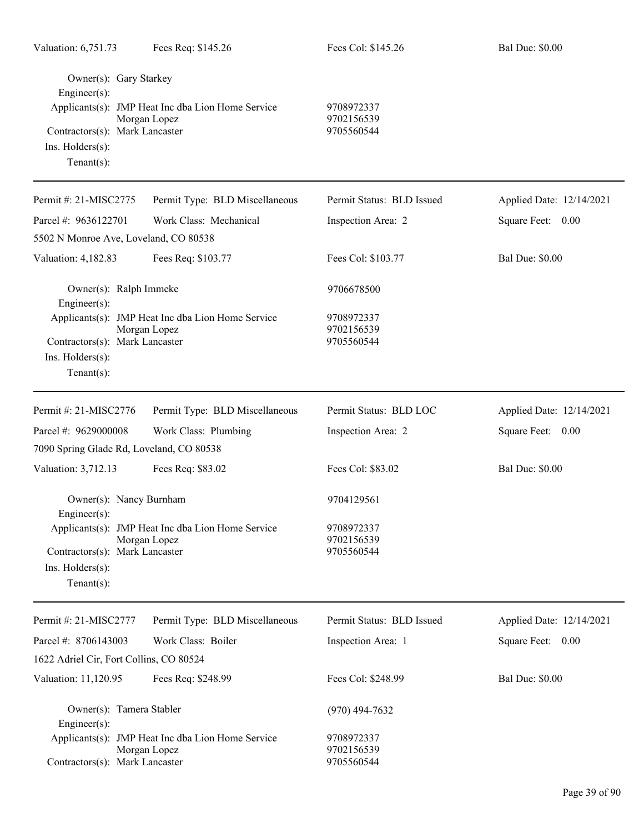| Owner(s): Gary Starkey<br>Engineer(s):<br>Contractors(s): Mark Lancaster<br>Ins. Holders(s):<br>Tenant $(s)$ : | Applicants(s): JMP Heat Inc dba Lion Home Service<br>Morgan Lopez | 9708972337<br>9702156539<br>9705560544 |                          |
|----------------------------------------------------------------------------------------------------------------|-------------------------------------------------------------------|----------------------------------------|--------------------------|
| Permit #: 21-MISC2775                                                                                          | Permit Type: BLD Miscellaneous                                    | Permit Status: BLD Issued              | Applied Date: 12/14/2021 |
| Parcel #: 9636122701                                                                                           | Work Class: Mechanical                                            | Inspection Area: 2                     | Square Feet: 0.00        |
| 5502 N Monroe Ave, Loveland, CO 80538                                                                          |                                                                   |                                        |                          |
| Valuation: 4,182.83                                                                                            | Fees Req: \$103.77                                                | Fees Col: \$103.77                     | <b>Bal Due: \$0.00</b>   |
| Owner(s): Ralph Immeke<br>$Engineering(s)$ :                                                                   |                                                                   | 9706678500                             |                          |
| Contractors(s): Mark Lancaster<br>Ins. $H$ olders $(s)$ :<br>Tenant $(s)$ :                                    | Applicants(s): JMP Heat Inc dba Lion Home Service<br>Morgan Lopez | 9708972337<br>9702156539<br>9705560544 |                          |
| Permit #: 21-MISC2776                                                                                          | Permit Type: BLD Miscellaneous                                    | Permit Status: BLD LOC                 | Applied Date: 12/14/2021 |
| Parcel #: 9629000008                                                                                           | Work Class: Plumbing                                              | Inspection Area: 2                     | Square Feet: 0.00        |
| 7090 Spring Glade Rd, Loveland, CO 80538                                                                       |                                                                   |                                        |                          |
| Valuation: 3,712.13                                                                                            | Fees Req: \$83.02                                                 | Fees Col: \$83.02                      | <b>Bal Due: \$0.00</b>   |
| Owner(s): Nancy Burnham<br>Engineer(s):                                                                        |                                                                   | 9704129561                             |                          |
| Contractors(s): Mark Lancaster<br>$Ins.$ Holders $(s)$ :<br>Tenant $(s)$ :                                     | Applicants(s): JMP Heat Inc dba Lion Home Service<br>Morgan Lopez | 9708972337<br>9702156539<br>9705560544 |                          |
| Permit #: 21-MISC2777                                                                                          | Permit Type: BLD Miscellaneous                                    | Permit Status: BLD Issued              | Applied Date: 12/14/2021 |
| Parcel #: 8706143003                                                                                           | Work Class: Boiler                                                | Inspection Area: 1                     | Square Feet: 0.00        |
| 1622 Adriel Cir, Fort Collins, CO 80524                                                                        |                                                                   |                                        |                          |
| Valuation: 11,120.95                                                                                           | Fees Req: \$248.99                                                | Fees Col: \$248.99                     | <b>Bal Due: \$0.00</b>   |
| Owner(s): Tamera Stabler<br>$Engineering(s)$ :                                                                 |                                                                   | $(970)$ 494-7632                       |                          |
| Contractors(s): Mark Lancaster                                                                                 | Applicants(s): JMP Heat Inc dba Lion Home Service<br>Morgan Lopez | 9708972337<br>9702156539<br>9705560544 |                          |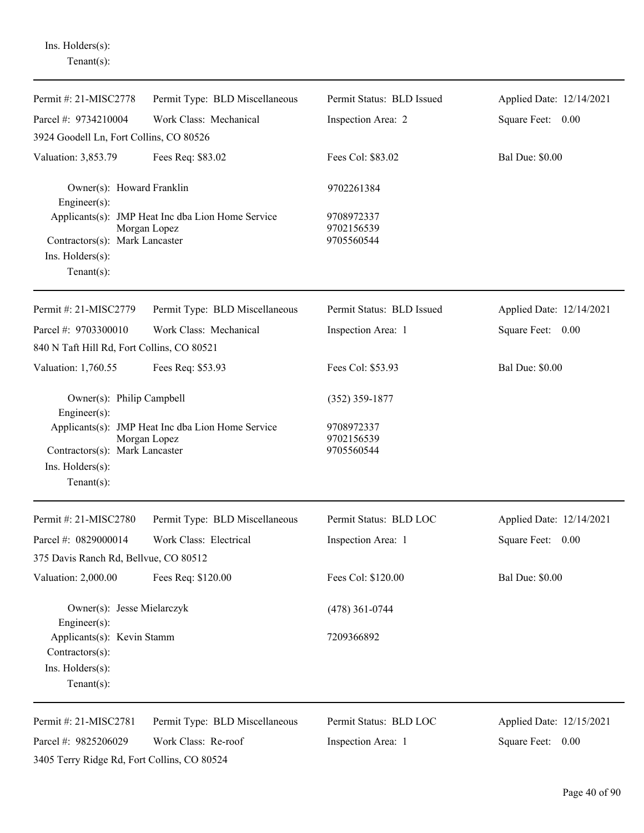| Permit #: 21-MISC2778                                                              | Permit Type: BLD Miscellaneous                                    | Permit Status: BLD Issued              | Applied Date: 12/14/2021 |
|------------------------------------------------------------------------------------|-------------------------------------------------------------------|----------------------------------------|--------------------------|
| Parcel #: 9734210004                                                               | Work Class: Mechanical                                            | Inspection Area: 2                     | Square Feet: 0.00        |
| 3924 Goodell Ln, Fort Collins, CO 80526                                            |                                                                   |                                        |                          |
| Valuation: 3,853.79                                                                | Fees Req: \$83.02                                                 | Fees Col: \$83.02                      | <b>Bal Due: \$0.00</b>   |
| Owner(s): Howard Franklin<br>Engineer(s):                                          |                                                                   | 9702261384                             |                          |
| Contractors(s): Mark Lancaster<br>Ins. Holders(s):<br>Tenant $(s)$ :               | Applicants(s): JMP Heat Inc dba Lion Home Service<br>Morgan Lopez | 9708972337<br>9702156539<br>9705560544 |                          |
| Permit #: 21-MISC2779                                                              | Permit Type: BLD Miscellaneous                                    | Permit Status: BLD Issued              | Applied Date: 12/14/2021 |
| Parcel #: 9703300010                                                               | Work Class: Mechanical                                            | Inspection Area: 1                     | Square Feet: 0.00        |
| 840 N Taft Hill Rd, Fort Collins, CO 80521                                         |                                                                   |                                        |                          |
| Valuation: 1,760.55                                                                | Fees Req: \$53.93                                                 | Fees Col: \$53.93                      | <b>Bal Due: \$0.00</b>   |
| Owner(s): Philip Campbell<br>Engineer(s):                                          |                                                                   | $(352)$ 359-1877                       |                          |
| Contractors(s): Mark Lancaster<br>Ins. Holders(s):<br>Tenant $(s)$ :               | Applicants(s): JMP Heat Inc dba Lion Home Service<br>Morgan Lopez | 9708972337<br>9702156539<br>9705560544 |                          |
| Permit #: 21-MISC2780                                                              | Permit Type: BLD Miscellaneous                                    | Permit Status: BLD LOC                 | Applied Date: 12/14/2021 |
| Parcel #: 0829000014                                                               | Work Class: Electrical                                            | Inspection Area: 1                     | Square Feet:<br>0.00     |
| 375 Davis Ranch Rd, Bellvue, CO 80512                                              |                                                                   |                                        |                          |
| Valuation: 2,000.00                                                                | Fees Req: \$120.00                                                | Fees Col: \$120.00                     | <b>Bal Due: \$0.00</b>   |
| Owner(s): Jesse Mielarczyk<br>Engineer $(s)$ :                                     |                                                                   | $(478)$ 361-0744                       |                          |
| Applicants(s): Kevin Stamm<br>Contractors(s):<br>Ins. Holders(s):<br>$Tenant(s)$ : |                                                                   | 7209366892                             |                          |
| Permit #: 21-MISC2781                                                              | Permit Type: BLD Miscellaneous                                    | Permit Status: BLD LOC                 | Applied Date: 12/15/2021 |
| Parcel #: 9825206029<br>3405 Terry Ridge Rd, Fort Collins, CO 80524                | Work Class: Re-roof                                               | Inspection Area: 1                     | Square Feet: 0.00        |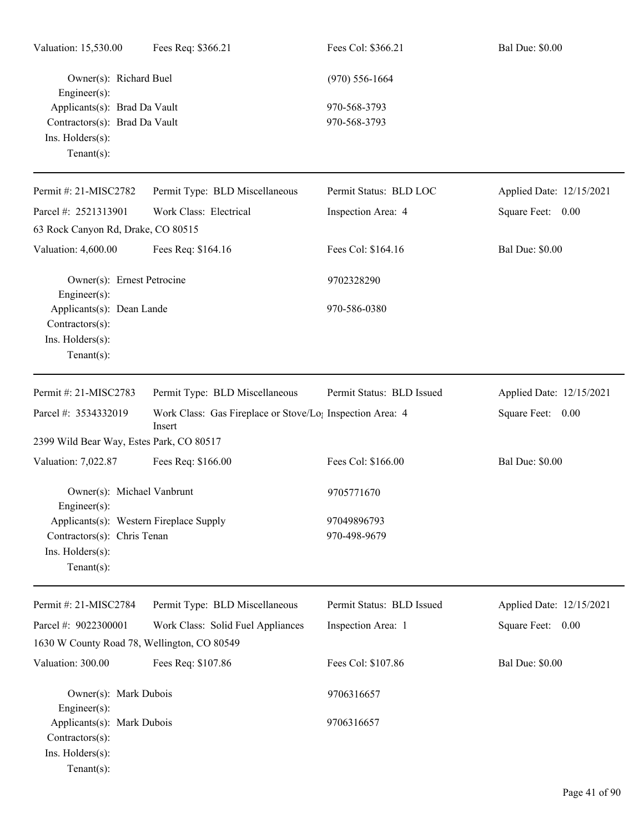| Valuation: 15,530.00                                                               | Fees Req: \$366.21                                                              | Fees Col: \$366.21        | <b>Bal Due: \$0.00</b>   |
|------------------------------------------------------------------------------------|---------------------------------------------------------------------------------|---------------------------|--------------------------|
| Owner(s): Richard Buel<br>Engineer(s):                                             |                                                                                 | $(970)$ 556-1664          |                          |
| Applicants(s): Brad Da Vault                                                       |                                                                                 | 970-568-3793              |                          |
| Contractors(s): Brad Da Vault                                                      |                                                                                 | 970-568-3793              |                          |
| Ins. Holders(s):<br>Tenant $(s)$ :                                                 |                                                                                 |                           |                          |
| Permit #: 21-MISC2782                                                              | Permit Type: BLD Miscellaneous                                                  | Permit Status: BLD LOC    | Applied Date: 12/15/2021 |
| Parcel #: 2521313901                                                               | Work Class: Electrical                                                          | Inspection Area: 4        | Square Feet: 0.00        |
| 63 Rock Canyon Rd, Drake, CO 80515                                                 |                                                                                 |                           |                          |
| Valuation: 4,600.00                                                                | Fees Req: \$164.16                                                              | Fees Col: \$164.16        | <b>Bal Due: \$0.00</b>   |
| Owner(s): Ernest Petrocine<br>Engineer(s):                                         |                                                                                 | 9702328290                |                          |
| Applicants(s): Dean Lande<br>Contractors(s):                                       |                                                                                 | 970-586-0380              |                          |
| Ins. Holders(s):<br>$Tenant(s)$ :                                                  |                                                                                 |                           |                          |
| Permit #: 21-MISC2783                                                              | Permit Type: BLD Miscellaneous                                                  | Permit Status: BLD Issued | Applied Date: 12/15/2021 |
| Parcel #: 3534332019                                                               | Work Class: Gas Fireplace or Stove/Lo <sub>!</sub> Inspection Area: 4<br>Insert |                           | Square Feet: 0.00        |
| 2399 Wild Bear Way, Estes Park, CO 80517                                           |                                                                                 |                           |                          |
| Valuation: 7,022.87                                                                | Fees Req: \$166.00                                                              | Fees Col: \$166.00        | <b>Bal Due: \$0.00</b>   |
| Owner(s): Michael Vanbrunt<br>$Engineer(s)$ :                                      |                                                                                 | 9705771670                |                          |
| Applicants(s): Western Fireplace Supply                                            |                                                                                 | 97049896793               |                          |
| Contractors(s): Chris Tenan<br>Ins. Holders(s):<br>Tenant $(s)$ :                  |                                                                                 | 970-498-9679              |                          |
| Permit #: 21-MISC2784                                                              | Permit Type: BLD Miscellaneous                                                  | Permit Status: BLD Issued | Applied Date: 12/15/2021 |
| Parcel #: 9022300001                                                               | Work Class: Solid Fuel Appliances                                               | Inspection Area: 1        | Square Feet: 0.00        |
| 1630 W County Road 78, Wellington, CO 80549                                        |                                                                                 |                           |                          |
| Valuation: 300.00                                                                  | Fees Req: \$107.86                                                              | Fees Col: \$107.86        | <b>Bal Due: \$0.00</b>   |
| Owner(s): Mark Dubois<br>Engineer(s):                                              |                                                                                 | 9706316657                |                          |
| Applicants(s): Mark Dubois<br>Contractors(s):<br>Ins. Holders(s):<br>$Tenant(s)$ : |                                                                                 | 9706316657                |                          |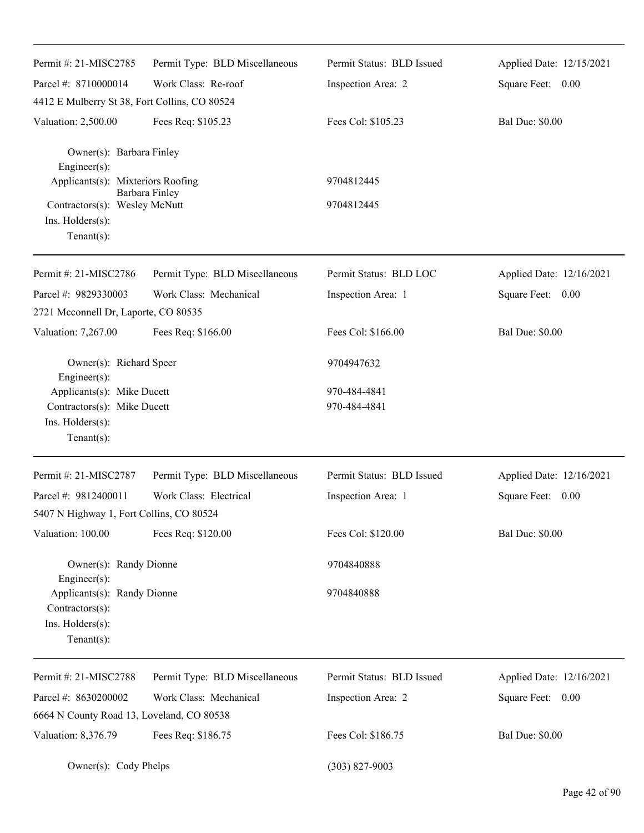| Permit #: 21-MISC2785                          | Permit Type: BLD Miscellaneous | Permit Status: BLD Issued | Applied Date: 12/15/2021 |
|------------------------------------------------|--------------------------------|---------------------------|--------------------------|
| Parcel #: 8710000014                           | Work Class: Re-roof            | Inspection Area: 2        | Square Feet: 0.00        |
| 4412 E Mulberry St 38, Fort Collins, CO 80524  |                                |                           |                          |
| Valuation: 2,500.00                            | Fees Req: \$105.23             | Fees Col: \$105.23        | <b>Bal Due: \$0.00</b>   |
| Owner(s): Barbara Finley<br>Engineer(s):       |                                |                           |                          |
| Applicants(s): Mixteriors Roofing              |                                | 9704812445                |                          |
| Contractors(s): Wesley McNutt                  | Barbara Finley                 | 9704812445                |                          |
| Ins. Holders(s):                               |                                |                           |                          |
| $Tenant(s)$ :                                  |                                |                           |                          |
| Permit #: 21-MISC2786                          | Permit Type: BLD Miscellaneous | Permit Status: BLD LOC    | Applied Date: 12/16/2021 |
| Parcel #: 9829330003                           | Work Class: Mechanical         | Inspection Area: 1        | Square Feet: 0.00        |
| 2721 Mcconnell Dr, Laporte, CO 80535           |                                |                           |                          |
| Valuation: 7,267.00                            | Fees Req: \$166.00             | Fees Col: \$166.00        | <b>Bal Due: \$0.00</b>   |
| Owner(s): Richard Speer<br>Engineer(s):        |                                | 9704947632                |                          |
| Applicants(s): Mike Ducett                     |                                | 970-484-4841              |                          |
| Contractors(s): Mike Ducett                    |                                | 970-484-4841              |                          |
| Ins. Holders(s):                               |                                |                           |                          |
| $Tenant(s)$ :                                  |                                |                           |                          |
| Permit #: 21-MISC2787                          | Permit Type: BLD Miscellaneous | Permit Status: BLD Issued | Applied Date: 12/16/2021 |
| Parcel #: 9812400011                           | Work Class: Electrical         | Inspection Area: 1        | Square Feet: 0.00        |
| 5407 N Highway 1, Fort Collins, CO 80524       |                                |                           |                          |
| Valuation: 100.00                              | Fees Req: \$120.00             | Fees Col: \$120.00        | <b>Bal Due: \$0.00</b>   |
| Owner(s): Randy Dionne<br>Engineer(s):         |                                | 9704840888                |                          |
| Applicants(s): Randy Dionne<br>Contractors(s): |                                | 9704840888                |                          |
| Ins. Holders(s):<br>$Tenant(s)$ :              |                                |                           |                          |
| Permit #: 21-MISC2788                          | Permit Type: BLD Miscellaneous | Permit Status: BLD Issued | Applied Date: 12/16/2021 |
| Parcel #: 8630200002                           | Work Class: Mechanical         | Inspection Area: 2        | Square Feet: 0.00        |
| 6664 N County Road 13, Loveland, CO 80538      |                                |                           |                          |
| Valuation: 8,376.79                            | Fees Req: \$186.75             | Fees Col: \$186.75        | <b>Bal Due: \$0.00</b>   |
| Owner(s): Cody Phelps                          |                                | $(303)$ 827-9003          |                          |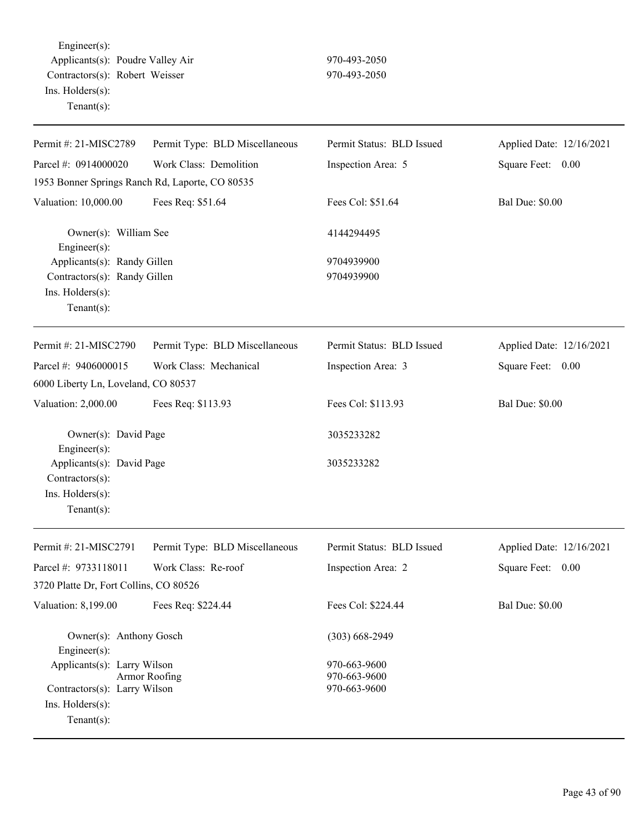Engineer(s): Applicants(s): Poudre Valley Air 970-493-2050 Contractors(s): Robert Weisser 970-493-2050 Ins. Holders(s): Tenant(s):

| Permit #: 21-MISC2789                                                              | Permit Type: BLD Miscellaneous | Permit Status: BLD Issued    | Applied Date: 12/16/2021 |
|------------------------------------------------------------------------------------|--------------------------------|------------------------------|--------------------------|
| Parcel #: 0914000020                                                               | Work Class: Demolition         | Inspection Area: 5           | Square Feet: 0.00        |
| 1953 Bonner Springs Ranch Rd, Laporte, CO 80535                                    |                                |                              |                          |
| Valuation: 10,000.00                                                               | Fees Req: \$51.64              | Fees Col: \$51.64            | <b>Bal Due: \$0.00</b>   |
| Owner(s): William See<br>Engineer(s):                                              |                                | 4144294495                   |                          |
| Applicants(s): Randy Gillen                                                        |                                | 9704939900                   |                          |
| Contractors(s): Randy Gillen<br>Ins. Holders(s):<br>Tenant $(s)$ :                 |                                | 9704939900                   |                          |
| Permit #: 21-MISC2790                                                              | Permit Type: BLD Miscellaneous | Permit Status: BLD Issued    | Applied Date: 12/16/2021 |
| Parcel #: 9406000015                                                               | Work Class: Mechanical         | Inspection Area: 3           | Square Feet: 0.00        |
| 6000 Liberty Ln, Loveland, CO 80537                                                |                                |                              |                          |
| Valuation: 2,000.00                                                                | Fees Req: \$113.93             | Fees Col: \$113.93           | <b>Bal Due: \$0.00</b>   |
| Owner(s): David Page<br>Engineer $(s)$ :                                           |                                | 3035233282                   |                          |
| Applicants(s): David Page<br>Contractors(s):<br>Ins. Holders(s):<br>Tenant $(s)$ : |                                | 3035233282                   |                          |
| Permit #: 21-MISC2791                                                              | Permit Type: BLD Miscellaneous | Permit Status: BLD Issued    | Applied Date: 12/16/2021 |
| Parcel #: 9733118011                                                               | Work Class: Re-roof            | Inspection Area: 2           | Square Feet: 0.00        |
| 3720 Platte Dr, Fort Collins, CO 80526                                             |                                |                              |                          |
| Valuation: 8,199.00                                                                | Fees Req: \$224.44             | Fees Col: \$224.44           | <b>Bal Due: \$0.00</b>   |
| Owner(s): Anthony Gosch<br>Engineer $(s)$ :                                        |                                | $(303) 668 - 2949$           |                          |
| Applicants(s): Larry Wilson                                                        |                                | 970-663-9600                 |                          |
| Contractors(s): Larry Wilson                                                       | Armor Roofing                  | 970-663-9600<br>970-663-9600 |                          |
| Ins. $H$ olders $(s)$ :                                                            |                                |                              |                          |
| Tenant $(s)$ :                                                                     |                                |                              |                          |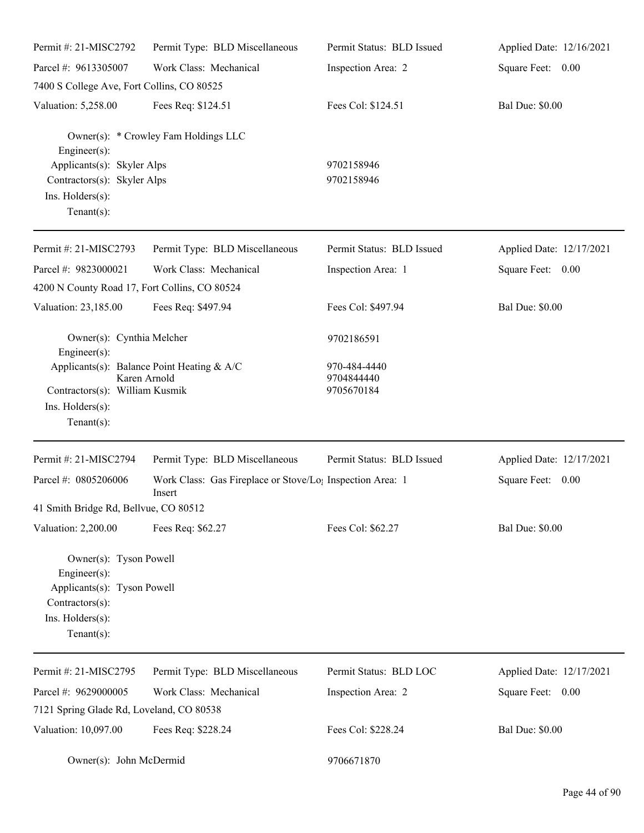| Permit #: 21-MISC2792                                                                                                          | Permit Type: BLD Miscellaneous                                                  | Permit Status: BLD Issued                | Applied Date: 12/16/2021 |
|--------------------------------------------------------------------------------------------------------------------------------|---------------------------------------------------------------------------------|------------------------------------------|--------------------------|
| Parcel #: 9613305007                                                                                                           | Work Class: Mechanical                                                          | Inspection Area: 2                       | Square Feet: 0.00        |
| 7400 S College Ave, Fort Collins, CO 80525                                                                                     |                                                                                 |                                          |                          |
| Valuation: 5,258.00                                                                                                            | Fees Req: \$124.51                                                              | Fees Col: \$124.51                       | <b>Bal Due: \$0.00</b>   |
| Engineer(s):                                                                                                                   | Owner(s): * Crowley Fam Holdings LLC                                            |                                          |                          |
| Applicants(s): Skyler Alps<br>Contractors(s): Skyler Alps<br>Ins. Holders(s):<br>$Tenant(s)$ :                                 |                                                                                 | 9702158946<br>9702158946                 |                          |
| Permit #: 21-MISC2793                                                                                                          | Permit Type: BLD Miscellaneous                                                  | Permit Status: BLD Issued                | Applied Date: 12/17/2021 |
| Parcel #: 9823000021                                                                                                           | Work Class: Mechanical                                                          | Inspection Area: 1                       | Square Feet: 0.00        |
| 4200 N County Road 17, Fort Collins, CO 80524                                                                                  |                                                                                 |                                          |                          |
| Valuation: 23,185.00                                                                                                           | Fees Req: \$497.94                                                              | Fees Col: \$497.94                       | <b>Bal Due: \$0.00</b>   |
| Owner(s): Cynthia Melcher<br>Engineer(s):                                                                                      |                                                                                 | 9702186591                               |                          |
| Karen Arnold<br>Contractors(s): William Kusmik<br>Ins. Holders(s):<br>$Tenant(s)$ :                                            | Applicants(s): Balance Point Heating & A/C                                      | 970-484-4440<br>9704844440<br>9705670184 |                          |
| Permit #: 21-MISC2794                                                                                                          | Permit Type: BLD Miscellaneous                                                  | Permit Status: BLD Issued                | Applied Date: 12/17/2021 |
| Parcel #: 0805206006                                                                                                           | Work Class: Gas Fireplace or Stove/Lo <sub>1</sub> Inspection Area: 1<br>Insert |                                          | Square Feet: 0.00        |
| 41 Smith Bridge Rd, Bellvue, CO 80512                                                                                          |                                                                                 |                                          |                          |
| Valuation: 2,200.00                                                                                                            | Fees Req: \$62.27                                                               | Fees Col: \$62.27                        | <b>Bal Due: \$0.00</b>   |
| Owner(s): Tyson Powell<br>Engineer $(s)$ :<br>Applicants(s): Tyson Powell<br>Contractors(s):<br>Ins. Holders(s):<br>Tenant(s): |                                                                                 |                                          |                          |
| Permit #: 21-MISC2795                                                                                                          | Permit Type: BLD Miscellaneous                                                  | Permit Status: BLD LOC                   | Applied Date: 12/17/2021 |
| Parcel #: 9629000005                                                                                                           | Work Class: Mechanical                                                          | Inspection Area: 2                       | Square Feet: 0.00        |
| 7121 Spring Glade Rd, Loveland, CO 80538                                                                                       |                                                                                 |                                          |                          |
| Valuation: 10,097.00                                                                                                           | Fees Req: \$228.24                                                              | Fees Col: \$228.24                       | <b>Bal Due: \$0.00</b>   |

Owner(s): John McDermid 9706671870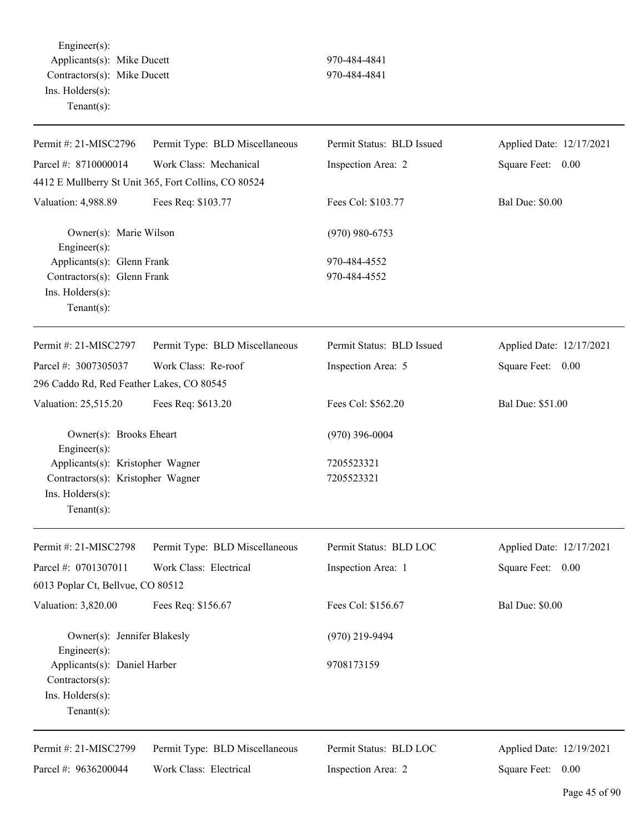Engineer(s): Applicants(s): Mike Ducett 970-484-4841 Contractors(s): Mike Ducett 970-484-4841 Ins. Holders(s): Tenant(s):

| Permit #: 21-MISC2796                             | Permit Type: BLD Miscellaneous                       | Permit Status: BLD Issued | Applied Date: 12/17/2021 |
|---------------------------------------------------|------------------------------------------------------|---------------------------|--------------------------|
| Parcel #: 8710000014                              | Work Class: Mechanical                               | Inspection Area: 2        | Square Feet: 0.00        |
|                                                   | 4412 E Mullberry St Unit 365, Fort Collins, CO 80524 |                           |                          |
| Valuation: 4,988.89                               | Fees Req: \$103.77                                   | Fees Col: \$103.77        | <b>Bal Due: \$0.00</b>   |
| Owner(s): Marie Wilson<br>Engineer(s):            |                                                      | $(970)$ 980-6753          |                          |
| Applicants(s): Glenn Frank                        |                                                      | 970-484-4552              |                          |
| Contractors(s): Glenn Frank                       |                                                      | 970-484-4552              |                          |
| Ins. Holders(s):                                  |                                                      |                           |                          |
| Tenant $(s)$ :                                    |                                                      |                           |                          |
| Permit #: 21-MISC2797                             | Permit Type: BLD Miscellaneous                       | Permit Status: BLD Issued | Applied Date: 12/17/2021 |
| Parcel #: 3007305037                              | Work Class: Re-roof                                  | Inspection Area: 5        | Square Feet: 0.00        |
| 296 Caddo Rd, Red Feather Lakes, CO 80545         |                                                      |                           |                          |
| Valuation: 25,515.20                              | Fees Req: \$613.20                                   | Fees Col: \$562.20        | Bal Due: \$51.00         |
| Owner(s): Brooks Eheart<br>Engineer(s):           |                                                      | $(970)$ 396-0004          |                          |
| Applicants(s): Kristopher Wagner                  |                                                      | 7205523321                |                          |
| Contractors(s): Kristopher Wagner                 |                                                      | 7205523321                |                          |
| Ins. Holders(s):                                  |                                                      |                           |                          |
| Tenant $(s)$ :                                    |                                                      |                           |                          |
| Permit #: 21-MISC2798                             | Permit Type: BLD Miscellaneous                       | Permit Status: BLD LOC    | Applied Date: 12/17/2021 |
| Parcel #: 0701307011                              | Work Class: Electrical                               | Inspection Area: 1        | Square Feet: 0.00        |
| 6013 Poplar Ct, Bellvue, CO 80512                 |                                                      |                           |                          |
| Valuation: 3,820.00                               | Fees Req: \$156.67                                   | Fees Col: \$156.67        | <b>Bal Due: \$0.00</b>   |
| Owner(s): Jennifer Blakesly<br>$Engineering(s)$ : |                                                      | $(970)$ 219-9494          |                          |
| Applicants(s): Daniel Harber                      |                                                      | 9708173159                |                          |
| Contractors(s):                                   |                                                      |                           |                          |
| Ins. Holders(s):                                  |                                                      |                           |                          |
| Tenant(s):                                        |                                                      |                           |                          |
| Permit #: 21-MISC2799                             | Permit Type: BLD Miscellaneous                       | Permit Status: BLD LOC    | Applied Date: 12/19/2021 |
| Parcel #: 9636200044                              | Work Class: Electrical                               | Inspection Area: 2        | Square Feet: 0.00        |
|                                                   |                                                      |                           |                          |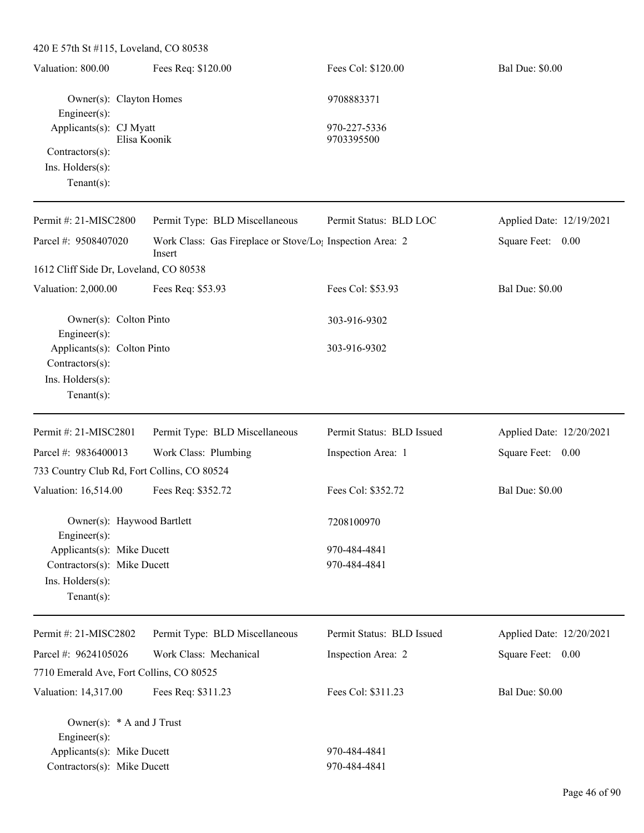| 420 E 57th St #115, Loveland, CO 80538                                                                   |                                                                                 |                              |                          |
|----------------------------------------------------------------------------------------------------------|---------------------------------------------------------------------------------|------------------------------|--------------------------|
| Valuation: 800.00                                                                                        | Fees Req: \$120.00                                                              | Fees Col: \$120.00           | <b>Bal Due: \$0.00</b>   |
| Owner(s): Clayton Homes<br>Engineer(s):                                                                  |                                                                                 | 9708883371                   |                          |
| Applicants(s): CJ Myatt<br>Elisa Koonik<br>Contractors(s):                                               |                                                                                 | 970-227-5336<br>9703395500   |                          |
| Ins. Holders(s):<br>Tenant $(s)$ :                                                                       |                                                                                 |                              |                          |
| Permit #: 21-MISC2800                                                                                    | Permit Type: BLD Miscellaneous                                                  | Permit Status: BLD LOC       | Applied Date: 12/19/2021 |
| Parcel #: 9508407020                                                                                     | Work Class: Gas Fireplace or Stove/Lo <sub>1</sub> Inspection Area: 2<br>Insert |                              | Square Feet: 0.00        |
| 1612 Cliff Side Dr, Loveland, CO 80538                                                                   |                                                                                 |                              |                          |
| Valuation: 2,000.00                                                                                      | Fees Req: \$53.93                                                               | Fees Col: \$53.93            | <b>Bal Due: \$0.00</b>   |
| Owner(s): Colton Pinto<br>Engineer(s):                                                                   |                                                                                 | 303-916-9302                 |                          |
| Applicants(s): Colton Pinto<br>Contractors(s):<br>Ins. Holders(s):<br>$Tenant(s)$ :                      |                                                                                 | 303-916-9302                 |                          |
| Permit #: 21-MISC2801                                                                                    | Permit Type: BLD Miscellaneous                                                  | Permit Status: BLD Issued    | Applied Date: 12/20/2021 |
| Parcel #: 9836400013<br>733 Country Club Rd, Fort Collins, CO 80524                                      | Work Class: Plumbing                                                            | Inspection Area: 1           | Square Feet: 0.00        |
| Valuation: 16,514.00                                                                                     | Fees Req: \$352.72                                                              | Fees Col: \$352.72           | <b>Bal Due: \$0.00</b>   |
| Owner(s): Haywood Bartlett<br>Engineer(s):                                                               |                                                                                 | 7208100970                   |                          |
| Applicants(s): Mike Ducett<br>Contractors(s): Mike Ducett<br>Ins. Holders(s):<br>Tenant $(s)$ :          |                                                                                 | 970-484-4841<br>970-484-4841 |                          |
| Permit #: 21-MISC2802                                                                                    | Permit Type: BLD Miscellaneous                                                  | Permit Status: BLD Issued    | Applied Date: 12/20/2021 |
| Parcel #: 9624105026                                                                                     | Work Class: Mechanical                                                          | Inspection Area: 2           | Square Feet: 0.00        |
| 7710 Emerald Ave, Fort Collins, CO 80525                                                                 |                                                                                 |                              |                          |
| Valuation: 14,317.00                                                                                     | Fees Req: \$311.23                                                              | Fees Col: \$311.23           | <b>Bal Due: \$0.00</b>   |
| Owner(s): $*$ A and J Trust<br>Engineer(s):<br>Applicants(s): Mike Ducett<br>Contractors(s): Mike Ducett |                                                                                 | 970-484-4841<br>970-484-4841 |                          |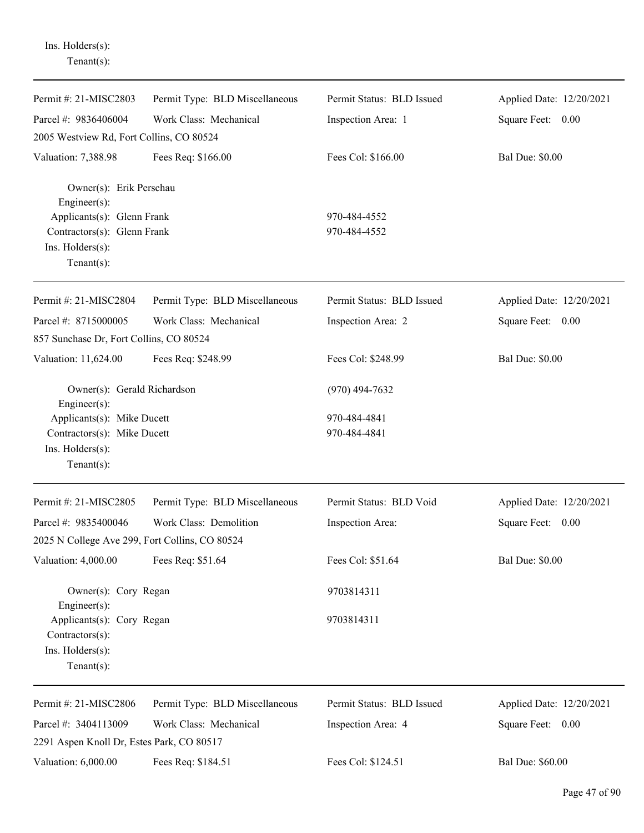| Permit #: 21-MISC2803                                             | Permit Type: BLD Miscellaneous | Permit Status: BLD Issued | Applied Date: 12/20/2021 |
|-------------------------------------------------------------------|--------------------------------|---------------------------|--------------------------|
| Parcel #: 9836406004                                              | Work Class: Mechanical         | Inspection Area: 1        | Square Feet: 0.00        |
| 2005 Westview Rd, Fort Collins, CO 80524                          |                                |                           |                          |
| Valuation: 7,388.98                                               | Fees Req: \$166.00             | Fees Col: \$166.00        | <b>Bal Due: \$0.00</b>   |
| Owner(s): Erik Perschau<br>Engineer(s):                           |                                |                           |                          |
| Applicants(s): Glenn Frank                                        |                                | 970-484-4552              |                          |
| Contractors(s): Glenn Frank<br>Ins. Holders(s):<br>Tenant $(s)$ : |                                | 970-484-4552              |                          |
| Permit #: 21-MISC2804                                             | Permit Type: BLD Miscellaneous | Permit Status: BLD Issued | Applied Date: 12/20/2021 |
| Parcel #: 8715000005                                              | Work Class: Mechanical         | Inspection Area: 2        | Square Feet: 0.00        |
| 857 Sunchase Dr, Fort Collins, CO 80524                           |                                |                           |                          |
| Valuation: 11,624.00                                              | Fees Req: \$248.99             | Fees Col: \$248.99        | <b>Bal Due: \$0.00</b>   |
| Owner(s): Gerald Richardson<br>Engineer(s):                       |                                | $(970)$ 494-7632          |                          |
| Applicants(s): Mike Ducett                                        |                                | 970-484-4841              |                          |
| Contractors(s): Mike Ducett                                       |                                | 970-484-4841              |                          |
| Ins. Holders(s):<br>Tenant $(s)$ :                                |                                |                           |                          |
|                                                                   |                                |                           |                          |
| Permit #: 21-MISC2805                                             | Permit Type: BLD Miscellaneous | Permit Status: BLD Void   | Applied Date: 12/20/2021 |
| Parcel #: 9835400046                                              | Work Class: Demolition         | Inspection Area:          | Square Feet:<br>$0.00\,$ |
| 2025 N College Ave 299, Fort Collins, CO 80524                    |                                |                           |                          |
| Valuation: 4,000.00                                               | Fees Req: \$51.64              | Fees Col: \$51.64         | <b>Bal Due: \$0.00</b>   |
| Owner(s): Cory Regan<br>Engineer(s):                              |                                | 9703814311                |                          |
| Applicants(s): Cory Regan<br>Contractors(s):                      |                                | 9703814311                |                          |
| Ins. Holders(s):                                                  |                                |                           |                          |
| Tenant $(s)$ :                                                    |                                |                           |                          |
| Permit #: 21-MISC2806                                             | Permit Type: BLD Miscellaneous | Permit Status: BLD Issued | Applied Date: 12/20/2021 |
| Parcel #: 3404113009                                              | Work Class: Mechanical         | Inspection Area: 4        | Square Feet: 0.00        |
| 2291 Aspen Knoll Dr, Estes Park, CO 80517                         |                                |                           |                          |
| Valuation: 6,000.00                                               | Fees Req: \$184.51             | Fees Col: \$124.51        | <b>Bal Due: \$60.00</b>  |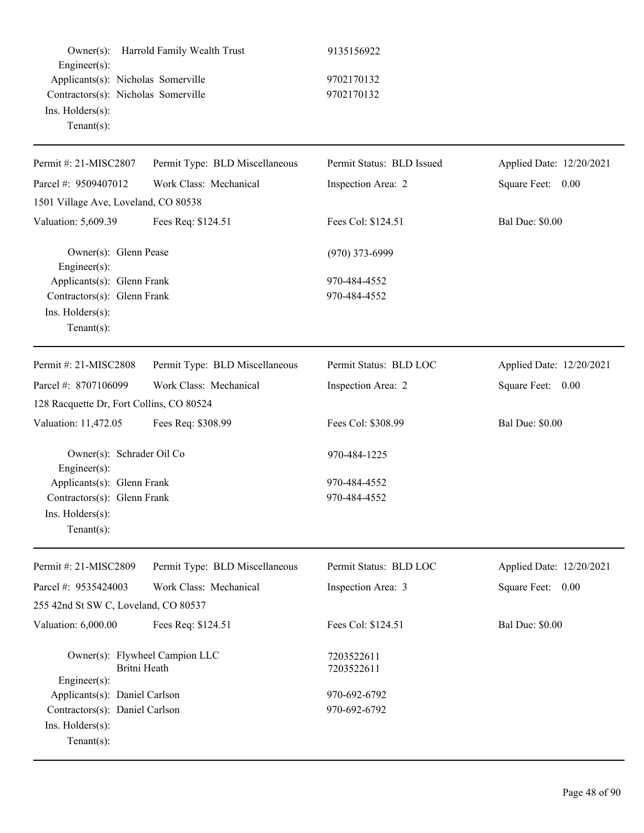| $Owner(s)$ :<br>Engineer(s):                                                                                    | Harrold Family Wealth Trust    | 9135156922                   |                          |
|-----------------------------------------------------------------------------------------------------------------|--------------------------------|------------------------------|--------------------------|
| Applicants(s): Nicholas Somerville<br>Contractors(s): Nicholas Somerville<br>Ins. Holders(s):<br>Tenant $(s)$ : |                                | 9702170132<br>9702170132     |                          |
| Permit #: 21-MISC2807                                                                                           | Permit Type: BLD Miscellaneous | Permit Status: BLD Issued    | Applied Date: 12/20/2021 |
| Parcel #: 9509407012                                                                                            | Work Class: Mechanical         | Inspection Area: 2           | Square Feet: 0.00        |
| 1501 Village Ave, Loveland, CO 80538                                                                            |                                |                              |                          |
| Valuation: 5,609.39                                                                                             | Fees Req: \$124.51             | Fees Col: \$124.51           | <b>Bal Due: \$0.00</b>   |
| Owner(s): Glenn Pease<br>Engineer(s):                                                                           |                                | $(970)$ 373-6999             |                          |
| Applicants(s): Glenn Frank<br>Contractors(s): Glenn Frank<br>Ins. Holders(s):<br>Tenant $(s)$ :                 |                                | 970-484-4552<br>970-484-4552 |                          |
| Permit #: 21-MISC2808                                                                                           | Permit Type: BLD Miscellaneous | Permit Status: BLD LOC       | Applied Date: 12/20/2021 |
| Parcel #: 8707106099                                                                                            | Work Class: Mechanical         | Inspection Area: 2           | Square Feet: 0.00        |
| 128 Racquette Dr, Fort Collins, CO 80524                                                                        |                                |                              |                          |
| Valuation: 11,472.05                                                                                            | Fees Req: \$308.99             | Fees Col: \$308.99           | <b>Bal Due: \$0.00</b>   |
| Owner(s): Schrader Oil Co<br>Engineer(s):                                                                       |                                | 970-484-1225                 |                          |
| Applicants(s): Glenn Frank<br>Contractors(s): Glenn Frank<br>Ins. Holders(s):<br>Tenant $(s)$ :                 |                                | 970-484-4552<br>970-484-4552 |                          |
| Permit #: 21-MISC2809                                                                                           | Permit Type: BLD Miscellaneous | Permit Status: BLD LOC       | Applied Date: 12/20/2021 |
| Parcel #: 9535424003                                                                                            | Work Class: Mechanical         | Inspection Area: 3           | Square Feet: 0.00        |
| 255 42nd St SW C, Loveland, CO 80537                                                                            |                                |                              |                          |
| Valuation: 6,000.00                                                                                             | Fees Req: \$124.51             | Fees Col: \$124.51           | <b>Bal Due: \$0.00</b>   |
| Owner(s): Flywheel Campion LLC<br>Britni Heath<br>Engineer(s):                                                  |                                | 7203522611<br>7203522611     |                          |
| Applicants(s): Daniel Carlson<br>Contractors(s): Daniel Carlson<br>Ins. Holders(s):<br>Tenant $(s)$ :           |                                | 970-692-6792<br>970-692-6792 |                          |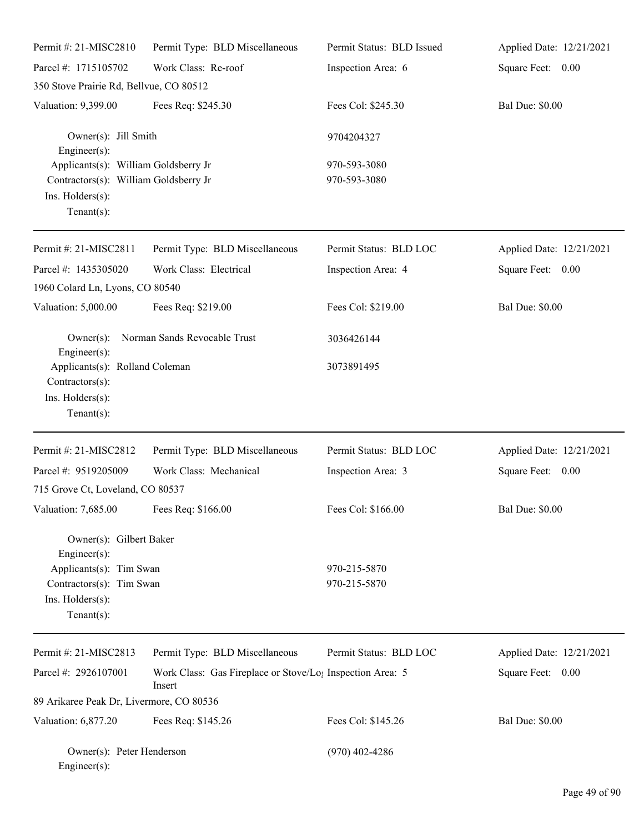| Permit #: 21-MISC2810                                                                                               | Permit Type: BLD Miscellaneous                                                  | Permit Status: BLD Issued    | Applied Date: 12/21/2021 |
|---------------------------------------------------------------------------------------------------------------------|---------------------------------------------------------------------------------|------------------------------|--------------------------|
| Parcel #: 1715105702                                                                                                | Work Class: Re-roof                                                             | Inspection Area: 6           | Square Feet: 0.00        |
| 350 Stove Prairie Rd, Bellvue, CO 80512                                                                             |                                                                                 |                              |                          |
| Valuation: 9,399.00                                                                                                 | Fees Req: \$245.30                                                              | Fees Col: \$245.30           | <b>Bal Due: \$0.00</b>   |
| Owner(s): Jill Smith<br>Engineer $(s)$ :                                                                            |                                                                                 | 9704204327                   |                          |
| Applicants(s): William Goldsberry Jr<br>Contractors(s): William Goldsberry Jr<br>Ins. Holders(s):<br>Tenant $(s)$ : |                                                                                 | 970-593-3080<br>970-593-3080 |                          |
| Permit #: 21-MISC2811                                                                                               | Permit Type: BLD Miscellaneous                                                  | Permit Status: BLD LOC       | Applied Date: 12/21/2021 |
| Parcel #: 1435305020<br>1960 Colard Ln, Lyons, CO 80540                                                             | Work Class: Electrical                                                          | Inspection Area: 4           | Square Feet: 0.00        |
| Valuation: 5,000.00                                                                                                 | Fees Req: \$219.00                                                              | Fees Col: \$219.00           | <b>Bal Due: \$0.00</b>   |
| $Owner(s)$ :<br>$Engineering(s)$ :                                                                                  | Norman Sands Revocable Trust                                                    | 3036426144                   |                          |
| Applicants(s): Rolland Coleman<br>Contractors(s):<br>Ins. Holders(s):<br>Tenant $(s)$ :                             |                                                                                 | 3073891495                   |                          |
| Permit #: 21-MISC2812                                                                                               | Permit Type: BLD Miscellaneous                                                  | Permit Status: BLD LOC       | Applied Date: 12/21/2021 |
| Parcel #: 9519205009                                                                                                | Work Class: Mechanical                                                          | Inspection Area: 3           | Square Feet: 0.00        |
| 715 Grove Ct, Loveland, CO 80537                                                                                    |                                                                                 |                              |                          |
| Valuation: 7,685.00 Fees Req: \$166.00                                                                              |                                                                                 | Fees Col: \$166.00           | <b>Bal Due: \$0.00</b>   |
| Owner(s): Gilbert Baker<br>$Engineering(s)$ :<br>Applicants(s): Tim Swan                                            |                                                                                 | 970-215-5870                 |                          |
| Contractors(s): Tim Swan<br>Ins. Holders(s):<br>Tenant $(s)$ :                                                      |                                                                                 | 970-215-5870                 |                          |
| Permit #: 21-MISC2813                                                                                               | Permit Type: BLD Miscellaneous                                                  | Permit Status: BLD LOC       | Applied Date: 12/21/2021 |
| Parcel #: 2926107001                                                                                                | Work Class: Gas Fireplace or Stove/Lo <sub>1</sub> Inspection Area: 5<br>Insert |                              | Square Feet: 0.00        |
| 89 Arikaree Peak Dr, Livermore, CO 80536                                                                            |                                                                                 |                              |                          |
| Valuation: 6,877.20                                                                                                 | Fees Req: \$145.26                                                              | Fees Col: \$145.26           | <b>Bal Due: \$0.00</b>   |
| Owner(s): Peter Henderson<br>$Engineer(s)$ :                                                                        |                                                                                 | $(970)$ 402-4286             |                          |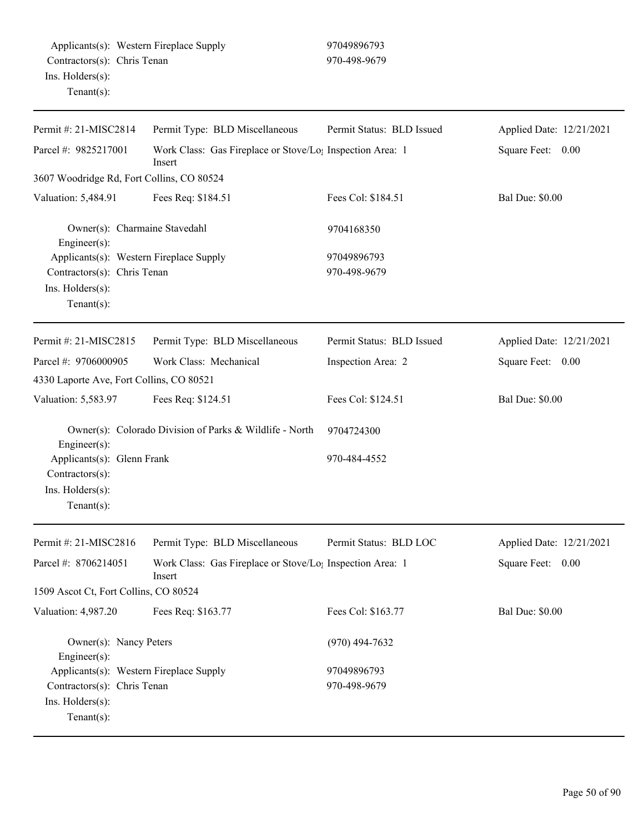| Permit #: 21-MISC2814                                                                                              | Permit Type: BLD Miscellaneous                                                  | Permit Status: BLD Issued   | Applied Date: 12/21/2021 |
|--------------------------------------------------------------------------------------------------------------------|---------------------------------------------------------------------------------|-----------------------------|--------------------------|
| Parcel #: 9825217001                                                                                               | Work Class: Gas Fireplace or Stove/Lo <sub>1</sub> Inspection Area: 1<br>Insert |                             | Square Feet: 0.00        |
| 3607 Woodridge Rd, Fort Collins, CO 80524                                                                          |                                                                                 |                             |                          |
| Valuation: 5,484.91                                                                                                | Fees Req: \$184.51                                                              | Fees Col: \$184.51          | <b>Bal Due: \$0.00</b>   |
| Owner(s): Charmaine Stavedahl<br>Engineer(s):                                                                      |                                                                                 | 9704168350                  |                          |
| Applicants(s): Western Fireplace Supply<br>Contractors(s): Chris Tenan<br>Ins. $H$ olders $(s)$ :<br>$Tenant(s)$ : |                                                                                 | 97049896793<br>970-498-9679 |                          |
| Permit #: 21-MISC2815                                                                                              | Permit Type: BLD Miscellaneous                                                  | Permit Status: BLD Issued   | Applied Date: 12/21/2021 |
| Parcel #: 9706000905                                                                                               | Work Class: Mechanical                                                          | Inspection Area: 2          | Square Feet: 0.00        |
| 4330 Laporte Ave, Fort Collins, CO 80521                                                                           |                                                                                 |                             |                          |
| Valuation: 5,583.97                                                                                                | Fees Req: \$124.51                                                              | Fees Col: \$124.51          | <b>Bal Due: \$0.00</b>   |
| Engineer(s):                                                                                                       | Owner(s): Colorado Division of Parks & Wildlife - North                         | 9704724300                  |                          |
| Applicants(s): Glenn Frank<br>Contractors(s):<br>Ins. Holders(s):<br>$Tenant(s)$ :                                 |                                                                                 | 970-484-4552                |                          |
| Permit #: 21-MISC2816                                                                                              | Permit Type: BLD Miscellaneous                                                  | Permit Status: BLD LOC      | Applied Date: 12/21/2021 |
| Parcel #: 8706214051                                                                                               | Work Class: Gas Fireplace or Stove/Lo <sub>1</sub> Inspection Area: 1<br>Insert |                             | Square Feet:<br>0.00     |
| 1509 Ascot Ct, Fort Collins, CO 80524                                                                              |                                                                                 |                             |                          |
| Valuation: 4,987.20                                                                                                | Fees Req: \$163.77                                                              | Fees Col: \$163.77          | <b>Bal Due: \$0.00</b>   |
| Owner(s): Nancy Peters<br>Engineer(s):                                                                             |                                                                                 | $(970)$ 494-7632            |                          |
| Applicants(s): Western Fireplace Supply                                                                            |                                                                                 | 97049896793                 |                          |
| Contractors(s): Chris Tenan<br>Ins. Holders(s):<br>Tenant $(s)$ :                                                  |                                                                                 | 970-498-9679                |                          |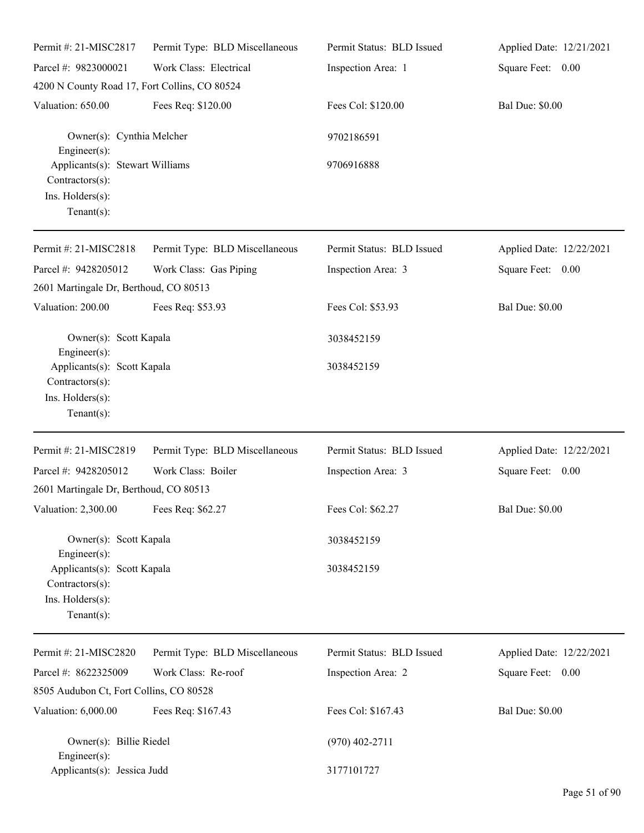| Permit#: 21-MISC2817                                                                     | Permit Type: BLD Miscellaneous | Permit Status: BLD Issued | Applied Date: 12/21/2021 |
|------------------------------------------------------------------------------------------|--------------------------------|---------------------------|--------------------------|
| Parcel #: 9823000021                                                                     | Work Class: Electrical         | Inspection Area: 1        | Square Feet: 0.00        |
| 4200 N County Road 17, Fort Collins, CO 80524                                            |                                |                           |                          |
| Valuation: 650.00                                                                        | Fees Req: \$120.00             | Fees Col: \$120.00        | <b>Bal Due: \$0.00</b>   |
| Owner(s): Cynthia Melcher<br>Engineer(s):                                                |                                | 9702186591                |                          |
| Applicants(s): Stewart Williams<br>Contractors(s):<br>Ins. Holders(s):<br>Tenant $(s)$ : |                                | 9706916888                |                          |
| Permit #: 21-MISC2818                                                                    | Permit Type: BLD Miscellaneous | Permit Status: BLD Issued | Applied Date: 12/22/2021 |
| Parcel #: 9428205012                                                                     | Work Class: Gas Piping         | Inspection Area: 3        | Square Feet: 0.00        |
| 2601 Martingale Dr, Berthoud, CO 80513                                                   |                                |                           |                          |
| Valuation: 200.00                                                                        | Fees Req: \$53.93              | Fees Col: \$53.93         | <b>Bal Due: \$0.00</b>   |
| Owner(s): Scott Kapala<br>Engineer $(s)$ :                                               |                                | 3038452159                |                          |
| Applicants(s): Scott Kapala<br>Contractors(s):<br>Ins. Holders(s):<br>Tenant $(s)$ :     |                                | 3038452159                |                          |
| Permit #: 21-MISC2819                                                                    | Permit Type: BLD Miscellaneous | Permit Status: BLD Issued | Applied Date: 12/22/2021 |
| Parcel #: 9428205012                                                                     | Work Class: Boiler             | Inspection Area: 3        | Square Feet: 0.00        |
| 2601 Martingale Dr, Berthoud, CO 80513                                                   |                                |                           |                          |
| Valuation: 2,300.00                                                                      | Fees Req: \$62.27              | Fees Col: \$62.27         | <b>Bal Due: \$0.00</b>   |
| Owner(s): Scott Kapala<br>Engineer $(s)$ :                                               |                                | 3038452159                |                          |
| Applicants(s): Scott Kapala<br>Contractors(s):<br>Ins. Holders(s):<br>Tenant $(s)$ :     |                                | 3038452159                |                          |
| Permit #: 21-MISC2820                                                                    | Permit Type: BLD Miscellaneous | Permit Status: BLD Issued | Applied Date: 12/22/2021 |
| Parcel #: 8622325009                                                                     | Work Class: Re-roof            | Inspection Area: 2        | Square Feet: 0.00        |
| 8505 Audubon Ct, Fort Collins, CO 80528                                                  |                                |                           |                          |
| Valuation: 6,000.00                                                                      | Fees Req: \$167.43             | Fees Col: \$167.43        | <b>Bal Due: \$0.00</b>   |
| Owner(s): Billie Riedel<br>Engineer $(s)$ :                                              |                                | $(970)$ 402-2711          |                          |
| Applicants(s): Jessica Judd                                                              |                                | 3177101727                |                          |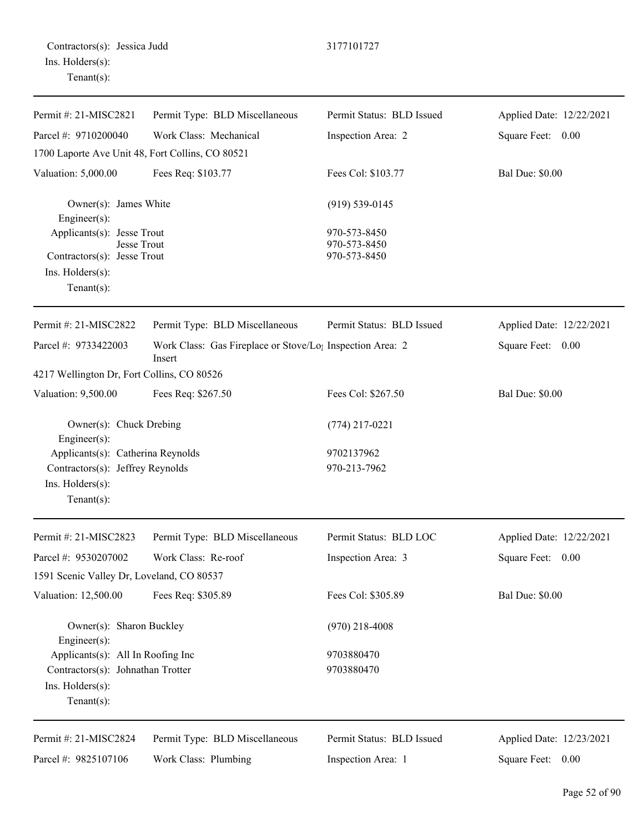| Permit #: 21-MISC2821                                                  | Permit Type: BLD Miscellaneous                                                  | Permit Status: BLD Issued    | Applied Date: 12/22/2021 |
|------------------------------------------------------------------------|---------------------------------------------------------------------------------|------------------------------|--------------------------|
| Parcel #: 9710200040                                                   | Work Class: Mechanical                                                          | Inspection Area: 2           | Square Feet: 0.00        |
| 1700 Laporte Ave Unit 48, Fort Collins, CO 80521                       |                                                                                 |                              |                          |
| Valuation: 5,000.00                                                    | Fees Req: \$103.77                                                              | Fees Col: \$103.77           | <b>Bal Due: \$0.00</b>   |
| Owner(s): James White<br>Engineer(s):                                  |                                                                                 | $(919) 539 - 0145$           |                          |
| Applicants(s): Jesse Trout<br>Jesse Trout                              |                                                                                 | 970-573-8450<br>970-573-8450 |                          |
| Contractors(s): Jesse Trout                                            |                                                                                 | 970-573-8450                 |                          |
| Ins. Holders(s):<br>Tenant $(s)$ :                                     |                                                                                 |                              |                          |
| Permit #: 21-MISC2822                                                  | Permit Type: BLD Miscellaneous                                                  | Permit Status: BLD Issued    | Applied Date: 12/22/2021 |
| Parcel #: 9733422003                                                   | Work Class: Gas Fireplace or Stove/Lo <sub>1</sub> Inspection Area: 2<br>Insert |                              | Square Feet: 0.00        |
| 4217 Wellington Dr, Fort Collins, CO 80526                             |                                                                                 |                              |                          |
| Valuation: 9,500.00                                                    | Fees Req: \$267.50                                                              | Fees Col: \$267.50           | <b>Bal Due: \$0.00</b>   |
| Owner(s): Chuck Drebing<br>Engineer(s):                                |                                                                                 | $(774)$ 217-0221             |                          |
| Applicants(s): Catherina Reynolds                                      |                                                                                 | 9702137962                   |                          |
| Contractors(s): Jeffrey Reynolds<br>Ins. Holders(s):<br>Tenant $(s)$ : |                                                                                 | 970-213-7962                 |                          |
| Permit #: 21-MISC2823                                                  | Permit Type: BLD Miscellaneous                                                  | Permit Status: BLD LOC       | Applied Date: 12/22/2021 |
| Parcel #: 9530207002                                                   | Work Class: Re-roof                                                             | Inspection Area: 3           | Square Feet:<br>0.00     |
| 1591 Scenic Valley Dr, Loveland, CO 80537                              |                                                                                 |                              |                          |
| Valuation: 12,500.00                                                   | Fees Req: \$305.89                                                              | Fees Col: \$305.89           | <b>Bal Due: \$0.00</b>   |
| Owner(s): Sharon Buckley<br>Engineer(s):                               |                                                                                 | $(970)$ 218-4008             |                          |
| Applicants(s): All In Roofing Inc                                      |                                                                                 | 9703880470                   |                          |
| Contractors(s): Johnathan Trotter                                      |                                                                                 | 9703880470                   |                          |
| Ins. Holders(s):<br>Tenant $(s)$ :                                     |                                                                                 |                              |                          |
| Permit #: 21-MISC2824                                                  | Permit Type: BLD Miscellaneous                                                  | Permit Status: BLD Issued    | Applied Date: 12/23/2021 |
| Parcel #: 9825107106                                                   | Work Class: Plumbing                                                            | Inspection Area: 1           | Square Feet:<br>0.00     |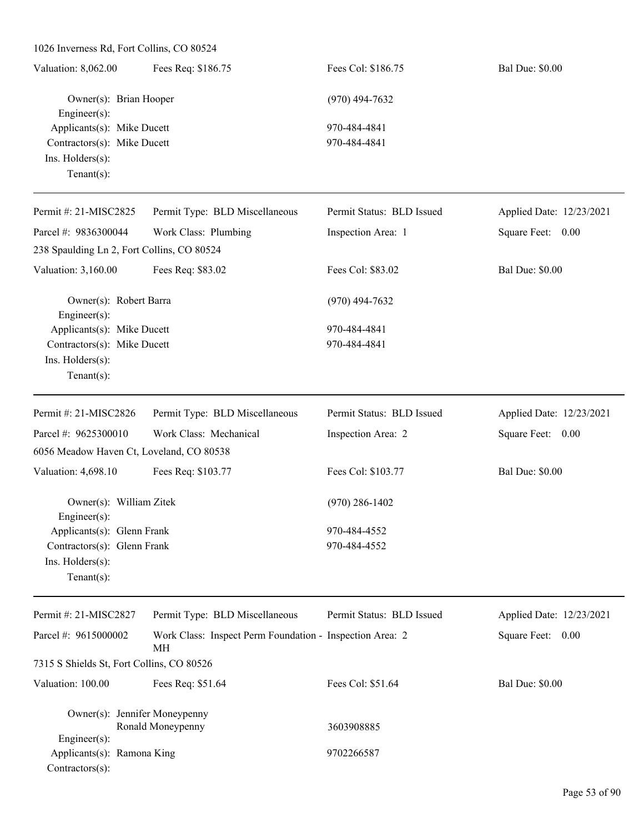| Valuation: 8,062.00         | Fees Req: \$186.75     | Fees Col: \$186.75 | <b>Bal Due: \$0.00</b> |
|-----------------------------|------------------------|--------------------|------------------------|
|                             | Owner(s): Brian Hooper | $(970)$ 494-7632   |                        |
| $Engineering(s)$ :          |                        |                    |                        |
| Applicants(s): Mike Ducett  |                        | 970-484-4841       |                        |
| Contractors(s): Mike Ducett |                        | 970-484-4841       |                        |
| Ins. $H$ olders $(s)$ :     |                        |                    |                        |
| $Tenant(s)$ :               |                        |                    |                        |

| Permit #: 21-MISC2825                       | Permit Type: BLD Miscellaneous                                 | Permit Status: BLD Issued | Applied Date: 12/23/2021 |
|---------------------------------------------|----------------------------------------------------------------|---------------------------|--------------------------|
| Parcel #: 9836300044                        | Work Class: Plumbing                                           | Inspection Area: 1        | Square Feet: 0.00        |
| 238 Spaulding Ln 2, Fort Collins, CO 80524  |                                                                |                           |                          |
| Valuation: 3,160.00                         | Fees Req: \$83.02                                              | Fees Col: \$83.02         | <b>Bal Due: \$0.00</b>   |
| Owner(s): Robert Barra<br>Engineer $(s)$ :  |                                                                | $(970)$ 494-7632          |                          |
| Applicants(s): Mike Ducett                  |                                                                | 970-484-4841              |                          |
| Contractors(s): Mike Ducett                 |                                                                | 970-484-4841              |                          |
| Ins. Holders(s):                            |                                                                |                           |                          |
| Tenant $(s)$ :                              |                                                                |                           |                          |
| Permit #: 21-MISC2826                       | Permit Type: BLD Miscellaneous                                 | Permit Status: BLD Issued | Applied Date: 12/23/2021 |
| Parcel #: 9625300010                        | Work Class: Mechanical                                         | Inspection Area: 2        | Square Feet: 0.00        |
| 6056 Meadow Haven Ct, Loveland, CO 80538    |                                                                |                           |                          |
| Valuation: 4,698.10                         | Fees Req: \$103.77                                             | Fees Col: \$103.77        | <b>Bal Due: \$0.00</b>   |
| Owner(s): William Zitek<br>Engineer $(s)$ : |                                                                | $(970)$ 286-1402          |                          |
| Applicants(s): Glenn Frank                  |                                                                | 970-484-4552              |                          |
| Contractors(s): Glenn Frank                 |                                                                | 970-484-4552              |                          |
| Ins. Holders(s):                            |                                                                |                           |                          |
| Tenant $(s)$ :                              |                                                                |                           |                          |
| Permit #: 21-MISC2827                       | Permit Type: BLD Miscellaneous                                 | Permit Status: BLD Issued | Applied Date: 12/23/2021 |
| Parcel #: 9615000002                        | Work Class: Inspect Perm Foundation - Inspection Area: 2<br>MН |                           | Square Feet: 0.00        |

7315 S Shields St, Fort Collins, CO 80526 Valuation: 100.00 Fees Req: \$51.64 Fees Col: \$51.64 Bal Due: \$0.00

Owner(s): Jennifer Moneypenny Ronald Moneypenny 3603908885 Engineer(s): Applicants(s): Ramona King 9702266587 Contractors(s):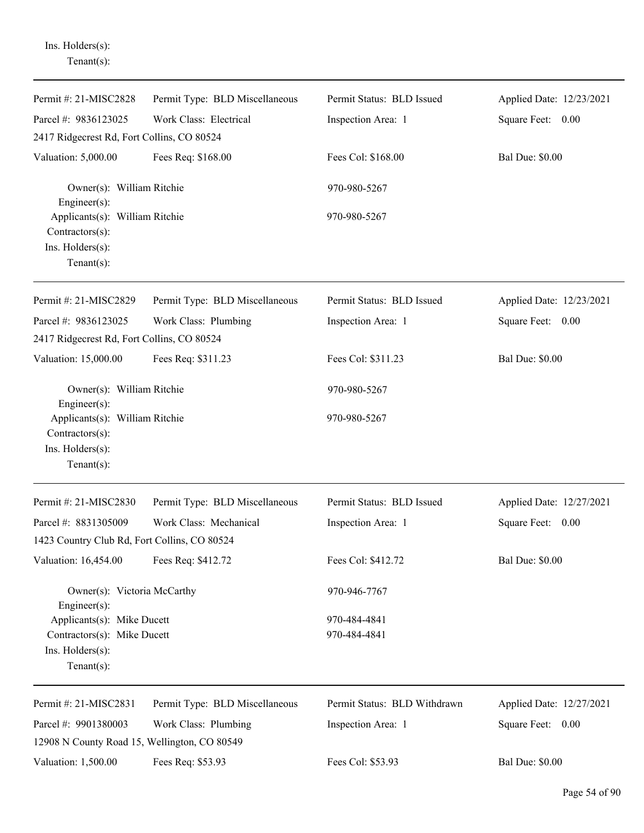| Permit #: 21-MISC2828                                                                   | Permit Type: BLD Miscellaneous | Permit Status: BLD Issued    | Applied Date: 12/23/2021 |
|-----------------------------------------------------------------------------------------|--------------------------------|------------------------------|--------------------------|
| Parcel #: 9836123025                                                                    | Work Class: Electrical         | Inspection Area: 1           | Square Feet: 0.00        |
| 2417 Ridgecrest Rd, Fort Collins, CO 80524                                              |                                |                              |                          |
| Valuation: 5,000.00                                                                     | Fees Req: \$168.00             | Fees Col: \$168.00           | <b>Bal Due: \$0.00</b>   |
| Owner(s): William Ritchie<br>$Engineering(s)$ :                                         |                                | 970-980-5267                 |                          |
| Applicants(s): William Ritchie<br>Contractors(s):                                       |                                | 970-980-5267                 |                          |
| Ins. Holders(s):<br>Tenant $(s)$ :                                                      |                                |                              |                          |
| Permit #: 21-MISC2829                                                                   | Permit Type: BLD Miscellaneous | Permit Status: BLD Issued    | Applied Date: 12/23/2021 |
| Parcel #: 9836123025                                                                    | Work Class: Plumbing           | Inspection Area: 1           | Square Feet: 0.00        |
| 2417 Ridgecrest Rd, Fort Collins, CO 80524                                              |                                |                              |                          |
| Valuation: 15,000.00                                                                    | Fees Req: \$311.23             | Fees Col: \$311.23           | <b>Bal Due: \$0.00</b>   |
| Owner(s): William Ritchie<br>$Engineering(s)$ :                                         |                                | 970-980-5267                 |                          |
| Applicants(s): William Ritchie<br>Contractors(s):<br>Ins. Holders(s):<br>Tenant $(s)$ : |                                | 970-980-5267                 |                          |
| Permit #: 21-MISC2830                                                                   | Permit Type: BLD Miscellaneous | Permit Status: BLD Issued    | Applied Date: 12/27/2021 |
| Parcel #: 8831305009                                                                    | Work Class: Mechanical         | Inspection Area: 1           | Square Feet: 0.00        |
| 1423 Country Club Rd, Fort Collins, CO 80524                                            |                                |                              |                          |
| Valuation: 16,454.00                                                                    | Fees Req: \$412.72             | Fees Col: \$412.72           | <b>Bal Due: \$0.00</b>   |
| Owner(s): Victoria McCarthy<br>$Engineering(s)$ :                                       |                                | 970-946-7767                 |                          |
| Applicants(s): Mike Ducett                                                              |                                | 970-484-4841                 |                          |
| Contractors(s): Mike Ducett<br>Ins. Holders(s):<br>Tenant $(s)$ :                       |                                | 970-484-4841                 |                          |
| Permit #: 21-MISC2831                                                                   | Permit Type: BLD Miscellaneous | Permit Status: BLD Withdrawn | Applied Date: 12/27/2021 |
| Parcel #: 9901380003                                                                    | Work Class: Plumbing           | Inspection Area: 1           | Square Feet: 0.00        |
| 12908 N County Road 15, Wellington, CO 80549                                            |                                |                              |                          |
| Valuation: 1,500.00                                                                     | Fees Req: \$53.93              | Fees Col: \$53.93            | <b>Bal Due: \$0.00</b>   |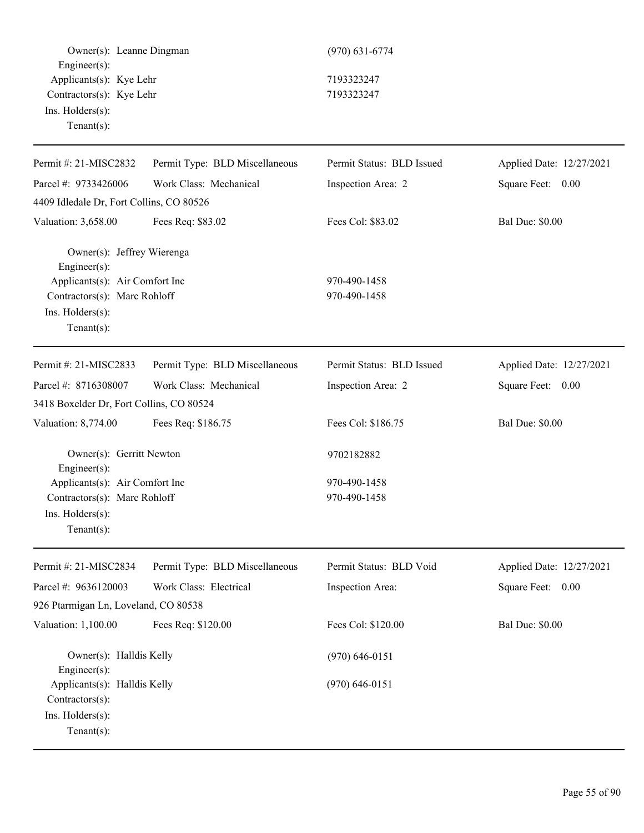Owner(s): Leanne Dingman (970) 631-6774 Engineer(s): Applicants(s): Kye Lehr 7193323247 Contractors(s): Kye Lehr 7193323247 Ins. Holders(s): Tenant(s):

| Permit #: 21-MISC2832                            | Permit Type: BLD Miscellaneous | Permit Status: BLD Issued | Applied Date: 12/27/2021 |
|--------------------------------------------------|--------------------------------|---------------------------|--------------------------|
| Parcel #: 9733426006                             | Work Class: Mechanical         | Inspection Area: 2        | Square Feet: 0.00        |
| 4409 Idledale Dr, Fort Collins, CO 80526         |                                |                           |                          |
| Valuation: 3,658.00                              | Fees Req: \$83.02              | Fees Col: \$83.02         | <b>Bal Due: \$0.00</b>   |
| Owner(s): Jeffrey Wierenga<br>Engineer(s):       |                                |                           |                          |
| Applicants(s): Air Comfort Inc                   |                                | 970-490-1458              |                          |
| Contractors(s): Marc Rohloff<br>Ins. Holders(s): |                                | 970-490-1458              |                          |
| $Tenant(s)$ :                                    |                                |                           |                          |
| Permit #: 21-MISC2833                            | Permit Type: BLD Miscellaneous | Permit Status: BLD Issued | Applied Date: 12/27/2021 |
| Parcel #: 8716308007                             | Work Class: Mechanical         | Inspection Area: 2        | Square Feet: 0.00        |
| 3418 Boxelder Dr, Fort Collins, CO 80524         |                                |                           |                          |
| Valuation: 8,774.00                              | Fees Req: \$186.75             | Fees Col: \$186.75        | <b>Bal Due: \$0.00</b>   |
| Owner(s): Gerritt Newton<br>Engineer(s):         |                                | 9702182882                |                          |
| Applicants(s): Air Comfort Inc                   |                                | 970-490-1458              |                          |
| Contractors(s): Marc Rohloff                     |                                | 970-490-1458              |                          |
| Ins. Holders(s):                                 |                                |                           |                          |
| Tenant $(s)$ :                                   |                                |                           |                          |
| Permit #: 21-MISC2834                            | Permit Type: BLD Miscellaneous | Permit Status: BLD Void   | Applied Date: 12/27/2021 |
| Parcel #: 9636120003                             | Work Class: Electrical         | Inspection Area:          | Square Feet:<br>0.00     |
| 926 Ptarmigan Ln, Loveland, CO 80538             |                                |                           |                          |
| Valuation: 1,100.00                              | Fees Req: \$120.00             | Fees Col: \$120.00        | <b>Bal Due: \$0.00</b>   |
| Owner(s): Halldis Kelly<br>Engineer(s):          |                                | $(970)$ 646-0151          |                          |
| Applicants(s): Halldis Kelly                     |                                | $(970) 646 - 0151$        |                          |
| Contractors(s):                                  |                                |                           |                          |
| Ins. Holders(s):                                 |                                |                           |                          |
| $Tenant(s)$ :                                    |                                |                           |                          |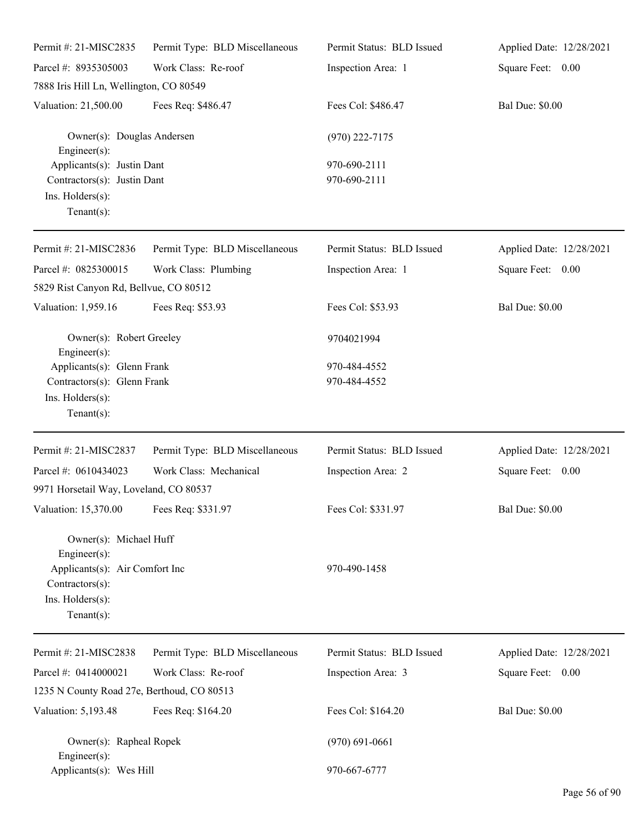| Permit #: 21-MISC2835                                                                                                                 | Permit Type: BLD Miscellaneous | Permit Status: BLD Issued          | Applied Date: 12/28/2021 |
|---------------------------------------------------------------------------------------------------------------------------------------|--------------------------------|------------------------------------|--------------------------|
| Parcel #: 8935305003                                                                                                                  | Work Class: Re-roof            | Inspection Area: 1                 | Square Feet: 0.00        |
| 7888 Iris Hill Ln, Wellington, CO 80549                                                                                               |                                |                                    |                          |
| Valuation: 21,500.00                                                                                                                  | Fees Req: \$486.47             | Fees Col: \$486.47                 | <b>Bal Due: \$0.00</b>   |
| Owner(s): Douglas Andersen<br>$Engineering(s)$ :                                                                                      |                                | $(970)$ 222-7175                   |                          |
| Applicants(s): Justin Dant<br>Contractors(s): Justin Dant<br>Ins. Holders(s):<br>Tenant $(s)$ :                                       |                                | 970-690-2111<br>970-690-2111       |                          |
| Permit #: 21-MISC2836                                                                                                                 | Permit Type: BLD Miscellaneous | Permit Status: BLD Issued          | Applied Date: 12/28/2021 |
| Parcel #: 0825300015<br>5829 Rist Canyon Rd, Bellvue, CO 80512                                                                        | Work Class: Plumbing           | Inspection Area: 1                 | Square Feet: 0.00        |
| Valuation: 1,959.16                                                                                                                   | Fees Req: \$53.93              | Fees Col: \$53.93                  | <b>Bal Due: \$0.00</b>   |
| Owner(s): Robert Greeley<br>$Engineering(s)$ :                                                                                        |                                | 9704021994                         |                          |
| Applicants(s): Glenn Frank<br>Contractors(s): Glenn Frank<br>Ins. Holders(s):<br>Tenant $(s)$ :                                       |                                | 970-484-4552<br>970-484-4552       |                          |
| Permit #: 21-MISC2837                                                                                                                 | Permit Type: BLD Miscellaneous | Permit Status: BLD Issued          | Applied Date: 12/28/2021 |
| Parcel #: 0610434023<br>9971 Horsetail Way, Loveland, CO 80537                                                                        | Work Class: Mechanical         | Inspection Area: 2                 | Square Feet: 0.00        |
| Valuation: 15,370.00 Fees Req: \$331.97                                                                                               |                                | Fees Col: \$331.97                 | <b>Bal Due: \$0.00</b>   |
| Owner(s): Michael Huff<br>Engineer $(s)$ :<br>Applicants(s): Air Comfort Inc<br>Contractors(s):<br>Ins. Holders(s):<br>Tenant $(s)$ : |                                | 970-490-1458                       |                          |
| Permit #: 21-MISC2838                                                                                                                 | Permit Type: BLD Miscellaneous | Permit Status: BLD Issued          | Applied Date: 12/28/2021 |
| Parcel #: 0414000021<br>1235 N County Road 27e, Berthoud, CO 80513                                                                    | Work Class: Re-roof            | Inspection Area: 3                 | Square Feet: 0.00        |
| Valuation: 5,193.48                                                                                                                   | Fees Req: \$164.20             | Fees Col: \$164.20                 | <b>Bal Due: \$0.00</b>   |
| Owner(s): Rapheal Ropek<br>Engineer $(s)$ :                                                                                           |                                | $(970) 691 - 0661$<br>970-667-6777 |                          |
| Applicants(s): Wes Hill                                                                                                               |                                |                                    |                          |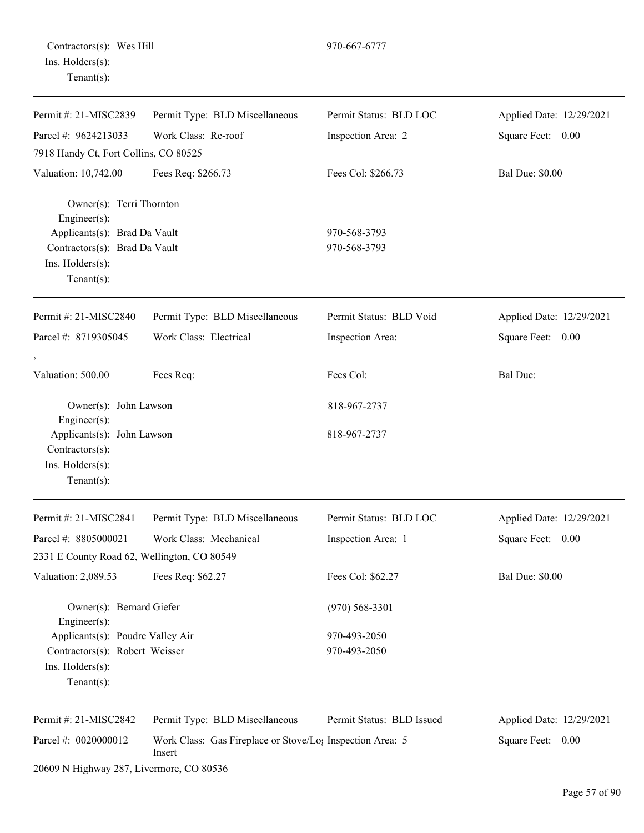Contractors(s): Wes Hill 970-667-6777 Ins. Holders(s): Tenant(s):

| Permit #: 21-MISC2839                                                                  | Permit Type: BLD Miscellaneous                                                  | Permit Status: BLD LOC    | Applied Date: 12/29/2021 |
|----------------------------------------------------------------------------------------|---------------------------------------------------------------------------------|---------------------------|--------------------------|
| Parcel #: 9624213033                                                                   | Work Class: Re-roof                                                             | Inspection Area: 2        | Square Feet: 0.00        |
| 7918 Handy Ct, Fort Collins, CO 80525                                                  |                                                                                 |                           |                          |
| Valuation: 10,742.00                                                                   | Fees Req: \$266.73                                                              | Fees Col: \$266.73        | <b>Bal Due: \$0.00</b>   |
| Owner(s): Terri Thornton<br>Engineer(s):                                               |                                                                                 |                           |                          |
| Applicants(s): Brad Da Vault                                                           |                                                                                 | 970-568-3793              |                          |
| Contractors(s): Brad Da Vault<br>Ins. Holders(s):                                      |                                                                                 | 970-568-3793              |                          |
| Tenant $(s)$ :                                                                         |                                                                                 |                           |                          |
| Permit #: 21-MISC2840                                                                  | Permit Type: BLD Miscellaneous                                                  | Permit Status: BLD Void   | Applied Date: 12/29/2021 |
| Parcel #: 8719305045                                                                   | Work Class: Electrical                                                          | Inspection Area:          | Square Feet: 0.00        |
|                                                                                        |                                                                                 |                           |                          |
| Valuation: 500.00                                                                      | Fees Req:                                                                       | Fees Col:                 | Bal Due:                 |
| Owner(s): John Lawson<br>$Engineering(s)$ :                                            |                                                                                 | 818-967-2737              |                          |
| Applicants(s): John Lawson<br>$Contractors(s)$ :<br>Ins. Holders(s):<br>Tenant $(s)$ : |                                                                                 | 818-967-2737              |                          |
| Permit #: 21-MISC2841                                                                  | Permit Type: BLD Miscellaneous                                                  | Permit Status: BLD LOC    | Applied Date: 12/29/2021 |
| Parcel #: 8805000021                                                                   | Work Class: Mechanical                                                          | Inspection Area: 1        | Square Feet: 0.00        |
| 2331 E County Road 62, Wellington, CO 80549                                            |                                                                                 |                           |                          |
| Valuation: 2,089.53                                                                    | Fees Req: \$62.27                                                               | Fees Col: \$62.27         | <b>Bal Due: \$0.00</b>   |
| Owner(s): Bernard Giefer<br>$Engineering(s)$ :                                         |                                                                                 | $(970)$ 568-3301          |                          |
| Applicants(s): Poudre Valley Air                                                       |                                                                                 | 970-493-2050              |                          |
| Contractors(s): Robert Weisser                                                         |                                                                                 | 970-493-2050              |                          |
| Ins. Holders(s):<br>Tenant $(s)$ :                                                     |                                                                                 |                           |                          |
| Permit #: 21-MISC2842                                                                  | Permit Type: BLD Miscellaneous                                                  | Permit Status: BLD Issued | Applied Date: 12/29/2021 |
| Parcel #: 0020000012                                                                   | Work Class: Gas Fireplace or Stove/Lo <sub>l</sub> Inspection Area: 5<br>Insert |                           | Square Feet:<br>0.00     |
| 20609 N Highway 287, Livermore, CO 80536                                               |                                                                                 |                           |                          |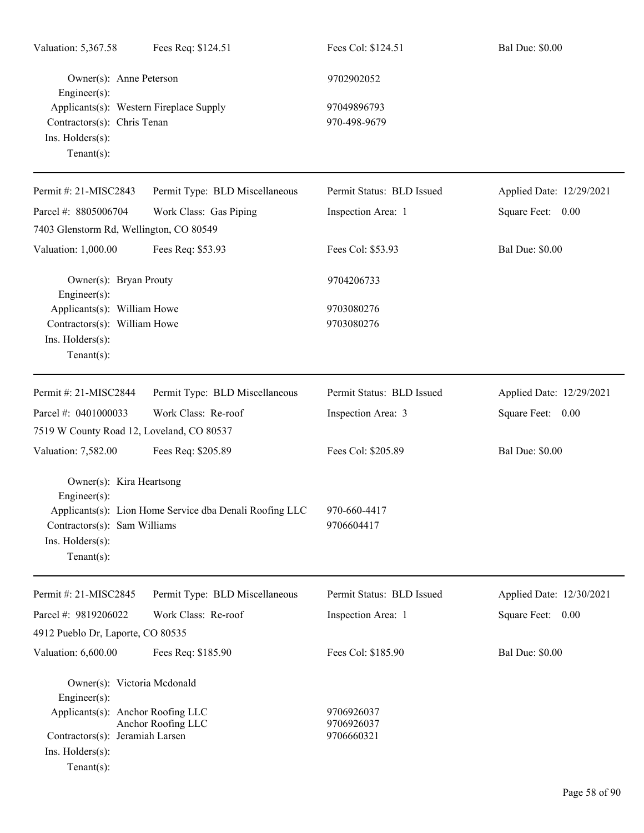| Valuation: 5,367.58                                                                                              | Fees Req: \$124.51                                      | Fees Col: \$124.51                     | <b>Bal Due: \$0.00</b>   |
|------------------------------------------------------------------------------------------------------------------|---------------------------------------------------------|----------------------------------------|--------------------------|
| Owner(s): Anne Peterson<br>Engineer(s):                                                                          |                                                         | 9702902052                             |                          |
| Applicants(s): Western Fireplace Supply<br>Contractors(s): Chris Tenan<br>Ins. Holders(s):<br>Tenant $(s)$ :     |                                                         | 97049896793<br>970-498-9679            |                          |
| Permit #: 21-MISC2843                                                                                            | Permit Type: BLD Miscellaneous                          | Permit Status: BLD Issued              | Applied Date: 12/29/2021 |
| Parcel #: 8805006704                                                                                             | Work Class: Gas Piping                                  | Inspection Area: 1                     | Square Feet: 0.00        |
| 7403 Glenstorm Rd, Wellington, CO 80549                                                                          |                                                         |                                        |                          |
| Valuation: 1,000.00                                                                                              | Fees Req: \$53.93                                       | Fees Col: \$53.93                      | <b>Bal Due: \$0.00</b>   |
| Owner(s): Bryan Prouty<br>Engineer(s):                                                                           |                                                         | 9704206733                             |                          |
| Applicants(s): William Howe<br>Contractors(s): William Howe<br>Ins. Holders(s):<br>Tenant $(s)$ :                |                                                         | 9703080276<br>9703080276               |                          |
| Permit #: 21-MISC2844                                                                                            | Permit Type: BLD Miscellaneous                          | Permit Status: BLD Issued              | Applied Date: 12/29/2021 |
| Parcel #: 0401000033                                                                                             | Work Class: Re-roof                                     | Inspection Area: 3                     | Square Feet: 0.00        |
| 7519 W County Road 12, Loveland, CO 80537                                                                        |                                                         |                                        |                          |
| Valuation: 7,582.00                                                                                              | Fees Req: \$205.89                                      | Fees Col: \$205.89                     | <b>Bal Due: \$0.00</b>   |
| Owner(s): Kira Heartsong<br>Engineer(s):                                                                         | Applicants(s): Lion Home Service dba Denali Roofing LLC | 970-660-4417                           |                          |
| Contractors(s): Sam Williams<br>$Ins.$ Holders $(s)$ :<br>Tenant $(s)$ :                                         |                                                         | 9706604417                             |                          |
| Permit #: 21-MISC2845                                                                                            | Permit Type: BLD Miscellaneous                          | Permit Status: BLD Issued              | Applied Date: 12/30/2021 |
| Parcel #: 9819206022                                                                                             | Work Class: Re-roof                                     | Inspection Area: 1                     | Square Feet: 0.00        |
| 4912 Pueblo Dr, Laporte, CO 80535                                                                                |                                                         |                                        |                          |
| Valuation: 6,600.00                                                                                              | Fees Req: \$185.90                                      | Fees Col: \$185.90                     | <b>Bal Due: \$0.00</b>   |
| Owner(s): Victoria Mcdonald<br>Engineer(s):                                                                      |                                                         |                                        |                          |
| Applicants(s): Anchor Roofing LLC<br>Contractors(s): Jeramiah Larsen<br>$Ins.$ Holders $(s)$ :<br>Tenant $(s)$ : | Anchor Roofing LLC                                      | 9706926037<br>9706926037<br>9706660321 |                          |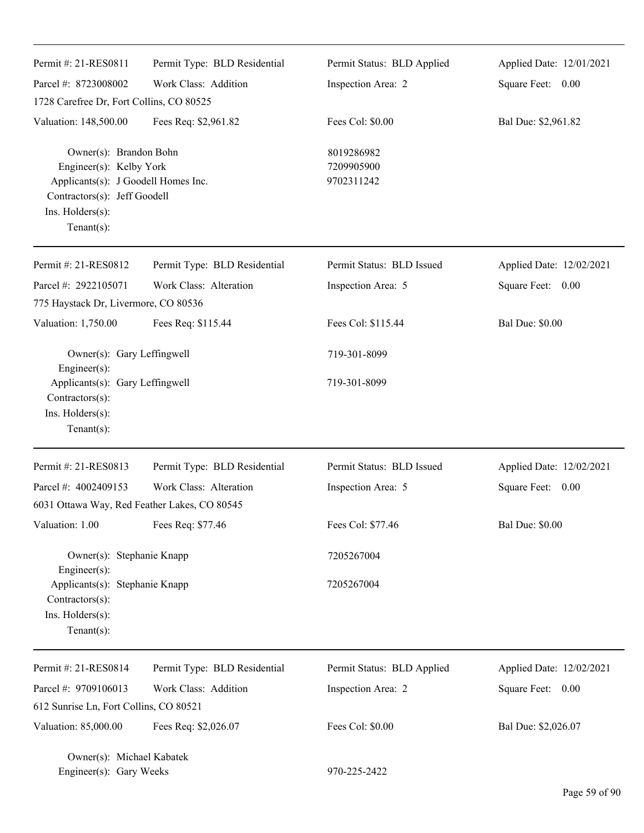| Permit #: 21-RES0811                                                                                                                                           | Permit Type: BLD Residential | Permit Status: BLD Applied             | Applied Date: 12/01/2021 |
|----------------------------------------------------------------------------------------------------------------------------------------------------------------|------------------------------|----------------------------------------|--------------------------|
|                                                                                                                                                                |                              |                                        |                          |
| Parcel #: 8723008002                                                                                                                                           | Work Class: Addition         | Inspection Area: 2                     | Square Feet: 0.00        |
| 1728 Carefree Dr, Fort Collins, CO 80525                                                                                                                       |                              |                                        |                          |
| Valuation: 148,500.00                                                                                                                                          | Fees Req: \$2,961.82         | Fees Col: \$0.00                       | Bal Due: \$2,961.82      |
| Owner(s): Brandon Bohn<br>Engineer(s): Kelby York<br>Applicants(s): J Goodell Homes Inc.<br>Contractors(s): Jeff Goodell<br>Ins. Holders(s):<br>Tenant $(s)$ : |                              | 8019286982<br>7209905900<br>9702311242 |                          |
| Permit #: 21-RES0812                                                                                                                                           | Permit Type: BLD Residential | Permit Status: BLD Issued              | Applied Date: 12/02/2021 |
| Parcel #: 2922105071                                                                                                                                           | Work Class: Alteration       | Inspection Area: 5                     | Square Feet: 0.00        |
| 775 Haystack Dr, Livermore, CO 80536                                                                                                                           |                              |                                        |                          |
| Valuation: 1,750.00                                                                                                                                            | Fees Req: \$115.44           | Fees Col: \$115.44                     | <b>Bal Due: \$0.00</b>   |
| Owner(s): Gary Leffingwell<br>Engineer(s):                                                                                                                     |                              | 719-301-8099                           |                          |
| Applicants(s): Gary Leffingwell<br>Contractors(s):<br>Ins. Holders(s):<br>$Tenant(s)$ :                                                                        |                              | 719-301-8099                           |                          |
| Permit #: 21-RES0813                                                                                                                                           | Permit Type: BLD Residential | Permit Status: BLD Issued              | Applied Date: 12/02/2021 |
| Parcel #: 4002409153                                                                                                                                           | Work Class: Alteration       | Inspection Area: 5                     | Square Feet: 0.00        |
| 6031 Ottawa Way, Red Feather Lakes, CO 80545                                                                                                                   |                              |                                        |                          |
| Valuation: 1.00                                                                                                                                                | Fees Req: \$77.46            | Fees Col: \$77.46                      | <b>Bal Due: \$0.00</b>   |
| Owner(s): Stephanie Knapp<br>Engineer(s):                                                                                                                      |                              | 7205267004                             |                          |
| Applicants(s): Stephanie Knapp<br>Contractors(s):<br>Ins. Holders(s):<br>Tenant $(s)$ :                                                                        |                              | 7205267004                             |                          |
| Permit #: 21-RES0814                                                                                                                                           | Permit Type: BLD Residential | Permit Status: BLD Applied             | Applied Date: 12/02/2021 |
| Parcel #: 9709106013                                                                                                                                           | Work Class: Addition         | Inspection Area: 2                     | Square Feet: 0.00        |
| 612 Sunrise Ln, Fort Collins, CO 80521                                                                                                                         |                              |                                        |                          |
| Valuation: 85,000.00                                                                                                                                           | Fees Req: \$2,026.07         | Fees Col: \$0.00                       | Bal Due: \$2,026.07      |
| Owner(s): Michael Kabatek<br>Engineer(s): Gary Weeks                                                                                                           |                              | 970-225-2422                           |                          |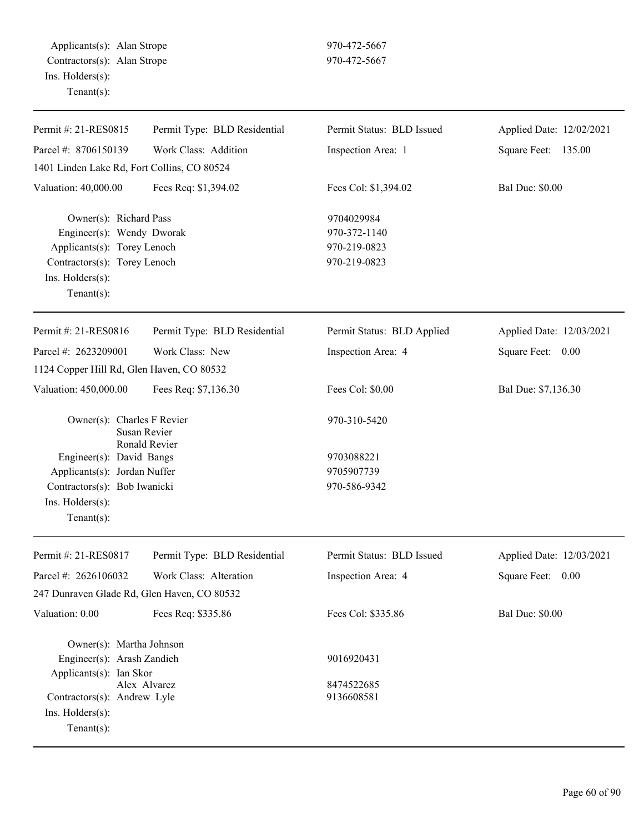Applicants(s): Alan Strope 970-472-5667 Contractors(s): Alan Strope 970-472-5667 Ins. Holders(s): Tenant(s):

| Permit #: 21-RES0815                                     | Permit Type: BLD Residential | Permit Status: BLD Issued  | Applied Date: 12/02/2021 |
|----------------------------------------------------------|------------------------------|----------------------------|--------------------------|
| Parcel #: 8706150139                                     |                              |                            |                          |
|                                                          | Work Class: Addition         | Inspection Area: 1         | Square Feet: 135.00      |
| 1401 Linden Lake Rd, Fort Collins, CO 80524              |                              |                            |                          |
| Valuation: 40,000.00                                     | Fees Req: \$1,394.02         | Fees Col: \$1,394.02       | <b>Bal Due: \$0.00</b>   |
| Owner(s): Richard Pass                                   |                              | 9704029984                 |                          |
| Engineer(s): Wendy Dworak                                |                              | 970-372-1140               |                          |
| Applicants(s): Torey Lenoch                              |                              | 970-219-0823               |                          |
| Contractors(s): Torey Lenoch                             |                              | 970-219-0823               |                          |
| Ins. Holders(s):                                         |                              |                            |                          |
| Tenant $(s)$ :                                           |                              |                            |                          |
| Permit #: 21-RES0816                                     | Permit Type: BLD Residential |                            | Applied Date: 12/03/2021 |
|                                                          |                              | Permit Status: BLD Applied |                          |
| Parcel #: 2623209001                                     | Work Class: New              | Inspection Area: 4         | Square Feet: 0.00        |
| 1124 Copper Hill Rd, Glen Haven, CO 80532                |                              |                            |                          |
| Valuation: 450,000.00                                    | Fees Req: \$7,136.30         | Fees Col: \$0.00           | Bal Due: \$7,136.30      |
| Owner(s): Charles F Revier                               |                              | 970-310-5420               |                          |
| Susan Revier                                             |                              |                            |                          |
|                                                          | Ronald Revier                | 9703088221                 |                          |
| Engineer(s): David Bangs<br>Applicants(s): Jordan Nuffer |                              | 9705907739                 |                          |
| Contractors(s): Bob Iwanicki                             |                              | 970-586-9342               |                          |
| Ins. Holders(s):                                         |                              |                            |                          |
| Tenant $(s)$ :                                           |                              |                            |                          |
|                                                          |                              |                            |                          |
| Permit #: 21-RES0817                                     | Permit Type: BLD Residential | Permit Status: BLD Issued  | Applied Date: 12/03/2021 |
| Parcel #: 2626106032                                     | Work Class: Alteration       | Inspection Area: 4         | Square Feet: 0.00        |
| 247 Dunraven Glade Rd, Glen Haven, CO 80532              |                              |                            |                          |
| Valuation: 0.00                                          | Fees Req: \$335.86           | Fees Col: \$335.86         | <b>Bal Due: \$0.00</b>   |
| Owner(s): Martha Johnson                                 |                              |                            |                          |
| Engineer(s): Arash Zandieh                               |                              | 9016920431                 |                          |
| Applicants(s): Ian Skor                                  |                              |                            |                          |
| Alex Alvarez<br>Contractors(s): Andrew Lyle              |                              | 8474522685<br>9136608581   |                          |
| $Ins.$ Holders $(s)$ :                                   |                              |                            |                          |
| Tenant $(s)$ :                                           |                              |                            |                          |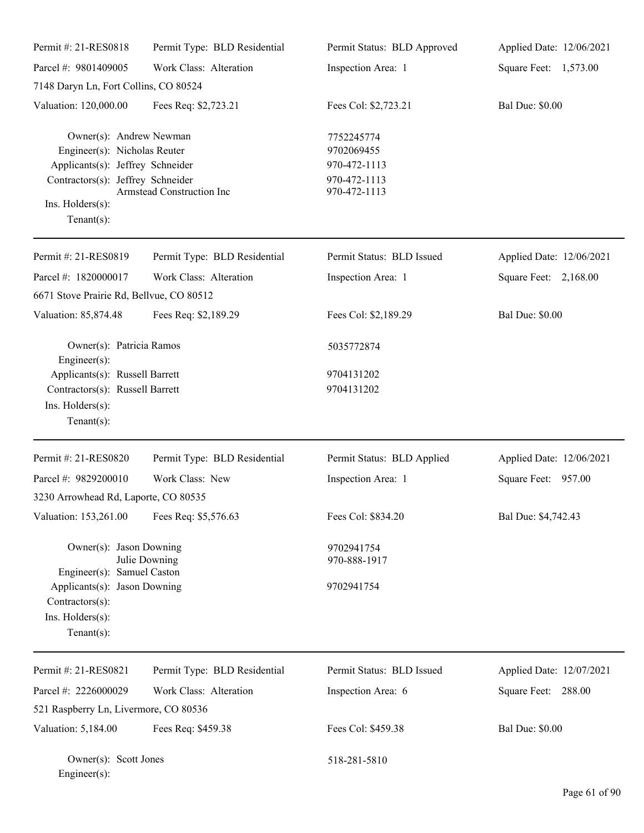| Permit #: 21-RES0818                                                                                                                                                   | Permit Type: BLD Residential | Permit Status: BLD Approved                                              | Applied Date: 12/06/2021 |
|------------------------------------------------------------------------------------------------------------------------------------------------------------------------|------------------------------|--------------------------------------------------------------------------|--------------------------|
| Parcel #: 9801409005                                                                                                                                                   | Work Class: Alteration       | Inspection Area: 1                                                       | Square Feet: 1,573.00    |
| 7148 Daryn Ln, Fort Collins, CO 80524                                                                                                                                  |                              |                                                                          |                          |
| Valuation: 120,000.00                                                                                                                                                  | Fees Req: \$2,723.21         | Fees Col: \$2,723.21                                                     | <b>Bal Due: \$0.00</b>   |
| Owner(s): Andrew Newman<br>Engineer(s): Nicholas Reuter<br>Applicants(s): Jeffrey Schneider<br>Contractors(s): Jeffrey Schneider<br>Ins. Holders(s):<br>Tenant $(s)$ : | Armstead Construction Inc    | 7752245774<br>9702069455<br>970-472-1113<br>970-472-1113<br>970-472-1113 |                          |
| Permit #: 21-RES0819                                                                                                                                                   | Permit Type: BLD Residential | Permit Status: BLD Issued                                                | Applied Date: 12/06/2021 |
| Parcel #: 1820000017                                                                                                                                                   | Work Class: Alteration       | Inspection Area: 1                                                       | Square Feet: 2,168.00    |
| 6671 Stove Prairie Rd, Bellvue, CO 80512                                                                                                                               |                              |                                                                          |                          |
| Valuation: 85,874.48                                                                                                                                                   | Fees Req: \$2,189.29         | Fees Col: \$2,189.29                                                     | <b>Bal Due: \$0.00</b>   |
| Owner(s): Patricia Ramos<br>Engineer $(s)$ :                                                                                                                           |                              | 5035772874                                                               |                          |
| Applicants(s): Russell Barrett                                                                                                                                         |                              | 9704131202                                                               |                          |
| Contractors(s): Russell Barrett<br>Ins. Holders(s):<br>Tenant $(s)$ :                                                                                                  |                              | 9704131202                                                               |                          |
| Permit #: 21-RES0820                                                                                                                                                   | Permit Type: BLD Residential | Permit Status: BLD Applied                                               | Applied Date: 12/06/2021 |
| Parcel #: 9829200010                                                                                                                                                   | Work Class: New              | Inspection Area: 1                                                       | Square Feet: 957.00      |
| 3230 Arrowhead Rd, Laporte, CO 80535                                                                                                                                   |                              |                                                                          |                          |
| Valuation: 153,261.00                                                                                                                                                  | Fees Req: \$5,576.63         | Fees Col: \$834.20                                                       | Bal Due: \$4,742.43      |
| Owner(s): Jason Downing<br>Engineer(s): Samuel Caston                                                                                                                  | Julie Downing                | 9702941754<br>970-888-1917                                               |                          |
| Applicants(s): Jason Downing<br>Contractors(s):<br>Ins. Holders(s):<br>Tenant $(s)$ :                                                                                  |                              | 9702941754                                                               |                          |
| Permit #: 21-RES0821                                                                                                                                                   | Permit Type: BLD Residential | Permit Status: BLD Issued                                                | Applied Date: 12/07/2021 |
| Parcel #: 2226000029                                                                                                                                                   | Work Class: Alteration       | Inspection Area: 6                                                       | Square Feet: 288.00      |
| 521 Raspberry Ln, Livermore, CO 80536                                                                                                                                  |                              |                                                                          |                          |
| Valuation: 5,184.00                                                                                                                                                    | Fees Req: \$459.38           | Fees Col: \$459.38                                                       | <b>Bal Due: \$0.00</b>   |
| Owner(s): Scott Jones<br>Engineer(s):                                                                                                                                  |                              | 518-281-5810                                                             |                          |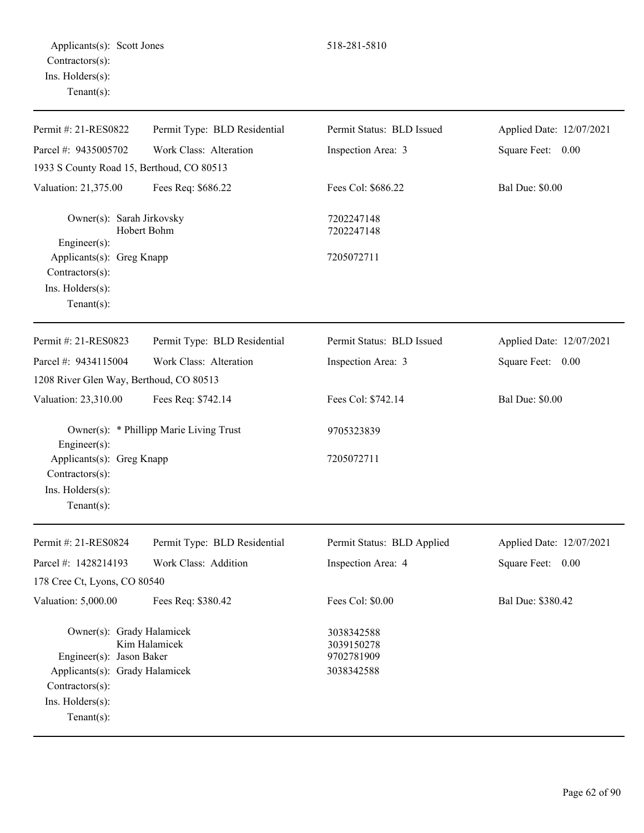| Permit #: 21-RES0822                                                                    | Permit Type: BLD Residential            | Permit Status: BLD Issued                            | Applied Date: 12/07/2021 |
|-----------------------------------------------------------------------------------------|-----------------------------------------|------------------------------------------------------|--------------------------|
| Parcel #: 9435005702                                                                    | Work Class: Alteration                  | Inspection Area: 3                                   | Square Feet: 0.00        |
| 1933 S County Road 15, Berthoud, CO 80513                                               |                                         |                                                      |                          |
| Valuation: 21,375.00                                                                    | Fees Req: \$686.22                      | Fees Col: \$686.22                                   | <b>Bal Due: \$0.00</b>   |
| Owner(s): Sarah Jirkovsky<br>Engineer(s):                                               | Hobert Bohm                             | 7202247148<br>7202247148                             |                          |
| Applicants(s): Greg Knapp<br>Contractors(s):<br>Ins. Holders(s):<br>Tenant $(s)$ :      |                                         | 7205072711                                           |                          |
| Permit #: 21-RES0823                                                                    | Permit Type: BLD Residential            | Permit Status: BLD Issued                            | Applied Date: 12/07/2021 |
| Parcel #: 9434115004                                                                    | Work Class: Alteration                  | Inspection Area: 3                                   | Square Feet: 0.00        |
| 1208 River Glen Way, Berthoud, CO 80513                                                 |                                         |                                                      |                          |
| Valuation: 23,310.00                                                                    | Fees Req: \$742.14                      | Fees Col: \$742.14                                   | <b>Bal Due: \$0.00</b>   |
| Engineer(s):                                                                            | Owner(s): * Phillipp Marie Living Trust | 9705323839                                           |                          |
| Applicants(s): Greg Knapp<br>Contractors(s):<br>Ins. Holders(s):<br>Tenant $(s)$ :      |                                         | 7205072711                                           |                          |
| Permit #: 21-RES0824                                                                    | Permit Type: BLD Residential            | Permit Status: BLD Applied                           | Applied Date: 12/07/2021 |
| Parcel #: 1428214193                                                                    | Work Class: Addition                    | Inspection Area: 4                                   | Square Feet:<br>0.00     |
| 178 Cree Ct, Lyons, CO 80540                                                            |                                         |                                                      |                          |
| Valuation: 5,000.00                                                                     | Fees Req: \$380.42                      | Fees Col: \$0.00                                     | Bal Due: \$380.42        |
| Owner(s): Grady Halamicek<br>Engineer(s): Jason Baker<br>Applicants(s): Grady Halamicek | Kim Halamicek                           | 3038342588<br>3039150278<br>9702781909<br>3038342588 |                          |
| Contractors(s):<br>Ins. Holders(s):<br>Tenant $(s)$ :                                   |                                         |                                                      |                          |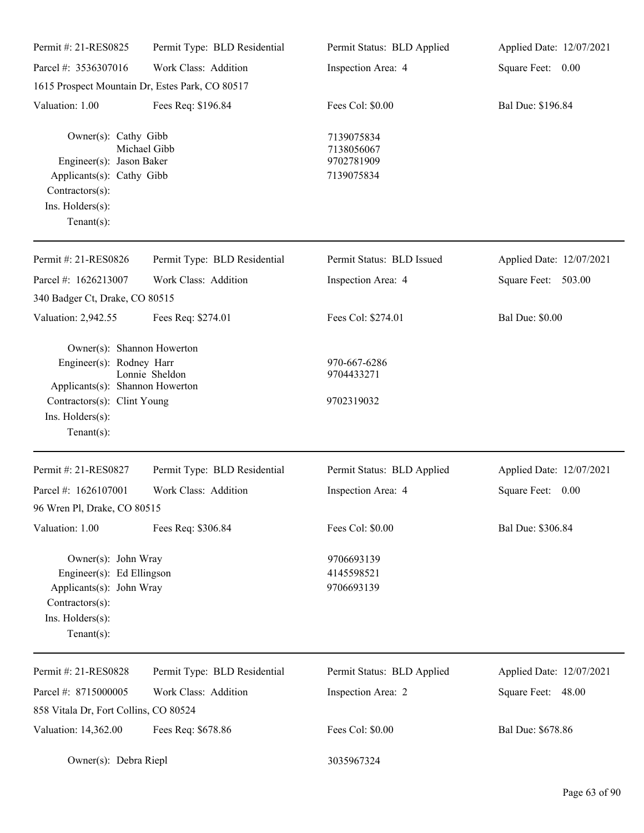| Permit #: 21-RES0825                                                                                                                                           | Permit Type: BLD Residential                    | Permit Status: BLD Applied                           | Applied Date: 12/07/2021 |
|----------------------------------------------------------------------------------------------------------------------------------------------------------------|-------------------------------------------------|------------------------------------------------------|--------------------------|
| Parcel #: 3536307016                                                                                                                                           | Work Class: Addition                            | Inspection Area: 4                                   | Square Feet: 0.00        |
|                                                                                                                                                                | 1615 Prospect Mountain Dr, Estes Park, CO 80517 |                                                      |                          |
| Valuation: 1.00                                                                                                                                                | Fees Req: \$196.84                              | Fees Col: \$0.00                                     | Bal Due: \$196.84        |
| Owner(s): Cathy Gibb<br>Engineer(s): Jason Baker<br>Applicants(s): Cathy Gibb<br>Contractors(s):<br>Ins. Holders(s):<br>Tenant $(s)$ :                         | Michael Gibb                                    | 7139075834<br>7138056067<br>9702781909<br>7139075834 |                          |
| Permit #: 21-RES0826                                                                                                                                           | Permit Type: BLD Residential                    | Permit Status: BLD Issued                            | Applied Date: 12/07/2021 |
| Parcel #: 1626213007                                                                                                                                           | Work Class: Addition                            | Inspection Area: 4                                   | 503.00<br>Square Feet:   |
| 340 Badger Ct, Drake, CO 80515                                                                                                                                 |                                                 |                                                      |                          |
| Valuation: 2,942.55                                                                                                                                            | Fees Req: \$274.01                              | Fees Col: \$274.01                                   | <b>Bal Due: \$0.00</b>   |
| Owner(s): Shannon Howerton<br>Engineer(s): Rodney Harr<br>Applicants(s): Shannon Howerton<br>Contractors(s): Clint Young<br>Ins. Holders(s):<br>Tenant $(s)$ : | Lonnie Sheldon                                  | 970-667-6286<br>9704433271<br>9702319032             |                          |
| Permit #: 21-RES0827                                                                                                                                           | Permit Type: BLD Residential                    | Permit Status: BLD Applied                           | Applied Date: 12/07/2021 |
| Parcel #: 1626107001                                                                                                                                           | Work Class: Addition                            | Inspection Area: 4                                   | Square Feet:<br>0.00     |
| 96 Wren Pl, Drake, CO 80515                                                                                                                                    |                                                 |                                                      |                          |
| Valuation: 1.00                                                                                                                                                | Fees Req: \$306.84                              | Fees Col: \$0.00                                     | Bal Due: \$306.84        |
| Owner(s): John Wray<br>Engineer(s): Ed Ellingson<br>Applicants(s): John Wray<br>Contractors(s):<br>Ins. Holders(s):<br>Tenant $(s)$ :                          |                                                 | 9706693139<br>4145598521<br>9706693139               |                          |
| Permit #: 21-RES0828                                                                                                                                           | Permit Type: BLD Residential                    | Permit Status: BLD Applied                           | Applied Date: 12/07/2021 |
| Parcel #: 8715000005<br>858 Vitala Dr, Fort Collins, CO 80524                                                                                                  | Work Class: Addition                            | Inspection Area: 2                                   | Square Feet: 48.00       |
| Valuation: 14,362.00                                                                                                                                           | Fees Req: \$678.86                              | Fees Col: \$0.00                                     | Bal Due: \$678.86        |
| Owner(s): Debra Riepl                                                                                                                                          |                                                 | 3035967324                                           |                          |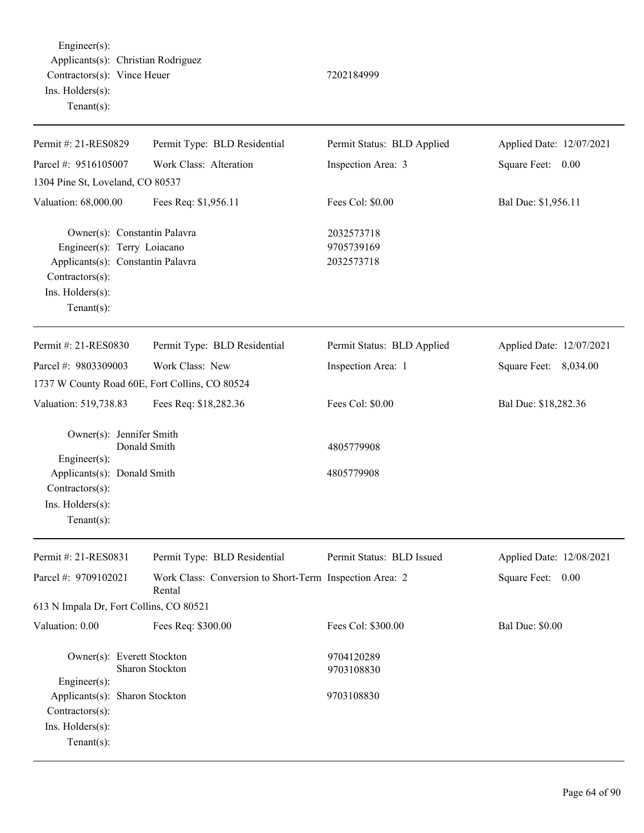Engineer(s): Applicants(s): Christian Rodriguez Contractors(s): Vince Heuer 7202184999 Ins. Holders(s): Tenant(s):

| Permit #: 21-RES0829                                                                                                                                      | Permit Type: BLD Residential                                      | Permit Status: BLD Applied             | Applied Date: 12/07/2021 |
|-----------------------------------------------------------------------------------------------------------------------------------------------------------|-------------------------------------------------------------------|----------------------------------------|--------------------------|
| Parcel #: 9516105007                                                                                                                                      | Work Class: Alteration                                            | Inspection Area: 3                     | Square Feet: 0.00        |
| 1304 Pine St, Loveland, CO 80537                                                                                                                          |                                                                   |                                        |                          |
| Valuation: 68,000.00                                                                                                                                      | Fees Req: \$1,956.11                                              | Fees Col: \$0.00                       | Bal Due: \$1,956.11      |
| Owner(s): Constantin Palavra<br>Engineer(s): Terry Loiacano<br>Applicants(s): Constantin Palavra<br>Contractors(s):<br>Ins. Holders(s):<br>Tenant $(s)$ : |                                                                   | 2032573718<br>9705739169<br>2032573718 |                          |
| Permit #: 21-RES0830                                                                                                                                      | Permit Type: BLD Residential                                      | Permit Status: BLD Applied             | Applied Date: 12/07/2021 |
| Parcel #: 9803309003                                                                                                                                      | Work Class: New                                                   | Inspection Area: 1                     | Square Feet: 8,034.00    |
|                                                                                                                                                           | 1737 W County Road 60E, Fort Collins, CO 80524                    |                                        |                          |
| Valuation: 519,738.83                                                                                                                                     | Fees Req: \$18,282.36                                             | Fees Col: \$0.00                       | Bal Due: \$18,282.36     |
| Owner(s): Jennifer Smith<br>Engineer(s):                                                                                                                  | Donald Smith                                                      | 4805779908                             |                          |
| Applicants(s): Donald Smith<br>Contractors(s):<br>Ins. Holders(s):<br>$Tenant(s)$ :                                                                       |                                                                   | 4805779908                             |                          |
| Permit #: 21-RES0831                                                                                                                                      | Permit Type: BLD Residential                                      | Permit Status: BLD Issued              | Applied Date: 12/08/2021 |
| Parcel #: 9709102021                                                                                                                                      | Work Class: Conversion to Short-Term Inspection Area: 2<br>Rental |                                        | Square Feet:<br>0.00     |
| 613 N Impala Dr, Fort Collins, CO 80521                                                                                                                   |                                                                   |                                        |                          |
| Valuation: 0.00                                                                                                                                           | Fees Req: \$300.00                                                | Fees Col: \$300.00                     | <b>Bal Due: \$0.00</b>   |
| Owner(s): Everett Stockton<br>Engineer(s):                                                                                                                | Sharon Stockton                                                   | 9704120289<br>9703108830               |                          |
| Applicants(s): Sharon Stockton<br>Contractors(s):<br>Ins. Holders(s):<br>Tenant $(s)$ :                                                                   |                                                                   | 9703108830                             |                          |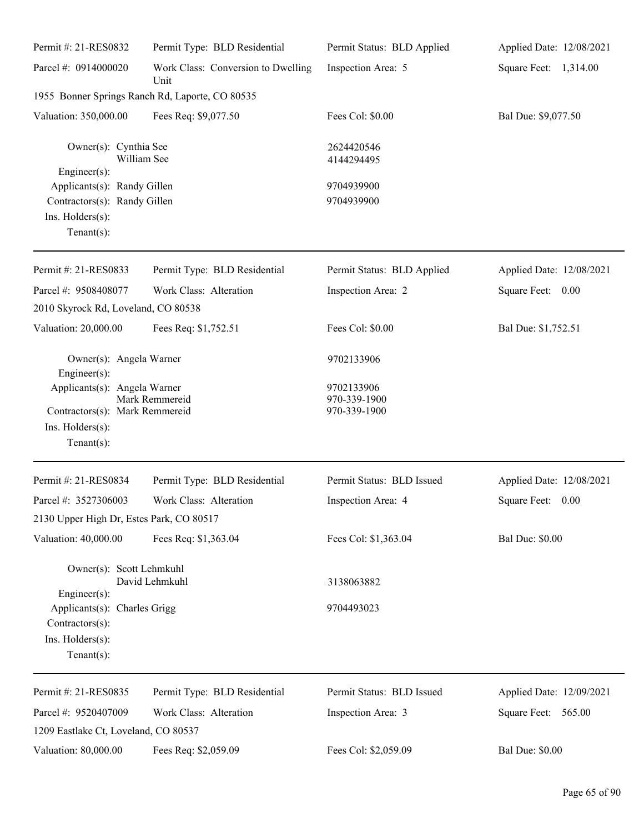| Permit #: 21-RES0832                                                                                | Permit Type: BLD Residential                    | Permit Status: BLD Applied                 | Applied Date: 12/08/2021 |
|-----------------------------------------------------------------------------------------------------|-------------------------------------------------|--------------------------------------------|--------------------------|
| Parcel #: 0914000020                                                                                | Work Class: Conversion to Dwelling<br>Unit      | Inspection Area: 5                         | Square Feet: 1,314.00    |
|                                                                                                     | 1955 Bonner Springs Ranch Rd, Laporte, CO 80535 |                                            |                          |
| Valuation: 350,000.00                                                                               | Fees Req: \$9,077.50                            | Fees Col: \$0.00                           | Bal Due: \$9,077.50      |
| Owner(s): Cynthia See<br>William See<br>$Engineering(s)$ :                                          |                                                 | 2624420546<br>4144294495                   |                          |
| Applicants(s): Randy Gillen<br>Contractors(s): Randy Gillen<br>Ins. Holders(s):<br>Tenant $(s)$ :   |                                                 | 9704939900<br>9704939900                   |                          |
| Permit #: 21-RES0833                                                                                | Permit Type: BLD Residential                    | Permit Status: BLD Applied                 | Applied Date: 12/08/2021 |
| Parcel #: 9508408077                                                                                | Work Class: Alteration                          | Inspection Area: 2                         | Square Feet: 0.00        |
| 2010 Skyrock Rd, Loveland, CO 80538                                                                 |                                                 |                                            |                          |
| Valuation: 20,000.00                                                                                | Fees Req: \$1,752.51                            | Fees Col: \$0.00                           | Bal Due: \$1,752.51      |
| Owner(s): Angela Warner<br>Engineer $(s)$ :                                                         |                                                 | 9702133906                                 |                          |
| Applicants(s): Angela Warner<br>Contractors(s): Mark Remmereid<br>Ins. Holders(s):<br>$Tenant(s)$ : | Mark Remmereid                                  | 9702133906<br>970-339-1900<br>970-339-1900 |                          |
| Permit #: 21-RES0834                                                                                | Permit Type: BLD Residential                    | Permit Status: BLD Issued                  | Applied Date: 12/08/2021 |
| Parcel #: 3527306003                                                                                | Work Class: Alteration                          | Inspection Area: 4                         | 0.00<br>Square Feet:     |
| 2130 Upper High Dr, Estes Park, CO 80517                                                            |                                                 |                                            |                          |
| Valuation: 40,000.00                                                                                | Fees Req: \$1,363.04                            | Fees Col: \$1,363.04                       | <b>Bal Due: \$0.00</b>   |
| Owner(s): Scott Lehmkuhl<br>Engineer(s):                                                            | David Lehmkuhl                                  | 3138063882                                 |                          |
| Applicants(s): Charles Grigg<br>Contractors(s):<br>Ins. Holders(s):<br>Tenant $(s)$ :               |                                                 | 9704493023                                 |                          |
| Permit #: 21-RES0835                                                                                | Permit Type: BLD Residential                    | Permit Status: BLD Issued                  | Applied Date: 12/09/2021 |
| Parcel #: 9520407009<br>1209 Eastlake Ct, Loveland, CO 80537                                        | Work Class: Alteration                          | Inspection Area: 3                         | Square Feet: 565.00      |
| Valuation: 80,000.00                                                                                | Fees Req: \$2,059.09                            | Fees Col: \$2,059.09                       | <b>Bal Due: \$0.00</b>   |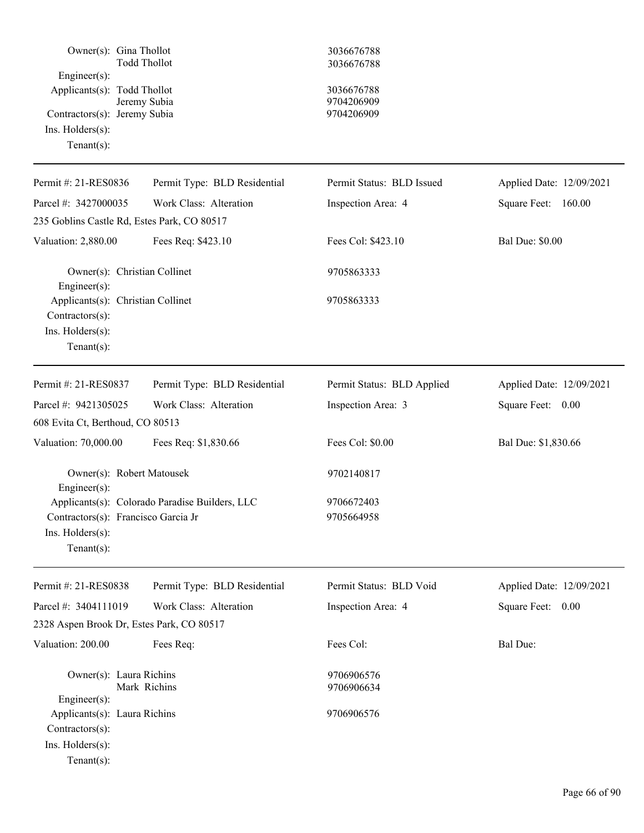| Owner(s): Gina Thollot<br>$Engineering(s)$ :<br>Applicants(s): Todd Thollot<br>Contractors(s): Jeremy Subia<br>$Ins.$ Holders $(s)$ :<br>Tenant $(s)$ : | <b>Todd Thollot</b><br>Jeremy Subia            | 3036676788<br>3036676788<br>3036676788<br>9704206909<br>9704206909 |                          |
|---------------------------------------------------------------------------------------------------------------------------------------------------------|------------------------------------------------|--------------------------------------------------------------------|--------------------------|
| Permit #: 21-RES0836                                                                                                                                    | Permit Type: BLD Residential                   | Permit Status: BLD Issued                                          | Applied Date: 12/09/2021 |
| Parcel #: 3427000035                                                                                                                                    | Work Class: Alteration                         | Inspection Area: 4                                                 | Square Feet:<br>160.00   |
| 235 Goblins Castle Rd, Estes Park, CO 80517                                                                                                             |                                                |                                                                    |                          |
| Valuation: 2,880.00                                                                                                                                     | Fees Req: \$423.10                             | Fees Col: \$423.10                                                 | <b>Bal Due: \$0.00</b>   |
| Owner(s): Christian Collinet<br>Engineer(s):                                                                                                            |                                                | 9705863333                                                         |                          |
| Applicants(s): Christian Collinet<br>Contractors(s):<br>Ins. Holders(s):<br>Tenant $(s)$ :                                                              |                                                | 9705863333                                                         |                          |
| Permit #: 21-RES0837                                                                                                                                    | Permit Type: BLD Residential                   | Permit Status: BLD Applied                                         | Applied Date: 12/09/2021 |
| Parcel #: 9421305025                                                                                                                                    | Work Class: Alteration                         | Inspection Area: 3                                                 | Square Feet: 0.00        |
| 608 Evita Ct, Berthoud, CO 80513                                                                                                                        |                                                |                                                                    |                          |
| Valuation: 70,000.00                                                                                                                                    | Fees Req: \$1,830.66                           | Fees Col: \$0.00                                                   | Bal Due: \$1,830.66      |
| Owner(s): Robert Matousek<br>Engineer(s):                                                                                                               |                                                | 9702140817                                                         |                          |
| Contractors(s): Francisco Garcia Jr<br>$Ins.$ Holders $(s)$ :<br>$Tenant(s)$ :                                                                          | Applicants(s): Colorado Paradise Builders, LLC | 9706672403<br>9705664958                                           |                          |
| Permit #: 21-RES0838                                                                                                                                    | Permit Type: BLD Residential                   | Permit Status: BLD Void                                            | Applied Date: 12/09/2021 |
| Parcel #: 3404111019                                                                                                                                    | Work Class: Alteration                         | Inspection Area: 4                                                 | Square Feet: 0.00        |
| 2328 Aspen Brook Dr, Estes Park, CO 80517                                                                                                               |                                                |                                                                    |                          |
| Valuation: 200.00                                                                                                                                       | Fees Req:                                      | Fees Col:                                                          | <b>Bal Due:</b>          |
| Owner(s): Laura Richins<br>Engineer(s):                                                                                                                 | Mark Richins                                   | 9706906576<br>9706906634                                           |                          |
| Applicants(s): Laura Richins<br>Contractors(s):<br>Ins. Holders(s):<br>$Tenant(s)$ :                                                                    |                                                | 9706906576                                                         |                          |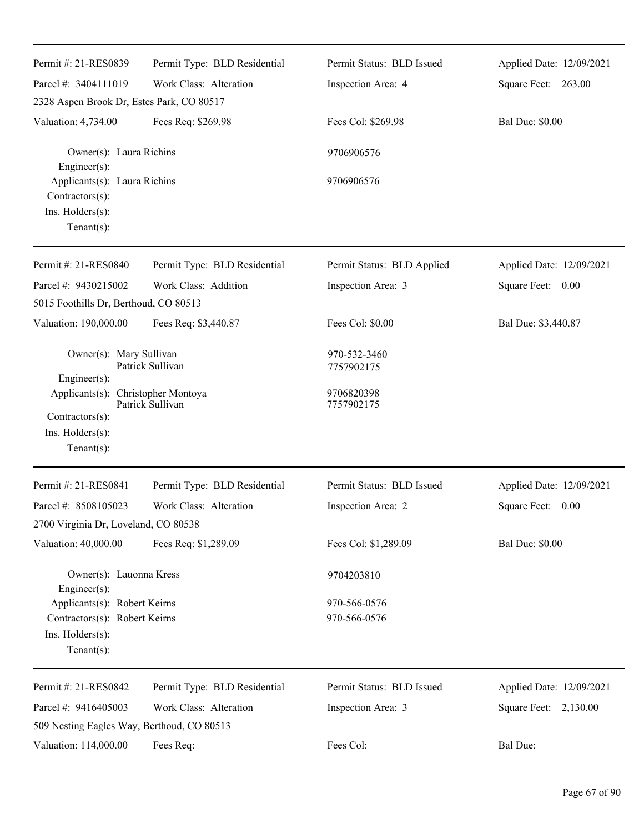| Permit #: 21-RES0839<br>Parcel #: 3404111019                                                        | Permit Type: BLD Residential<br>Work Class: Alteration | Permit Status: BLD Issued<br>Inspection Area: 4 | Applied Date: 12/09/2021<br>Square Feet: 263.00 |
|-----------------------------------------------------------------------------------------------------|--------------------------------------------------------|-------------------------------------------------|-------------------------------------------------|
| 2328 Aspen Brook Dr, Estes Park, CO 80517                                                           |                                                        |                                                 |                                                 |
| Valuation: 4,734.00                                                                                 | Fees Req: \$269.98                                     | Fees Col: \$269.98                              | <b>Bal Due: \$0.00</b>                          |
| Owner(s): Laura Richins<br>Engineer(s):                                                             |                                                        | 9706906576                                      |                                                 |
| Applicants(s): Laura Richins<br>Contractors(s):<br>Ins. Holders(s):<br>Tenant $(s)$ :               |                                                        | 9706906576                                      |                                                 |
| Permit #: 21-RES0840                                                                                | Permit Type: BLD Residential                           | Permit Status: BLD Applied                      | Applied Date: 12/09/2021                        |
| Parcel #: 9430215002<br>5015 Foothills Dr, Berthoud, CO 80513                                       | Work Class: Addition                                   | Inspection Area: 3                              | Square Feet: 0.00                               |
| Valuation: 190,000.00                                                                               | Fees Req: \$3,440.87                                   | Fees Col: \$0.00                                | Bal Due: \$3,440.87                             |
| Owner(s): Mary Sullivan<br>Engineer(s):                                                             | Patrick Sullivan                                       | 970-532-3460<br>7757902175                      |                                                 |
| Applicants(s): Christopher Montoya<br>Contractors(s):<br>Ins. Holders(s):<br>$Tenant(s)$ :          | Patrick Sullivan                                       | 9706820398<br>7757902175                        |                                                 |
| Permit #: 21-RES0841                                                                                | Permit Type: BLD Residential                           | Permit Status: BLD Issued                       | Applied Date: 12/09/2021                        |
| Parcel #: 8508105023<br>2700 Virginia Dr, Loveland, CO 80538                                        | Work Class: Alteration                                 | Inspection Area: 2                              | Square Feet: 0.00                               |
| Valuation: 40,000.00                                                                                | Fees Req: \$1,289.09                                   | Fees Col: \$1,289.09                            | <b>Bal Due: \$0.00</b>                          |
| Owner(s): Lauonna Kress<br>Engineer(s):                                                             |                                                        | 9704203810                                      |                                                 |
| Applicants(s): Robert Keirns<br>Contractors(s): Robert Keirns<br>Ins. Holders(s):<br>Tenant $(s)$ : |                                                        | 970-566-0576<br>970-566-0576                    |                                                 |
| Permit #: 21-RES0842                                                                                | Permit Type: BLD Residential                           | Permit Status: BLD Issued                       | Applied Date: 12/09/2021                        |
| Parcel #: 9416405003                                                                                | Work Class: Alteration                                 | Inspection Area: 3                              | Square Feet: 2,130.00                           |
| 509 Nesting Eagles Way, Berthoud, CO 80513                                                          |                                                        |                                                 |                                                 |
| Valuation: 114,000.00                                                                               | Fees Req:                                              | Fees Col:                                       | Bal Due:                                        |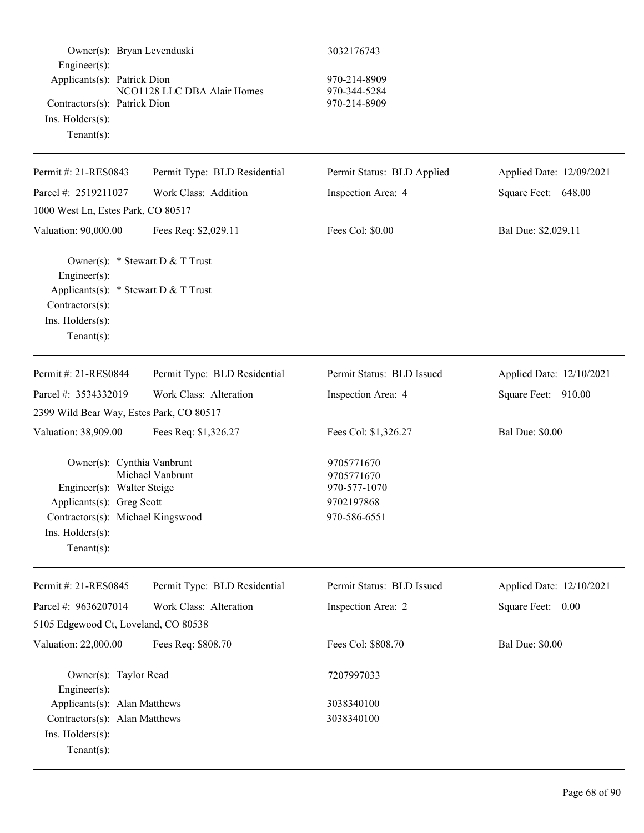| Owner(s): Bryan Levenduski                                                                                                                                      |                              | 3032176743                                                             |                          |
|-----------------------------------------------------------------------------------------------------------------------------------------------------------------|------------------------------|------------------------------------------------------------------------|--------------------------|
| $Engineering(s)$ :<br>Applicants(s): Patrick Dion<br>Contractors(s): Patrick Dion<br>$Ins.$ Holders $(s)$ :<br>Tenant $(s)$ :                                   | NCO1128 LLC DBA Alair Homes  | 970-214-8909<br>970-344-5284<br>970-214-8909                           |                          |
| Permit #: 21-RES0843                                                                                                                                            | Permit Type: BLD Residential | Permit Status: BLD Applied                                             | Applied Date: 12/09/2021 |
| Parcel #: 2519211027                                                                                                                                            | Work Class: Addition         | Inspection Area: 4                                                     | Square Feet: 648.00      |
| 1000 West Ln, Estes Park, CO 80517                                                                                                                              |                              |                                                                        |                          |
| Valuation: 90,000.00                                                                                                                                            | Fees Req: \$2,029.11         | Fees Col: \$0.00                                                       | Bal Due: \$2,029.11      |
| Owner(s): * Stewart D & T Trust<br>Engineer(s):<br>Applicants(s): $*$ Stewart D & T Trust<br>Contractors(s):<br>Ins. Holders(s):<br>Tenant $(s)$ :              |                              |                                                                        |                          |
| Permit #: 21-RES0844                                                                                                                                            | Permit Type: BLD Residential | Permit Status: BLD Issued                                              | Applied Date: 12/10/2021 |
| Parcel #: 3534332019                                                                                                                                            | Work Class: Alteration       | Inspection Area: 4                                                     | Square Feet: 910.00      |
| 2399 Wild Bear Way, Estes Park, CO 80517                                                                                                                        |                              |                                                                        |                          |
| Valuation: 38,909.00                                                                                                                                            | Fees Req: \$1,326.27         | Fees Col: \$1,326.27                                                   | <b>Bal Due: \$0.00</b>   |
| Owner(s): Cynthia Vanbrunt<br>Engineer(s): Walter Steige<br>Applicants(s): Greg Scott<br>Contractors(s): Michael Kingswood<br>Ins. Holders(s):<br>$Tenant(s)$ : | Michael Vanbrunt             | 9705771670<br>9705771670<br>970-577-1070<br>9702197868<br>970-586-6551 |                          |
| Permit #: 21-RES0845                                                                                                                                            | Permit Type: BLD Residential | Permit Status: BLD Issued                                              | Applied Date: 12/10/2021 |
| Parcel #: 9636207014                                                                                                                                            | Work Class: Alteration       | Inspection Area: 2                                                     | Square Feet: 0.00        |
| 5105 Edgewood Ct, Loveland, CO 80538                                                                                                                            |                              |                                                                        |                          |
| Valuation: 22,000.00                                                                                                                                            | Fees Req: \$808.70           | Fees Col: \$808.70                                                     | <b>Bal Due: \$0.00</b>   |
| Owner(s): Taylor Read<br>Engineer(s):                                                                                                                           |                              | 7207997033                                                             |                          |
| Applicants(s): Alan Matthews                                                                                                                                    |                              | 3038340100                                                             |                          |
| Contractors(s): Alan Matthews<br>Ins. Holders(s):<br>$Tenant(s)$ :                                                                                              |                              | 3038340100                                                             |                          |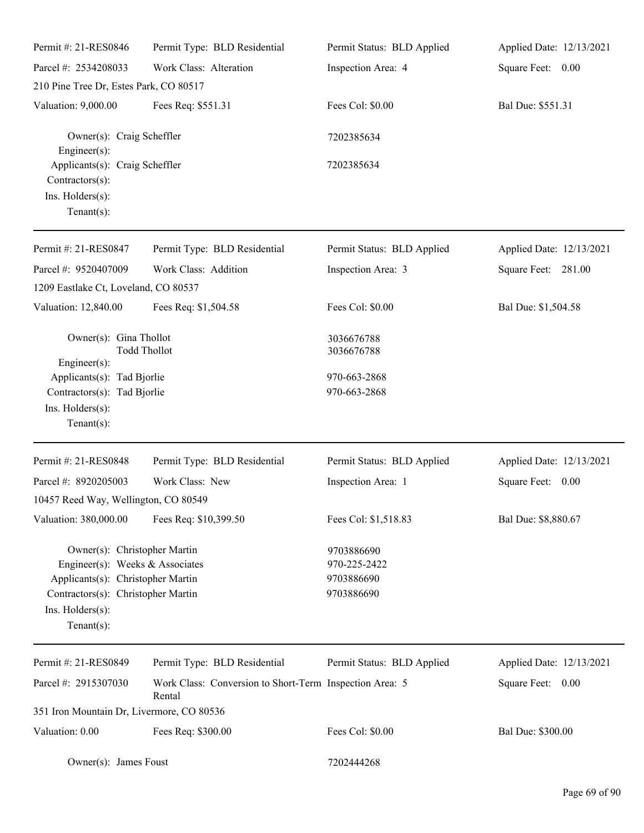| Permit #: 21-RES0846                                                                                                                                                             | Permit Type: BLD Residential                                      | Permit Status: BLD Applied                             | Applied Date: 12/13/2021 |
|----------------------------------------------------------------------------------------------------------------------------------------------------------------------------------|-------------------------------------------------------------------|--------------------------------------------------------|--------------------------|
| Parcel #: 2534208033                                                                                                                                                             | Work Class: Alteration                                            | Inspection Area: 4                                     | Square Feet: 0.00        |
| 210 Pine Tree Dr, Estes Park, CO 80517                                                                                                                                           |                                                                   |                                                        |                          |
| Valuation: 9,000.00                                                                                                                                                              | Fees Req: \$551.31                                                | Fees Col: \$0.00                                       | Bal Due: \$551.31        |
| Owner(s): Craig Scheffler<br>$Engineering(s)$ :                                                                                                                                  |                                                                   | 7202385634                                             |                          |
| Applicants(s): Craig Scheffler<br>Contractors(s):<br>Ins. Holders(s):<br>Tenant $(s)$ :                                                                                          |                                                                   | 7202385634                                             |                          |
| Permit #: 21-RES0847                                                                                                                                                             | Permit Type: BLD Residential                                      | Permit Status: BLD Applied                             | Applied Date: 12/13/2021 |
| Parcel #: 9520407009                                                                                                                                                             | Work Class: Addition                                              | Inspection Area: 3                                     | Square Feet: 281.00      |
| 1209 Eastlake Ct, Loveland, CO 80537                                                                                                                                             |                                                                   |                                                        |                          |
| Valuation: 12,840.00                                                                                                                                                             | Fees Req: \$1,504.58                                              | Fees Col: \$0.00                                       | Bal Due: \$1,504.58      |
| Owner(s): Gina Thollot<br><b>Todd Thollot</b><br>$Engineering(s)$ :                                                                                                              |                                                                   | 3036676788<br>3036676788                               |                          |
| Applicants(s): Tad Bjorlie                                                                                                                                                       |                                                                   | 970-663-2868                                           |                          |
| Contractors(s): Tad Bjorlie<br>Ins. Holders(s):<br>Tenant $(s)$ :                                                                                                                |                                                                   | 970-663-2868                                           |                          |
| Permit #: 21-RES0848                                                                                                                                                             | Permit Type: BLD Residential                                      | Permit Status: BLD Applied                             | Applied Date: 12/13/2021 |
| Parcel #: 8920205003                                                                                                                                                             | Work Class: New                                                   | Inspection Area: 1                                     | Square Feet:<br>0.00     |
| 10457 Reed Way, Wellington, CO 80549                                                                                                                                             |                                                                   |                                                        |                          |
| Valuation: 380,000.00                                                                                                                                                            | Fees Req: \$10,399.50                                             | Fees Col: \$1,518.83                                   | Bal Due: \$8,880.67      |
| Owner(s): Christopher Martin<br>Engineer(s): Weeks & Associates<br>Applicants(s): Christopher Martin<br>Contractors(s): Christopher Martin<br>Ins. Holders(s):<br>Tenant $(s)$ : |                                                                   | 9703886690<br>970-225-2422<br>9703886690<br>9703886690 |                          |
| Permit #: 21-RES0849                                                                                                                                                             | Permit Type: BLD Residential                                      | Permit Status: BLD Applied                             | Applied Date: 12/13/2021 |
| Parcel #: 2915307030                                                                                                                                                             | Work Class: Conversion to Short-Term Inspection Area: 5<br>Rental |                                                        | Square Feet: 0.00        |
| 351 Iron Mountain Dr, Livermore, CO 80536                                                                                                                                        |                                                                   |                                                        |                          |
| Valuation: 0.00                                                                                                                                                                  | Fees Req: \$300.00                                                | Fees Col: \$0.00                                       | Bal Due: \$300.00        |
| Owner(s): James Foust                                                                                                                                                            |                                                                   | 7202444268                                             |                          |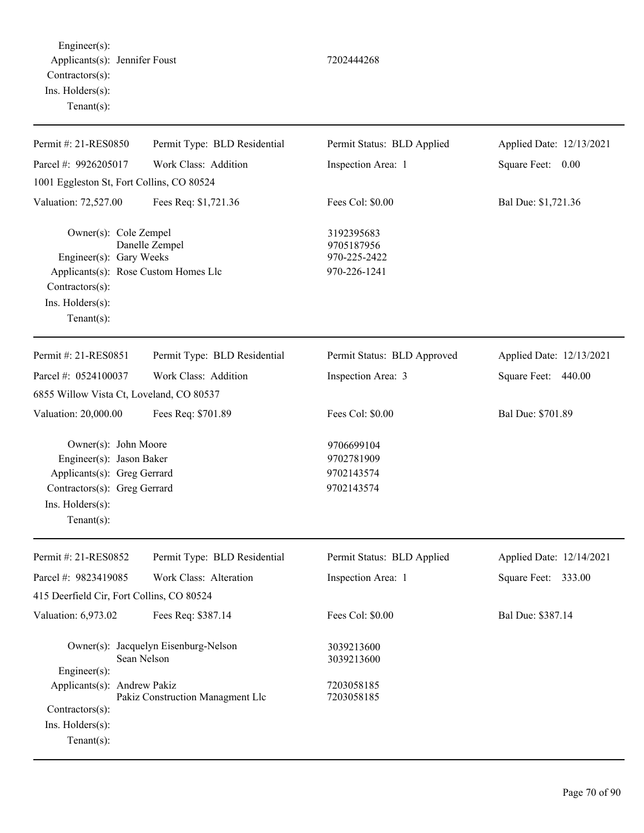Engineer(s): Applicants(s): Jennifer Foust 7202444268 Contractors(s): Ins. Holders(s): Tenant(s):

| Permit #: 21-RES0850                                                                                                                                  | Permit Type: BLD Residential                        | Permit Status: BLD Applied                               | Applied Date: 12/13/2021 |
|-------------------------------------------------------------------------------------------------------------------------------------------------------|-----------------------------------------------------|----------------------------------------------------------|--------------------------|
| Parcel #: 9926205017                                                                                                                                  | Work Class: Addition                                | Inspection Area: 1                                       | Square Feet: 0.00        |
| 1001 Eggleston St, Fort Collins, CO 80524                                                                                                             |                                                     |                                                          |                          |
| Valuation: 72,527.00                                                                                                                                  | Fees Req: \$1,721.36                                | Fees Col: \$0.00                                         | Bal Due: \$1,721.36      |
| Owner(s): Cole Zempel<br>Engineer(s): Gary Weeks<br>Applicants(s): Rose Custom Homes Llc<br>Contractors(s):<br>Ins. Holders(s):<br>Tenant $(s)$ :     | Danelle Zempel                                      | 3192395683<br>9705187956<br>970-225-2422<br>970-226-1241 |                          |
| Permit #: 21-RES0851                                                                                                                                  | Permit Type: BLD Residential                        | Permit Status: BLD Approved                              | Applied Date: 12/13/2021 |
| Parcel #: 0524100037                                                                                                                                  | Work Class: Addition                                | Inspection Area: 3                                       | Square Feet: 440.00      |
| 6855 Willow Vista Ct, Loveland, CO 80537                                                                                                              |                                                     |                                                          |                          |
| Valuation: 20,000.00                                                                                                                                  | Fees Req: \$701.89                                  | Fees Col: \$0.00                                         | Bal Due: \$701.89        |
| Owner(s): John Moore<br>Engineer(s): Jason Baker<br>Applicants(s): Greg Gerrard<br>Contractors(s): Greg Gerrard<br>Ins. Holders(s):<br>Tenant $(s)$ : |                                                     | 9706699104<br>9702781909<br>9702143574<br>9702143574     |                          |
| Permit #: 21-RES0852                                                                                                                                  | Permit Type: BLD Residential                        | Permit Status: BLD Applied                               | Applied Date: 12/14/2021 |
| Parcel #: 9823419085                                                                                                                                  | Work Class: Alteration                              | Inspection Area: 1                                       | Square Feet: 333.00      |
| 415 Deerfield Cir, Fort Collins, CO 80524                                                                                                             |                                                     |                                                          |                          |
| Valuation: 6,973.02                                                                                                                                   | Fees Req: \$387.14                                  | Fees Col: \$0.00                                         | Bal Due: \$387.14        |
| Engineer(s):                                                                                                                                          | Owner(s): Jacquelyn Eisenburg-Nelson<br>Sean Nelson | 3039213600<br>3039213600                                 |                          |
| Applicants(s): Andrew Pakiz<br>Contractors(s):<br>Ins. Holders(s):                                                                                    | Pakiz Construction Managment Llc                    | 7203058185<br>7203058185                                 |                          |
|                                                                                                                                                       |                                                     |                                                          |                          |

Tenant(s):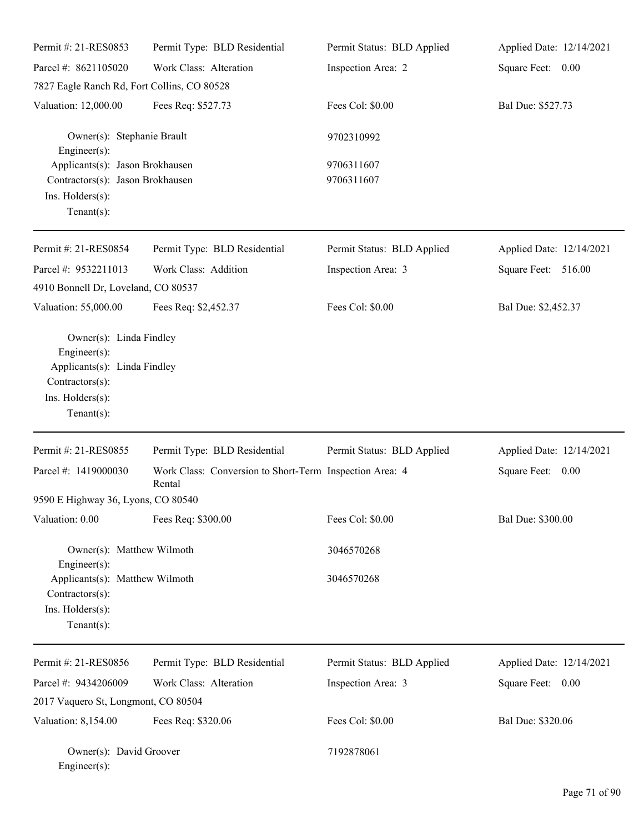| Permit #: 21-RES0853                                                                                                                 | Permit Type: BLD Residential                                      | Permit Status: BLD Applied | Applied Date: 12/14/2021 |  |
|--------------------------------------------------------------------------------------------------------------------------------------|-------------------------------------------------------------------|----------------------------|--------------------------|--|
| Parcel #: 8621105020                                                                                                                 | Work Class: Alteration                                            | Inspection Area: 2         | Square Feet: 0.00        |  |
| 7827 Eagle Ranch Rd, Fort Collins, CO 80528                                                                                          |                                                                   |                            |                          |  |
| Valuation: 12,000.00                                                                                                                 | Fees Req: \$527.73                                                | Fees Col: \$0.00           | Bal Due: \$527.73        |  |
| Owner(s): Stephanie Brault<br>Engineer $(s)$ :                                                                                       |                                                                   | 9702310992                 |                          |  |
| Applicants(s): Jason Brokhausen<br>Contractors(s): Jason Brokhausen<br>Ins. Holders(s):<br>Tenant $(s)$ :                            |                                                                   | 9706311607<br>9706311607   |                          |  |
| Permit #: 21-RES0854                                                                                                                 | Permit Type: BLD Residential                                      | Permit Status: BLD Applied | Applied Date: 12/14/2021 |  |
| Parcel #: 9532211013                                                                                                                 | Work Class: Addition                                              | Inspection Area: 3         | Square Feet: 516.00      |  |
| 4910 Bonnell Dr, Loveland, CO 80537                                                                                                  |                                                                   |                            |                          |  |
| Valuation: 55,000.00                                                                                                                 | Fees Req: \$2,452.37                                              | Fees Col: \$0.00           | Bal Due: \$2,452.37      |  |
| Owner(s): Linda Findley<br>Engineer $(s)$ :<br>Applicants(s): Linda Findley<br>Contractors(s):<br>Ins. Holders(s):<br>Tenant $(s)$ : |                                                                   |                            |                          |  |
| Permit #: 21-RES0855                                                                                                                 | Permit Type: BLD Residential                                      | Permit Status: BLD Applied | Applied Date: 12/14/2021 |  |
| Parcel #: 1419000030                                                                                                                 | Work Class: Conversion to Short-Term Inspection Area: 4<br>Rental |                            | Square Feet: 0.00        |  |
| 9590 E Highway 36, Lyons, CO 80540                                                                                                   |                                                                   |                            |                          |  |
| Valuation: 0.00                                                                                                                      | Fees Req: \$300.00                                                | Fees Col: \$0.00           | Bal Due: \$300.00        |  |
| Owner(s): Matthew Wilmoth                                                                                                            |                                                                   | 3046570268                 |                          |  |
| Engineer $(s)$ :<br>Applicants(s): Matthew Wilmoth<br>Contractors(s):<br>Ins. Holders(s):<br>Tenant $(s)$ :                          |                                                                   | 3046570268                 |                          |  |
| Permit #: 21-RES0856                                                                                                                 | Permit Type: BLD Residential                                      | Permit Status: BLD Applied | Applied Date: 12/14/2021 |  |
| Parcel #: 9434206009                                                                                                                 | Work Class: Alteration                                            | Inspection Area: 3         | Square Feet: 0.00        |  |
| 2017 Vaquero St, Longmont, CO 80504                                                                                                  |                                                                   |                            |                          |  |
| Valuation: 8,154.00                                                                                                                  | Fees Req: \$320.06                                                | Fees Col: \$0.00           | Bal Due: \$320.06        |  |
| Owner(s): David Groover<br>$Engineer(s)$ :                                                                                           |                                                                   | 7192878061                 |                          |  |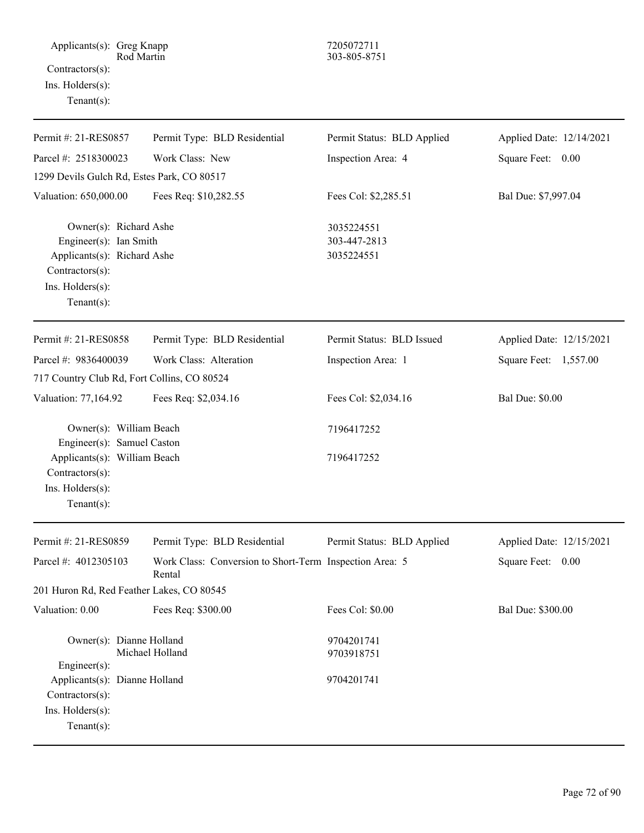Applicants(s): Greg Knapp 7205072711<br>Rod Martin 303-805-875 Contractors(s): Ins. Holders(s): Tenant(s):

# Rod Martin 303-805-8751

| Permit #: 21-RES0857                                                                                                                    | Permit Type: BLD Residential                                      | Permit Status: BLD Applied               | Applied Date: 12/14/2021 |
|-----------------------------------------------------------------------------------------------------------------------------------------|-------------------------------------------------------------------|------------------------------------------|--------------------------|
| Parcel #: 2518300023                                                                                                                    | Work Class: New                                                   | Inspection Area: 4                       | Square Feet:<br>0.00     |
| 1299 Devils Gulch Rd, Estes Park, CO 80517                                                                                              |                                                                   |                                          |                          |
| Valuation: 650,000.00                                                                                                                   | Fees Req: \$10,282.55                                             | Fees Col: \$2,285.51                     | Bal Due: \$7,997.04      |
| Owner(s): Richard Ashe<br>Engineer(s): Ian Smith<br>Applicants(s): Richard Ashe<br>Contractors(s):<br>Ins. Holders(s):<br>$Tenant(s)$ : |                                                                   | 3035224551<br>303-447-2813<br>3035224551 |                          |
| Permit #: 21-RES0858                                                                                                                    | Permit Type: BLD Residential                                      | Permit Status: BLD Issued                | Applied Date: 12/15/2021 |
| Parcel #: 9836400039                                                                                                                    | Work Class: Alteration                                            | Inspection Area: 1                       | Square Feet: 1,557.00    |
| 717 Country Club Rd, Fort Collins, CO 80524                                                                                             |                                                                   |                                          |                          |
| Valuation: 77,164.92                                                                                                                    | Fees Req: \$2,034.16                                              | Fees Col: \$2,034.16                     | <b>Bal Due: \$0.00</b>   |
| Owner(s): William Beach                                                                                                                 |                                                                   | 7196417252                               |                          |
| Engineer(s): Samuel Caston<br>Applicants(s): William Beach<br>Contractors(s):<br>Ins. Holders(s):<br>Tenant $(s)$ :                     |                                                                   | 7196417252                               |                          |
| Permit #: 21-RES0859                                                                                                                    | Permit Type: BLD Residential                                      | Permit Status: BLD Applied               | Applied Date: 12/15/2021 |
| Parcel #: 4012305103                                                                                                                    | Work Class: Conversion to Short-Term Inspection Area: 5<br>Rental |                                          | Square Feet:<br>0.00     |
| 201 Huron Rd, Red Feather Lakes, CO 80545                                                                                               |                                                                   |                                          |                          |
| Valuation: 0.00                                                                                                                         | Fees Req: \$300.00                                                | Fees Col: \$0.00                         | Bal Due: \$300.00        |
| Owner(s): Dianne Holland<br>Michael Holland<br>$Engineering(s)$ :                                                                       |                                                                   | 9704201741<br>9703918751                 |                          |
| Applicants(s): Dianne Holland<br>Contractors(s):<br>Ins. Holders(s):<br>Tenant $(s)$ :                                                  |                                                                   | 9704201741                               |                          |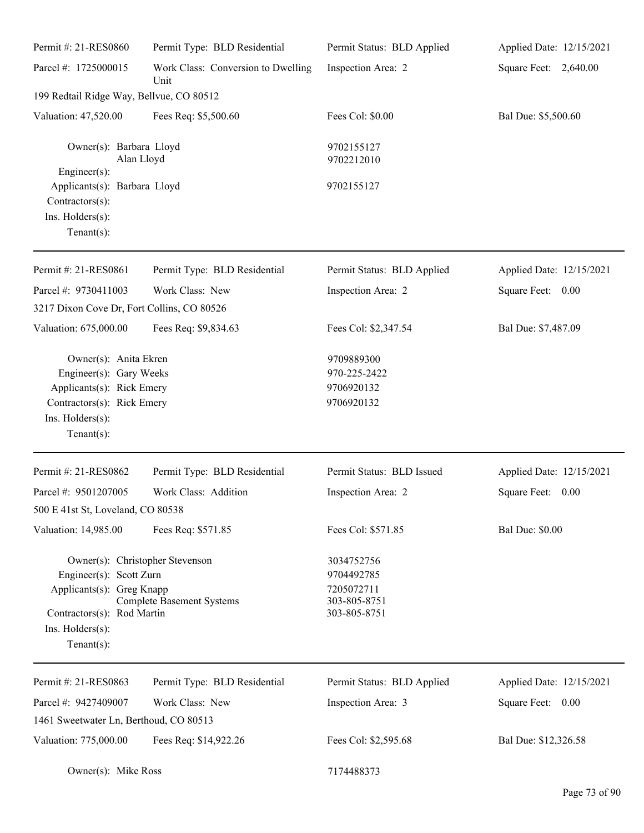| Permit #: 21-RES0860                                                                                                                                        | Permit Type: BLD Residential               | Permit Status: BLD Applied                                             | Applied Date: 12/15/2021 |
|-------------------------------------------------------------------------------------------------------------------------------------------------------------|--------------------------------------------|------------------------------------------------------------------------|--------------------------|
| Parcel #: 1725000015                                                                                                                                        | Work Class: Conversion to Dwelling<br>Unit | Inspection Area: 2                                                     | Square Feet: 2,640.00    |
| 199 Redtail Ridge Way, Bellvue, CO 80512                                                                                                                    |                                            |                                                                        |                          |
| Valuation: 47,520.00                                                                                                                                        | Fees Req: \$5,500.60                       | Fees Col: \$0.00                                                       | Bal Due: \$5,500.60      |
| Owner(s): Barbara Lloyd<br>Alan Lloyd                                                                                                                       |                                            | 9702155127<br>9702212010                                               |                          |
| Engineer(s):<br>Applicants(s): Barbara Lloyd<br>Contractors(s):                                                                                             |                                            | 9702155127                                                             |                          |
| Ins. Holders(s):<br>Tenant $(s)$ :                                                                                                                          |                                            |                                                                        |                          |
| Permit #: 21-RES0861                                                                                                                                        | Permit Type: BLD Residential               | Permit Status: BLD Applied                                             | Applied Date: 12/15/2021 |
| Parcel #: 9730411003                                                                                                                                        | Work Class: New                            | Inspection Area: 2                                                     | Square Feet: 0.00        |
| 3217 Dixon Cove Dr, Fort Collins, CO 80526                                                                                                                  |                                            |                                                                        |                          |
| Valuation: 675,000.00                                                                                                                                       | Fees Req: \$9,834.63                       | Fees Col: \$2,347.54                                                   | Bal Due: \$7,487.09      |
| Owner(s): Anita Ekren<br>Engineer(s): Gary Weeks<br>Applicants(s): Rick Emery<br>Contractors(s): Rick Emery<br>Ins. Holders(s):<br>Tenant $(s)$ :           |                                            | 9709889300<br>970-225-2422<br>9706920132<br>9706920132                 |                          |
| Permit #: 21-RES0862                                                                                                                                        | Permit Type: BLD Residential               | Permit Status: BLD Issued                                              | Applied Date: 12/15/2021 |
| Parcel #: 9501207005                                                                                                                                        | Work Class: Addition                       | Inspection Area: 2                                                     | Square Feet:<br>0.00     |
| 500 E 41st St, Loveland, CO 80538                                                                                                                           |                                            |                                                                        |                          |
| Valuation: 14,985.00                                                                                                                                        | Fees Req: \$571.85                         | Fees Col: \$571.85                                                     | <b>Bal Due: \$0.00</b>   |
| Owner(s): Christopher Stevenson<br>Engineer(s): Scott Zurn<br>Applicants(s): Greg Knapp<br>Contractors(s): Rod Martin<br>Ins. Holders(s):<br>Tenant $(s)$ : | <b>Complete Basement Systems</b>           | 3034752756<br>9704492785<br>7205072711<br>303-805-8751<br>303-805-8751 |                          |
| Permit #: 21-RES0863                                                                                                                                        | Permit Type: BLD Residential               | Permit Status: BLD Applied                                             | Applied Date: 12/15/2021 |
| Parcel #: 9427409007                                                                                                                                        | Work Class: New                            | Inspection Area: 3                                                     | Square Feet: 0.00        |
| 1461 Sweetwater Ln, Berthoud, CO 80513                                                                                                                      |                                            |                                                                        |                          |
| Valuation: 775,000.00                                                                                                                                       | Fees Req: \$14,922.26                      | Fees Col: \$2,595.68                                                   | Bal Due: \$12,326.58     |
| Owner(s): Mike Ross                                                                                                                                         |                                            | 7174488373                                                             |                          |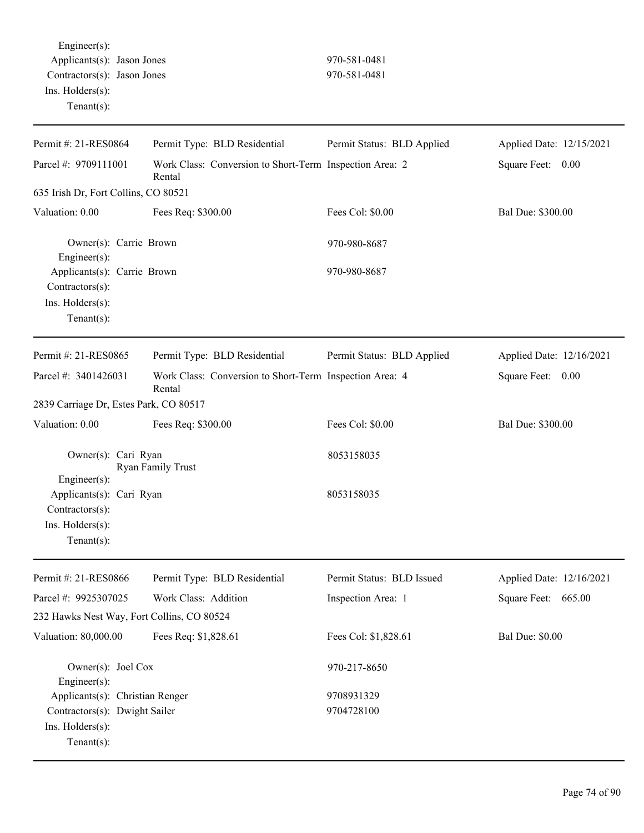Engineer(s): Applicants(s): Jason Jones 970-581-0481 Contractors(s): Jason Jones 970-581-0481 Ins. Holders(s): Tenant(s):

| Permit #: 21-RES0864                                                                              | Permit Type: BLD Residential                                      | Permit Status: BLD Applied | Applied Date: 12/15/2021 |
|---------------------------------------------------------------------------------------------------|-------------------------------------------------------------------|----------------------------|--------------------------|
| Parcel #: 9709111001                                                                              | Work Class: Conversion to Short-Term Inspection Area: 2<br>Rental |                            | Square Feet: 0.00        |
| 635 Irish Dr, Fort Collins, CO 80521                                                              |                                                                   |                            |                          |
| Valuation: 0.00                                                                                   | Fees Req: \$300.00                                                | Fees Col: \$0.00           | Bal Due: \$300.00        |
| Owner(s): Carrie Brown<br>Engineer(s):                                                            |                                                                   | 970-980-8687               |                          |
| Applicants(s): Carrie Brown<br>Contractors(s):                                                    |                                                                   | 970-980-8687               |                          |
| Ins. Holders(s):<br>Tenant $(s)$ :                                                                |                                                                   |                            |                          |
| Permit #: 21-RES0865                                                                              | Permit Type: BLD Residential                                      | Permit Status: BLD Applied | Applied Date: 12/16/2021 |
| Parcel #: 3401426031                                                                              | Work Class: Conversion to Short-Term Inspection Area: 4<br>Rental |                            | Square Feet: 0.00        |
| 2839 Carriage Dr, Estes Park, CO 80517                                                            |                                                                   |                            |                          |
| Valuation: 0.00                                                                                   | Fees Req: \$300.00                                                | Fees Col: \$0.00           | Bal Due: \$300.00        |
| Owner(s): Cari Ryan                                                                               | Ryan Family Trust                                                 | 8053158035                 |                          |
| Engineer(s):<br>Applicants(s): Cari Ryan<br>Contractors(s):<br>Ins. Holders(s):<br>Tenant $(s)$ : |                                                                   | 8053158035                 |                          |
| Permit #: 21-RES0866                                                                              | Permit Type: BLD Residential                                      | Permit Status: BLD Issued  | Applied Date: 12/16/2021 |
| Parcel #: 9925307025                                                                              | Work Class: Addition                                              | Inspection Area: 1         | Square Feet: 665.00      |
| 232 Hawks Nest Way, Fort Collins, CO 80524                                                        |                                                                   |                            |                          |
| Valuation: 80,000.00                                                                              | Fees Req: \$1,828.61                                              | Fees Col: \$1,828.61       | <b>Bal Due: \$0.00</b>   |
| Owner(s): Joel Cox<br>Engineer(s):                                                                |                                                                   | 970-217-8650               |                          |
| Applicants(s): Christian Renger                                                                   |                                                                   | 9708931329                 |                          |
| Contractors(s): Dwight Sailer<br>Ins. Holders(s):<br>Tenant $(s)$ :                               |                                                                   | 9704728100                 |                          |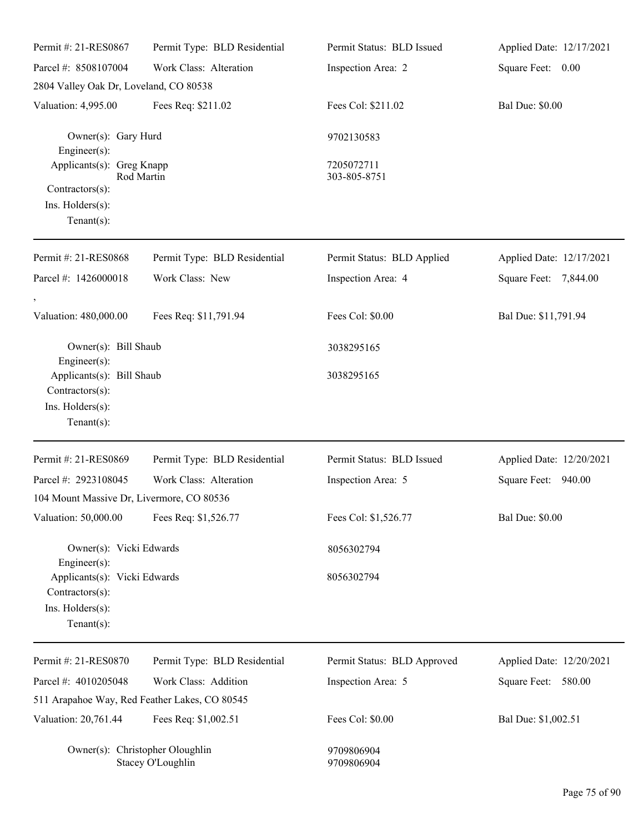| Permit #: 21-RES0867                                                                  | Permit Type: BLD Residential                  | Permit Status: BLD Issued   | Applied Date: 12/17/2021 |
|---------------------------------------------------------------------------------------|-----------------------------------------------|-----------------------------|--------------------------|
| Parcel #: 8508107004                                                                  | Work Class: Alteration                        | Inspection Area: 2          | Square Feet: 0.00        |
| 2804 Valley Oak Dr, Loveland, CO 80538                                                |                                               |                             |                          |
| Valuation: 4,995.00                                                                   | Fees Req: \$211.02                            | Fees Col: \$211.02          | <b>Bal Due: \$0.00</b>   |
| Owner(s): Gary Hurd<br>Engineer(s):                                                   |                                               | 9702130583                  |                          |
| Applicants(s): Greg Knapp                                                             | Rod Martin                                    | 7205072711<br>303-805-8751  |                          |
| Contractors(s):<br>Ins. Holders(s):<br>Tenant $(s)$ :                                 |                                               |                             |                          |
| Permit #: 21-RES0868                                                                  | Permit Type: BLD Residential                  | Permit Status: BLD Applied  | Applied Date: 12/17/2021 |
| Parcel #: 1426000018                                                                  | Work Class: New                               | Inspection Area: 4          | Square Feet: 7,844.00    |
| Valuation: 480,000.00                                                                 | Fees Req: \$11,791.94                         | Fees Col: \$0.00            | Bal Due: \$11,791.94     |
| Owner(s): Bill Shaub<br>Engineer(s):                                                  |                                               | 3038295165                  |                          |
| Applicants(s): Bill Shaub<br>Contractors(s):<br>Ins. Holders(s):<br>Tenant $(s)$ :    |                                               | 3038295165                  |                          |
| Permit #: 21-RES0869                                                                  | Permit Type: BLD Residential                  | Permit Status: BLD Issued   | Applied Date: 12/20/2021 |
| Parcel #: 2923108045<br>104 Mount Massive Dr, Livermore, CO 80536                     | Work Class: Alteration                        | Inspection Area: 5          | Square Feet: 940.00      |
| Valuation: 50,000.00                                                                  | Fees Req: \$1,526.77                          | Fees Col: \$1,526.77        | <b>Bal Due: \$0.00</b>   |
| Owner(s): Vicki Edwards<br>Engineer(s):                                               |                                               | 8056302794                  |                          |
| Applicants(s): Vicki Edwards<br>Contractors(s):<br>Ins. Holders(s):<br>Tenant $(s)$ : |                                               | 8056302794                  |                          |
| Permit #: 21-RES0870                                                                  | Permit Type: BLD Residential                  | Permit Status: BLD Approved | Applied Date: 12/20/2021 |
| Parcel #: 4010205048                                                                  | Work Class: Addition                          | Inspection Area: 5          | Square Feet: 580.00      |
|                                                                                       | 511 Arapahoe Way, Red Feather Lakes, CO 80545 |                             |                          |
| Valuation: 20,761.44                                                                  | Fees Req: \$1,002.51                          | Fees Col: \$0.00            | Bal Due: \$1,002.51      |
| Owner(s): Christopher Oloughlin                                                       | Stacey O'Loughlin                             | 9709806904<br>9709806904    |                          |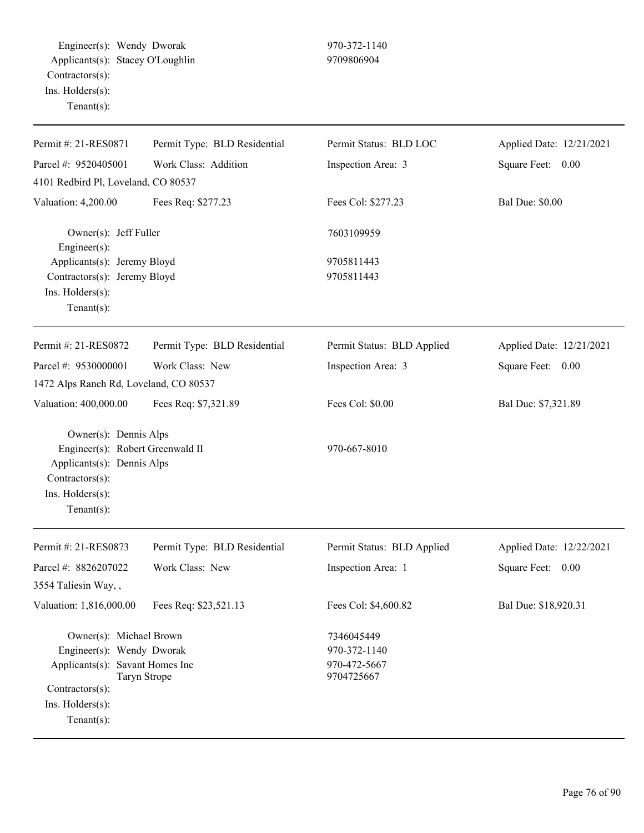Engineer(s): Wendy Dworak 970-372-1140 Applicants(s): Stacey O'Loughlin 9709806904 Contractors(s): Ins. Holders(s): Tenant(s):

| Permit #: 21-RES0871                                                                                                                                                          | Permit Type: BLD Residential | Permit Status: BLD LOC                                   | Applied Date: 12/21/2021 |
|-------------------------------------------------------------------------------------------------------------------------------------------------------------------------------|------------------------------|----------------------------------------------------------|--------------------------|
| Parcel #: 9520405001                                                                                                                                                          | Work Class: Addition         | Inspection Area: 3                                       | Square Feet: 0.00        |
| 4101 Redbird Pl, Loveland, CO 80537                                                                                                                                           |                              |                                                          |                          |
| Valuation: 4,200.00                                                                                                                                                           | Fees Req: \$277.23           | Fees Col: \$277.23                                       | <b>Bal Due: \$0.00</b>   |
| Owner(s): Jeff Fuller<br>Engineer(s):                                                                                                                                         |                              | 7603109959                                               |                          |
| Applicants(s): Jeremy Bloyd<br>Contractors(s): Jeremy Bloyd<br>Ins. Holders(s):<br>$Tenant(s)$ :                                                                              |                              | 9705811443<br>9705811443                                 |                          |
| Permit #: 21-RES0872                                                                                                                                                          | Permit Type: BLD Residential | Permit Status: BLD Applied                               | Applied Date: 12/21/2021 |
| Parcel #: 9530000001                                                                                                                                                          | Work Class: New              | Inspection Area: 3                                       | Square Feet:<br>0.00     |
| 1472 Alps Ranch Rd, Loveland, CO 80537                                                                                                                                        |                              |                                                          |                          |
| Valuation: 400,000.00                                                                                                                                                         | Fees Req: \$7,321.89         | Fees Col: \$0.00                                         | Bal Due: \$7,321.89      |
| Owner(s): Dennis Alps<br>Engineer(s): Robert Greenwald II<br>Applicants(s): Dennis Alps<br>Contractors(s):<br>Ins. Holders(s):<br>$Tenant(s)$ :                               |                              | 970-667-8010                                             |                          |
| Permit #: 21-RES0873                                                                                                                                                          | Permit Type: BLD Residential | Permit Status: BLD Applied                               | Applied Date: 12/22/2021 |
| Parcel #: 8826207022                                                                                                                                                          | Work Class: New              | Inspection Area: 1                                       | Square Feet: 0.00        |
| 3554 Taliesin Way,,                                                                                                                                                           |                              |                                                          |                          |
| Valuation: 1,816,000.00                                                                                                                                                       | Fees Req: \$23,521.13        | Fees Col: \$4,600.82                                     | Bal Due: \$18,920.31     |
| Owner(s): Michael Brown<br>Engineer(s): Wendy Dworak<br>Applicants(s): Savant Homes Inc<br><b>Taryn Strope</b><br>Contractors(s):<br>$Ins.$ Holders $(s)$ :<br>Tenant $(s)$ : |                              | 7346045449<br>970-372-1140<br>970-472-5667<br>9704725667 |                          |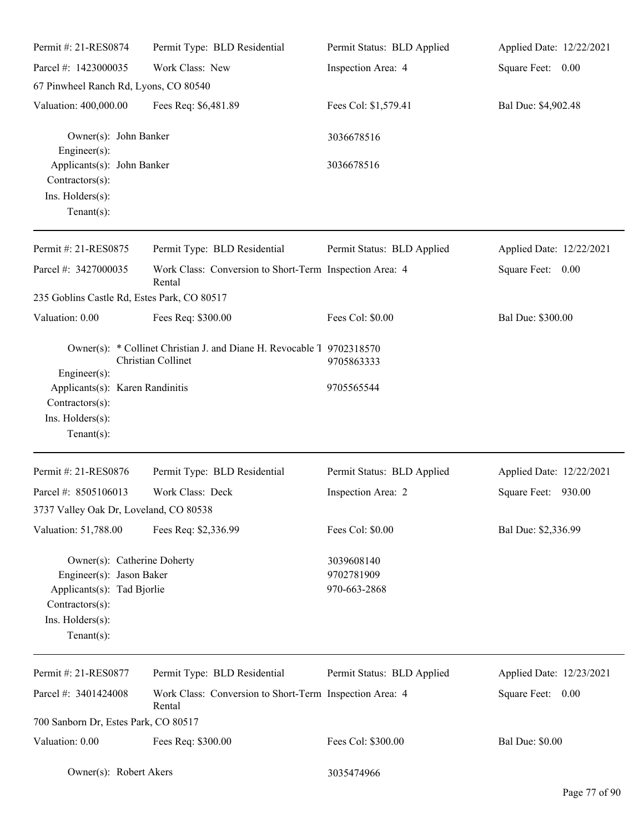| Permit #: 21-RES0874                                                                                                                           | Permit Type: BLD Residential                                                                | Permit Status: BLD Applied               | Applied Date: 12/22/2021 |
|------------------------------------------------------------------------------------------------------------------------------------------------|---------------------------------------------------------------------------------------------|------------------------------------------|--------------------------|
| Parcel #: 1423000035                                                                                                                           | Work Class: New                                                                             | Inspection Area: 4                       | Square Feet: 0.00        |
| 67 Pinwheel Ranch Rd, Lyons, CO 80540                                                                                                          |                                                                                             |                                          |                          |
| Valuation: 400,000.00                                                                                                                          | Fees Req: \$6,481.89                                                                        | Fees Col: \$1,579.41                     | Bal Due: \$4,902.48      |
| Owner(s): John Banker<br>Engineer(s):                                                                                                          |                                                                                             | 3036678516                               |                          |
| Applicants(s): John Banker<br>Contractors(s):<br>Ins. Holders(s):                                                                              |                                                                                             | 3036678516                               |                          |
| $Tenant(s)$ :                                                                                                                                  |                                                                                             |                                          |                          |
| Permit #: 21-RES0875                                                                                                                           | Permit Type: BLD Residential                                                                | Permit Status: BLD Applied               | Applied Date: 12/22/2021 |
| Parcel #: 3427000035                                                                                                                           | Work Class: Conversion to Short-Term Inspection Area: 4<br>Rental                           |                                          | Square Feet: 0.00        |
| 235 Goblins Castle Rd, Estes Park, CO 80517                                                                                                    |                                                                                             |                                          |                          |
| Valuation: 0.00                                                                                                                                | Fees Req: \$300.00                                                                          | Fees Col: \$0.00                         | Bal Due: \$300.00        |
|                                                                                                                                                | Owner(s): * Collinet Christian J. and Diane H. Revocable 1 9702318570<br>Christian Collinet | 9705863333                               |                          |
| Engineer(s):<br>Applicants(s): Karen Randinitis<br>Contractors(s):<br>Ins. Holders(s):                                                         |                                                                                             | 9705565544                               |                          |
| $Tenant(s)$ :                                                                                                                                  |                                                                                             |                                          |                          |
| Permit #: 21-RES0876                                                                                                                           | Permit Type: BLD Residential                                                                | Permit Status: BLD Applied               | Applied Date: 12/22/2021 |
| Parcel #: 8505106013                                                                                                                           | Work Class: Deck                                                                            | Inspection Area: 2                       | Square Feet: 930.00      |
| 3737 Valley Oak Dr, Loveland, CO 80538                                                                                                         |                                                                                             |                                          |                          |
| Valuation: 51,788.00                                                                                                                           | Fees Req: \$2,336.99                                                                        | Fees Col: \$0.00                         | Bal Due: \$2,336.99      |
| Owner(s): Catherine Doherty<br>Engineer(s): Jason Baker<br>Applicants(s): Tad Bjorlie<br>Contractors(s):<br>Ins. Holders(s):<br>Tenant $(s)$ : |                                                                                             | 3039608140<br>9702781909<br>970-663-2868 |                          |
| Permit #: 21-RES0877                                                                                                                           | Permit Type: BLD Residential                                                                | Permit Status: BLD Applied               | Applied Date: 12/23/2021 |
| Parcel #: 3401424008                                                                                                                           | Work Class: Conversion to Short-Term Inspection Area: 4                                     |                                          | Square Feet: 0.00        |
| 700 Sanborn Dr, Estes Park, CO 80517                                                                                                           | Rental                                                                                      |                                          |                          |
| Valuation: 0.00                                                                                                                                | Fees Req: \$300.00                                                                          | Fees Col: \$300.00                       | <b>Bal Due: \$0.00</b>   |
| Owner(s): Robert Akers                                                                                                                         |                                                                                             | 3035474966                               |                          |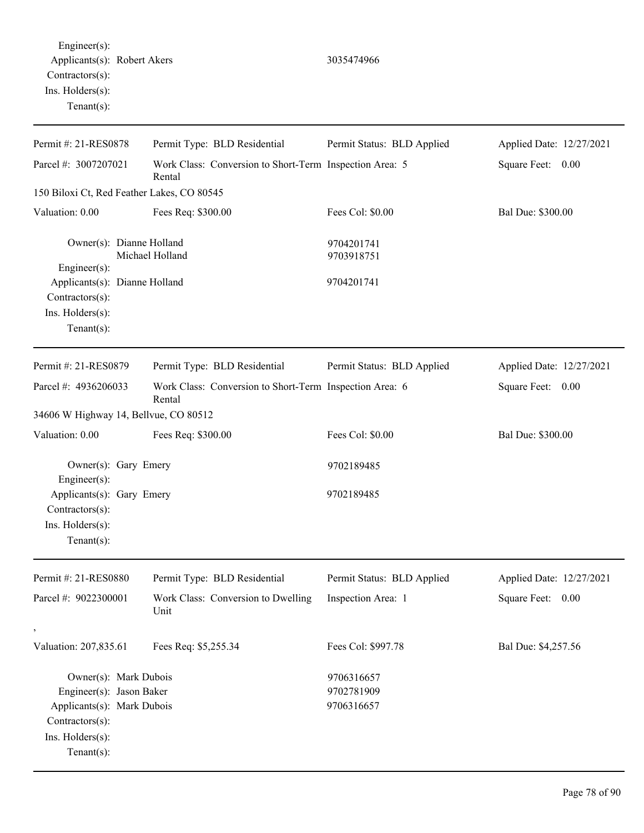| Permit #: 21-RES0878                                                                                                               | Permit Type: BLD Residential                                      | Permit Status: BLD Applied             | Applied Date: 12/27/2021 |
|------------------------------------------------------------------------------------------------------------------------------------|-------------------------------------------------------------------|----------------------------------------|--------------------------|
| Parcel #: 3007207021                                                                                                               | Work Class: Conversion to Short-Term Inspection Area: 5<br>Rental |                                        | Square Feet: 0.00        |
| 150 Biloxi Ct, Red Feather Lakes, CO 80545                                                                                         |                                                                   |                                        |                          |
| Valuation: 0.00                                                                                                                    | Fees Req: \$300.00                                                | Fees Col: \$0.00                       | Bal Due: \$300.00        |
| Owner(s): Dianne Holland<br>Engineer(s):<br>Applicants(s): Dianne Holland<br>Contractors(s):<br>Ins. Holders(s):<br>Tenant $(s)$ : | Michael Holland                                                   | 9704201741<br>9703918751<br>9704201741 |                          |
| Permit #: 21-RES0879                                                                                                               | Permit Type: BLD Residential                                      | Permit Status: BLD Applied             | Applied Date: 12/27/2021 |
| Parcel #: 4936206033                                                                                                               | Work Class: Conversion to Short-Term Inspection Area: 6<br>Rental |                                        | Square Feet: 0.00        |
| 34606 W Highway 14, Bellvue, CO 80512                                                                                              |                                                                   |                                        |                          |
| Valuation: 0.00                                                                                                                    | Fees Req: \$300.00                                                | Fees Col: \$0.00                       | Bal Due: \$300.00        |
| Owner(s): Gary Emery<br>Engineer(s):                                                                                               |                                                                   | 9702189485                             |                          |
| Applicants(s): Gary Emery<br>Contractors(s):<br>Ins. Holders(s):<br>$Tenant(s)$ :                                                  |                                                                   | 9702189485                             |                          |
| Permit #: 21-RES0880                                                                                                               | Permit Type: BLD Residential                                      | Permit Status: BLD Applied             | Applied Date: 12/27/2021 |
| Parcel #: 9022300001                                                                                                               | Work Class: Conversion to Dwelling<br>Unit                        | Inspection Area: 1                     | Square Feet: 0.00        |
| $^\circ$<br>Valuation: 207,835.61                                                                                                  | Fees Req: \$5,255.34                                              | Fees Col: \$997.78                     | Bal Due: \$4,257.56      |
| Owner(s): Mark Dubois<br>Engineer(s): Jason Baker<br>Applicants(s): Mark Dubois<br>Contractors(s):<br>Ins. Holders(s):             |                                                                   | 9706316657<br>9702781909<br>9706316657 |                          |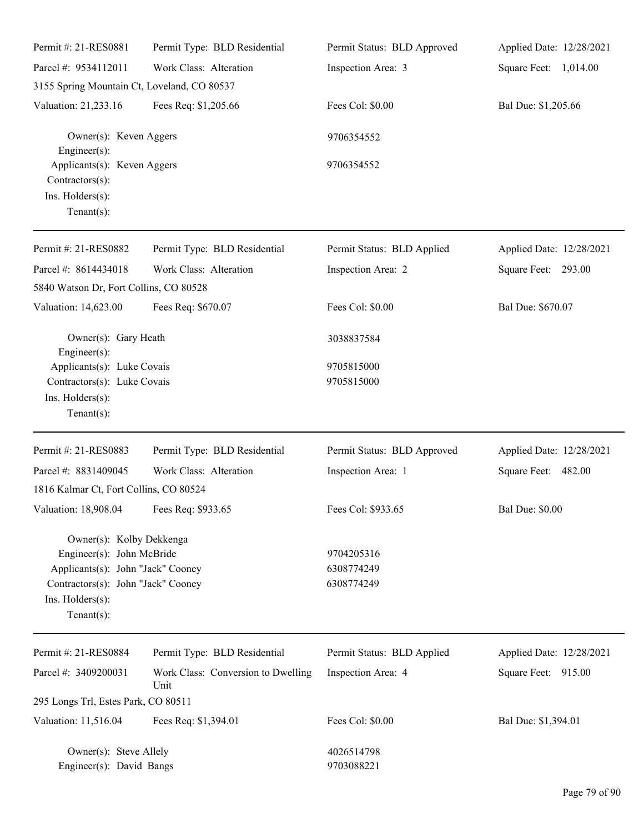| Permit #: 21-RES0881                                                                 | Permit Type: BLD Residential               | Permit Status: BLD Approved | Applied Date: 12/28/2021 |
|--------------------------------------------------------------------------------------|--------------------------------------------|-----------------------------|--------------------------|
| Parcel #: 9534112011                                                                 | Work Class: Alteration                     | Inspection Area: 3          | Square Feet: 1,014.00    |
| 3155 Spring Mountain Ct, Loveland, CO 80537                                          |                                            |                             |                          |
| Valuation: 21,233.16                                                                 | Fees Req: \$1,205.66                       | Fees Col: \$0.00            | Bal Due: \$1,205.66      |
| Owner(s): Keven Aggers<br>Engineer $(s)$ :                                           |                                            | 9706354552                  |                          |
| Applicants(s): Keven Aggers<br>Contractors(s):<br>Ins. Holders(s):<br>Tenant $(s)$ : |                                            | 9706354552                  |                          |
| Permit #: 21-RES0882                                                                 | Permit Type: BLD Residential               | Permit Status: BLD Applied  | Applied Date: 12/28/2021 |
| Parcel #: 8614434018                                                                 | Work Class: Alteration                     | Inspection Area: 2          | Square Feet: 293.00      |
| 5840 Watson Dr, Fort Collins, CO 80528                                               |                                            |                             |                          |
| Valuation: 14,623.00                                                                 | Fees Req: \$670.07                         | Fees Col: \$0.00            | Bal Due: \$670.07        |
| Owner(s): Gary Heath<br>Engineer(s):                                                 |                                            | 3038837584                  |                          |
| Applicants(s): Luke Covais                                                           |                                            | 9705815000                  |                          |
| Contractors(s): Luke Covais<br>Ins. Holders(s):<br>Tenant $(s)$ :                    |                                            | 9705815000                  |                          |
| Permit #: 21-RES0883                                                                 | Permit Type: BLD Residential               | Permit Status: BLD Approved | Applied Date: 12/28/2021 |
| Parcel #: 8831409045                                                                 | Work Class: Alteration                     | Inspection Area: 1          | Square Feet: 482.00      |
| 1816 Kalmar Ct, Fort Collins, CO 80524                                               |                                            |                             |                          |
| Valuation: 18,908.04                                                                 | Fees Req: \$933.65                         | Fees Col: \$933.65          | <b>Bal Due: \$0.00</b>   |
| Owner(s): Kolby Dekkenga                                                             |                                            |                             |                          |
| Engineer(s): John McBride                                                            |                                            | 9704205316                  |                          |
| Applicants(s): John "Jack" Cooney                                                    |                                            | 6308774249                  |                          |
| Contractors(s): John "Jack" Cooney                                                   |                                            | 6308774249                  |                          |
| Ins. Holders(s):<br>Tenant $(s)$ :                                                   |                                            |                             |                          |
| Permit #: 21-RES0884                                                                 | Permit Type: BLD Residential               | Permit Status: BLD Applied  | Applied Date: 12/28/2021 |
| Parcel #: 3409200031                                                                 | Work Class: Conversion to Dwelling<br>Unit | Inspection Area: 4          | Square Feet: 915.00      |
| 295 Longs Trl, Estes Park, CO 80511                                                  |                                            |                             |                          |
| Valuation: 11,516.04                                                                 | Fees Req: \$1,394.01                       | Fees Col: \$0.00            | Bal Due: \$1,394.01      |
| Owner(s): Steve Allely<br>Engineer(s): David Bangs                                   |                                            | 4026514798<br>9703088221    |                          |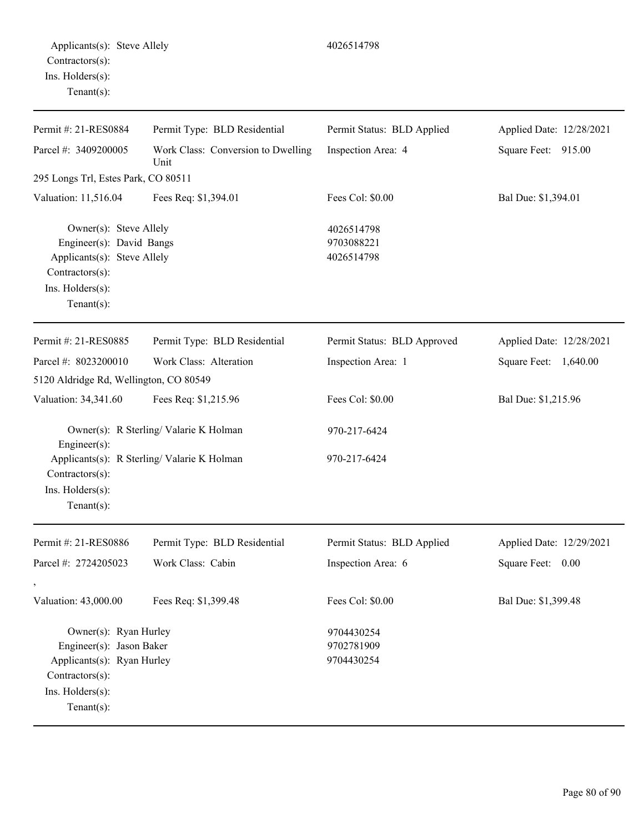| Permit #: 21-RES0884                                                                                                                      | Permit Type: BLD Residential               | Permit Status: BLD Applied             | Applied Date: 12/28/2021 |
|-------------------------------------------------------------------------------------------------------------------------------------------|--------------------------------------------|----------------------------------------|--------------------------|
| Parcel #: 3409200005                                                                                                                      | Work Class: Conversion to Dwelling<br>Unit | Inspection Area: 4                     | Square Feet: 915.00      |
| 295 Longs Trl, Estes Park, CO 80511                                                                                                       |                                            |                                        |                          |
| Valuation: 11,516.04                                                                                                                      | Fees Req: \$1,394.01                       | Fees Col: \$0.00                       | Bal Due: \$1,394.01      |
| Owner(s): Steve Allely<br>Engineer(s): David Bangs<br>Applicants(s): Steve Allely<br>Contractors(s):<br>Ins. Holders(s):<br>$Tenant(s)$ : |                                            | 4026514798<br>9703088221<br>4026514798 |                          |
| Permit #: 21-RES0885                                                                                                                      | Permit Type: BLD Residential               | Permit Status: BLD Approved            | Applied Date: 12/28/2021 |
| Parcel #: 8023200010                                                                                                                      | Work Class: Alteration                     | Inspection Area: 1                     | Square Feet: 1,640.00    |
| 5120 Aldridge Rd, Wellington, CO 80549                                                                                                    |                                            |                                        |                          |
| Valuation: 34,341.60                                                                                                                      | Fees Req: \$1,215.96                       | Fees Col: \$0.00                       | Bal Due: \$1,215.96      |
| Engineer(s):                                                                                                                              | Owner(s): R Sterling/ Valarie K Holman     | 970-217-6424                           |                          |
| Contractors(s):<br>Ins. Holders(s):<br>$Tenant(s)$ :                                                                                      | Applicants(s): R Sterling/Valarie K Holman | 970-217-6424                           |                          |
| Permit #: 21-RES0886                                                                                                                      | Permit Type: BLD Residential               | Permit Status: BLD Applied             | Applied Date: 12/29/2021 |
| Parcel #: 2724205023                                                                                                                      | Work Class: Cabin                          | Inspection Area: 6                     | Square Feet: 0.00        |
| Valuation: 43,000.00                                                                                                                      | Fees Req: \$1,399.48                       | Fees Col: \$0.00                       | Bal Due: \$1,399.48      |
| Owner(s): Ryan Hurley                                                                                                                     |                                            | 9704430254                             |                          |
| Engineer(s): Jason Baker                                                                                                                  |                                            | 9702781909                             |                          |
| Applicants(s): Ryan Hurley<br>Contractors(s):                                                                                             |                                            | 9704430254                             |                          |
| Ins. Holders(s):                                                                                                                          |                                            |                                        |                          |
|                                                                                                                                           |                                            |                                        |                          |

Tenant(s):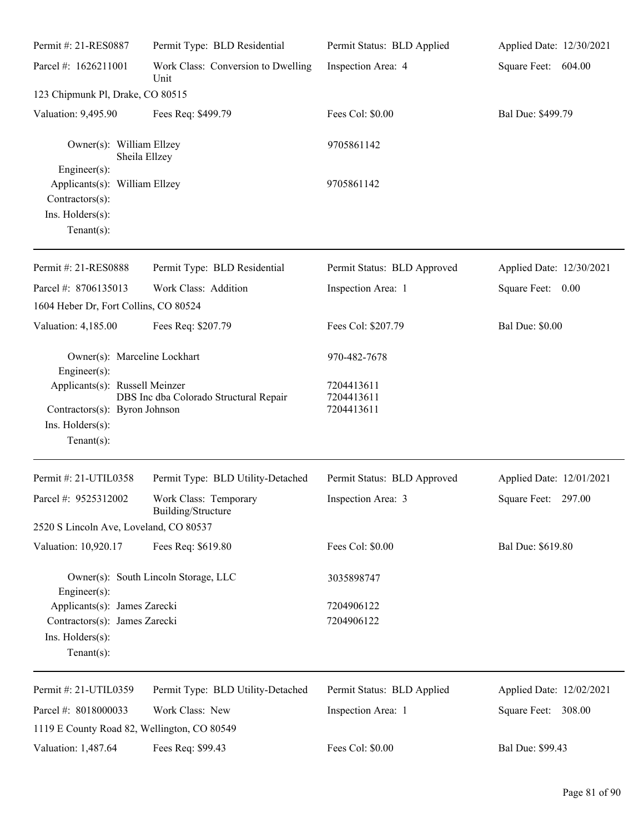| Permit #: 21-RES0887                                                                                  | Permit Type: BLD Residential                | Permit Status: BLD Applied             | Applied Date: 12/30/2021 |
|-------------------------------------------------------------------------------------------------------|---------------------------------------------|----------------------------------------|--------------------------|
| Parcel #: 1626211001                                                                                  | Work Class: Conversion to Dwelling<br>Unit  | Inspection Area: 4                     | Square Feet: 604.00      |
| 123 Chipmunk Pl, Drake, CO 80515                                                                      |                                             |                                        |                          |
| Valuation: 9,495.90                                                                                   | Fees Req: \$499.79                          | Fees Col: \$0.00                       | Bal Due: \$499.79        |
| Owner(s): William Ellzey<br>Engineer $(s)$ :                                                          | Sheila Ellzey                               | 9705861142                             |                          |
| Applicants(s): William Ellzey<br>Contractors(s):<br>Ins. Holders(s):<br>Tenant $(s)$ :                |                                             | 9705861142                             |                          |
| Permit #: 21-RES0888                                                                                  | Permit Type: BLD Residential                | Permit Status: BLD Approved            | Applied Date: 12/30/2021 |
| Parcel #: 8706135013<br>1604 Heber Dr, Fort Collins, CO 80524                                         | Work Class: Addition                        | Inspection Area: 1                     | Square Feet: 0.00        |
| Valuation: 4,185.00                                                                                   | Fees Req: \$207.79                          | Fees Col: \$207.79                     | <b>Bal Due: \$0.00</b>   |
| Owner(s): Marceline Lockhart<br>Engineer $(s)$ :                                                      |                                             | 970-482-7678                           |                          |
| Applicants(s): Russell Meinzer<br>Contractors(s): Byron Johnson<br>Ins. Holders(s):<br>Tenant $(s)$ : | DBS Inc dba Colorado Structural Repair      | 7204413611<br>7204413611<br>7204413611 |                          |
| Permit #: 21-UTIL0358                                                                                 | Permit Type: BLD Utility-Detached           | Permit Status: BLD Approved            | Applied Date: 12/01/2021 |
| Parcel #: 9525312002                                                                                  | Work Class: Temporary<br>Building/Structure | Inspection Area: 3                     | Square Feet: 297.00      |
| 2520 S Lincoln Ave, Loveland, CO 80537                                                                |                                             |                                        |                          |
| Valuation: 10,920.17                                                                                  | Fees Req: \$619.80                          | Fees Col: \$0.00                       | Bal Due: \$619.80        |
| $Engineering(s)$ :                                                                                    | Owner(s): South Lincoln Storage, LLC        | 3035898747                             |                          |
| Applicants(s): James Zarecki<br>Contractors(s): James Zarecki<br>Ins. Holders(s):<br>Tenant $(s)$ :   |                                             | 7204906122<br>7204906122               |                          |
| Permit #: 21-UTIL0359                                                                                 | Permit Type: BLD Utility-Detached           | Permit Status: BLD Applied             | Applied Date: 12/02/2021 |
| Parcel #: 8018000033<br>1119 E County Road 82, Wellington, CO 80549                                   | Work Class: New                             | Inspection Area: 1                     | Square Feet: 308.00      |
| Valuation: 1,487.64                                                                                   | Fees Req: \$99.43                           | Fees Col: \$0.00                       | Bal Due: \$99.43         |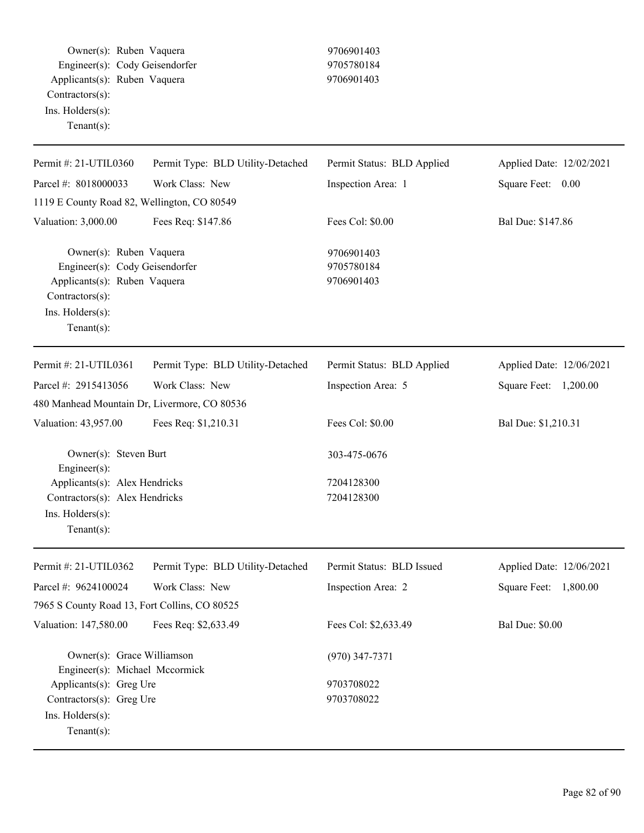Owner(s): Ruben Vaquera 9706901403 Engineer(s): Cody Geisendorfer 9705780184 Applicants(s): Ruben Vaquera 9706901403 Contractors(s): Ins. Holders(s): Tenant(s): Permit #: 21-UTIL0360 Parcel #: 8018000033 Permit Type: BLD Utility-Detached Work Class: New Permit Status: BLD Applied Inspection Area: 1 Applied Date: 12/02/2021 Square Feet: 0.00 1119 E County Road 82, Wellington, CO 80549 Valuation: 3,000.00 Fees Req: \$147.86 Fees Col: \$0.00 Bal Due: \$147.86 Owner(s): Ruben Vaquera 9706901403 Engineer(s): Cody Geisendorfer 9705780184 Applicants(s): Ruben Vaquera 9706901403 Contractors(s): Ins. Holders(s): Tenant(s): Permit #: 21-UTIL0361 Parcel #: 2915413056 Permit Type: BLD Utility-Detached Work Class: New Permit Status: BLD Applied Inspection Area: 5 Applied Date: 12/06/2021 Square Feet: 1,200.00 480 Manhead Mountain Dr, Livermore, CO 80536 Valuation: 43,957.00 Fees Req: \$1,210.31 Fees Col: \$0.00 Bal Due: \$1,210.31 Owner(s): Steven Burt 303-475-0676 Engineer(s): Applicants(s): Alex Hendricks 7204128300 Contractors(s): Alex Hendricks 7204128300 Ins. Holders(s): Tenant(s): Permit #: 21-UTIL0362 Parcel #: 9624100024 Permit Type: BLD Utility-Detached Work Class: New Permit Status: BLD Issued Inspection Area: 2 Applied Date: 12/06/2021 Square Feet: 1,800.00 7965 S County Road 13, Fort Collins, CO 80525 Valuation: 147,580.00 Fees Req: \$2,633.49 Fees Col: \$2,633.49 Bal Due: \$0.00 Owner(s): Grace Williamson (970) 347-7371 Engineer(s): Michael Mccormick Applicants(s): Greg Ure 9703708022 Contractors(s): Greg Ure 9703708022 Ins. Holders(s): Tenant(s):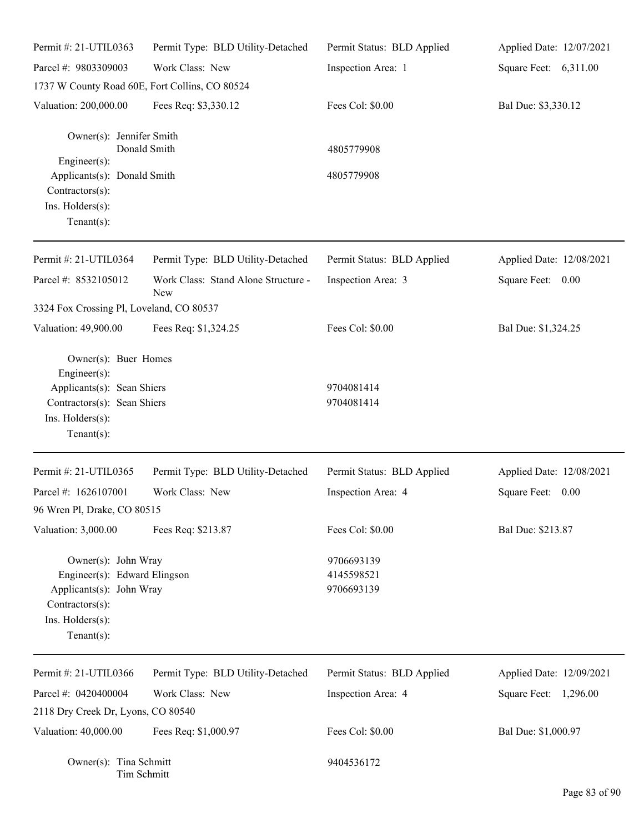| Permit #: 21-UTIL0363                          | Permit Type: BLD Utility-Detached          | Permit Status: BLD Applied | Applied Date: 12/07/2021 |
|------------------------------------------------|--------------------------------------------|----------------------------|--------------------------|
| Parcel #: 9803309003                           | Work Class: New                            | Inspection Area: 1         | Square Feet: 6,311.00    |
| 1737 W County Road 60E, Fort Collins, CO 80524 |                                            |                            |                          |
| Valuation: 200,000.00                          | Fees Req: \$3,330.12                       | Fees Col: \$0.00           | Bal Due: \$3,330.12      |
| Owner(s): Jennifer Smith                       | Donald Smith                               | 4805779908                 |                          |
| Engineer(s):                                   |                                            |                            |                          |
| Applicants(s): Donald Smith<br>Contractors(s): |                                            | 4805779908                 |                          |
| Ins. Holders(s):<br>Tenant $(s)$ :             |                                            |                            |                          |
| Permit #: 21-UTIL0364                          | Permit Type: BLD Utility-Detached          | Permit Status: BLD Applied | Applied Date: 12/08/2021 |
| Parcel #: 8532105012                           | Work Class: Stand Alone Structure -<br>New | Inspection Area: 3         | Square Feet: 0.00        |
| 3324 Fox Crossing Pl, Loveland, CO 80537       |                                            |                            |                          |
| Valuation: 49,900.00                           | Fees Req: \$1,324.25                       | Fees Col: \$0.00           | Bal Due: \$1,324.25      |
| Owner(s): Buer Homes<br>Engineer(s):           |                                            |                            |                          |
| Applicants(s): Sean Shiers                     |                                            | 9704081414                 |                          |
| Contractors(s): Sean Shiers                    |                                            | 9704081414                 |                          |
| Ins. Holders(s):<br>Tenant $(s)$ :             |                                            |                            |                          |
| Permit #: 21-UTIL0365                          | Permit Type: BLD Utility-Detached          | Permit Status: BLD Applied | Applied Date: 12/08/2021 |
| Parcel #: 1626107001                           | Work Class: New                            | Inspection Area: 4         | Square Feet:<br>0.00     |
| 96 Wren Pl, Drake, CO 80515                    |                                            |                            |                          |
| Valuation: 3,000.00                            | Fees Req: \$213.87                         | Fees Col: \$0.00           | Bal Due: \$213.87        |
| Owner(s): John Wray                            |                                            | 9706693139                 |                          |
| Engineer(s): Edward Elingson                   |                                            | 4145598521                 |                          |
| Applicants(s): John Wray                       |                                            | 9706693139                 |                          |
| Contractors(s):                                |                                            |                            |                          |
| Ins. Holders(s):<br>Tenant $(s)$ :             |                                            |                            |                          |
|                                                |                                            |                            |                          |
| Permit #: 21-UTIL0366                          | Permit Type: BLD Utility-Detached          | Permit Status: BLD Applied | Applied Date: 12/09/2021 |
| Parcel #: 0420400004                           | Work Class: New                            | Inspection Area: 4         | Square Feet: 1,296.00    |
| 2118 Dry Creek Dr, Lyons, CO 80540             |                                            |                            |                          |
| Valuation: 40,000.00                           | Fees Req: \$1,000.97                       | Fees Col: \$0.00           | Bal Due: \$1,000.97      |
| Owner(s): Tina Schmitt<br>Tim Schmitt          |                                            | 9404536172                 |                          |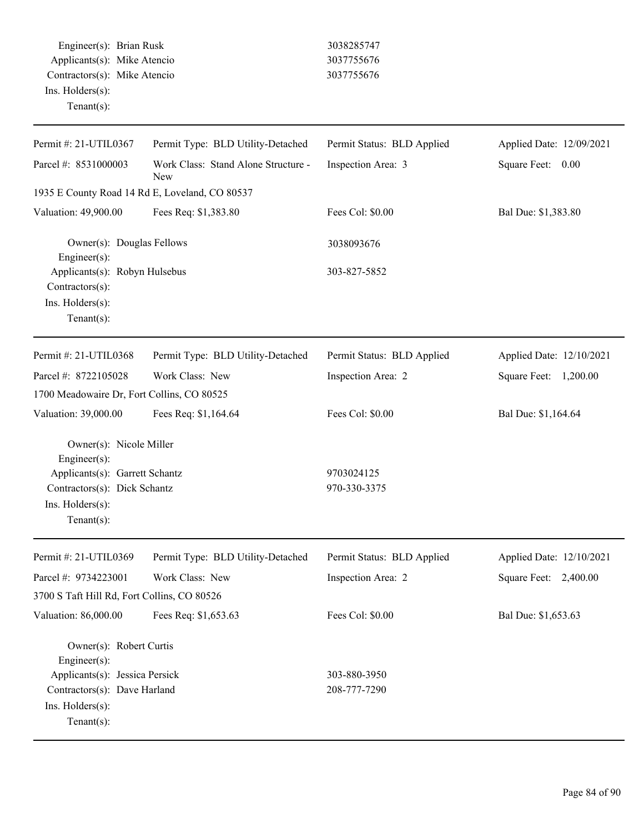Engineer(s): Brian Rusk 3038285747 Applicants(s): Mike Atencio 3037755676 Contractors(s): Mike Atencio 3037755676 Ins. Holders(s): Tenant(s):

| Permit #: 21-UTIL0367                                                                                                                           | Permit Type: BLD Utility-Detached          | Permit Status: BLD Applied   | Applied Date: 12/09/2021 |
|-------------------------------------------------------------------------------------------------------------------------------------------------|--------------------------------------------|------------------------------|--------------------------|
| Parcel #: 8531000003                                                                                                                            | Work Class: Stand Alone Structure -<br>New | Inspection Area: 3           | Square Feet:<br>0.00     |
| 1935 E County Road 14 Rd E, Loveland, CO 80537                                                                                                  |                                            |                              |                          |
| Valuation: 49,900.00                                                                                                                            | Fees Req: \$1,383.80                       | Fees Col: \$0.00             | Bal Due: \$1,383.80      |
| Owner(s): Douglas Fellows<br>Engineer(s):                                                                                                       |                                            | 3038093676                   |                          |
| Applicants(s): Robyn Hulsebus<br>Contractors(s):<br>Ins. Holders(s):<br>Tenant(s):                                                              |                                            | 303-827-5852                 |                          |
| Permit #: 21-UTIL0368                                                                                                                           | Permit Type: BLD Utility-Detached          | Permit Status: BLD Applied   | Applied Date: 12/10/2021 |
| Parcel #: 8722105028                                                                                                                            | Work Class: New                            | Inspection Area: 2           | Square Feet:<br>1,200.00 |
| 1700 Meadowaire Dr, Fort Collins, CO 80525                                                                                                      |                                            |                              |                          |
| Valuation: 39,000.00                                                                                                                            | Fees Req: \$1,164.64                       | Fees Col: \$0.00             | Bal Due: \$1,164.64      |
| Owner(s): Nicole Miller<br>Engineer(s):                                                                                                         |                                            |                              |                          |
| Applicants(s): Garrett Schantz                                                                                                                  |                                            | 9703024125                   |                          |
| Contractors(s): Dick Schantz                                                                                                                    |                                            | 970-330-3375                 |                          |
| Ins. Holders(s):<br>$Tenant(s)$ :                                                                                                               |                                            |                              |                          |
| Permit #: 21-UTIL0369                                                                                                                           | Permit Type: BLD Utility-Detached          | Permit Status: BLD Applied   | Applied Date: 12/10/2021 |
| Parcel #: 9734223001                                                                                                                            | Work Class: New                            | Inspection Area: 2           | Square Feet: 2,400.00    |
| 3700 S Taft Hill Rd, Fort Collins, CO 80526                                                                                                     |                                            |                              |                          |
| Valuation: 86,000.00                                                                                                                            | Fees Req: \$1,653.63                       | Fees Col: \$0.00             | Bal Due: \$1,653.63      |
| Owner(s): Robert Curtis<br>Engineer(s):<br>Applicants(s): Jessica Persick<br>Contractors(s): Dave Harland<br>Ins. Holders(s):<br>Tenant $(s)$ : |                                            | 303-880-3950<br>208-777-7290 |                          |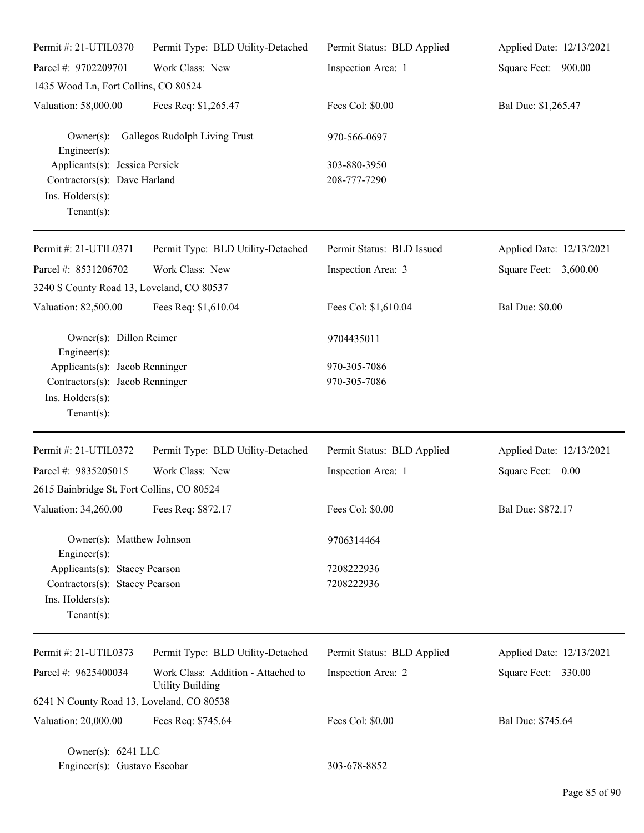| Permit #: 21-UTIL0370                                                                                | Permit Type: BLD Utility-Detached                             | Permit Status: BLD Applied   | Applied Date: 12/13/2021 |
|------------------------------------------------------------------------------------------------------|---------------------------------------------------------------|------------------------------|--------------------------|
| Parcel #: 9702209701                                                                                 | Work Class: New                                               | Inspection Area: 1           | Square Feet: 900.00      |
| 1435 Wood Ln, Fort Collins, CO 80524                                                                 |                                                               |                              |                          |
| Valuation: 58,000.00                                                                                 | Fees Req: \$1,265.47                                          | Fees Col: \$0.00             | Bal Due: \$1,265.47      |
| $Owner(s)$ :<br>$Engineering(s)$ :                                                                   | Gallegos Rudolph Living Trust                                 | 970-566-0697                 |                          |
| Applicants(s): Jessica Persick<br>Contractors(s): Dave Harland<br>Ins. Holders(s):<br>Tenant $(s)$ : |                                                               | 303-880-3950<br>208-777-7290 |                          |
| Permit #: 21-UTIL0371                                                                                | Permit Type: BLD Utility-Detached                             | Permit Status: BLD Issued    | Applied Date: 12/13/2021 |
| Parcel #: 8531206702                                                                                 | Work Class: New                                               | Inspection Area: 3           | Square Feet: 3,600.00    |
| 3240 S County Road 13, Loveland, CO 80537                                                            |                                                               |                              |                          |
| Valuation: 82,500.00                                                                                 | Fees Req: \$1,610.04                                          | Fees Col: \$1,610.04         | <b>Bal Due: \$0.00</b>   |
| Owner(s): Dillon Reimer<br>$Engineering(s)$ :                                                        |                                                               | 9704435011                   |                          |
| Applicants(s): Jacob Renninger                                                                       |                                                               | 970-305-7086                 |                          |
| Contractors(s): Jacob Renninger<br>Ins. Holders(s):<br>Tenant $(s)$ :                                |                                                               | 970-305-7086                 |                          |
| Permit #: 21-UTIL0372                                                                                | Permit Type: BLD Utility-Detached                             | Permit Status: BLD Applied   | Applied Date: 12/13/2021 |
| Parcel #: 9835205015                                                                                 | Work Class: New                                               | Inspection Area: 1           | Square Feet: 0.00        |
| 2615 Bainbridge St, Fort Collins, CO 80524                                                           |                                                               |                              |                          |
| Valuation: 34,260.00 Fees Req: \$872.17                                                              |                                                               | Fees Col: \$0.00             | Bal Due: \$872.17        |
| Owner(s): Matthew Johnson<br>Engineer $(s)$ :                                                        |                                                               | 9706314464                   |                          |
| Applicants(s): Stacey Pearson                                                                        |                                                               | 7208222936                   |                          |
| Contractors(s): Stacey Pearson                                                                       |                                                               | 7208222936                   |                          |
| Ins. Holders(s):<br>Tenant $(s)$ :                                                                   |                                                               |                              |                          |
| Permit #: 21-UTIL0373                                                                                | Permit Type: BLD Utility-Detached                             | Permit Status: BLD Applied   | Applied Date: 12/13/2021 |
| Parcel #: 9625400034                                                                                 | Work Class: Addition - Attached to<br><b>Utility Building</b> | Inspection Area: 2           | Square Feet: 330.00      |
| 6241 N County Road 13, Loveland, CO 80538                                                            |                                                               |                              |                          |
| Valuation: 20,000.00                                                                                 | Fees Req: \$745.64                                            | Fees Col: \$0.00             | Bal Due: \$745.64        |
| Owner(s): 6241 LLC<br>Engineer(s): Gustavo Escobar                                                   |                                                               | 303-678-8852                 |                          |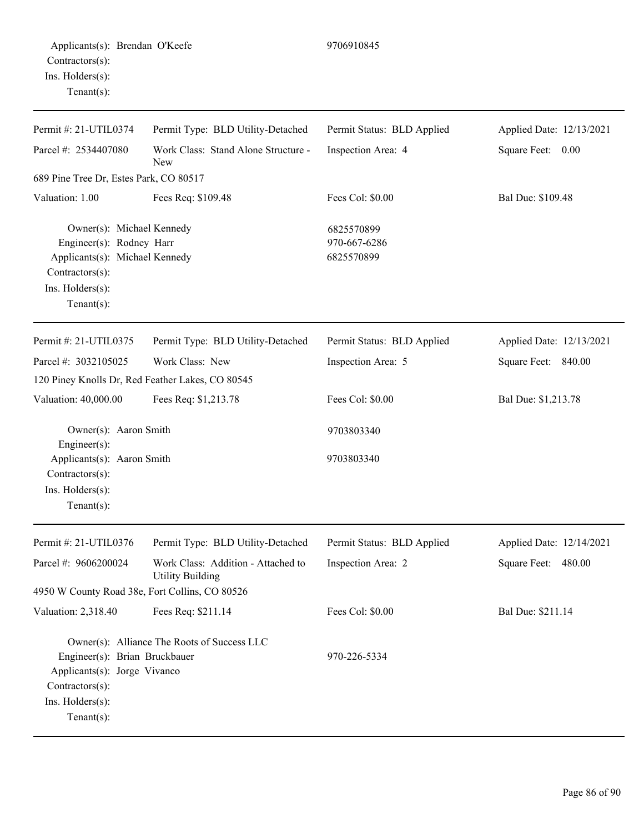Permit #: 21-UTIL0374 Parcel #: 2534407080 Permit Type: BLD Utility-Detached Work Class: Stand Alone Structure - New Permit Status: BLD Applied Inspection Area: 4 Applied Date: 12/13/2021 Square Feet: 0.00 689 Pine Tree Dr, Estes Park, CO 80517 Valuation: 1.00 Fees Req: \$109.48 Fees Col: \$0.00 Bal Due: \$109.48 Owner(s): Michael Kennedy 6825570899 Engineer(s): Rodney Harr 970-667-6286 Applicants(s): Michael Kennedy 6825570899 Contractors(s): Ins. Holders(s): Tenant(s): Permit #: 21-UTIL0375 Parcel #: 3032105025 Permit Type: BLD Utility-Detached Work Class: New Permit Status: BLD Applied Inspection Area: 5 Applied Date: 12/13/2021 Square Feet: 840.00 120 Piney Knolls Dr, Red Feather Lakes, CO 80545 Valuation: 40,000.00 Fees Req: \$1,213.78 Fees Col: \$0.00 Bal Due: \$1,213.78 Owner(s): Aaron Smith 9703803340 Engineer(s): Applicants(s): Aaron Smith 9703803340 Contractors(s): Ins. Holders(s): Tenant(s): Permit #: 21-UTIL0376 Parcel #: 9606200024 Permit Type: BLD Utility-Detached Work Class: Addition - Attached to Utility Building Permit Status: BLD Applied Inspection Area: 2 Applied Date: 12/14/2021 Square Feet: 480.00 4950 W County Road 38e, Fort Collins, CO 80526 Valuation: 2,318.40 Fees Req: \$211.14 Fees Col: \$0.00 Bal Due: \$211.14 Owner(s): Alliance The Roots of Success LLC

Engineer(s): Brian Bruckbauer 970-226-5334

Applicants(s): Jorge Vivanco

Contractors(s): Ins. Holders(s): Tenant(s):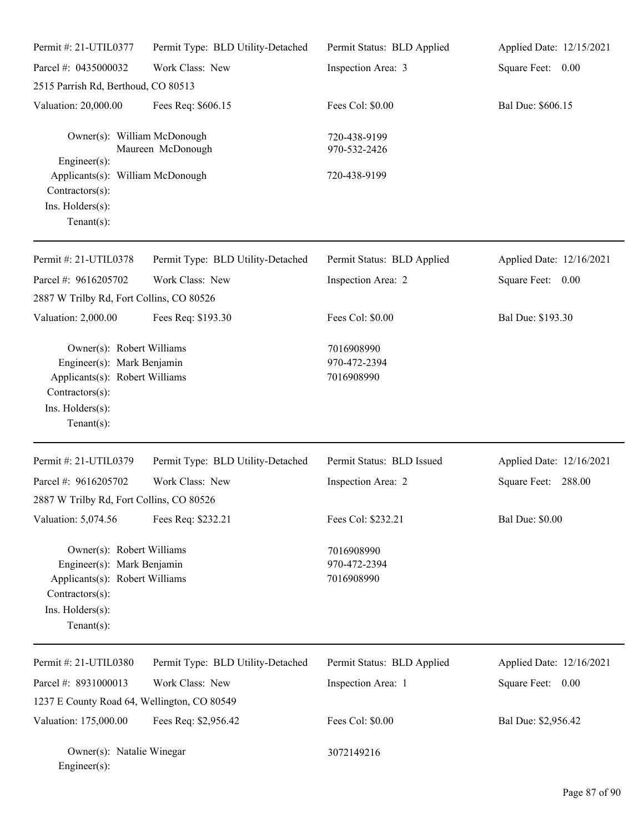| Permit #: 21-UTIL0377                                                                                                                              | Permit Type: BLD Utility-Detached | Permit Status: BLD Applied               | Applied Date: 12/15/2021 |
|----------------------------------------------------------------------------------------------------------------------------------------------------|-----------------------------------|------------------------------------------|--------------------------|
| Parcel #: 0435000032                                                                                                                               | Work Class: New                   | Inspection Area: 3                       | Square Feet: 0.00        |
| 2515 Parrish Rd, Berthoud, CO 80513                                                                                                                |                                   |                                          |                          |
| Valuation: 20,000.00                                                                                                                               | Fees Req: \$606.15                | Fees Col: \$0.00                         | Bal Due: \$606.15        |
| Owner(s): William McDonough<br>Maureen McDonough                                                                                                   |                                   | 720-438-9199<br>970-532-2426             |                          |
| Engineer $(s)$ :<br>Applicants(s): William McDonough<br>Contractors(s):<br>Ins. Holders(s):<br>Tenant $(s)$ :                                      |                                   | 720-438-9199                             |                          |
| Permit #: 21-UTIL0378                                                                                                                              | Permit Type: BLD Utility-Detached | Permit Status: BLD Applied               | Applied Date: 12/16/2021 |
| Parcel #: 9616205702                                                                                                                               | Work Class: New                   | Inspection Area: 2                       | Square Feet: 0.00        |
| 2887 W Trilby Rd, Fort Collins, CO 80526                                                                                                           |                                   |                                          |                          |
| Valuation: 2,000.00                                                                                                                                | Fees Req: \$193.30                | Fees Col: \$0.00                         | Bal Due: \$193.30        |
| Owner(s): Robert Williams<br>Engineer(s): Mark Benjamin<br>Applicants(s): Robert Williams<br>Contractors(s):<br>Ins. Holders(s):<br>Tenant $(s)$ : |                                   | 7016908990<br>970-472-2394<br>7016908990 |                          |
| Permit #: 21-UTIL0379                                                                                                                              | Permit Type: BLD Utility-Detached | Permit Status: BLD Issued                | Applied Date: 12/16/2021 |
| Parcel #: 9616205702<br>2887 W Trilby Rd, Fort Collins, CO 80526                                                                                   | Work Class: New                   | Inspection Area: 2                       | Square Feet: 288.00      |
| Valuation: 5,074.56                                                                                                                                | Fees Req: \$232.21                | Fees Col: \$232.21                       | <b>Bal Due: \$0.00</b>   |
| Owner(s): Robert Williams<br>Engineer(s): Mark Benjamin<br>Applicants(s): Robert Williams<br>Contractors(s):<br>Ins. Holders(s):<br>Tenant $(s)$ : |                                   | 7016908990<br>970-472-2394<br>7016908990 |                          |
| Permit #: 21-UTIL0380                                                                                                                              | Permit Type: BLD Utility-Detached | Permit Status: BLD Applied               | Applied Date: 12/16/2021 |
| Parcel #: 8931000013                                                                                                                               | Work Class: New                   | Inspection Area: 1                       | Square Feet: 0.00        |
| 1237 E County Road 64, Wellington, CO 80549                                                                                                        |                                   |                                          |                          |
| Valuation: 175,000.00                                                                                                                              | Fees Req: \$2,956.42              | Fees Col: \$0.00                         | Bal Due: \$2,956.42      |
| Owner(s): Natalie Winegar<br>Engineer(s):                                                                                                          |                                   | 3072149216                               |                          |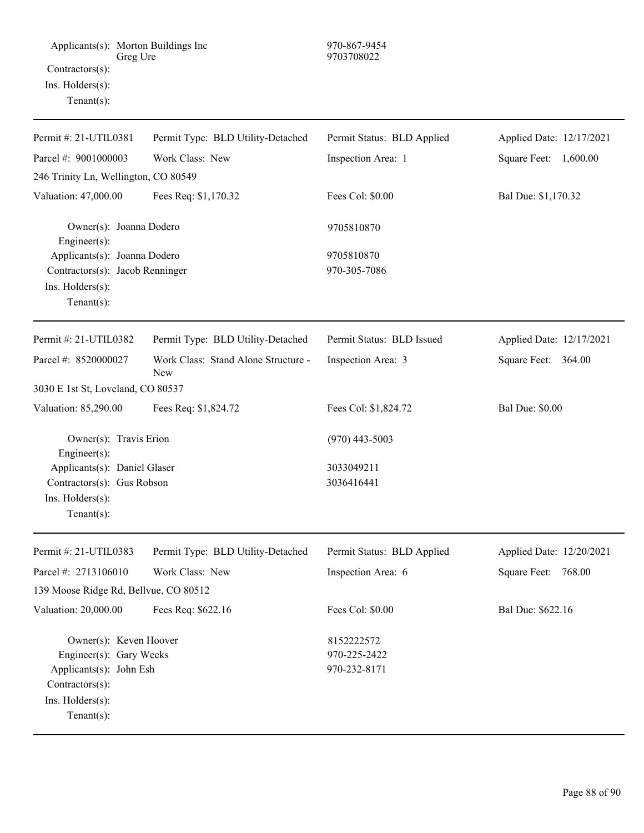| Permit#: 21-UTIL0381                                                                                                | Permit Type: BLD Utility-Detached          | Permit Status: BLD Applied                 | Applied Date: 12/17/2021 |
|---------------------------------------------------------------------------------------------------------------------|--------------------------------------------|--------------------------------------------|--------------------------|
| Parcel #: 9001000003                                                                                                | Work Class: New                            | Inspection Area: 1                         | Square Feet: 1,600.00    |
| 246 Trinity Ln, Wellington, CO 80549                                                                                |                                            |                                            |                          |
| Valuation: 47,000.00                                                                                                | Fees Req: \$1,170.32                       | Fees Col: \$0.00                           | Bal Due: \$1,170.32      |
| Owner(s): Joanna Dodero<br>$Engineering(s)$ :                                                                       |                                            | 9705810870                                 |                          |
| Applicants(s): Joanna Dodero                                                                                        |                                            | 9705810870                                 |                          |
| Contractors(s): Jacob Renninger<br>Ins. Holders(s):<br>Tenant $(s)$ :                                               |                                            | 970-305-7086                               |                          |
| Permit #: 21-UTIL0382                                                                                               | Permit Type: BLD Utility-Detached          | Permit Status: BLD Issued                  | Applied Date: 12/17/2021 |
| Parcel #: 8520000027                                                                                                | Work Class: Stand Alone Structure -<br>New | Inspection Area: 3                         | Square Feet: 364.00      |
| 3030 E 1st St, Loveland, CO 80537                                                                                   |                                            |                                            |                          |
| Valuation: 85,290.00                                                                                                | Fees Req: \$1,824.72                       | Fees Col: \$1,824.72                       | <b>Bal Due: \$0.00</b>   |
| Owner(s): Travis Erion<br>Engineer $(s)$ :                                                                          |                                            | $(970)$ 443-5003                           |                          |
|                                                                                                                     | Applicants(s): Daniel Glaser               |                                            |                          |
| Contractors(s): Gus Robson<br>Ins. Holders(s):<br>Tenant $(s)$ :                                                    |                                            | 3036416441                                 |                          |
| Permit #: 21-UTIL0383                                                                                               | Permit Type: BLD Utility-Detached          | Permit Status: BLD Applied                 | Applied Date: 12/20/2021 |
| Parcel #: 2713106010                                                                                                | Work Class: New                            | Inspection Area: 6                         | Square Feet:<br>768.00   |
| 139 Moose Ridge Rd, Bellvue, CO 80512                                                                               |                                            |                                            |                          |
| Valuation: 20,000.00                                                                                                | Fees Req: \$622.16                         | Fees Col: \$0.00                           | Bal Due: \$622.16        |
| Owner(s): Keven Hoover<br>Engineer(s): Gary Weeks<br>Applicants(s): John Esh<br>Contractors(s):<br>Ins. Holders(s): |                                            | 8152222572<br>970-225-2422<br>970-232-8171 |                          |
| Tenant $(s)$ :                                                                                                      |                                            |                                            |                          |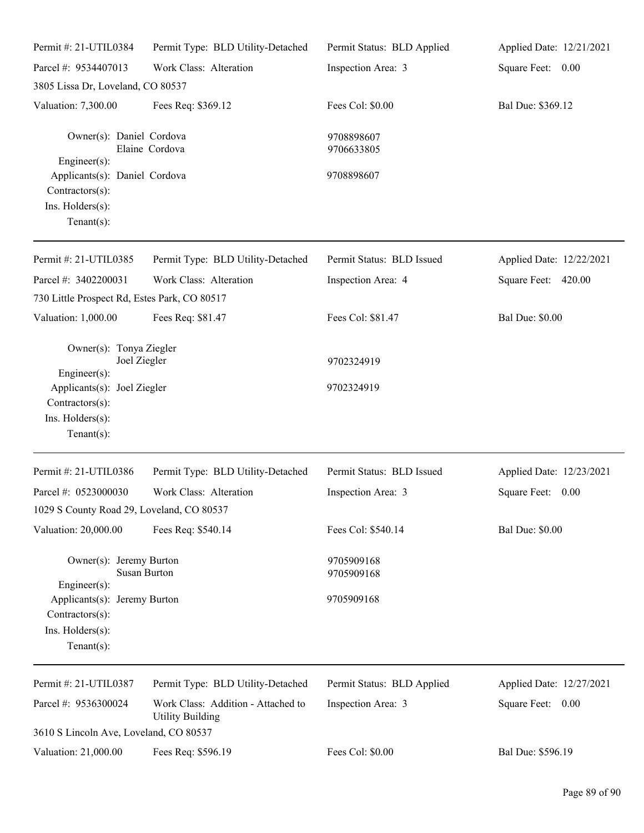| Permit #: 21-UTIL0384                                                                                                                           | Permit Type: BLD Utility-Detached                             | Permit Status: BLD Applied | Applied Date: 12/21/2021 |
|-------------------------------------------------------------------------------------------------------------------------------------------------|---------------------------------------------------------------|----------------------------|--------------------------|
| Parcel #: 9534407013                                                                                                                            | Work Class: Alteration                                        | Inspection Area: 3         | Square Feet: 0.00        |
| 3805 Lissa Dr, Loveland, CO 80537                                                                                                               |                                                               |                            |                          |
| Valuation: 7,300.00                                                                                                                             | Fees Req: \$369.12                                            | Fees Col: \$0.00           | Bal Due: \$369.12        |
| Owner(s): Daniel Cordova<br>Engineer(s):                                                                                                        | Elaine Cordova                                                | 9708898607<br>9706633805   |                          |
| Applicants(s): Daniel Cordova<br>Contractors(s):<br>Ins. Holders(s):<br>Tenant $(s)$ :                                                          |                                                               | 9708898607                 |                          |
| Permit #: 21-UTIL0385                                                                                                                           | Permit Type: BLD Utility-Detached                             | Permit Status: BLD Issued  | Applied Date: 12/22/2021 |
| Parcel #: 3402200031                                                                                                                            | Work Class: Alteration                                        | Inspection Area: 4         | Square Feet: 420.00      |
| 730 Little Prospect Rd, Estes Park, CO 80517                                                                                                    |                                                               |                            |                          |
| Valuation: 1,000.00                                                                                                                             | Fees Req: \$81.47                                             | Fees Col: \$81.47          | <b>Bal Due: \$0.00</b>   |
| Owner(s): Tonya Ziegler<br>Joel Ziegler<br>Engineer(s):<br>Applicants(s): Joel Ziegler<br>Contractors(s):<br>Ins. Holders(s):<br>Tenant $(s)$ : |                                                               | 9702324919<br>9702324919   |                          |
| Permit #: 21-UTIL0386                                                                                                                           | Permit Type: BLD Utility-Detached                             | Permit Status: BLD Issued  | Applied Date: 12/23/2021 |
| Parcel #: 0523000030                                                                                                                            | Work Class: Alteration                                        | Inspection Area: 3         | Square Feet:<br>0.00     |
| 1029 S County Road 29, Loveland, CO 80537                                                                                                       |                                                               |                            |                          |
| Valuation: 20,000.00                                                                                                                            | Fees Req: \$540.14                                            | Fees Col: \$540.14         | <b>Bal Due: \$0.00</b>   |
| Owner(s): Jeremy Burton<br><b>Susan Burton</b><br>$Engineering(s)$ :                                                                            |                                                               | 9705909168<br>9705909168   |                          |
| Applicants(s): Jeremy Burton<br>Contractors(s):<br>Ins. Holders(s):<br>Tenant $(s)$ :                                                           |                                                               | 9705909168                 |                          |
| Permit #: 21-UTIL0387                                                                                                                           | Permit Type: BLD Utility-Detached                             | Permit Status: BLD Applied | Applied Date: 12/27/2021 |
| Parcel #: 9536300024                                                                                                                            | Work Class: Addition - Attached to<br><b>Utility Building</b> | Inspection Area: 3         | Square Feet: 0.00        |
| 3610 S Lincoln Ave, Loveland, CO 80537                                                                                                          |                                                               |                            |                          |
| Valuation: 21,000.00                                                                                                                            | Fees Req: \$596.19                                            | Fees Col: \$0.00           | Bal Due: \$596.19        |